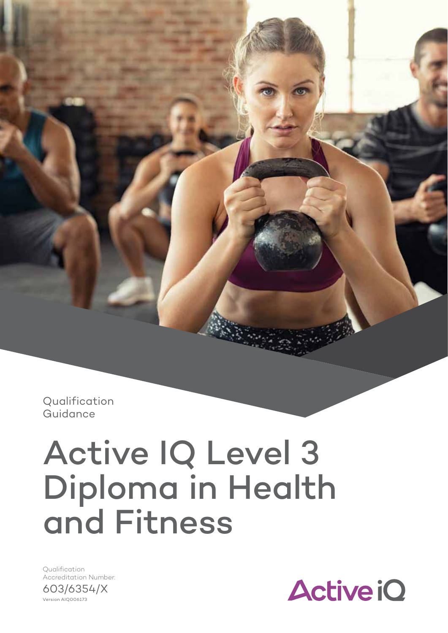**Qualification** Guidance

# Active IQ Level 3 Diploma in Health and Fitness

Version AIQ006173 Qualification Accreditation Number: 603/6354/X

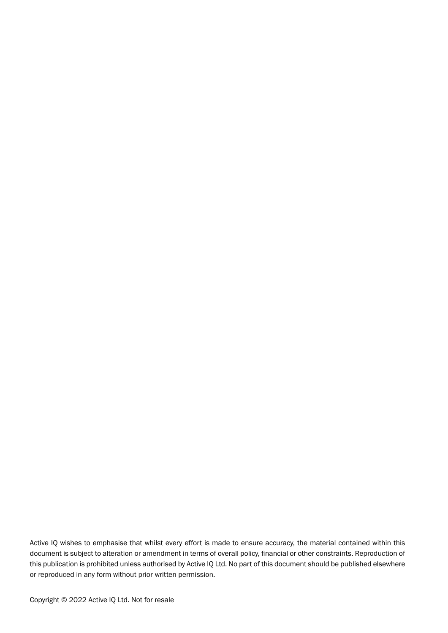Active IQ wishes to emphasise that whilst every effort is made to ensure accuracy, the material contained within this document is subject to alteration or amendment in terms of overall policy, financial or other constraints. Reproduction of this publication is prohibited unless authorised by Active IQ Ltd. No part of this document should be published elsewhere or reproduced in any form without prior written permission.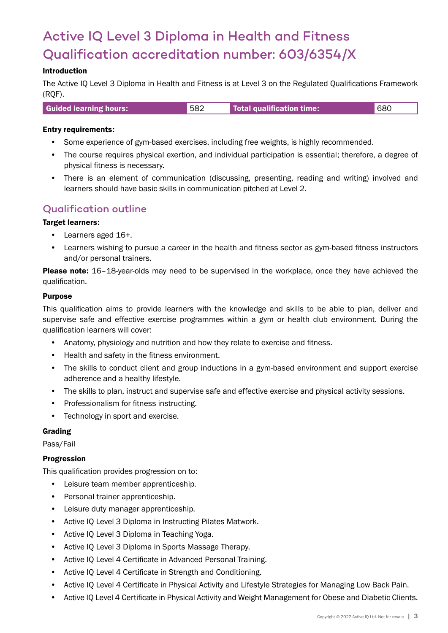# Active IQ Level 3 Diploma in Health and Fitness Qualification accreditation number: 603/6354/X

## Introduction

The Active IQ Level 3 Diploma in Health and Fitness is at Level 3 on the Regulated Qualifications Framework (RQF).

| <b>Guided learning hours:</b> | 582 | Total qualification time: | 680 |
|-------------------------------|-----|---------------------------|-----|
|                               |     |                           |     |

#### Entry requirements:

- Some experience of gym-based exercises, including free weights, is highly recommended.
- The course requires physical exertion, and individual participation is essential; therefore, a degree of physical fitness is necessary.
- There is an element of communication (discussing, presenting, reading and writing) involved and learners should have basic skills in communication pitched at Level 2.

# Qualification outline

#### Target learners:

- Learners aged 16+.
- Learners wishing to pursue a career in the health and fitness sector as gym-based fitness instructors and/or personal trainers.

Please note: 16-18-year-olds may need to be supervised in the workplace, once they have achieved the qualification.

#### Purpose

This qualification aims to provide learners with the knowledge and skills to be able to plan, deliver and supervise safe and effective exercise programmes within a gym or health club environment. During the qualification learners will cover:

- Anatomy, physiology and nutrition and how they relate to exercise and fitness.
- Health and safety in the fitness environment.
- The skills to conduct client and group inductions in a gym-based environment and support exercise adherence and a healthy lifestyle.
- The skills to plan, instruct and supervise safe and effective exercise and physical activity sessions.
- Professionalism for fitness instructing.
- Technology in sport and exercise.

#### Grading

Pass/Fail

#### Progression

This qualification provides progression on to:

- Leisure team member apprenticeship.
- Personal trainer apprenticeship.
- Leisure duty manager apprenticeship.
- Active IQ Level 3 Diploma in Instructing Pilates Matwork.
- Active IQ Level 3 Diploma in Teaching Yoga.
- Active IQ Level 3 Diploma in Sports Massage Therapy.
- Active IQ Level 4 Certificate in Advanced Personal Training.
- Active IQ Level 4 Certificate in Strength and Conditioning.
- Active IQ Level 4 Certificate in Physical Activity and Lifestyle Strategies for Managing Low Back Pain.
- Active IQ Level 4 Certificate in Physical Activity and Weight Management for Obese and Diabetic Clients.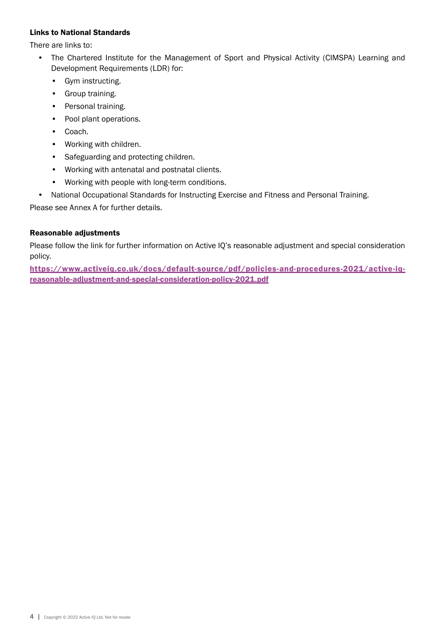#### Links to National Standards

There are links to:

- The Chartered Institute for the Management of Sport and Physical Activity (CIMSPA) Learning and Development Requirements (LDR) for:
	- Gym instructing.
	- Group training.
	- Personal training.
	- Pool plant operations.
	- Coach.
	- Working with children.
	- Safeguarding and protecting children.
	- Working with antenatal and postnatal clients.
	- Working with people with long-term conditions.
- National Occupational Standards for Instructing Exercise and Fitness and Personal Training.

Please see Annex A for further details.

# Reasonable adjustments

Please follow the link for further information on Active IQ's reasonable adjustment and special consideration policy.

[https://www.activeiq.co.uk/docs/default-source/pdf/policies-and-procedures-2021/active-iq](https://www.activeiq.co.uk/docs/default-source/pdf/policies-and-procedures-2021/active-iq-reasonable-adjustment-and-special-consideration-policy-2021.pdf)[reasonable-adjustment-and-special-consideration-policy-2021.pdf](https://www.activeiq.co.uk/docs/default-source/pdf/policies-and-procedures-2021/active-iq-reasonable-adjustment-and-special-consideration-policy-2021.pdf)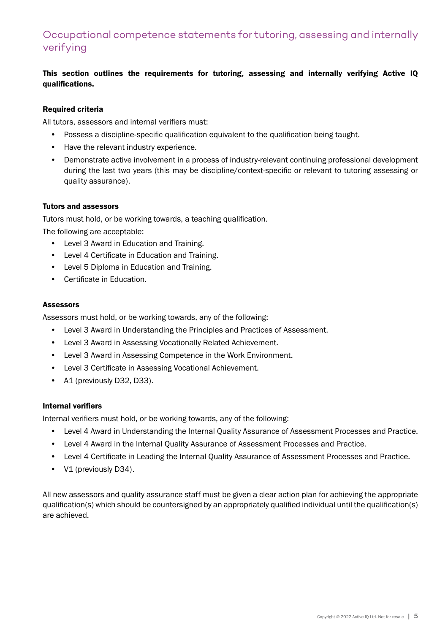# Occupational competence statements for tutoring, assessing and internally verifying

# This section outlines the requirements for tutoring, assessing and internally verifying Active IQ qualifications.

#### Required criteria

All tutors, assessors and internal verifiers must:

- Possess a discipline-specific qualification equivalent to the qualification being taught.
- Have the relevant industry experience.
- Demonstrate active involvement in a process of industry-relevant continuing professional development during the last two years (this may be discipline/context-specific or relevant to tutoring assessing or quality assurance).

#### Tutors and assessors

Tutors must hold, or be working towards, a teaching qualification.

The following are acceptable:

- Level 3 Award in Education and Training.
- Level 4 Certificate in Education and Training.
- Level 5 Diploma in Education and Training.
- Certificate in Education.

#### Assessors

Assessors must hold, or be working towards, any of the following:

- Level 3 Award in Understanding the Principles and Practices of Assessment.
- Level 3 Award in Assessing Vocationally Related Achievement.
- Level 3 Award in Assessing Competence in the Work Environment.
- Level 3 Certificate in Assessing Vocational Achievement.
- A1 (previously D32, D33).

#### Internal verifiers

Internal verifiers must hold, or be working towards, any of the following:

- Level 4 Award in Understanding the Internal Quality Assurance of Assessment Processes and Practice.
- Level 4 Award in the Internal Quality Assurance of Assessment Processes and Practice.
- Level 4 Certificate in Leading the Internal Quality Assurance of Assessment Processes and Practice.
- V1 (previously D34).

All new assessors and quality assurance staff must be given a clear action plan for achieving the appropriate qualification(s) which should be countersigned by an appropriately qualified individual until the qualification(s) are achieved.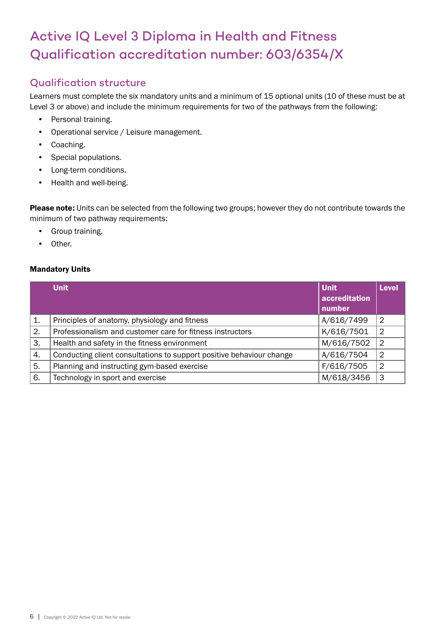# Active IQ Level 3 Diploma in Health and Fitness Qualification accreditation number: 603/6354/X

# Qualification structure

Learners must complete the six mandatory units and a minimum of 15 optional units (10 of these must be at Level 3 or above) and include the minimum requirements for two of the pathways from the following:

- Personal training.
- Operational service / Leisure management.
- Coaching.
- Special populations.
- Long-term conditions.
- Health and well-being.

Please note: Units can be selected from the following two groups; however they do not contribute towards the minimum of two pathway requirements:

- Group training.
- Other.

# Mandatory Units

|                | <b>Unit</b>                                                          | <b>Unit</b><br>accreditation<br>number | <b>Level</b>   |
|----------------|----------------------------------------------------------------------|----------------------------------------|----------------|
| $\mathbf{1}$ . | Principles of anatomy, physiology and fitness                        | A/616/7499                             | $\overline{2}$ |
| 2.             | Professionalism and customer care for fitness instructors            | K/616/7501                             | $\overline{2}$ |
| 3.             | Health and safety in the fitness environment                         | M/616/7502                             | 2              |
| 4.             | Conducting client consultations to support positive behaviour change | A/616/7504                             | $\overline{2}$ |
| 5.             | Planning and instructing gym-based exercise                          | F/616/7505                             | $\overline{2}$ |
| 6.             | Technology in sport and exercise                                     | M/618/3456                             | 3              |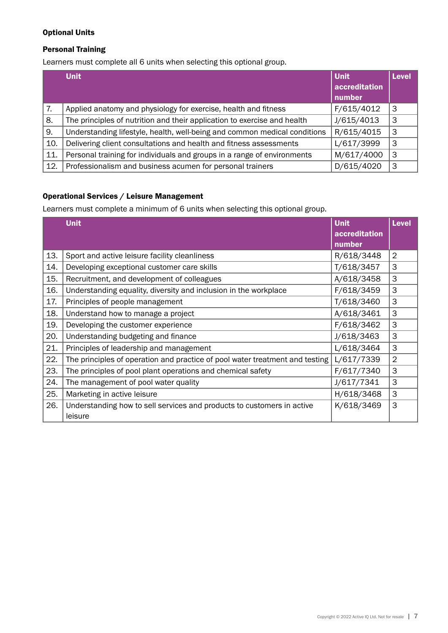# Optional Units

## Personal Training

Learners must complete all 6 units when selecting this optional group.

|     | <b>Unit</b>                                                               | <b>Unit</b>             | <b>Level</b> |
|-----|---------------------------------------------------------------------------|-------------------------|--------------|
|     |                                                                           | accreditation<br>number |              |
| 7.  | Applied anatomy and physiology for exercise, health and fitness           | F/615/4012              | 3            |
| 8.  | The principles of nutrition and their application to exercise and health  | J/615/4013              | 3            |
| 9.  | Understanding lifestyle, health, well-being and common medical conditions | R/615/4015              | 3            |
| 10. | Delivering client consultations and health and fitness assessments        | L/617/3999              | 3            |
| 11. | Personal training for individuals and groups in a range of environments   | M/617/4000              | 3            |
| 12. | Professionalism and business acumen for personal trainers                 | D/615/4020              | 3            |

# Operational Services / Leisure Management

Learners must complete a minimum of 6 units when selecting this optional group.

|     | <b>Unit</b>                                                                  | <b>Unit</b>   | <b>Level</b>   |
|-----|------------------------------------------------------------------------------|---------------|----------------|
|     |                                                                              | accreditation |                |
|     |                                                                              | number        |                |
| 13. | Sport and active leisure facility cleanliness                                | R/618/3448    | $\overline{2}$ |
| 14. | Developing exceptional customer care skills                                  | T/618/3457    | 3              |
| 15. | Recruitment, and development of colleagues                                   | A/618/3458    | 3              |
| 16. | Understanding equality, diversity and inclusion in the workplace             | F/618/3459    | 3              |
| 17. | Principles of people management                                              | T/618/3460    | 3              |
| 18. | Understand how to manage a project                                           | A/618/3461    | 3              |
| 19. | Developing the customer experience                                           | F/618/3462    | 3              |
| 20. | Understanding budgeting and finance                                          | J/618/3463    | 3              |
| 21. | Principles of leadership and management                                      | L/618/3464    | 3              |
| 22. | The principles of operation and practice of pool water treatment and testing | L/617/7339    | $\overline{2}$ |
| 23. | The principles of pool plant operations and chemical safety                  | F/617/7340    | 3              |
| 24. | The management of pool water quality                                         | J/617/7341    | 3              |
| 25. | Marketing in active leisure                                                  | H/618/3468    | 3              |
| 26. | Understanding how to sell services and products to customers in active       | K/618/3469    | 3              |
|     | leisure                                                                      |               |                |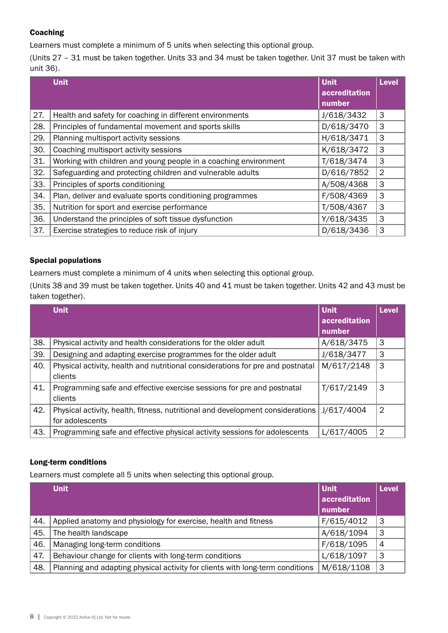# Coaching

Learners must complete a minimum of 5 units when selecting this optional group.

(Units 27 – 31 must be taken together. Units 33 and 34 must be taken together. Unit 37 must be taken with unit 36).

|     | <b>Unit</b>                                                      | <b>Unit</b><br>accreditation<br>number | <b>Level</b>   |
|-----|------------------------------------------------------------------|----------------------------------------|----------------|
| 27. | Health and safety for coaching in different environments         | J/618/3432                             | 3              |
| 28. | Principles of fundamental movement and sports skills             | D/618/3470                             | 3              |
| 29. | Planning multisport activity sessions                            | H/618/3471                             | 3              |
| 30. | Coaching multisport activity sessions                            | K/618/3472                             | 3              |
| 31. | Working with children and young people in a coaching environment | T/618/3474                             | 3              |
| 32. | Safeguarding and protecting children and vulnerable adults       | D/616/7852                             | $\overline{2}$ |
| 33. | Principles of sports conditioning                                | A/508/4368                             | 3              |
| 34. | Plan, deliver and evaluate sports conditioning programmes        | F/508/4369                             | 3              |
| 35. | Nutrition for sport and exercise performance                     | T/508/4367                             | 3              |
| 36. | Understand the principles of soft tissue dysfunction             | Y/618/3435                             | 3              |
| 37. | Exercise strategies to reduce risk of injury                     | D/618/3436                             | 3              |

# Special populations

Learners must complete a minimum of 4 units when selecting this optional group.

(Units 38 and 39 must be taken together. Units 40 and 41 must be taken together. Units 42 and 43 must be taken together).

|     | <b>Unit</b>                                                                    | <b>Unit</b>   | <b>Level</b> |
|-----|--------------------------------------------------------------------------------|---------------|--------------|
|     |                                                                                | accreditation |              |
|     |                                                                                | number        |              |
| 38. | Physical activity and health considerations for the older adult                | A/618/3475    | 3            |
| 39. | Designing and adapting exercise programmes for the older adult                 | J/618/3477    | 3            |
| 40. | Physical activity, health and nutritional considerations for pre and postnatal | M/617/2148    | 3            |
|     | clients                                                                        |               |              |
| 41. | Programming safe and effective exercise sessions for pre and postnatal         | T/617/2149    | 3            |
|     | clients                                                                        |               |              |
| 42. | Physical activity, health, fitness, nutritional and development considerations | J/617/4004    | 2            |
|     | for adolescents                                                                |               |              |
| 43. | Programming safe and effective physical activity sessions for adolescents      | L/617/4005    | 2            |

# Long-term conditions

Learners must complete all 5 units when selecting this optional group.

|     | <b>Unit</b>                                                                   | Unit<br>accreditation<br>number | <b>Level</b>   |
|-----|-------------------------------------------------------------------------------|---------------------------------|----------------|
| 44. | Applied anatomy and physiology for exercise, health and fitness               | F/615/4012                      | 3              |
| 45. | The health landscape                                                          | A/618/1094                      | 3              |
| 46. | Managing long-term conditions                                                 | F/618/1095                      | $\overline{4}$ |
| 47. | Behaviour change for clients with long-term conditions                        | L/618/1097                      | 3              |
| 48. | Planning and adapting physical activity for clients with long-term conditions | M/618/1108                      | 3              |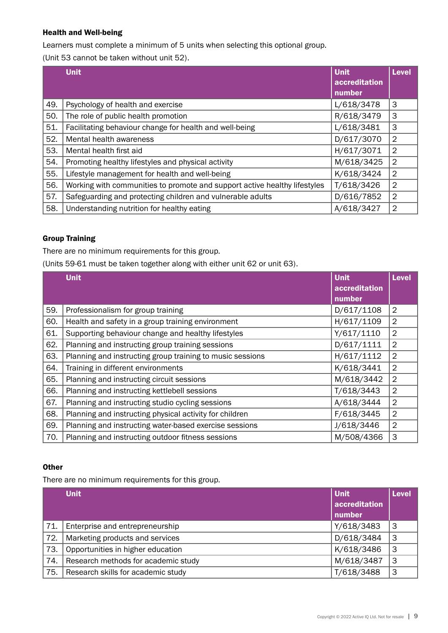# Health and Well-being

Learners must complete a minimum of 5 units when selecting this optional group.

(Unit 53 cannot be taken without unit 52).

|     | <b>Unit</b>                                                               | <b>Unit</b>             | <b>Level</b>   |
|-----|---------------------------------------------------------------------------|-------------------------|----------------|
|     |                                                                           | accreditation<br>number |                |
| 49. | Psychology of health and exercise                                         | L/618/3478              | 3              |
| 50. | The role of public health promotion                                       | R/618/3479              | 3              |
| 51. | Facilitating behaviour change for health and well-being                   | L/618/3481              | 3              |
| 52. | Mental health awareness                                                   | D/617/3070              | $\overline{2}$ |
| 53. | Mental health first aid                                                   | H/617/3071              | 2              |
| 54. | Promoting healthy lifestyles and physical activity                        | M/618/3425              | $\overline{2}$ |
| 55. | Lifestyle management for health and well-being                            | K/618/3424              | $\overline{2}$ |
| 56. | Working with communities to promote and support active healthy lifestyles | T/618/3426              | $\overline{2}$ |
| 57. | Safeguarding and protecting children and vulnerable adults                | D/616/7852              | $\overline{2}$ |
| 58. | Understanding nutrition for healthy eating                                | A/618/3427              | $\overline{2}$ |

# Group Training

There are no minimum requirements for this group.

(Units 59-61 must be taken together along with either unit 62 or unit 63).

|     | <b>Unit</b>                                               | <b>Unit</b>             | <b>Level</b>   |
|-----|-----------------------------------------------------------|-------------------------|----------------|
|     |                                                           | accreditation<br>number |                |
| 59. | Professionalism for group training                        | D/617/1108              | $\overline{2}$ |
| 60. | Health and safety in a group training environment         | H/617/1109              | $\overline{2}$ |
| 61. | Supporting behaviour change and healthy lifestyles        | Y/617/1110              | $\overline{2}$ |
| 62. | Planning and instructing group training sessions          | D/617/1111              | $\overline{2}$ |
| 63. | Planning and instructing group training to music sessions | H/617/1112              | $\overline{2}$ |
| 64. | Training in different environments                        | K/618/3441              | $\overline{2}$ |
| 65. | Planning and instructing circuit sessions                 | M/618/3442              | $\overline{2}$ |
| 66. | Planning and instructing kettlebell sessions              | T/618/3443              | $\overline{2}$ |
| 67. | Planning and instructing studio cycling sessions          | A/618/3444              | $\overline{2}$ |
| 68. | Planning and instructing physical activity for children   | F/618/3445              | $\overline{2}$ |
| 69. | Planning and instructing water-based exercise sessions    | J/618/3446              | $\overline{2}$ |
| 70. | Planning and instructing outdoor fitness sessions         | M/508/4366              | 3              |

#### **Other**

There are no minimum requirements for this group.

|     | <b>Unit</b>                         | <b>Unit</b><br>accreditation | <b>Level</b> |
|-----|-------------------------------------|------------------------------|--------------|
|     |                                     | number                       |              |
| 71. | Enterprise and entrepreneurship     | Y/618/3483                   | З            |
| 72. | Marketing products and services     | D/618/3484                   | 3            |
| 73. | Opportunities in higher education   | K/618/3486                   | 3            |
| 74. | Research methods for academic study | M/618/3487                   | 3            |
| 75. | Research skills for academic study  | T/618/3488                   | 3            |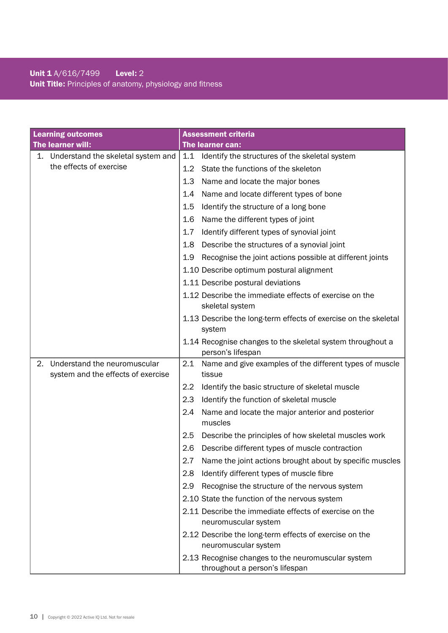# Unit 1 A/616/7499 Level: 2 Unit Title: Principles of anatomy, physiology and fitness

| <b>Learning outcomes</b>                                                 | <b>Assessment criteria</b>                                                           |
|--------------------------------------------------------------------------|--------------------------------------------------------------------------------------|
| The learner will:                                                        | The learner can:                                                                     |
| 1. Understand the skeletal system and                                    | 1.1<br>Identify the structures of the skeletal system                                |
| the effects of exercise                                                  | State the functions of the skeleton<br>1.2                                           |
|                                                                          | 1.3<br>Name and locate the major bones                                               |
|                                                                          | 1.4<br>Name and locate different types of bone                                       |
|                                                                          | 1.5<br>Identify the structure of a long bone                                         |
|                                                                          | 1.6<br>Name the different types of joint                                             |
|                                                                          | 1.7<br>Identify different types of synovial joint                                    |
|                                                                          | 1.8<br>Describe the structures of a synovial joint                                   |
|                                                                          | Recognise the joint actions possible at different joints<br>1.9                      |
|                                                                          | 1.10 Describe optimum postural alignment                                             |
|                                                                          | 1.11 Describe postural deviations                                                    |
|                                                                          | 1.12 Describe the immediate effects of exercise on the<br>skeletal system            |
|                                                                          | 1.13 Describe the long-term effects of exercise on the skeletal<br>system            |
|                                                                          | 1.14 Recognise changes to the skeletal system throughout a<br>person's lifespan      |
| Understand the neuromuscular<br>2.<br>system and the effects of exercise | Name and give examples of the different types of muscle<br>2.1<br>tissue             |
|                                                                          | Identify the basic structure of skeletal muscle<br>2.2                               |
|                                                                          | 2.3<br>Identify the function of skeletal muscle                                      |
|                                                                          | 2.4<br>Name and locate the major anterior and posterior<br>muscles                   |
|                                                                          | 2.5<br>Describe the principles of how skeletal muscles work                          |
|                                                                          | 2.6<br>Describe different types of muscle contraction                                |
|                                                                          | 2.7<br>Name the joint actions brought about by specific muscles                      |
|                                                                          | Identify different types of muscle fibre<br>2.8                                      |
|                                                                          | Recognise the structure of the nervous system<br>2.9                                 |
|                                                                          | 2.10 State the function of the nervous system                                        |
|                                                                          | 2.11 Describe the immediate effects of exercise on the<br>neuromuscular system       |
|                                                                          | 2.12 Describe the long-term effects of exercise on the<br>neuromuscular system       |
|                                                                          | 2.13 Recognise changes to the neuromuscular system<br>throughout a person's lifespan |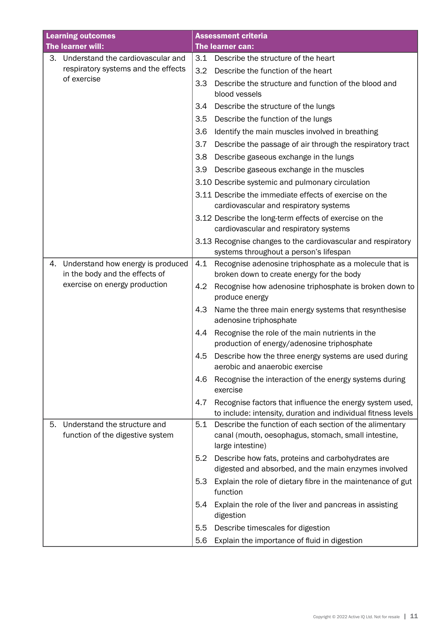|    | <b>Learning outcomes</b>                                         |     | <b>Assessment criteria</b>                                                                                                         |
|----|------------------------------------------------------------------|-----|------------------------------------------------------------------------------------------------------------------------------------|
|    | The learner will:                                                |     | The learner can:                                                                                                                   |
| 3. | Understand the cardiovascular and                                | 3.1 | Describe the structure of the heart                                                                                                |
|    | respiratory systems and the effects                              | 3.2 | Describe the function of the heart                                                                                                 |
|    | of exercise                                                      | 3.3 | Describe the structure and function of the blood and<br>blood vessels                                                              |
|    |                                                                  | 3.4 | Describe the structure of the lungs                                                                                                |
|    |                                                                  | 3.5 | Describe the function of the lungs                                                                                                 |
|    |                                                                  | 3.6 | Identify the main muscles involved in breathing                                                                                    |
|    |                                                                  | 3.7 | Describe the passage of air through the respiratory tract                                                                          |
|    |                                                                  | 3.8 | Describe gaseous exchange in the lungs                                                                                             |
|    |                                                                  | 3.9 | Describe gaseous exchange in the muscles                                                                                           |
|    |                                                                  |     | 3.10 Describe systemic and pulmonary circulation                                                                                   |
|    |                                                                  |     | 3.11 Describe the immediate effects of exercise on the<br>cardiovascular and respiratory systems                                   |
|    |                                                                  |     | 3.12 Describe the long-term effects of exercise on the<br>cardiovascular and respiratory systems                                   |
|    |                                                                  |     | 3.13 Recognise changes to the cardiovascular and respiratory                                                                       |
|    |                                                                  |     | systems throughout a person's lifespan                                                                                             |
| 4. | Understand how energy is produced                                | 4.1 | Recognise adenosine triphosphate as a molecule that is                                                                             |
|    | in the body and the effects of<br>exercise on energy production  |     | broken down to create energy for the body                                                                                          |
|    |                                                                  | 4.2 | Recognise how adenosine triphosphate is broken down to<br>produce energy                                                           |
|    |                                                                  | 4.3 | Name the three main energy systems that resynthesise                                                                               |
|    |                                                                  |     | adenosine triphosphate                                                                                                             |
|    |                                                                  | 4.4 | Recognise the role of the main nutrients in the<br>production of energy/adenosine triphosphate                                     |
|    |                                                                  | 4.5 | Describe how the three energy systems are used during<br>aerobic and anaerobic exercise                                            |
|    |                                                                  | 4.6 | Recognise the interaction of the energy systems during<br>exercise                                                                 |
|    |                                                                  | 4.7 | Recognise factors that influence the energy system used,<br>to include: intensity, duration and individual fitness levels          |
| 5. | Understand the structure and<br>function of the digestive system | 5.1 | Describe the function of each section of the alimentary<br>canal (mouth, oesophagus, stomach, small intestine,<br>large intestine) |
|    |                                                                  | 5.2 | Describe how fats, proteins and carbohydrates are<br>digested and absorbed, and the main enzymes involved                          |
|    |                                                                  | 5.3 | Explain the role of dietary fibre in the maintenance of gut<br>function                                                            |
|    |                                                                  | 5.4 | Explain the role of the liver and pancreas in assisting<br>digestion                                                               |
|    |                                                                  | 5.5 | Describe timescales for digestion                                                                                                  |
|    |                                                                  | 5.6 | Explain the importance of fluid in digestion                                                                                       |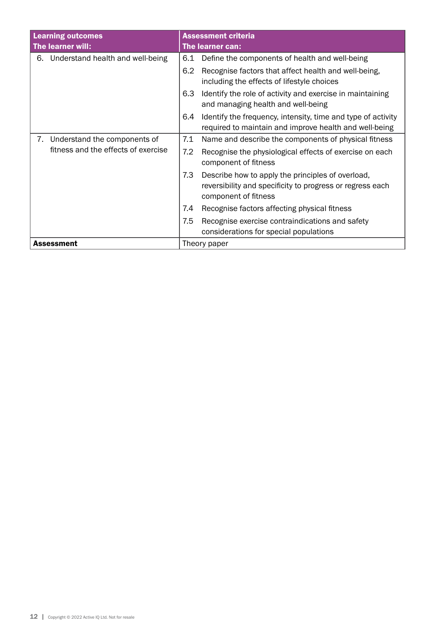| <b>Learning outcomes</b><br>The learner will: | <b>Assessment criteria</b><br>The learner can:                                                                                                |  |  |
|-----------------------------------------------|-----------------------------------------------------------------------------------------------------------------------------------------------|--|--|
| 6. Understand health and well-being           | Define the components of health and well-being<br>6.1                                                                                         |  |  |
|                                               | 6.2<br>Recognise factors that affect health and well-being,<br>including the effects of lifestyle choices                                     |  |  |
|                                               | 6.3<br>Identify the role of activity and exercise in maintaining<br>and managing health and well-being                                        |  |  |
|                                               | Identify the frequency, intensity, time and type of activity<br>6.4<br>required to maintain and improve health and well-being                 |  |  |
| Understand the components of<br>7.            | 7.1<br>Name and describe the components of physical fitness                                                                                   |  |  |
| fitness and the effects of exercise           | 7.2<br>Recognise the physiological effects of exercise on each<br>component of fitness                                                        |  |  |
|                                               | 7.3<br>Describe how to apply the principles of overload,<br>reversibility and specificity to progress or regress each<br>component of fitness |  |  |
|                                               | Recognise factors affecting physical fitness<br>7.4                                                                                           |  |  |
|                                               | 7.5<br>Recognise exercise contraindications and safety<br>considerations for special populations                                              |  |  |
| <b>Assessment</b>                             | Theory paper                                                                                                                                  |  |  |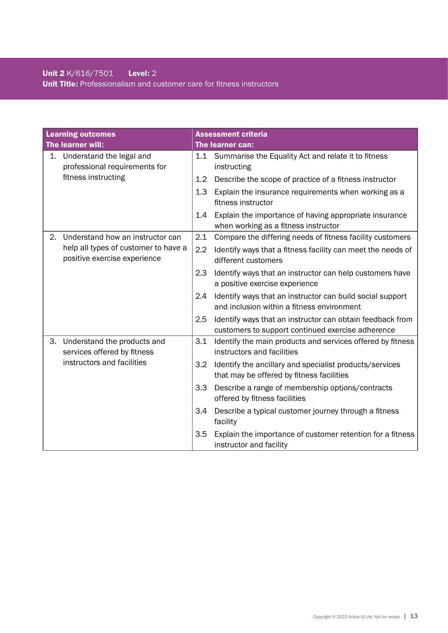# Unit 2 K/616/7501 Level: 2 Unit Title: Professionalism and customer care for fitness instructors

| <b>Learning outcomes</b>                                             |                                                            |                                                                                    | <b>Assessment criteria</b>                                                                                     |
|----------------------------------------------------------------------|------------------------------------------------------------|------------------------------------------------------------------------------------|----------------------------------------------------------------------------------------------------------------|
| The learner will:                                                    |                                                            |                                                                                    | The learner can:                                                                                               |
| 1.                                                                   | Understand the legal and<br>professional requirements for  | 1.1                                                                                | Summarise the Equality Act and relate it to fitness<br>instructing                                             |
|                                                                      | fitness instructing                                        | 1.2                                                                                | Describe the scope of practice of a fitness instructor                                                         |
|                                                                      |                                                            | 1.3                                                                                | Explain the insurance requirements when working as a<br>fitness instructor                                     |
|                                                                      |                                                            | 1.4                                                                                | Explain the importance of having appropriate insurance<br>when working as a fitness instructor                 |
| 2.                                                                   | Understand how an instructor can                           | 2.1                                                                                | Compare the differing needs of fitness facility customers                                                      |
| help all types of customer to have a<br>positive exercise experience | 2.2                                                        | Identify ways that a fitness facility can meet the needs of<br>different customers |                                                                                                                |
|                                                                      |                                                            | 2.3                                                                                | Identify ways that an instructor can help customers have<br>a positive exercise experience                     |
|                                                                      |                                                            | 2.4                                                                                | Identify ways that an instructor can build social support<br>and inclusion within a fitness environment        |
|                                                                      |                                                            | 2.5                                                                                | Identify ways that an instructor can obtain feedback from<br>customers to support continued exercise adherence |
| З.                                                                   | Understand the products and<br>services offered by fitness | 3.1                                                                                | Identify the main products and services offered by fitness<br>instructors and facilities                       |
|                                                                      | instructors and facilities                                 | 3.2                                                                                | Identify the ancillary and specialist products/services<br>that may be offered by fitness facilities           |
|                                                                      |                                                            | 3.3                                                                                | Describe a range of membership options/contracts<br>offered by fitness facilities                              |
|                                                                      |                                                            | 3.4                                                                                | Describe a typical customer journey through a fitness<br>facility                                              |
|                                                                      |                                                            | 3.5                                                                                | Explain the importance of customer retention for a fitness<br>instructor and facility                          |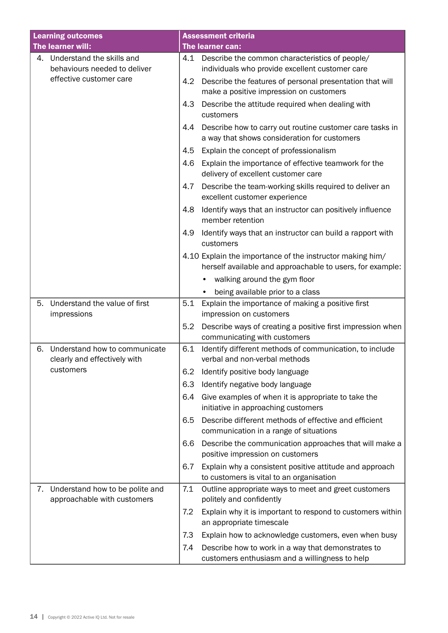| <b>Learning outcomes</b>                                             | <b>Assessment criteria</b>                                                                                             |
|----------------------------------------------------------------------|------------------------------------------------------------------------------------------------------------------------|
| The learner will:                                                    | The learner can:                                                                                                       |
| Understand the skills and<br>4.<br>behaviours needed to deliver      | Describe the common characteristics of people/<br>4.1<br>individuals who provide excellent customer care               |
| effective customer care                                              | Describe the features of personal presentation that will<br>4.2<br>make a positive impression on customers             |
|                                                                      | Describe the attitude required when dealing with<br>4.3<br>customers                                                   |
|                                                                      | Describe how to carry out routine customer care tasks in<br>4.4<br>a way that shows consideration for customers        |
|                                                                      | 4.5<br>Explain the concept of professionalism                                                                          |
|                                                                      | Explain the importance of effective teamwork for the<br>4.6<br>delivery of excellent customer care                     |
|                                                                      | 4.7<br>Describe the team-working skills required to deliver an<br>excellent customer experience                        |
|                                                                      | Identify ways that an instructor can positively influence<br>4.8<br>member retention                                   |
|                                                                      | 4.9<br>Identify ways that an instructor can build a rapport with<br>customers                                          |
|                                                                      | 4.10 Explain the importance of the instructor making him/<br>herself available and approachable to users, for example: |
|                                                                      | walking around the gym floor                                                                                           |
|                                                                      | being available prior to a class                                                                                       |
| Understand the value of first<br>5.<br>impressions                   | Explain the importance of making a positive first<br>5.1<br>impression on customers                                    |
|                                                                      | Describe ways of creating a positive first impression when<br>5.2<br>communicating with customers                      |
| Understand how to communicate<br>6.<br>clearly and effectively with  | Identify different methods of communication, to include<br>6.1<br>verbal and non-verbal methods                        |
| customers                                                            | Identify positive body language<br>6.2                                                                                 |
|                                                                      | Identify negative body language<br>6.3                                                                                 |
|                                                                      | Give examples of when it is appropriate to take the<br>6.4<br>initiative in approaching customers                      |
|                                                                      | Describe different methods of effective and efficient<br>6.5<br>communication in a range of situations                 |
|                                                                      | 6.6<br>Describe the communication approaches that will make a<br>positive impression on customers                      |
|                                                                      | Explain why a consistent positive attitude and approach<br>6.7<br>to customers is vital to an organisation             |
| Understand how to be polite and<br>7.<br>approachable with customers | 7.1<br>Outline appropriate ways to meet and greet customers<br>politely and confidently                                |
|                                                                      | 7.2<br>Explain why it is important to respond to customers within<br>an appropriate timescale                          |
|                                                                      | Explain how to acknowledge customers, even when busy<br>7.3                                                            |
|                                                                      | 7.4<br>Describe how to work in a way that demonstrates to<br>customers enthusiasm and a willingness to help            |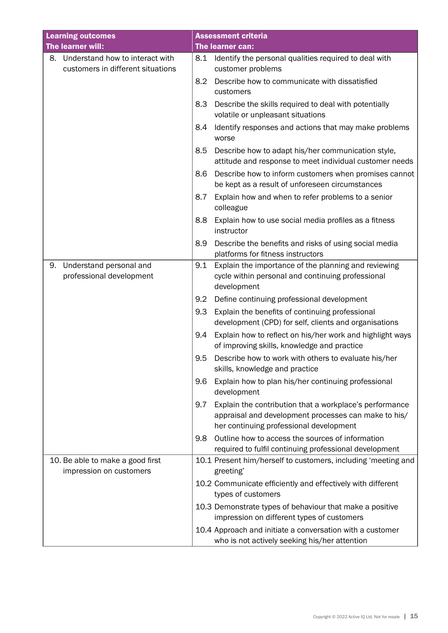| <b>Learning outcomes</b>                                    | <b>Assessment criteria</b>                                                                                                                                        |
|-------------------------------------------------------------|-------------------------------------------------------------------------------------------------------------------------------------------------------------------|
| The learner will:                                           | The learner can:                                                                                                                                                  |
| 8. Understand how to interact with                          | Identify the personal qualities required to deal with<br>8.1                                                                                                      |
| customers in different situations                           | customer problems                                                                                                                                                 |
|                                                             | Describe how to communicate with dissatisfied<br>8.2<br>customers                                                                                                 |
|                                                             | 8.3<br>Describe the skills required to deal with potentially<br>volatile or unpleasant situations                                                                 |
|                                                             | Identify responses and actions that may make problems<br>8.4<br>worse                                                                                             |
|                                                             | 8.5<br>Describe how to adapt his/her communication style,<br>attitude and response to meet individual customer needs                                              |
|                                                             | 8.6<br>Describe how to inform customers when promises cannot<br>be kept as a result of unforeseen circumstances                                                   |
|                                                             | Explain how and when to refer problems to a senior<br>8.7<br>colleague                                                                                            |
|                                                             | Explain how to use social media profiles as a fitness<br>8.8<br>instructor                                                                                        |
|                                                             | Describe the benefits and risks of using social media<br>8.9<br>platforms for fitness instructors                                                                 |
| Understand personal and<br>9.<br>professional development   | Explain the importance of the planning and reviewing<br>9.1<br>cycle within personal and continuing professional<br>development                                   |
|                                                             | 9.2<br>Define continuing professional development                                                                                                                 |
|                                                             | 9.3<br>Explain the benefits of continuing professional<br>development (CPD) for self, clients and organisations                                                   |
|                                                             | Explain how to reflect on his/her work and highlight ways<br>9.4<br>of improving skills, knowledge and practice                                                   |
|                                                             | 9.5<br>Describe how to work with others to evaluate his/her<br>skills, knowledge and practice                                                                     |
|                                                             | Explain how to plan his/her continuing professional<br>9.6<br>development                                                                                         |
|                                                             | Explain the contribution that a workplace's performance<br>9.7<br>appraisal and development processes can make to his/<br>her continuing professional development |
|                                                             | Outline how to access the sources of information<br>9.8<br>required to fulfil continuing professional development                                                 |
| 10. Be able to make a good first<br>impression on customers | 10.1 Present him/herself to customers, including 'meeting and<br>greeting'                                                                                        |
|                                                             | 10.2 Communicate efficiently and effectively with different<br>types of customers                                                                                 |
|                                                             | 10.3 Demonstrate types of behaviour that make a positive<br>impression on different types of customers                                                            |
|                                                             | 10.4 Approach and initiate a conversation with a customer<br>who is not actively seeking his/her attention                                                        |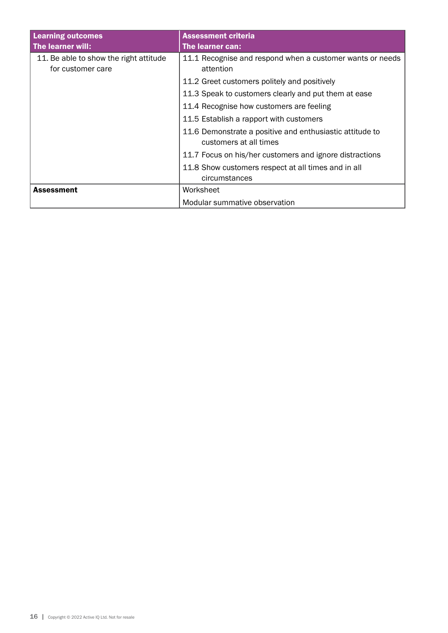| <b>Learning outcomes</b>                                    | <b>Assessment criteria</b>                                                         |
|-------------------------------------------------------------|------------------------------------------------------------------------------------|
| The learner will:                                           | The learner can:                                                                   |
| 11. Be able to show the right attitude<br>for customer care | 11.1 Recognise and respond when a customer wants or needs<br>attention             |
|                                                             | 11.2 Greet customers politely and positively                                       |
|                                                             | 11.3 Speak to customers clearly and put them at ease                               |
|                                                             | 11.4 Recognise how customers are feeling                                           |
|                                                             | 11.5 Establish a rapport with customers                                            |
|                                                             | 11.6 Demonstrate a positive and enthusiastic attitude to<br>customers at all times |
|                                                             | 11.7 Focus on his/her customers and ignore distractions                            |
|                                                             | 11.8 Show customers respect at all times and in all<br>circumstances               |
| <b>Assessment</b>                                           | Worksheet                                                                          |
|                                                             | Modular summative observation                                                      |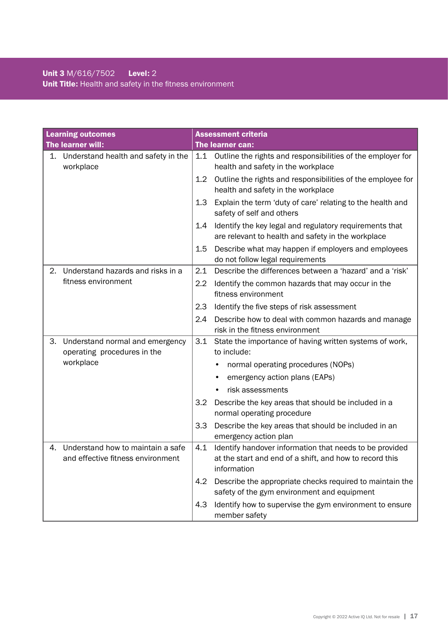|    | <b>Learning outcomes</b>                                               |                  | <b>Assessment criteria</b>                                                                                                        |
|----|------------------------------------------------------------------------|------------------|-----------------------------------------------------------------------------------------------------------------------------------|
|    | The learner will:                                                      |                  | The learner can:                                                                                                                  |
| 1. | Understand health and safety in the<br>workplace                       | 1.1              | Outline the rights and responsibilities of the employer for<br>health and safety in the workplace                                 |
|    |                                                                        | 1.2 <sub>2</sub> | Outline the rights and responsibilities of the employee for<br>health and safety in the workplace                                 |
|    |                                                                        | 1.3 <sup>2</sup> | Explain the term 'duty of care' relating to the health and<br>safety of self and others                                           |
|    |                                                                        | 1.4              | Identify the key legal and regulatory requirements that<br>are relevant to health and safety in the workplace                     |
|    |                                                                        | 1.5              | Describe what may happen if employers and employees<br>do not follow legal requirements                                           |
| 2. | Understand hazards and risks in a                                      | 2.1              | Describe the differences between a 'hazard' and a 'risk'                                                                          |
|    | fitness environment                                                    | 2.2              | Identify the common hazards that may occur in the<br>fitness environment                                                          |
|    |                                                                        | 2.3              | Identify the five steps of risk assessment                                                                                        |
|    |                                                                        | 2.4              | Describe how to deal with common hazards and manage<br>risk in the fitness environment                                            |
| 3. | Understand normal and emergency<br>operating procedures in the         | 3.1              | State the importance of having written systems of work,<br>to include:                                                            |
|    | workplace                                                              |                  | normal operating procedures (NOPs)                                                                                                |
|    |                                                                        |                  | emergency action plans (EAPs)                                                                                                     |
|    |                                                                        |                  | risk assessments                                                                                                                  |
|    |                                                                        | 3.2              | Describe the key areas that should be included in a<br>normal operating procedure                                                 |
|    |                                                                        | 3.3              | Describe the key areas that should be included in an<br>emergency action plan                                                     |
| 4. | Understand how to maintain a safe<br>and effective fitness environment | 4.1              | Identify handover information that needs to be provided<br>at the start and end of a shift, and how to record this<br>information |
|    |                                                                        | 4.2              | Describe the appropriate checks required to maintain the<br>safety of the gym environment and equipment                           |
|    |                                                                        | 4.3              | Identify how to supervise the gym environment to ensure<br>member safety                                                          |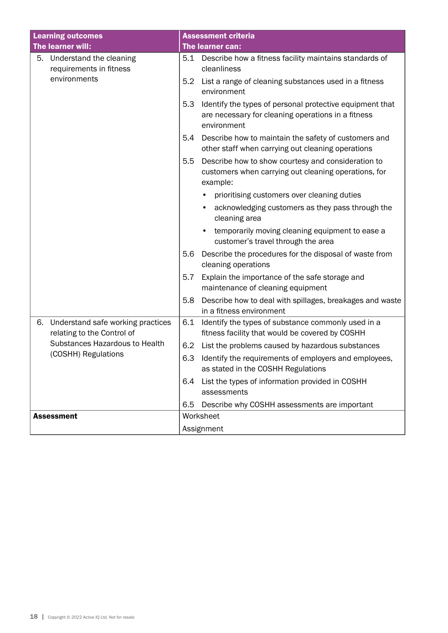| <b>Learning outcomes</b>                                              | <b>Assessment criteria</b>                                                                                                           |  |  |
|-----------------------------------------------------------------------|--------------------------------------------------------------------------------------------------------------------------------------|--|--|
| The learner will:                                                     | The learner can:                                                                                                                     |  |  |
| Understand the cleaning<br>5.<br>requirements in fitness              | Describe how a fitness facility maintains standards of<br>5.1<br>cleanliness                                                         |  |  |
| environments                                                          | List a range of cleaning substances used in a fitness<br>5.2<br>environment                                                          |  |  |
|                                                                       | Identify the types of personal protective equipment that<br>5.3<br>are necessary for cleaning operations in a fitness<br>environment |  |  |
|                                                                       | Describe how to maintain the safety of customers and<br>5.4<br>other staff when carrying out cleaning operations                     |  |  |
|                                                                       | Describe how to show courtesy and consideration to<br>5.5<br>customers when carrying out cleaning operations, for<br>example:        |  |  |
|                                                                       | prioritising customers over cleaning duties<br>٠                                                                                     |  |  |
|                                                                       | acknowledging customers as they pass through the<br>$\bullet$<br>cleaning area                                                       |  |  |
|                                                                       | temporarily moving cleaning equipment to ease a<br>$\bullet$<br>customer's travel through the area                                   |  |  |
|                                                                       | Describe the procedures for the disposal of waste from<br>5.6<br>cleaning operations                                                 |  |  |
|                                                                       | Explain the importance of the safe storage and<br>5.7<br>maintenance of cleaning equipment                                           |  |  |
|                                                                       | Describe how to deal with spillages, breakages and waste<br>5.8<br>in a fitness environment                                          |  |  |
| 6.<br>Understand safe working practices<br>relating to the Control of | 6.1<br>Identify the types of substance commonly used in a<br>fitness facility that would be covered by COSHH                         |  |  |
| Substances Hazardous to Health                                        | 6.2<br>List the problems caused by hazardous substances                                                                              |  |  |
| (COSHH) Regulations<br>6.3                                            | Identify the requirements of employers and employees,<br>as stated in the COSHH Regulations                                          |  |  |
|                                                                       | List the types of information provided in COSHH<br>6.4<br>assessments                                                                |  |  |
|                                                                       | Describe why COSHH assessments are important<br>6.5                                                                                  |  |  |
| <b>Assessment</b>                                                     | Worksheet                                                                                                                            |  |  |
|                                                                       | Assignment                                                                                                                           |  |  |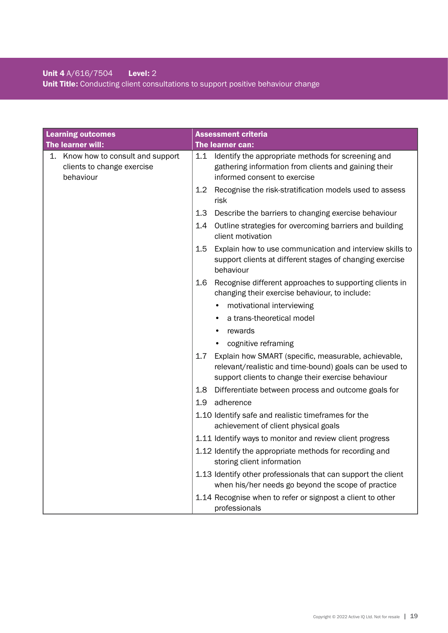# Unit 4 A/616/7504 Level: 2 Unit Title: Conducting client consultations to support positive behaviour change

| <b>Learning outcomes</b>                                                         | <b>Assessment criteria</b>                                                                                                                                                   |
|----------------------------------------------------------------------------------|------------------------------------------------------------------------------------------------------------------------------------------------------------------------------|
| The learner will:                                                                | The learner can:                                                                                                                                                             |
| Know how to consult and support<br>1.<br>clients to change exercise<br>behaviour | Identify the appropriate methods for screening and<br>1.1<br>gathering information from clients and gaining their<br>informed consent to exercise                            |
|                                                                                  | Recognise the risk-stratification models used to assess<br>1.2 <sub>2</sub><br>risk                                                                                          |
|                                                                                  | 1.3<br>Describe the barriers to changing exercise behaviour                                                                                                                  |
|                                                                                  | Outline strategies for overcoming barriers and building<br>1.4<br>client motivation                                                                                          |
|                                                                                  | 1.5<br>Explain how to use communication and interview skills to<br>support clients at different stages of changing exercise<br>behaviour                                     |
|                                                                                  | Recognise different approaches to supporting clients in<br>1.6<br>changing their exercise behaviour, to include:                                                             |
|                                                                                  | motivational interviewing                                                                                                                                                    |
|                                                                                  | a trans-theoretical model                                                                                                                                                    |
|                                                                                  | rewards                                                                                                                                                                      |
|                                                                                  | cognitive reframing                                                                                                                                                          |
|                                                                                  | Explain how SMART (specific, measurable, achievable,<br>1.7<br>relevant/realistic and time-bound) goals can be used to<br>support clients to change their exercise behaviour |
|                                                                                  | 1.8<br>Differentiate between process and outcome goals for                                                                                                                   |
|                                                                                  | adherence<br>1.9                                                                                                                                                             |
|                                                                                  | 1.10 Identify safe and realistic timeframes for the<br>achievement of client physical goals                                                                                  |
|                                                                                  | 1.11 Identify ways to monitor and review client progress                                                                                                                     |
|                                                                                  | 1.12 Identify the appropriate methods for recording and<br>storing client information                                                                                        |
|                                                                                  | 1.13 Identify other professionals that can support the client<br>when his/her needs go beyond the scope of practice                                                          |
|                                                                                  | 1.14 Recognise when to refer or signpost a client to other<br>professionals                                                                                                  |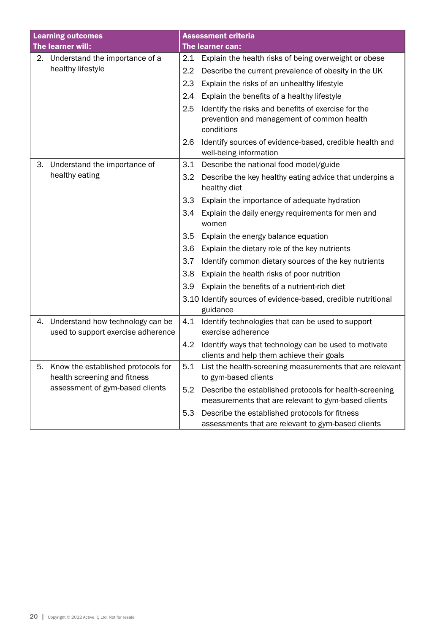|    | <b>Learning outcomes</b>                                              | <b>Assessment criteria</b> |                                                                                                                |
|----|-----------------------------------------------------------------------|----------------------------|----------------------------------------------------------------------------------------------------------------|
|    | The learner will:                                                     |                            | The learner can:                                                                                               |
|    | 2. Understand the importance of a                                     | 2.1                        | Explain the health risks of being overweight or obese                                                          |
|    | healthy lifestyle                                                     | $2.2\,$                    | Describe the current prevalence of obesity in the UK                                                           |
|    |                                                                       | 2.3                        | Explain the risks of an unhealthy lifestyle                                                                    |
|    |                                                                       | 2.4                        | Explain the benefits of a healthy lifestyle                                                                    |
|    |                                                                       | 2.5                        | Identify the risks and benefits of exercise for the                                                            |
|    |                                                                       |                            | prevention and management of common health<br>conditions                                                       |
|    |                                                                       | 2.6                        | Identify sources of evidence-based, credible health and<br>well-being information                              |
| 3. | Understand the importance of                                          | 3.1                        | Describe the national food model/guide                                                                         |
|    | healthy eating                                                        | 3.2                        | Describe the key healthy eating advice that underpins a<br>healthy diet                                        |
|    |                                                                       | 3.3                        | Explain the importance of adequate hydration                                                                   |
|    |                                                                       | 3.4                        | Explain the daily energy requirements for men and<br>women                                                     |
|    |                                                                       | 3.5                        | Explain the energy balance equation                                                                            |
|    |                                                                       | 3.6                        | Explain the dietary role of the key nutrients                                                                  |
|    |                                                                       | 3.7                        | Identify common dietary sources of the key nutrients                                                           |
|    |                                                                       | 3.8                        | Explain the health risks of poor nutrition                                                                     |
|    |                                                                       | 3.9                        | Explain the benefits of a nutrient-rich diet                                                                   |
|    |                                                                       |                            | 3.10 Identify sources of evidence-based, credible nutritional<br>guidance                                      |
| 4. | Understand how technology can be                                      | 4.1                        | Identify technologies that can be used to support                                                              |
|    | used to support exercise adherence                                    |                            | exercise adherence                                                                                             |
|    |                                                                       | 4.2                        | Identify ways that technology can be used to motivate                                                          |
|    |                                                                       |                            | clients and help them achieve their goals                                                                      |
|    | 5. Know the established protocols for<br>health screening and fitness | 5.1                        | List the health-screening measurements that are relevant<br>to gym-based clients                               |
|    | assessment of gym-based clients                                       | 5.2                        | Describe the established protocols for health-screening<br>measurements that are relevant to gym-based clients |
|    |                                                                       | 5.3                        | Describe the established protocols for fitness<br>assessments that are relevant to gym-based clients           |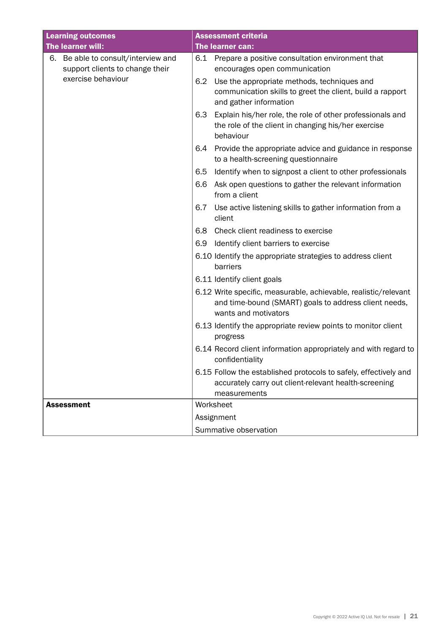| <b>Learning outcomes</b>                                                  | <b>Assessment criteria</b>                                                                                                                       |
|---------------------------------------------------------------------------|--------------------------------------------------------------------------------------------------------------------------------------------------|
| The learner will:                                                         | The learner can:                                                                                                                                 |
| Be able to consult/interview and<br>6.<br>support clients to change their | 6.1<br>Prepare a positive consultation environment that<br>encourages open communication                                                         |
| exercise behaviour                                                        | Use the appropriate methods, techniques and<br>6.2<br>communication skills to greet the client, build a rapport<br>and gather information        |
|                                                                           | Explain his/her role, the role of other professionals and<br>6.3<br>the role of the client in changing his/her exercise<br>behaviour             |
|                                                                           | Provide the appropriate advice and guidance in response<br>6.4<br>to a health-screening questionnaire                                            |
|                                                                           | Identify when to signpost a client to other professionals<br>6.5                                                                                 |
|                                                                           | 6.6<br>Ask open questions to gather the relevant information<br>from a client                                                                    |
|                                                                           | Use active listening skills to gather information from a<br>6.7<br>client                                                                        |
|                                                                           | Check client readiness to exercise<br>6.8                                                                                                        |
|                                                                           | Identify client barriers to exercise<br>6.9                                                                                                      |
|                                                                           | 6.10 Identify the appropriate strategies to address client<br>barriers                                                                           |
|                                                                           | 6.11 Identify client goals                                                                                                                       |
|                                                                           | 6.12 Write specific, measurable, achievable, realistic/relevant<br>and time-bound (SMART) goals to address client needs,<br>wants and motivators |
|                                                                           | 6.13 Identify the appropriate review points to monitor client<br>progress                                                                        |
|                                                                           | 6.14 Record client information appropriately and with regard to<br>confidentiality                                                               |
|                                                                           | 6.15 Follow the established protocols to safely, effectively and<br>accurately carry out client-relevant health-screening<br>measurements        |
| <b>Assessment</b>                                                         | Worksheet                                                                                                                                        |
|                                                                           | Assignment                                                                                                                                       |
|                                                                           | Summative observation                                                                                                                            |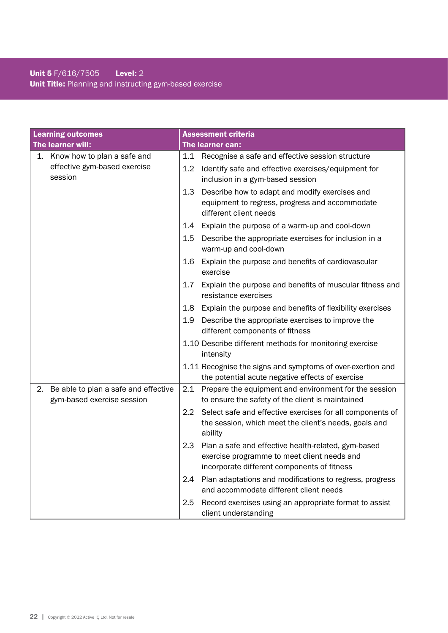# Unit 5 F/616/7505 Level: 2 Unit Title: Planning and instructing gym-based exercise

| <b>Learning outcomes</b>                                                 | <b>Assessment criteria</b>                                                                                                                               |
|--------------------------------------------------------------------------|----------------------------------------------------------------------------------------------------------------------------------------------------------|
| The learner will:                                                        | The learner can:                                                                                                                                         |
| Know how to plan a safe and<br>1.                                        | Recognise a safe and effective session structure<br>1.1                                                                                                  |
| effective gym-based exercise<br>session                                  | 1.2<br>Identify safe and effective exercises/equipment for<br>inclusion in a gym-based session                                                           |
|                                                                          | 1.3<br>Describe how to adapt and modify exercises and<br>equipment to regress, progress and accommodate<br>different client needs                        |
|                                                                          | Explain the purpose of a warm-up and cool-down<br>1.4                                                                                                    |
|                                                                          | 1.5<br>Describe the appropriate exercises for inclusion in a<br>warm-up and cool-down                                                                    |
|                                                                          | 1.6<br>Explain the purpose and benefits of cardiovascular<br>exercise                                                                                    |
|                                                                          | 1.7<br>Explain the purpose and benefits of muscular fitness and<br>resistance exercises                                                                  |
|                                                                          | Explain the purpose and benefits of flexibility exercises<br>1.8                                                                                         |
|                                                                          | 1.9<br>Describe the appropriate exercises to improve the<br>different components of fitness                                                              |
|                                                                          | 1.10 Describe different methods for monitoring exercise<br>intensity                                                                                     |
|                                                                          | 1.11 Recognise the signs and symptoms of over-exertion and<br>the potential acute negative effects of exercise                                           |
| 2.<br>Be able to plan a safe and effective<br>gym-based exercise session | 2.1<br>Prepare the equipment and environment for the session<br>to ensure the safety of the client is maintained                                         |
|                                                                          | 2.2<br>Select safe and effective exercises for all components of<br>the session, which meet the client's needs, goals and<br>ability                     |
|                                                                          | 2.3<br>Plan a safe and effective health-related, gym-based<br>exercise programme to meet client needs and<br>incorporate different components of fitness |
|                                                                          | Plan adaptations and modifications to regress, progress<br>2.4<br>and accommodate different client needs                                                 |
|                                                                          | 2.5<br>Record exercises using an appropriate format to assist<br>client understanding                                                                    |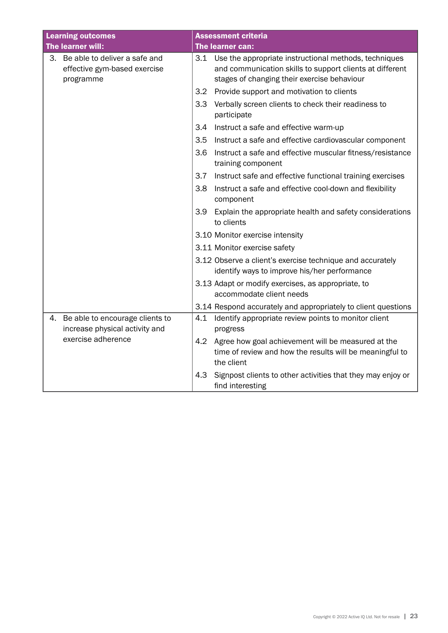|    | <b>Learning outcomes</b>                                                      |     | <b>Assessment criteria</b>                                                                                                                                           |
|----|-------------------------------------------------------------------------------|-----|----------------------------------------------------------------------------------------------------------------------------------------------------------------------|
|    | The learner will:                                                             |     | The learner can:                                                                                                                                                     |
|    | 3. Be able to deliver a safe and<br>effective gym-based exercise<br>programme |     | 3.1 Use the appropriate instructional methods, techniques<br>and communication skills to support clients at different<br>stages of changing their exercise behaviour |
|    |                                                                               | 3.2 | Provide support and motivation to clients                                                                                                                            |
|    |                                                                               | 3.3 | Verbally screen clients to check their readiness to<br>participate                                                                                                   |
|    |                                                                               | 3.4 | Instruct a safe and effective warm-up                                                                                                                                |
|    |                                                                               | 3.5 | Instruct a safe and effective cardiovascular component                                                                                                               |
|    |                                                                               | 3.6 | Instruct a safe and effective muscular fitness/resistance<br>training component                                                                                      |
|    |                                                                               | 3.7 | Instruct safe and effective functional training exercises                                                                                                            |
|    |                                                                               | 3.8 | Instruct a safe and effective cool-down and flexibility<br>component                                                                                                 |
|    |                                                                               | 3.9 | Explain the appropriate health and safety considerations<br>to clients                                                                                               |
|    |                                                                               |     | 3.10 Monitor exercise intensity                                                                                                                                      |
|    |                                                                               |     | 3.11 Monitor exercise safety                                                                                                                                         |
|    |                                                                               |     | 3.12 Observe a client's exercise technique and accurately<br>identify ways to improve his/her performance                                                            |
|    |                                                                               |     | 3.13 Adapt or modify exercises, as appropriate, to<br>accommodate client needs                                                                                       |
|    |                                                                               |     | 3.14 Respond accurately and appropriately to client questions                                                                                                        |
| 4. | Be able to encourage clients to<br>increase physical activity and             | 4.1 | Identify appropriate review points to monitor client<br>progress                                                                                                     |
|    | exercise adherence                                                            | 4.2 | Agree how goal achievement will be measured at the<br>time of review and how the results will be meaningful to<br>the client                                         |
|    |                                                                               | 4.3 | Signpost clients to other activities that they may enjoy or<br>find interesting                                                                                      |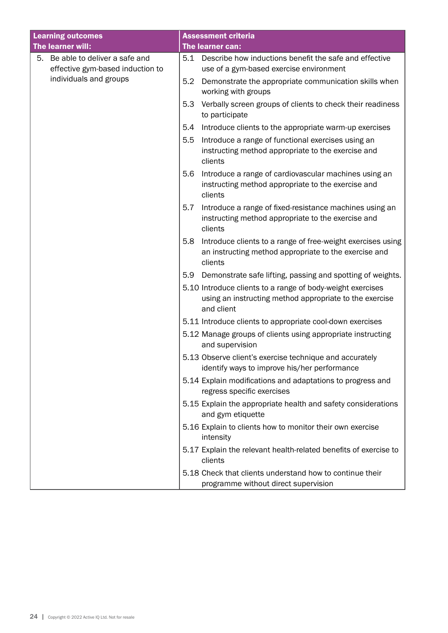| <b>Learning outcomes</b> |                                  |     | <b>Assessment criteria</b>                                                                                                          |
|--------------------------|----------------------------------|-----|-------------------------------------------------------------------------------------------------------------------------------------|
|                          | The learner will:                |     | The learner can:                                                                                                                    |
| 5.                       | Be able to deliver a safe and    | 5.1 | Describe how inductions benefit the safe and effective                                                                              |
|                          | effective gym-based induction to |     | use of a gym-based exercise environment                                                                                             |
|                          | individuals and groups           | 5.2 | Demonstrate the appropriate communication skills when<br>working with groups                                                        |
|                          |                                  | 5.3 | Verbally screen groups of clients to check their readiness<br>to participate                                                        |
|                          |                                  | 5.4 | Introduce clients to the appropriate warm-up exercises                                                                              |
|                          |                                  | 5.5 | Introduce a range of functional exercises using an<br>instructing method appropriate to the exercise and<br>clients                 |
|                          |                                  | 5.6 | Introduce a range of cardiovascular machines using an<br>instructing method appropriate to the exercise and<br>clients              |
|                          |                                  | 5.7 | Introduce a range of fixed-resistance machines using an<br>instructing method appropriate to the exercise and<br>clients            |
|                          |                                  | 5.8 | Introduce clients to a range of free-weight exercises using<br>an instructing method appropriate to the exercise and<br>clients     |
|                          |                                  | 5.9 | Demonstrate safe lifting, passing and spotting of weights.                                                                          |
|                          |                                  |     | 5.10 Introduce clients to a range of body-weight exercises<br>using an instructing method appropriate to the exercise<br>and client |
|                          |                                  |     | 5.11 Introduce clients to appropriate cool-down exercises                                                                           |
|                          |                                  |     | 5.12 Manage groups of clients using appropriate instructing<br>and supervision                                                      |
|                          |                                  |     | 5.13 Observe client's exercise technique and accurately<br>identify ways to improve his/her performance                             |
|                          |                                  |     | 5.14 Explain modifications and adaptations to progress and<br>regress specific exercises                                            |
|                          |                                  |     | 5.15 Explain the appropriate health and safety considerations<br>and gym etiquette                                                  |
|                          |                                  |     | 5.16 Explain to clients how to monitor their own exercise<br>intensity                                                              |
|                          |                                  |     | 5.17 Explain the relevant health-related benefits of exercise to<br>clients                                                         |
|                          |                                  |     | 5.18 Check that clients understand how to continue their<br>programme without direct supervision                                    |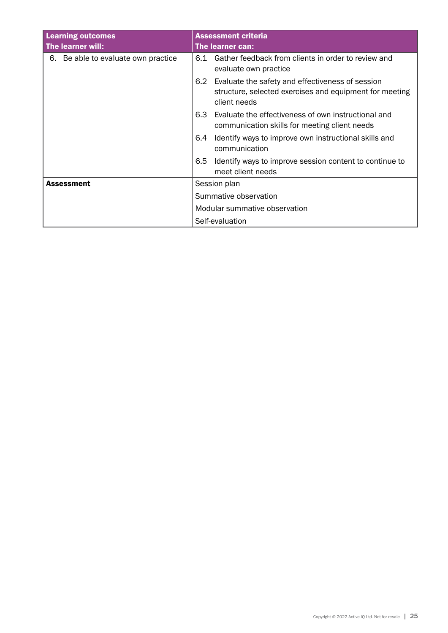| <b>Learning outcomes</b><br>The learner will: | <b>Assessment criteria</b><br>The learner can:                                                                                     |  |
|-----------------------------------------------|------------------------------------------------------------------------------------------------------------------------------------|--|
| 6. Be able to evaluate own practice           | 6.1 Gather feedback from clients in order to review and<br>evaluate own practice                                                   |  |
|                                               | 6.2<br>Evaluate the safety and effectiveness of session<br>structure, selected exercises and equipment for meeting<br>client needs |  |
|                                               | Evaluate the effectiveness of own instructional and<br>6.3<br>communication skills for meeting client needs                        |  |
|                                               | Identify ways to improve own instructional skills and<br>6.4<br>communication                                                      |  |
|                                               | 6.5<br>Identify ways to improve session content to continue to<br>meet client needs                                                |  |
| <b>Assessment</b>                             | Session plan                                                                                                                       |  |
|                                               | Summative observation                                                                                                              |  |
|                                               | Modular summative observation                                                                                                      |  |
|                                               | Self-evaluation                                                                                                                    |  |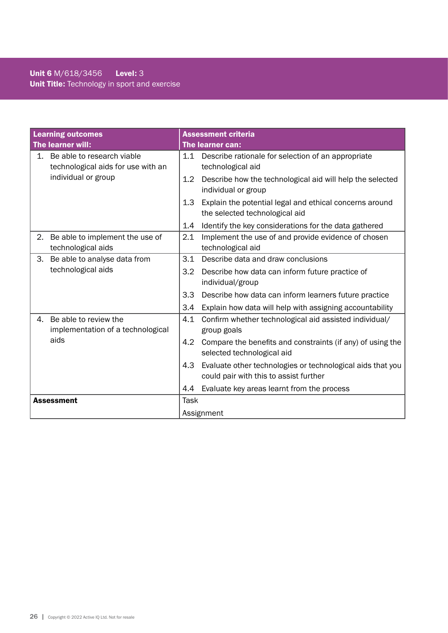# Unit 6 M/618/3456 Level: 3 Unit Title: Technology in sport and exercise

| <b>Learning outcomes</b> |                                                                  |               | <b>Assessment criteria</b>                                                                           |  |  |
|--------------------------|------------------------------------------------------------------|---------------|------------------------------------------------------------------------------------------------------|--|--|
| The learner will:        |                                                                  |               | The learner can:                                                                                     |  |  |
| 1.                       | Be able to research viable<br>technological aids for use with an |               | 1.1 Describe rationale for selection of an appropriate<br>technological aid                          |  |  |
|                          | individual or group                                              | $1.2^{\circ}$ | Describe how the technological aid will help the selected<br>individual or group                     |  |  |
|                          |                                                                  | 1.3           | Explain the potential legal and ethical concerns around<br>the selected technological aid            |  |  |
|                          |                                                                  | 1.4           | Identify the key considerations for the data gathered                                                |  |  |
| 2.                       | Be able to implement the use of<br>technological aids            | 2.1           | Implement the use of and provide evidence of chosen<br>technological aid                             |  |  |
| 3.                       | Be able to analyse data from                                     | 3.1           | Describe data and draw conclusions                                                                   |  |  |
|                          | technological aids                                               | 3.2           | Describe how data can inform future practice of<br>individual/group                                  |  |  |
|                          |                                                                  | 3.3           | Describe how data can inform learners future practice                                                |  |  |
|                          |                                                                  | 3.4           | Explain how data will help with assigning accountability                                             |  |  |
| 4.                       | Be able to review the<br>implementation of a technological       | 4.1           | Confirm whether technological aid assisted individual/<br>group goals                                |  |  |
|                          | aids                                                             | 4.2           | Compare the benefits and constraints (if any) of using the<br>selected technological aid             |  |  |
|                          |                                                                  | 4.3           | Evaluate other technologies or technological aids that you<br>could pair with this to assist further |  |  |
|                          |                                                                  | 4.4           | Evaluate key areas learnt from the process                                                           |  |  |
|                          | <b>Assessment</b>                                                | <b>Task</b>   |                                                                                                      |  |  |
| Assignment               |                                                                  |               |                                                                                                      |  |  |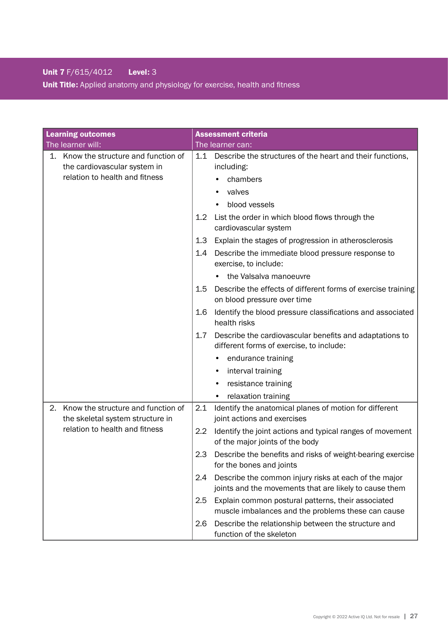# Unit 7 F/615/4012 Level: 3

Unit Title: Applied anatomy and physiology for exercise, health and fitness

| <b>Learning outcomes</b>                                                     | <b>Assessment criteria</b>                                                                                             |
|------------------------------------------------------------------------------|------------------------------------------------------------------------------------------------------------------------|
| The learner will:                                                            | The learner can:                                                                                                       |
| Know the structure and function of<br>1.<br>the cardiovascular system in     | Describe the structures of the heart and their functions,<br>1.1<br>including:                                         |
| relation to health and fitness                                               | chambers                                                                                                               |
|                                                                              | valves                                                                                                                 |
|                                                                              | blood vessels                                                                                                          |
|                                                                              | List the order in which blood flows through the<br>$1.2^{\circ}$<br>cardiovascular system                              |
|                                                                              | Explain the stages of progression in atherosclerosis<br>1.3                                                            |
|                                                                              | Describe the immediate blood pressure response to<br>1.4<br>exercise, to include:                                      |
|                                                                              | the Valsalva manoeuvre                                                                                                 |
|                                                                              | Describe the effects of different forms of exercise training<br>1.5<br>on blood pressure over time                     |
|                                                                              | 1.6<br>Identify the blood pressure classifications and associated<br>health risks                                      |
|                                                                              | 1.7<br>Describe the cardiovascular benefits and adaptations to<br>different forms of exercise, to include:             |
|                                                                              | endurance training                                                                                                     |
|                                                                              | interval training                                                                                                      |
|                                                                              | resistance training                                                                                                    |
|                                                                              | relaxation training<br>$\bullet$                                                                                       |
| Know the structure and function of<br>2.<br>the skeletal system structure in | Identify the anatomical planes of motion for different<br>2.1<br>joint actions and exercises                           |
| relation to health and fitness                                               | Identify the joint actions and typical ranges of movement<br>2.2<br>of the major joints of the body                    |
|                                                                              | Describe the benefits and risks of weight-bearing exercise<br>2.3<br>for the bones and joints                          |
|                                                                              | 2.4<br>Describe the common injury risks at each of the major<br>joints and the movements that are likely to cause them |
|                                                                              | Explain common postural patterns, their associated<br>2.5<br>muscle imbalances and the problems these can cause        |
|                                                                              | Describe the relationship between the structure and<br>2.6<br>function of the skeleton                                 |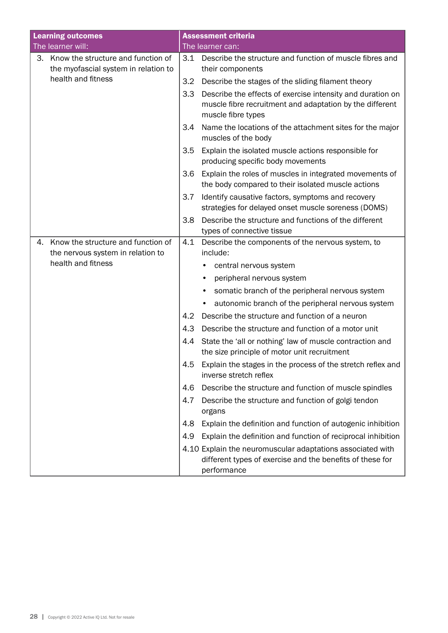| <b>Learning outcomes</b> |                                                                            |     | <b>Assessment criteria</b>                                                                                                                   |
|--------------------------|----------------------------------------------------------------------------|-----|----------------------------------------------------------------------------------------------------------------------------------------------|
| The learner will:        |                                                                            |     | The learner can:                                                                                                                             |
| 3.                       | Know the structure and function of<br>the myofascial system in relation to | 3.1 | Describe the structure and function of muscle fibres and<br>their components                                                                 |
|                          | health and fitness                                                         | 3.2 | Describe the stages of the sliding filament theory                                                                                           |
|                          |                                                                            | 3.3 | Describe the effects of exercise intensity and duration on<br>muscle fibre recruitment and adaptation by the different<br>muscle fibre types |
|                          |                                                                            | 3.4 | Name the locations of the attachment sites for the major<br>muscles of the body                                                              |
|                          |                                                                            | 3.5 | Explain the isolated muscle actions responsible for<br>producing specific body movements                                                     |
|                          |                                                                            | 3.6 | Explain the roles of muscles in integrated movements of<br>the body compared to their isolated muscle actions                                |
|                          |                                                                            | 3.7 | Identify causative factors, symptoms and recovery<br>strategies for delayed onset muscle soreness (DOMS)                                     |
|                          |                                                                            | 3.8 | Describe the structure and functions of the different<br>types of connective tissue                                                          |
| 4.                       | Know the structure and function of                                         | 4.1 | Describe the components of the nervous system, to                                                                                            |
|                          | the nervous system in relation to                                          |     | include:                                                                                                                                     |
|                          | health and fitness                                                         |     | central nervous system                                                                                                                       |
|                          |                                                                            |     | peripheral nervous system                                                                                                                    |
|                          |                                                                            |     | somatic branch of the peripheral nervous system                                                                                              |
|                          |                                                                            |     | autonomic branch of the peripheral nervous system                                                                                            |
|                          |                                                                            | 4.2 | Describe the structure and function of a neuron                                                                                              |
|                          |                                                                            | 4.3 | Describe the structure and function of a motor unit                                                                                          |
|                          |                                                                            | 4.4 | State the 'all or nothing' law of muscle contraction and<br>the size principle of motor unit recruitment                                     |
|                          |                                                                            | 4.5 | Explain the stages in the process of the stretch reflex and<br>inverse stretch reflex                                                        |
|                          |                                                                            | 4.6 | Describe the structure and function of muscle spindles                                                                                       |
|                          |                                                                            | 4.7 | Describe the structure and function of golgi tendon<br>organs                                                                                |
|                          |                                                                            | 4.8 | Explain the definition and function of autogenic inhibition                                                                                  |
|                          |                                                                            | 4.9 | Explain the definition and function of reciprocal inhibition                                                                                 |
|                          |                                                                            |     | 4.10 Explain the neuromuscular adaptations associated with<br>different types of exercise and the benefits of these for<br>performance       |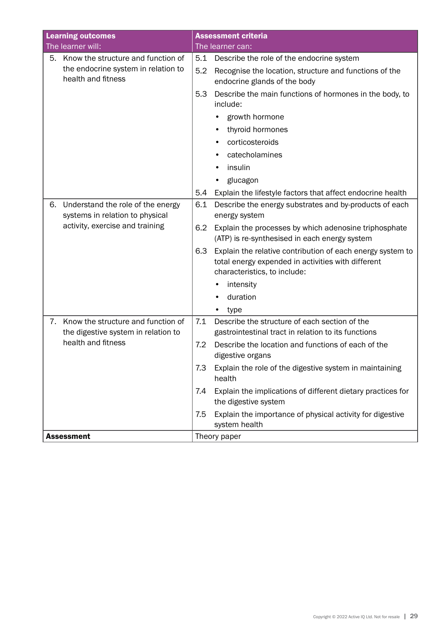| <b>Learning outcomes</b>                                                                                      | <b>Assessment criteria</b>                                                                                                                              |
|---------------------------------------------------------------------------------------------------------------|---------------------------------------------------------------------------------------------------------------------------------------------------------|
| The learner will:                                                                                             | The learner can:                                                                                                                                        |
| Know the structure and function of<br>5.<br>the endocrine system in relation to<br>health and fitness         | 5.1<br>Describe the role of the endocrine system<br>5.2<br>Recognise the location, structure and functions of the                                       |
|                                                                                                               | endocrine glands of the body<br>5.3<br>Describe the main functions of hormones in the body, to<br>include:                                              |
|                                                                                                               | growth hormone                                                                                                                                          |
|                                                                                                               | thyroid hormones                                                                                                                                        |
|                                                                                                               | corticosteroids                                                                                                                                         |
|                                                                                                               | catecholamines                                                                                                                                          |
|                                                                                                               | insulin                                                                                                                                                 |
|                                                                                                               | glucagon                                                                                                                                                |
|                                                                                                               | Explain the lifestyle factors that affect endocrine health<br>5.4                                                                                       |
| Understand the role of the energy<br>6.<br>systems in relation to physical<br>activity, exercise and training | 6.1<br>Describe the energy substrates and by-products of each<br>energy system                                                                          |
|                                                                                                               | Explain the processes by which adenosine triphosphate<br>6.2<br>(ATP) is re-synthesised in each energy system                                           |
|                                                                                                               | 6.3<br>Explain the relative contribution of each energy system to<br>total energy expended in activities with different<br>characteristics, to include: |
|                                                                                                               | intensity<br>$\bullet$                                                                                                                                  |
|                                                                                                               | duration                                                                                                                                                |
|                                                                                                               | type                                                                                                                                                    |
| Know the structure and function of<br>7.<br>the digestive system in relation to                               | 7.1<br>Describe the structure of each section of the<br>gastrointestinal tract in relation to its functions                                             |
| health and fitness                                                                                            | Describe the location and functions of each of the<br>7.2<br>digestive organs                                                                           |
|                                                                                                               | Explain the role of the digestive system in maintaining<br>7.3<br>health                                                                                |
|                                                                                                               | Explain the implications of different dietary practices for<br>7.4<br>the digestive system                                                              |
|                                                                                                               | Explain the importance of physical activity for digestive<br>7.5<br>system health                                                                       |
| <b>Assessment</b>                                                                                             | Theory paper                                                                                                                                            |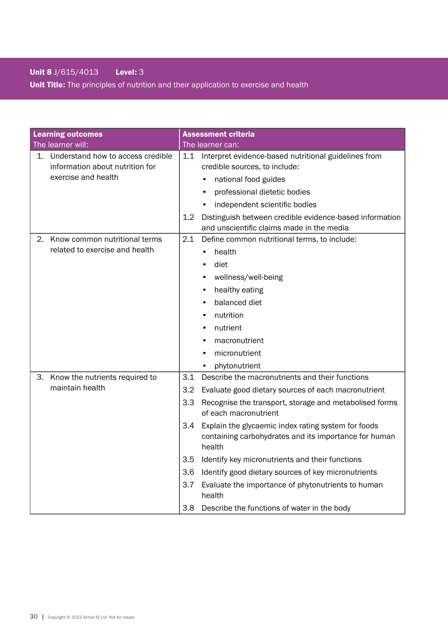# Unit 8 J/615/4013 Level: 3

Unit Title: The principles of nutrition and their application to exercise and health

| <b>Learning outcomes</b>                                                   | <b>Assessment criteria</b>                                                                                                    |
|----------------------------------------------------------------------------|-------------------------------------------------------------------------------------------------------------------------------|
| The learner will:                                                          | The learner can:                                                                                                              |
| Understand how to access credible<br>1.<br>information about nutrition for | Interpret evidence-based nutritional guidelines from<br>1.1<br>credible sources, to include:                                  |
| exercise and health                                                        | national food guides                                                                                                          |
|                                                                            | professional dietetic bodies                                                                                                  |
|                                                                            | independent scientific bodies                                                                                                 |
|                                                                            | 1.2<br>Distinguish between credible evidence-based information<br>and unscientific claims made in the media                   |
| Know common nutritional terms<br>2.                                        | Define common nutritional terms, to include:<br>2.1                                                                           |
| related to exercise and health                                             | health<br>$\bullet$                                                                                                           |
|                                                                            | diet                                                                                                                          |
|                                                                            | wellness/well-being                                                                                                           |
|                                                                            | healthy eating                                                                                                                |
|                                                                            | balanced diet                                                                                                                 |
|                                                                            | nutrition<br>٠                                                                                                                |
|                                                                            | nutrient                                                                                                                      |
|                                                                            | macronutrient                                                                                                                 |
|                                                                            | micronutrient                                                                                                                 |
|                                                                            | phytonutrient                                                                                                                 |
| Know the nutrients required to<br>З.                                       | 3.1<br>Describe the macronutrients and their functions                                                                        |
| maintain health                                                            | 3.2<br>Evaluate good dietary sources of each macronutrient                                                                    |
|                                                                            | 3.3<br>Recognise the transport, storage and metabolised forms<br>of each macronutrient                                        |
|                                                                            | 3.4<br>Explain the glycaemic index rating system for foods<br>containing carbohydrates and its importance for human<br>health |
|                                                                            | 3.5<br>Identify key micronutrients and their functions                                                                        |
|                                                                            | 3.6<br>Identify good dietary sources of key micronutrients                                                                    |
|                                                                            | 3.7<br>Evaluate the importance of phytonutrients to human<br>health                                                           |
|                                                                            | 3.8 Describe the functions of water in the body                                                                               |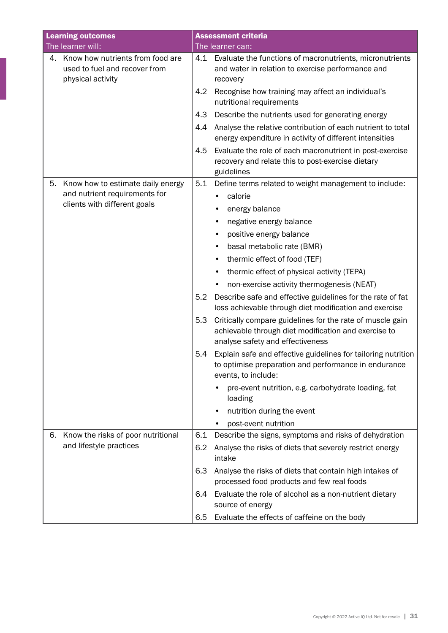| <b>Learning outcomes</b>                                                                     | <b>Assessment criteria</b>                                                                                                                                   |
|----------------------------------------------------------------------------------------------|--------------------------------------------------------------------------------------------------------------------------------------------------------------|
| The learner will:                                                                            | The learner can:                                                                                                                                             |
| Know how nutrients from food are<br>4.<br>used to fuel and recover from<br>physical activity | 4.1 Evaluate the functions of macronutrients, micronutrients<br>and water in relation to exercise performance and<br>recovery                                |
|                                                                                              | Recognise how training may affect an individual's<br>4.2<br>nutritional requirements                                                                         |
|                                                                                              | Describe the nutrients used for generating energy<br>4.3                                                                                                     |
|                                                                                              | Analyse the relative contribution of each nutrient to total<br>4.4<br>energy expenditure in activity of different intensities                                |
|                                                                                              | 4.5<br>Evaluate the role of each macronutrient in post-exercise<br>recovery and relate this to post-exercise dietary<br>guidelines                           |
| Know how to estimate daily energy<br>5.                                                      | 5.1<br>Define terms related to weight management to include:                                                                                                 |
| and nutrient requirements for                                                                | calorie                                                                                                                                                      |
| clients with different goals                                                                 | energy balance                                                                                                                                               |
|                                                                                              | negative energy balance<br>٠                                                                                                                                 |
|                                                                                              | positive energy balance<br>٠                                                                                                                                 |
|                                                                                              | basal metabolic rate (BMR)                                                                                                                                   |
|                                                                                              | thermic effect of food (TEF)                                                                                                                                 |
|                                                                                              | thermic effect of physical activity (TEPA)                                                                                                                   |
|                                                                                              | non-exercise activity thermogenesis (NEAT)                                                                                                                   |
|                                                                                              | 5.2<br>Describe safe and effective guidelines for the rate of fat<br>loss achievable through diet modification and exercise                                  |
|                                                                                              | 5.3<br>Critically compare guidelines for the rate of muscle gain<br>achievable through diet modification and exercise to<br>analyse safety and effectiveness |
|                                                                                              | 5.4<br>Explain safe and effective guidelines for tailoring nutrition<br>to optimise preparation and performance in endurance<br>events, to include:          |
|                                                                                              | pre-event nutrition, e.g. carbohydrate loading, fat<br>loading                                                                                               |
|                                                                                              | nutrition during the event<br>$\bullet$                                                                                                                      |
|                                                                                              | post-event nutrition<br>$\bullet$                                                                                                                            |
| Know the risks of poor nutritional<br>6.                                                     | 6.1<br>Describe the signs, symptoms and risks of dehydration                                                                                                 |
| and lifestyle practices                                                                      | Analyse the risks of diets that severely restrict energy<br>6.2<br>intake                                                                                    |
|                                                                                              | 6.3<br>Analyse the risks of diets that contain high intakes of<br>processed food products and few real foods                                                 |
|                                                                                              | Evaluate the role of alcohol as a non-nutrient dietary<br>6.4<br>source of energy                                                                            |
|                                                                                              | Evaluate the effects of caffeine on the body<br>6.5                                                                                                          |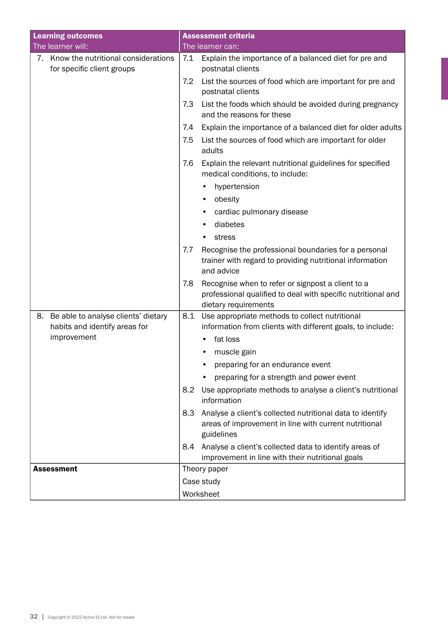| <b>Learning outcomes</b>                                                                  |     | <b>Assessment criteria</b>                                                                                                                |  |  |
|-------------------------------------------------------------------------------------------|-----|-------------------------------------------------------------------------------------------------------------------------------------------|--|--|
| The learner will:                                                                         |     | The learner can:                                                                                                                          |  |  |
| 7. Know the nutritional considerations<br>for specific client groups                      | 7.1 | Explain the importance of a balanced diet for pre and<br>postnatal clients                                                                |  |  |
|                                                                                           | 7.2 | List the sources of food which are important for pre and<br>postnatal clients                                                             |  |  |
|                                                                                           | 7.3 | List the foods which should be avoided during pregnancy<br>and the reasons for these                                                      |  |  |
|                                                                                           | 7.4 | Explain the importance of a balanced diet for older adults                                                                                |  |  |
|                                                                                           | 7.5 | List the sources of food which are important for older<br>adults                                                                          |  |  |
|                                                                                           | 7.6 | Explain the relevant nutritional guidelines for specified<br>medical conditions, to include:                                              |  |  |
|                                                                                           |     | hypertension                                                                                                                              |  |  |
|                                                                                           |     | obesity<br>$\bullet$                                                                                                                      |  |  |
|                                                                                           |     | cardiac pulmonary disease                                                                                                                 |  |  |
|                                                                                           |     | diabetes                                                                                                                                  |  |  |
|                                                                                           |     | stress                                                                                                                                    |  |  |
|                                                                                           | 7.7 | Recognise the professional boundaries for a personal<br>trainer with regard to providing nutritional information<br>and advice            |  |  |
|                                                                                           | 7.8 | Recognise when to refer or signpost a client to a<br>professional qualified to deal with specific nutritional and<br>dietary requirements |  |  |
| Be able to analyse clients' dietary<br>8.<br>habits and identify areas for<br>improvement | 8.1 | Use appropriate methods to collect nutritional<br>information from clients with different goals, to include:<br>fat loss                  |  |  |
|                                                                                           |     | muscle gain                                                                                                                               |  |  |
|                                                                                           |     | preparing for an endurance event                                                                                                          |  |  |
|                                                                                           |     | preparing for a strength and power event                                                                                                  |  |  |
|                                                                                           | 8.2 | Use appropriate methods to analyse a client's nutritional<br>information                                                                  |  |  |
|                                                                                           | 8.3 | Analyse a client's collected nutritional data to identify<br>areas of improvement in line with current nutritional<br>guidelines          |  |  |
|                                                                                           | 8.4 | Analyse a client's collected data to identify areas of<br>improvement in line with their nutritional goals                                |  |  |
| <b>Assessment</b>                                                                         |     | Theory paper                                                                                                                              |  |  |
|                                                                                           |     | Case study                                                                                                                                |  |  |
|                                                                                           |     | Worksheet                                                                                                                                 |  |  |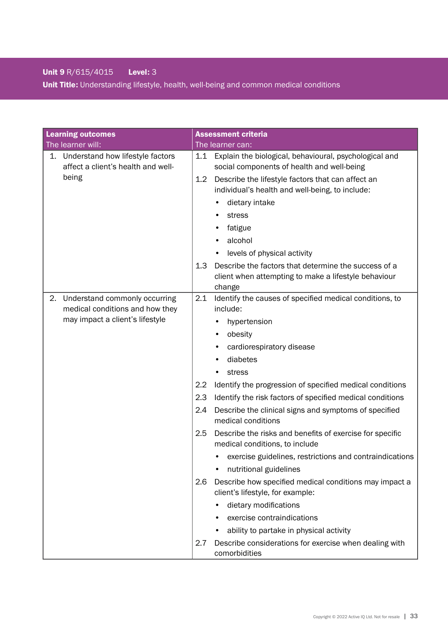# Unit 9 R/615/4015 Level: 3

Unit Title: Understanding lifestyle, health, well-being and common medical conditions

| <b>Learning outcomes</b>                                                     | <b>Assessment criteria</b>                                                                                                    |
|------------------------------------------------------------------------------|-------------------------------------------------------------------------------------------------------------------------------|
| The learner will:                                                            | The learner can:                                                                                                              |
| Understand how lifestyle factors<br>1.<br>affect a client's health and well- | Explain the biological, behavioural, psychological and<br>1.1<br>social components of health and well-being                   |
| being                                                                        | Describe the lifestyle factors that can affect an<br>$1.2^{\circ}$<br>individual's health and well-being, to include:         |
|                                                                              | dietary intake                                                                                                                |
|                                                                              | stress                                                                                                                        |
|                                                                              | fatigue                                                                                                                       |
|                                                                              | alcohol                                                                                                                       |
|                                                                              | levels of physical activity                                                                                                   |
|                                                                              | 1.3<br>Describe the factors that determine the success of a<br>client when attempting to make a lifestyle behaviour<br>change |
| Understand commonly occurring<br>2.                                          | 2.1<br>Identify the causes of specified medical conditions, to                                                                |
| medical conditions and how they                                              | include:                                                                                                                      |
| may impact a client's lifestyle                                              | hypertension                                                                                                                  |
|                                                                              | obesity<br>٠                                                                                                                  |
|                                                                              | cardiorespiratory disease<br>٠                                                                                                |
|                                                                              | diabetes                                                                                                                      |
|                                                                              | stress                                                                                                                        |
|                                                                              | 2.2<br>Identify the progression of specified medical conditions                                                               |
|                                                                              | 2.3<br>Identify the risk factors of specified medical conditions                                                              |
|                                                                              | Describe the clinical signs and symptoms of specified<br>2.4<br>medical conditions                                            |
|                                                                              | 2.5<br>Describe the risks and benefits of exercise for specific<br>medical conditions, to include                             |
|                                                                              | exercise guidelines, restrictions and contraindications                                                                       |
|                                                                              | nutritional guidelines                                                                                                        |
|                                                                              | Describe how specified medical conditions may impact a<br>2.6<br>client's lifestyle, for example:                             |
|                                                                              | dietary modifications<br>٠                                                                                                    |
|                                                                              | exercise contraindications                                                                                                    |
|                                                                              | ability to partake in physical activity                                                                                       |
|                                                                              | Describe considerations for exercise when dealing with<br>2.7<br>comorbidities                                                |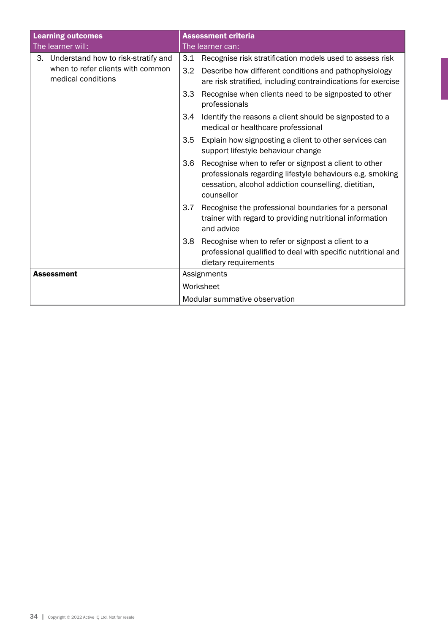| <b>Learning outcomes</b>                                | <b>Assessment criteria</b>                                                                                                                                                                      |  |  |
|---------------------------------------------------------|-------------------------------------------------------------------------------------------------------------------------------------------------------------------------------------------------|--|--|
| The learner will:                                       | The learner can:                                                                                                                                                                                |  |  |
| 3. Understand how to risk-stratify and                  | 3.1 Recognise risk stratification models used to assess risk                                                                                                                                    |  |  |
| when to refer clients with common<br>medical conditions | 3.2<br>Describe how different conditions and pathophysiology<br>are risk stratified, including contraindications for exercise                                                                   |  |  |
|                                                         | 3.3<br>Recognise when clients need to be signposted to other<br>professionals                                                                                                                   |  |  |
|                                                         | Identify the reasons a client should be signposted to a<br>3.4<br>medical or healthcare professional                                                                                            |  |  |
|                                                         | Explain how signposting a client to other services can<br>3.5<br>support lifestyle behaviour change                                                                                             |  |  |
|                                                         | Recognise when to refer or signpost a client to other<br>3.6<br>professionals regarding lifestyle behaviours e.g. smoking<br>cessation, alcohol addiction counselling, dietitian,<br>counsellor |  |  |
|                                                         | Recognise the professional boundaries for a personal<br>3.7<br>trainer with regard to providing nutritional information<br>and advice                                                           |  |  |
|                                                         | Recognise when to refer or signpost a client to a<br>3.8<br>professional qualified to deal with specific nutritional and<br>dietary requirements                                                |  |  |
| <b>Assessment</b>                                       | Assignments                                                                                                                                                                                     |  |  |
|                                                         | Worksheet                                                                                                                                                                                       |  |  |
|                                                         | Modular summative observation                                                                                                                                                                   |  |  |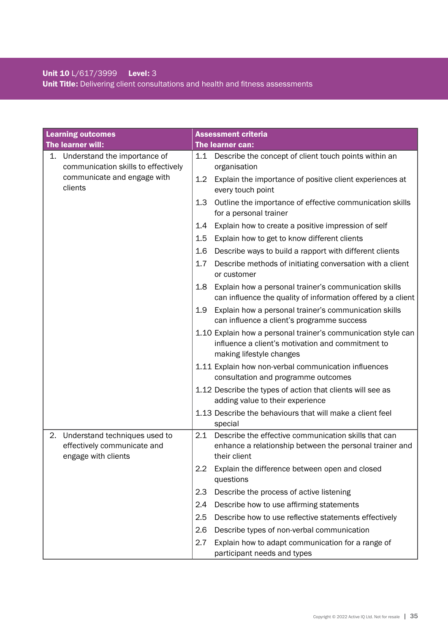# Unit 10 L/617/3999 Level: 3 Unit Title: Delivering client consultations and health and fitness assessments

| <b>Learning outcomes</b>                                                                  | <b>Assessment criteria</b>                                                                                                                     |
|-------------------------------------------------------------------------------------------|------------------------------------------------------------------------------------------------------------------------------------------------|
| The learner will:                                                                         | The learner can:                                                                                                                               |
| 1.<br>Understand the importance of<br>communication skills to effectively                 | Describe the concept of client touch points within an<br>1.1<br>organisation                                                                   |
| communicate and engage with<br>clients                                                    | Explain the importance of positive client experiences at<br>$1.2^{\circ}$<br>every touch point                                                 |
|                                                                                           | Outline the importance of effective communication skills<br>1.3<br>for a personal trainer                                                      |
|                                                                                           | Explain how to create a positive impression of self<br>1.4                                                                                     |
|                                                                                           | 1.5<br>Explain how to get to know different clients                                                                                            |
|                                                                                           | Describe ways to build a rapport with different clients<br>1.6                                                                                 |
|                                                                                           | 1.7<br>Describe methods of initiating conversation with a client<br>or customer                                                                |
|                                                                                           | Explain how a personal trainer's communication skills<br>1.8<br>can influence the quality of information offered by a client                   |
|                                                                                           | 1.9<br>Explain how a personal trainer's communication skills<br>can influence a client's programme success                                     |
|                                                                                           | 1.10 Explain how a personal trainer's communication style can<br>influence a client's motivation and commitment to<br>making lifestyle changes |
|                                                                                           | 1.11 Explain how non-verbal communication influences<br>consultation and programme outcomes                                                    |
|                                                                                           | 1.12 Describe the types of action that clients will see as<br>adding value to their experience                                                 |
|                                                                                           | 1.13 Describe the behaviours that will make a client feel<br>special                                                                           |
| Understand techniques used to<br>2.<br>effectively communicate and<br>engage with clients | Describe the effective communication skills that can<br>2.1<br>enhance a relationship between the personal trainer and<br>their client         |
|                                                                                           | Explain the difference between open and closed<br>2.2<br>questions                                                                             |
|                                                                                           | Describe the process of active listening<br>2.3                                                                                                |
|                                                                                           | Describe how to use affirming statements<br>2.4                                                                                                |
|                                                                                           | 2.5<br>Describe how to use reflective statements effectively                                                                                   |
|                                                                                           | Describe types of non-verbal communication<br>2.6                                                                                              |
|                                                                                           | Explain how to adapt communication for a range of<br>2.7<br>participant needs and types                                                        |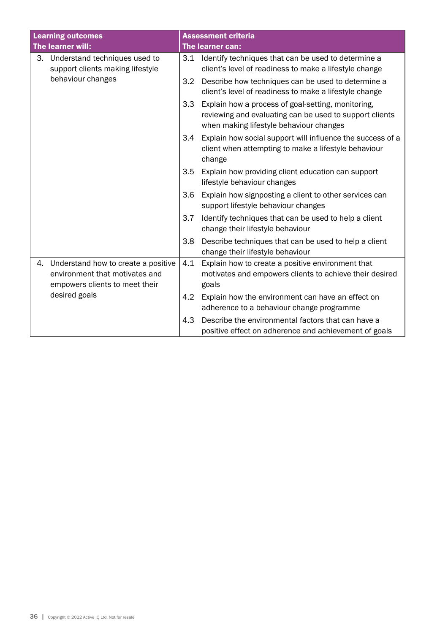| <b>Learning outcomes</b>                                                                                                       |     | <b>Assessment criteria</b>                                                                                                                               |
|--------------------------------------------------------------------------------------------------------------------------------|-----|----------------------------------------------------------------------------------------------------------------------------------------------------------|
| The learner will:                                                                                                              |     | <b>The learner can:</b>                                                                                                                                  |
| 3. Understand techniques used to<br>support clients making lifestyle<br>behaviour changes                                      | 3.1 | Identify techniques that can be used to determine a<br>client's level of readiness to make a lifestyle change                                            |
|                                                                                                                                | 3.2 | Describe how techniques can be used to determine a<br>client's level of readiness to make a lifestyle change                                             |
|                                                                                                                                | 3.3 | Explain how a process of goal-setting, monitoring,<br>reviewing and evaluating can be used to support clients<br>when making lifestyle behaviour changes |
|                                                                                                                                | 3.4 | Explain how social support will influence the success of a<br>client when attempting to make a lifestyle behaviour<br>change                             |
|                                                                                                                                | 3.5 | Explain how providing client education can support<br>lifestyle behaviour changes                                                                        |
|                                                                                                                                | 3.6 | Explain how signposting a client to other services can<br>support lifestyle behaviour changes                                                            |
|                                                                                                                                | 3.7 | Identify techniques that can be used to help a client<br>change their lifestyle behaviour                                                                |
|                                                                                                                                | 3.8 | Describe techniques that can be used to help a client<br>change their lifestyle behaviour                                                                |
| Understand how to create a positive<br>4.<br>environment that motivates and<br>empowers clients to meet their<br>desired goals | 4.1 | Explain how to create a positive environment that<br>motivates and empowers clients to achieve their desired<br>goals                                    |
|                                                                                                                                | 4.2 | Explain how the environment can have an effect on<br>adherence to a behaviour change programme                                                           |
|                                                                                                                                | 4.3 | Describe the environmental factors that can have a<br>positive effect on adherence and achievement of goals                                              |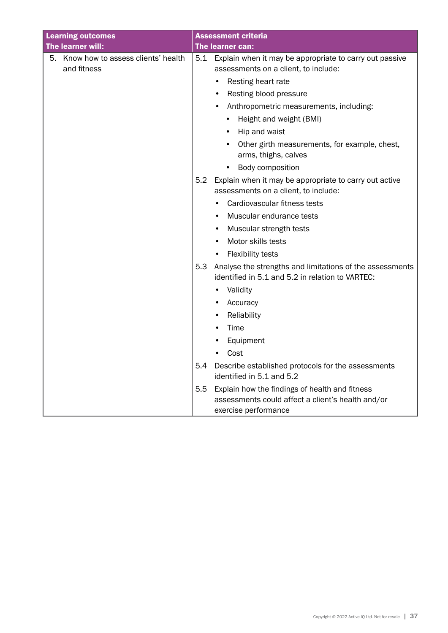| <b>Learning outcomes</b>                             | <b>Assessment criteria</b>                                                                                          |
|------------------------------------------------------|---------------------------------------------------------------------------------------------------------------------|
| The learner will:                                    | The learner can:                                                                                                    |
| 5. Know how to assess clients' health<br>and fitness | 5.1<br>Explain when it may be appropriate to carry out passive<br>assessments on a client, to include:              |
|                                                      | Resting heart rate                                                                                                  |
|                                                      | Resting blood pressure<br>$\bullet$                                                                                 |
|                                                      | Anthropometric measurements, including:                                                                             |
|                                                      | Height and weight (BMI)                                                                                             |
|                                                      | Hip and waist                                                                                                       |
|                                                      | Other girth measurements, for example, chest,<br>arms, thighs, calves                                               |
|                                                      | Body composition<br>٠                                                                                               |
|                                                      | Explain when it may be appropriate to carry out active<br>5.2<br>assessments on a client, to include:               |
|                                                      | Cardiovascular fitness tests                                                                                        |
|                                                      | Muscular endurance tests                                                                                            |
|                                                      | Muscular strength tests<br>٠                                                                                        |
|                                                      | Motor skills tests<br>$\bullet$                                                                                     |
|                                                      | <b>Flexibility tests</b>                                                                                            |
|                                                      | 5.3<br>Analyse the strengths and limitations of the assessments<br>identified in 5.1 and 5.2 in relation to VARTEC: |
|                                                      | Validity                                                                                                            |
|                                                      | Accuracy                                                                                                            |
|                                                      | Reliability<br>٠                                                                                                    |
|                                                      | Time<br>$\bullet$                                                                                                   |
|                                                      | Equipment<br>$\bullet$                                                                                              |
|                                                      | Cost<br>$\bullet$                                                                                                   |
|                                                      | 5.4<br>Describe established protocols for the assessments<br>identified in 5.1 and 5.2                              |
|                                                      | 5.5<br>Explain how the findings of health and fitness                                                               |
|                                                      | assessments could affect a client's health and/or<br>exercise performance                                           |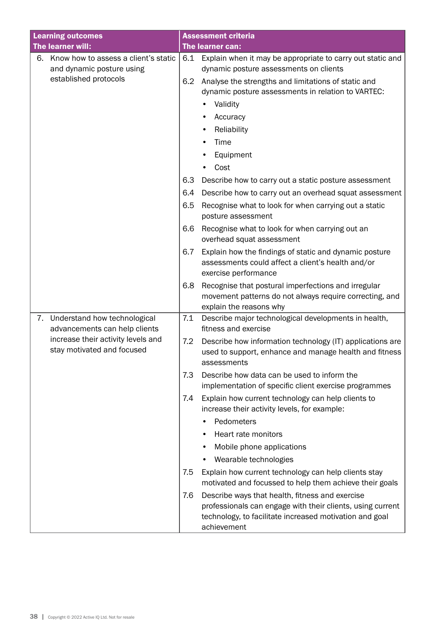| <b>Learning outcomes</b>                                         |     | <b>Assessment criteria</b>                                                                                                                |  |  |
|------------------------------------------------------------------|-----|-------------------------------------------------------------------------------------------------------------------------------------------|--|--|
| The learner will:                                                |     | The learner can:                                                                                                                          |  |  |
| Know how to assess a client's static<br>6.                       | 6.1 | Explain when it may be appropriate to carry out static and                                                                                |  |  |
| and dynamic posture using                                        |     | dynamic posture assessments on clients                                                                                                    |  |  |
| established protocols                                            | 6.2 | Analyse the strengths and limitations of static and<br>dynamic posture assessments in relation to VARTEC:                                 |  |  |
|                                                                  |     | Validity                                                                                                                                  |  |  |
|                                                                  |     | Accuracy                                                                                                                                  |  |  |
|                                                                  |     | Reliability                                                                                                                               |  |  |
|                                                                  |     | Time                                                                                                                                      |  |  |
|                                                                  |     | Equipment                                                                                                                                 |  |  |
|                                                                  |     | Cost                                                                                                                                      |  |  |
|                                                                  | 6.3 | Describe how to carry out a static posture assessment                                                                                     |  |  |
|                                                                  | 6.4 | Describe how to carry out an overhead squat assessment                                                                                    |  |  |
|                                                                  | 6.5 | Recognise what to look for when carrying out a static<br>posture assessment                                                               |  |  |
|                                                                  | 6.6 | Recognise what to look for when carrying out an<br>overhead squat assessment                                                              |  |  |
|                                                                  | 6.7 | Explain how the findings of static and dynamic posture<br>assessments could affect a client's health and/or<br>exercise performance       |  |  |
|                                                                  | 6.8 | Recognise that postural imperfections and irregular<br>movement patterns do not always require correcting, and<br>explain the reasons why |  |  |
| 7. Understand how technological<br>advancements can help clients | 7.1 | Describe major technological developments in health,<br>fitness and exercise                                                              |  |  |
| increase their activity levels and<br>stay motivated and focused | 7.2 | Describe how information technology (IT) applications are<br>used to support, enhance and manage health and fitness<br>assessments        |  |  |
|                                                                  | 7.3 | Describe how data can be used to inform the<br>implementation of specific client exercise programmes                                      |  |  |
|                                                                  | 7.4 | Explain how current technology can help clients to<br>increase their activity levels, for example:                                        |  |  |
|                                                                  |     | Pedometers                                                                                                                                |  |  |
|                                                                  |     | Heart rate monitors                                                                                                                       |  |  |
|                                                                  |     | Mobile phone applications                                                                                                                 |  |  |
|                                                                  |     | Wearable technologies                                                                                                                     |  |  |
|                                                                  | 7.5 | Explain how current technology can help clients stay<br>motivated and focussed to help them achieve their goals                           |  |  |
|                                                                  | 7.6 | Describe ways that health, fitness and exercise                                                                                           |  |  |
|                                                                  |     | professionals can engage with their clients, using current<br>technology, to facilitate increased motivation and goal<br>achievement      |  |  |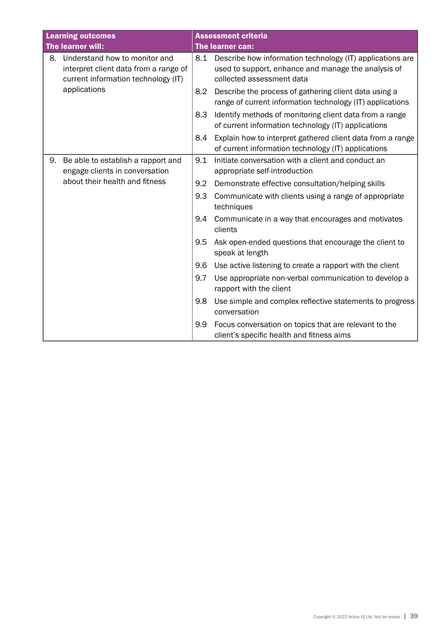| <b>Learning outcomes</b> |                                                                                                               |     | <b>Assessment criteria</b>                                                                                                                    |
|--------------------------|---------------------------------------------------------------------------------------------------------------|-----|-----------------------------------------------------------------------------------------------------------------------------------------------|
|                          | The learner will:                                                                                             |     | The learner can:                                                                                                                              |
| 8.                       | Understand how to monitor and<br>interpret client data from a range of<br>current information technology (IT) | 8.1 | Describe how information technology (IT) applications are<br>used to support, enhance and manage the analysis of<br>collected assessment data |
|                          | applications                                                                                                  | 8.2 | Describe the process of gathering client data using a<br>range of current information technology (IT) applications                            |
|                          |                                                                                                               | 8.3 | Identify methods of monitoring client data from a range<br>of current information technology (IT) applications                                |
|                          |                                                                                                               | 8.4 | Explain how to interpret gathered client data from a range<br>of current information technology (IT) applications                             |
| 9.                       | Be able to establish a rapport and<br>engage clients in conversation                                          | 9.1 | Initiate conversation with a client and conduct an<br>appropriate self-introduction                                                           |
|                          | about their health and fitness                                                                                | 9.2 | Demonstrate effective consultation/helping skills                                                                                             |
|                          |                                                                                                               | 9.3 | Communicate with clients using a range of appropriate<br>techniques                                                                           |
|                          |                                                                                                               | 9.4 | Communicate in a way that encourages and motivates<br>clients                                                                                 |
|                          |                                                                                                               | 9.5 | Ask open-ended questions that encourage the client to<br>speak at length                                                                      |
|                          |                                                                                                               | 9.6 | Use active listening to create a rapport with the client                                                                                      |
|                          |                                                                                                               | 9.7 | Use appropriate non-verbal communication to develop a<br>rapport with the client                                                              |
|                          |                                                                                                               | 9.8 | Use simple and complex reflective statements to progress<br>conversation                                                                      |
|                          |                                                                                                               | 9.9 | Focus conversation on topics that are relevant to the<br>client's specific health and fitness aims                                            |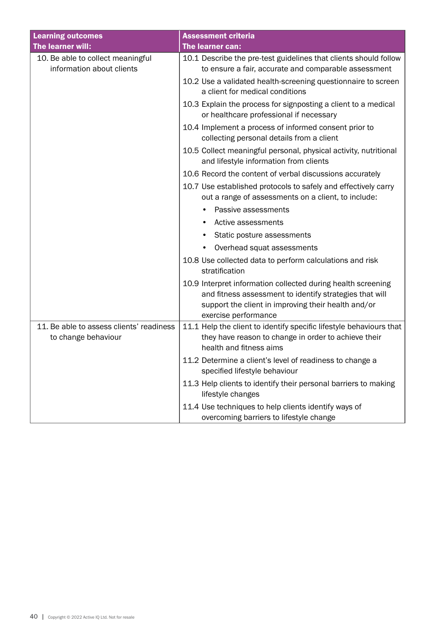| <b>Learning outcomes</b>                                        | <b>Assessment criteria</b>                                                                                                                                                                             |
|-----------------------------------------------------------------|--------------------------------------------------------------------------------------------------------------------------------------------------------------------------------------------------------|
| The learner will:                                               | The learner can:                                                                                                                                                                                       |
| 10. Be able to collect meaningful<br>information about clients  | 10.1 Describe the pre-test guidelines that clients should follow<br>to ensure a fair, accurate and comparable assessment                                                                               |
|                                                                 | 10.2 Use a validated health-screening questionnaire to screen<br>a client for medical conditions                                                                                                       |
|                                                                 | 10.3 Explain the process for signposting a client to a medical<br>or healthcare professional if necessary                                                                                              |
|                                                                 | 10.4 Implement a process of informed consent prior to<br>collecting personal details from a client                                                                                                     |
|                                                                 | 10.5 Collect meaningful personal, physical activity, nutritional<br>and lifestyle information from clients                                                                                             |
|                                                                 | 10.6 Record the content of verbal discussions accurately                                                                                                                                               |
|                                                                 | 10.7 Use established protocols to safely and effectively carry<br>out a range of assessments on a client, to include:                                                                                  |
|                                                                 | Passive assessments                                                                                                                                                                                    |
|                                                                 | Active assessments                                                                                                                                                                                     |
|                                                                 | Static posture assessments<br>٠                                                                                                                                                                        |
|                                                                 | Overhead squat assessments                                                                                                                                                                             |
|                                                                 | 10.8 Use collected data to perform calculations and risk<br>stratification                                                                                                                             |
|                                                                 | 10.9 Interpret information collected during health screening<br>and fitness assessment to identify strategies that will<br>support the client in improving their health and/or<br>exercise performance |
| 11. Be able to assess clients' readiness<br>to change behaviour | 11.1 Help the client to identify specific lifestyle behaviours that<br>they have reason to change in order to achieve their<br>health and fitness aims                                                 |
|                                                                 | 11.2 Determine a client's level of readiness to change a<br>specified lifestyle behaviour                                                                                                              |
|                                                                 | 11.3 Help clients to identify their personal barriers to making<br>lifestyle changes                                                                                                                   |
|                                                                 | 11.4 Use techniques to help clients identify ways of<br>overcoming barriers to lifestyle change                                                                                                        |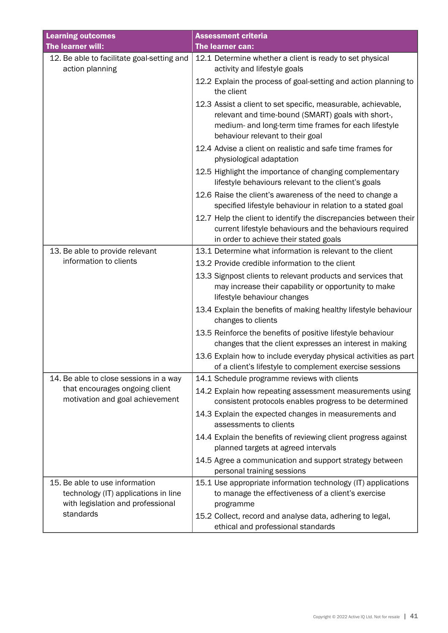| <b>Learning outcomes</b>                                                                                    | <b>Assessment criteria</b>                                                                                                                                                                                      |
|-------------------------------------------------------------------------------------------------------------|-----------------------------------------------------------------------------------------------------------------------------------------------------------------------------------------------------------------|
| The learner will:                                                                                           | The learner can:                                                                                                                                                                                                |
| 12. Be able to facilitate goal-setting and                                                                  | 12.1 Determine whether a client is ready to set physical                                                                                                                                                        |
| action planning                                                                                             | activity and lifestyle goals                                                                                                                                                                                    |
|                                                                                                             | 12.2 Explain the process of goal-setting and action planning to<br>the client                                                                                                                                   |
|                                                                                                             | 12.3 Assist a client to set specific, measurable, achievable,<br>relevant and time-bound (SMART) goals with short-,<br>medium- and long-term time frames for each lifestyle<br>behaviour relevant to their goal |
|                                                                                                             | 12.4 Advise a client on realistic and safe time frames for<br>physiological adaptation                                                                                                                          |
|                                                                                                             | 12.5 Highlight the importance of changing complementary<br>lifestyle behaviours relevant to the client's goals                                                                                                  |
|                                                                                                             | 12.6 Raise the client's awareness of the need to change a<br>specified lifestyle behaviour in relation to a stated goal                                                                                         |
|                                                                                                             | 12.7 Help the client to identify the discrepancies between their<br>current lifestyle behaviours and the behaviours required<br>in order to achieve their stated goals                                          |
| 13. Be able to provide relevant                                                                             | 13.1 Determine what information is relevant to the client                                                                                                                                                       |
| information to clients                                                                                      | 13.2 Provide credible information to the client                                                                                                                                                                 |
|                                                                                                             | 13.3 Signpost clients to relevant products and services that<br>may increase their capability or opportunity to make<br>lifestyle behaviour changes                                                             |
|                                                                                                             | 13.4 Explain the benefits of making healthy lifestyle behaviour<br>changes to clients                                                                                                                           |
|                                                                                                             | 13.5 Reinforce the benefits of positive lifestyle behaviour<br>changes that the client expresses an interest in making                                                                                          |
|                                                                                                             | 13.6 Explain how to include everyday physical activities as part<br>of a client's lifestyle to complement exercise sessions                                                                                     |
| 14. Be able to close sessions in a way                                                                      | 14.1 Schedule programme reviews with clients                                                                                                                                                                    |
| that encourages ongoing client<br>motivation and goal achievement                                           | 14.2 Explain how repeating assessment measurements using<br>consistent protocols enables progress to be determined                                                                                              |
|                                                                                                             | 14.3 Explain the expected changes in measurements and<br>assessments to clients                                                                                                                                 |
|                                                                                                             | 14.4 Explain the benefits of reviewing client progress against<br>planned targets at agreed intervals                                                                                                           |
|                                                                                                             | 14.5 Agree a communication and support strategy between<br>personal training sessions                                                                                                                           |
| 15. Be able to use information<br>technology (IT) applications in line<br>with legislation and professional | 15.1 Use appropriate information technology (IT) applications<br>to manage the effectiveness of a client's exercise<br>programme                                                                                |
| standards                                                                                                   | 15.2 Collect, record and analyse data, adhering to legal,<br>ethical and professional standards                                                                                                                 |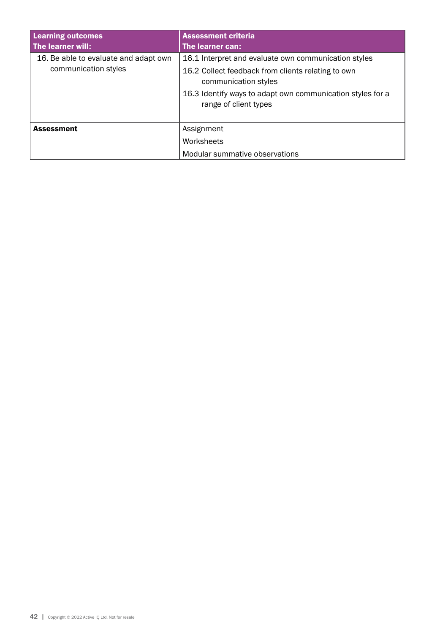| <b>Learning outcomes</b><br>The learner will:                 | <b>Assessment criteria</b><br>The learner can:                                                                                                                                                                            |
|---------------------------------------------------------------|---------------------------------------------------------------------------------------------------------------------------------------------------------------------------------------------------------------------------|
| 16. Be able to evaluate and adapt own<br>communication styles | 16.1 Interpret and evaluate own communication styles<br>16.2 Collect feedback from clients relating to own<br>communication styles<br>16.3 Identify ways to adapt own communication styles for a<br>range of client types |
| <b>Assessment</b>                                             | Assignment<br>Worksheets<br>Modular summative observations                                                                                                                                                                |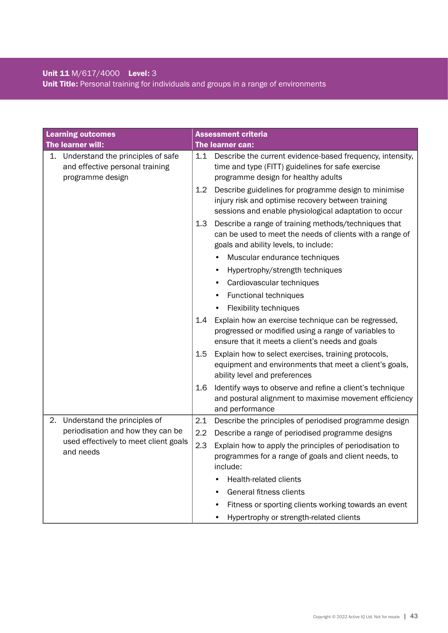# Unit 11 M/617/4000 Level: 3 Unit Title: Personal training for individuals and groups in a range of environments

|                                                    | <b>Learning outcomes</b>                                                                 |                                                                                                                             | <b>Assessment criteria</b>                                                                                                                                          |
|----------------------------------------------------|------------------------------------------------------------------------------------------|-----------------------------------------------------------------------------------------------------------------------------|---------------------------------------------------------------------------------------------------------------------------------------------------------------------|
|                                                    | The learner will:                                                                        |                                                                                                                             | The learner can:                                                                                                                                                    |
| 1.                                                 | Understand the principles of safe<br>and effective personal training<br>programme design | 1.1                                                                                                                         | Describe the current evidence-based frequency, intensity,<br>time and type (FITT) guidelines for safe exercise<br>programme design for healthy adults               |
|                                                    |                                                                                          | 1.2                                                                                                                         | Describe guidelines for programme design to minimise<br>injury risk and optimise recovery between training<br>sessions and enable physiological adaptation to occur |
|                                                    |                                                                                          | 1.3                                                                                                                         | Describe a range of training methods/techniques that<br>can be used to meet the needs of clients with a range of<br>goals and ability levels, to include:           |
|                                                    |                                                                                          |                                                                                                                             | Muscular endurance techniques<br>$\bullet$                                                                                                                          |
|                                                    |                                                                                          |                                                                                                                             | Hypertrophy/strength techniques                                                                                                                                     |
|                                                    |                                                                                          |                                                                                                                             | Cardiovascular techniques                                                                                                                                           |
|                                                    |                                                                                          |                                                                                                                             | Functional techniques                                                                                                                                               |
|                                                    |                                                                                          |                                                                                                                             | Flexibility techniques                                                                                                                                              |
|                                                    |                                                                                          | 1.4                                                                                                                         | Explain how an exercise technique can be regressed,<br>progressed or modified using a range of variables to<br>ensure that it meets a client's needs and goals      |
|                                                    |                                                                                          | 1.5                                                                                                                         | Explain how to select exercises, training protocols,<br>equipment and environments that meet a client's goals,<br>ability level and preferences                     |
|                                                    |                                                                                          | 1.6                                                                                                                         | Identify ways to observe and refine a client's technique<br>and postural alignment to maximise movement efficiency<br>and performance                               |
| 2.                                                 | Understand the principles of                                                             | 2.1                                                                                                                         | Describe the principles of periodised programme design                                                                                                              |
|                                                    | periodisation and how they can be                                                        | 2.2                                                                                                                         | Describe a range of periodised programme designs                                                                                                                    |
| used effectively to meet client goals<br>and needs | 2.3                                                                                      | Explain how to apply the principles of periodisation to<br>programmes for a range of goals and client needs, to<br>include: |                                                                                                                                                                     |
|                                                    |                                                                                          |                                                                                                                             | Health-related clients                                                                                                                                              |
|                                                    |                                                                                          |                                                                                                                             | General fitness clients                                                                                                                                             |
|                                                    |                                                                                          |                                                                                                                             | Fitness or sporting clients working towards an event                                                                                                                |
|                                                    |                                                                                          |                                                                                                                             | Hypertrophy or strength-related clients                                                                                                                             |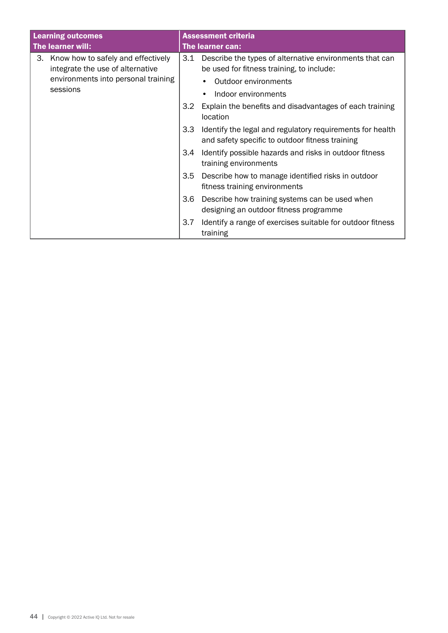|                                                                                                                     | <b>Learning outcomes</b><br>The learner will: |                                                                                                      | <b>Assessment criteria</b><br>The learner can:                                                               |
|---------------------------------------------------------------------------------------------------------------------|-----------------------------------------------|------------------------------------------------------------------------------------------------------|--------------------------------------------------------------------------------------------------------------|
| Know how to safely and effectively<br>3.<br>integrate the use of alternative<br>environments into personal training | 3.1                                           | Describe the types of alternative environments that can<br>be used for fitness training, to include: |                                                                                                              |
|                                                                                                                     | sessions                                      |                                                                                                      | Outdoor environments<br>Indoor environments                                                                  |
|                                                                                                                     | 3.2                                           | Explain the benefits and disadvantages of each training<br>location                                  |                                                                                                              |
|                                                                                                                     |                                               | 3.3                                                                                                  | Identify the legal and regulatory requirements for health<br>and safety specific to outdoor fitness training |
|                                                                                                                     |                                               | 3.4                                                                                                  | Identify possible hazards and risks in outdoor fitness<br>training environments                              |
|                                                                                                                     |                                               | 3.5                                                                                                  | Describe how to manage identified risks in outdoor<br>fitness training environments                          |
|                                                                                                                     |                                               | 3.6                                                                                                  | Describe how training systems can be used when<br>designing an outdoor fitness programme                     |
|                                                                                                                     |                                               | 3.7                                                                                                  | Identify a range of exercises suitable for outdoor fitness<br>training                                       |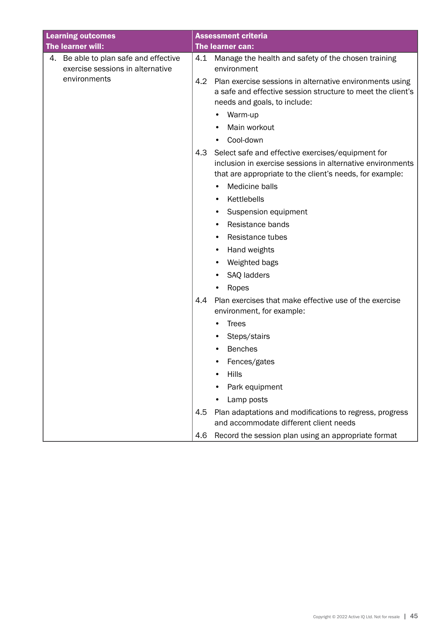| <b>Learning outcomes</b>                                                  |     | <b>Assessment criteria</b>                                                                                                                                                  |
|---------------------------------------------------------------------------|-----|-----------------------------------------------------------------------------------------------------------------------------------------------------------------------------|
| The learner will:                                                         |     | The learner can:                                                                                                                                                            |
| 4. Be able to plan safe and effective<br>exercise sessions in alternative | 4.1 | Manage the health and safety of the chosen training<br>environment                                                                                                          |
| environments                                                              | 4.2 | Plan exercise sessions in alternative environments using<br>a safe and effective session structure to meet the client's<br>needs and goals, to include:                     |
|                                                                           |     | Warm-up                                                                                                                                                                     |
|                                                                           |     | Main workout                                                                                                                                                                |
|                                                                           |     | Cool-down<br>$\bullet$                                                                                                                                                      |
|                                                                           | 4.3 | Select safe and effective exercises/equipment for<br>inclusion in exercise sessions in alternative environments<br>that are appropriate to the client's needs, for example: |
|                                                                           |     | Medicine balls<br>٠                                                                                                                                                         |
|                                                                           |     | Kettlebells<br>$\bullet$                                                                                                                                                    |
|                                                                           |     | Suspension equipment<br>٠                                                                                                                                                   |
|                                                                           |     | Resistance bands<br>٠                                                                                                                                                       |
|                                                                           |     | Resistance tubes                                                                                                                                                            |
|                                                                           |     | Hand weights<br>٠                                                                                                                                                           |
|                                                                           |     | Weighted bags<br>$\bullet$                                                                                                                                                  |
|                                                                           |     | SAQ ladders                                                                                                                                                                 |
|                                                                           |     | Ropes                                                                                                                                                                       |
|                                                                           | 4.4 | Plan exercises that make effective use of the exercise<br>environment, for example:                                                                                         |
|                                                                           |     | <b>Trees</b>                                                                                                                                                                |
|                                                                           |     | Steps/stairs                                                                                                                                                                |
|                                                                           |     | <b>Benches</b>                                                                                                                                                              |
|                                                                           |     | Fences/gates                                                                                                                                                                |
|                                                                           |     | <b>Hills</b>                                                                                                                                                                |
|                                                                           |     | Park equipment                                                                                                                                                              |
|                                                                           |     | Lamp posts                                                                                                                                                                  |
|                                                                           | 4.5 | Plan adaptations and modifications to regress, progress<br>and accommodate different client needs                                                                           |
|                                                                           | 4.6 | Record the session plan using an appropriate format                                                                                                                         |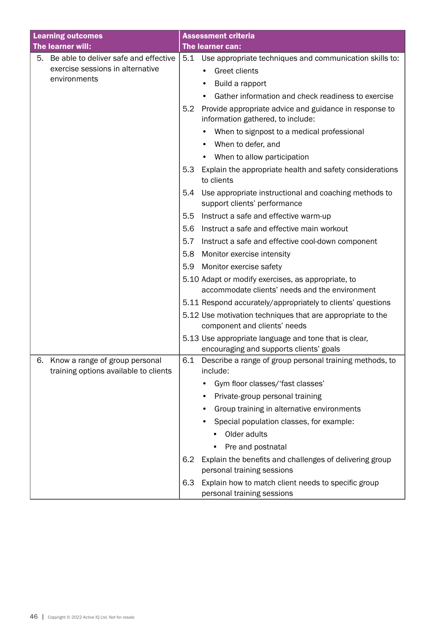| <b>Learning outcomes</b>                                                      | <b>Assessment criteria</b>                                                                           |
|-------------------------------------------------------------------------------|------------------------------------------------------------------------------------------------------|
| The learner will:                                                             | The learner can:                                                                                     |
| Be able to deliver safe and effective<br>5.                                   | 5.1<br>Use appropriate techniques and communication skills to:                                       |
| exercise sessions in alternative                                              | Greet clients                                                                                        |
| environments                                                                  | Build a rapport                                                                                      |
|                                                                               | Gather information and check readiness to exercise<br>$\bullet$                                      |
|                                                                               | 5.2<br>Provide appropriate advice and guidance in response to<br>information gathered, to include:   |
|                                                                               | When to signpost to a medical professional                                                           |
|                                                                               | When to defer, and                                                                                   |
|                                                                               | When to allow participation<br>$\bullet$                                                             |
|                                                                               | 5.3<br>Explain the appropriate health and safety considerations<br>to clients                        |
|                                                                               | 5.4<br>Use appropriate instructional and coaching methods to<br>support clients' performance         |
|                                                                               | 5.5<br>Instruct a safe and effective warm-up                                                         |
|                                                                               | Instruct a safe and effective main workout<br>5.6                                                    |
|                                                                               | 5.7<br>Instruct a safe and effective cool-down component                                             |
|                                                                               | 5.8<br>Monitor exercise intensity                                                                    |
|                                                                               | Monitor exercise safety<br>5.9                                                                       |
|                                                                               | 5.10 Adapt or modify exercises, as appropriate, to<br>accommodate clients' needs and the environment |
|                                                                               | 5.11 Respond accurately/appropriately to clients' questions                                          |
|                                                                               | 5.12 Use motivation techniques that are appropriate to the<br>component and clients' needs           |
|                                                                               | 5.13 Use appropriate language and tone that is clear,<br>encouraging and supports clients' goals     |
| Know a range of group personal<br>6.<br>training options available to clients | 6.1<br>Describe a range of group personal training methods, to<br>include:                           |
|                                                                               | Gym floor classes/'fast classes'                                                                     |
|                                                                               | Private-group personal training                                                                      |
|                                                                               | Group training in alternative environments                                                           |
|                                                                               | Special population classes, for example:                                                             |
|                                                                               | Older adults                                                                                         |
|                                                                               | Pre and postnatal                                                                                    |
|                                                                               | Explain the benefits and challenges of delivering group<br>6.2<br>personal training sessions         |
|                                                                               | Explain how to match client needs to specific group<br>6.3<br>personal training sessions             |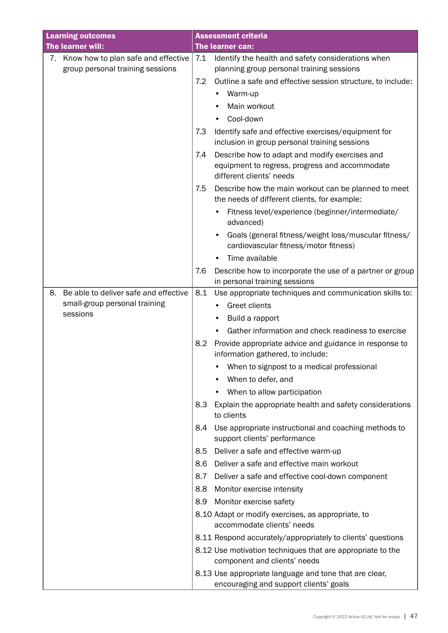|    | <b>Learning outcomes</b>                                                   |     | <b>Assessment criteria</b>                                                                                                   |
|----|----------------------------------------------------------------------------|-----|------------------------------------------------------------------------------------------------------------------------------|
|    | The learner will:                                                          |     | The learner can:                                                                                                             |
|    | 7. Know how to plan safe and effective<br>group personal training sessions | 7.1 | Identify the health and safety considerations when<br>planning group personal training sessions                              |
|    |                                                                            | 7.2 | Outline a safe and effective session structure, to include:                                                                  |
|    |                                                                            |     | Warm-up                                                                                                                      |
|    |                                                                            |     | Main workout                                                                                                                 |
|    |                                                                            |     | Cool-down                                                                                                                    |
|    |                                                                            | 7.3 | Identify safe and effective exercises/equipment for<br>inclusion in group personal training sessions                         |
|    |                                                                            | 7.4 | Describe how to adapt and modify exercises and<br>equipment to regress, progress and accommodate<br>different clients' needs |
|    |                                                                            | 7.5 | Describe how the main workout can be planned to meet<br>the needs of different clients, for example:                         |
|    |                                                                            |     | Fitness level/experience (beginner/intermediate/<br>advanced)                                                                |
|    |                                                                            |     | Goals (general fitness/weight loss/muscular fitness/<br>cardiovascular fitness/motor fitness)                                |
|    |                                                                            |     | Time available                                                                                                               |
|    |                                                                            | 7.6 | Describe how to incorporate the use of a partner or group                                                                    |
|    |                                                                            |     | in personal training sessions                                                                                                |
| 8. | Be able to deliver safe and effective                                      | 8.1 | Use appropriate techniques and communication skills to:                                                                      |
|    | small-group personal training                                              |     | <b>Greet clients</b>                                                                                                         |
|    | sessions                                                                   |     | Build a rapport                                                                                                              |
|    |                                                                            |     | Gather information and check readiness to exercise                                                                           |
|    |                                                                            | 8.2 | Provide appropriate advice and guidance in response to<br>information gathered, to include:                                  |
|    |                                                                            |     | When to signpost to a medical professional                                                                                   |
|    |                                                                            |     | When to defer, and                                                                                                           |
|    |                                                                            |     | When to allow participation                                                                                                  |
|    |                                                                            | 8.3 | Explain the appropriate health and safety considerations<br>to clients                                                       |
|    |                                                                            | 8.4 | Use appropriate instructional and coaching methods to<br>support clients' performance                                        |
|    |                                                                            | 8.5 | Deliver a safe and effective warm-up                                                                                         |
|    |                                                                            | 8.6 | Deliver a safe and effective main workout                                                                                    |
|    |                                                                            | 8.7 | Deliver a safe and effective cool-down component                                                                             |
|    |                                                                            | 8.8 | Monitor exercise intensity                                                                                                   |
|    |                                                                            | 8.9 | Monitor exercise safety                                                                                                      |
|    |                                                                            |     | 8.10 Adapt or modify exercises, as appropriate, to<br>accommodate clients' needs                                             |
|    |                                                                            |     | 8.11 Respond accurately/appropriately to clients' questions                                                                  |
|    |                                                                            |     | 8.12 Use motivation techniques that are appropriate to the<br>component and clients' needs                                   |
|    |                                                                            |     | 8.13 Use appropriate language and tone that are clear,                                                                       |
|    |                                                                            |     | encouraging and support clients' goals                                                                                       |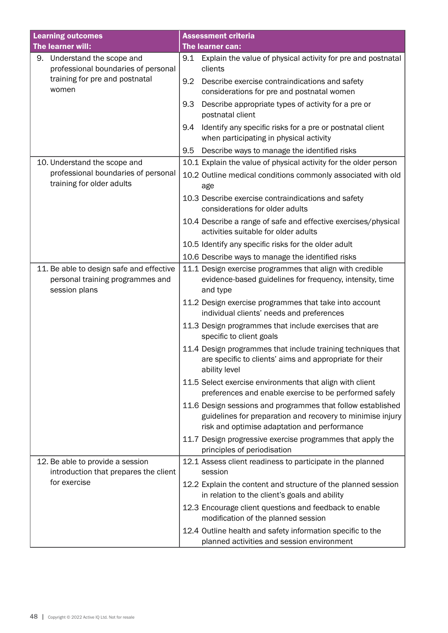| <b>Learning outcomes</b>                                                                      | <b>Assessment criteria</b>                                                                                                                                                |
|-----------------------------------------------------------------------------------------------|---------------------------------------------------------------------------------------------------------------------------------------------------------------------------|
| The learner will:                                                                             | The learner can:                                                                                                                                                          |
| 9. Understand the scope and<br>professional boundaries of personal                            | Explain the value of physical activity for pre and postnatal<br>9.1<br>clients                                                                                            |
| training for pre and postnatal<br>women                                                       | Describe exercise contraindications and safety<br>9.2<br>considerations for pre and postnatal women                                                                       |
|                                                                                               | 9.3<br>Describe appropriate types of activity for a pre or<br>postnatal client                                                                                            |
|                                                                                               | Identify any specific risks for a pre or postnatal client<br>9.4<br>when participating in physical activity                                                               |
|                                                                                               | Describe ways to manage the identified risks<br>9.5                                                                                                                       |
| 10. Understand the scope and                                                                  | 10.1 Explain the value of physical activity for the older person                                                                                                          |
| professional boundaries of personal<br>training for older adults                              | 10.2 Outline medical conditions commonly associated with old<br>age                                                                                                       |
|                                                                                               | 10.3 Describe exercise contraindications and safety<br>considerations for older adults                                                                                    |
|                                                                                               | 10.4 Describe a range of safe and effective exercises/physical<br>activities suitable for older adults                                                                    |
|                                                                                               | 10.5 Identify any specific risks for the older adult                                                                                                                      |
|                                                                                               | 10.6 Describe ways to manage the identified risks                                                                                                                         |
| 11. Be able to design safe and effective<br>personal training programmes and<br>session plans | 11.1 Design exercise programmes that align with credible<br>evidence-based guidelines for frequency, intensity, time<br>and type                                          |
|                                                                                               | 11.2 Design exercise programmes that take into account<br>individual clients' needs and preferences                                                                       |
|                                                                                               | 11.3 Design programmes that include exercises that are<br>specific to client goals                                                                                        |
|                                                                                               | 11.4 Design programmes that include training techniques that<br>are specific to clients' aims and appropriate for their<br>ability level                                  |
|                                                                                               | 11.5 Select exercise environments that align with client<br>preferences and enable exercise to be performed safely                                                        |
|                                                                                               | 11.6 Design sessions and programmes that follow established<br>guidelines for preparation and recovery to minimise injury<br>risk and optimise adaptation and performance |
|                                                                                               | 11.7 Design progressive exercise programmes that apply the<br>principles of periodisation                                                                                 |
| 12. Be able to provide a session<br>introduction that prepares the client                     | 12.1 Assess client readiness to participate in the planned<br>session                                                                                                     |
| for exercise                                                                                  | 12.2 Explain the content and structure of the planned session<br>in relation to the client's goals and ability                                                            |
|                                                                                               | 12.3 Encourage client questions and feedback to enable<br>modification of the planned session                                                                             |
|                                                                                               | 12.4 Outline health and safety information specific to the<br>planned activities and session environment                                                                  |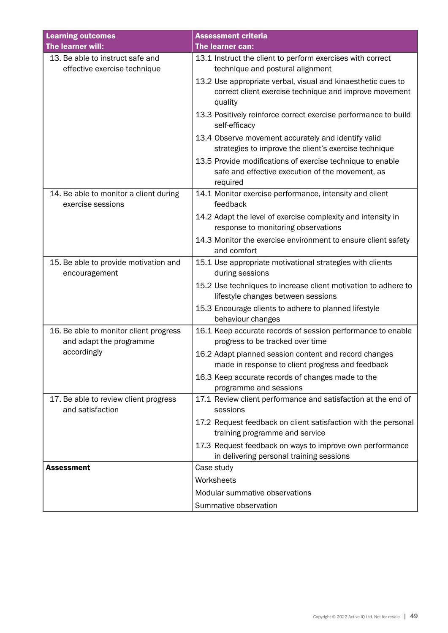| <b>Learning outcomes</b>                                          | <b>Assessment criteria</b>                                                                                                        |
|-------------------------------------------------------------------|-----------------------------------------------------------------------------------------------------------------------------------|
| The learner will:                                                 | The learner can:                                                                                                                  |
| 13. Be able to instruct safe and<br>effective exercise technique  | 13.1 Instruct the client to perform exercises with correct<br>technique and postural alignment                                    |
|                                                                   | 13.2 Use appropriate verbal, visual and kinaesthetic cues to<br>correct client exercise technique and improve movement<br>quality |
|                                                                   | 13.3 Positively reinforce correct exercise performance to build<br>self-efficacy                                                  |
|                                                                   | 13.4 Observe movement accurately and identify valid<br>strategies to improve the client's exercise technique                      |
|                                                                   | 13.5 Provide modifications of exercise technique to enable<br>safe and effective execution of the movement, as<br>required        |
| 14. Be able to monitor a client during<br>exercise sessions       | 14.1 Monitor exercise performance, intensity and client<br>feedback                                                               |
|                                                                   | 14.2 Adapt the level of exercise complexity and intensity in<br>response to monitoring observations                               |
|                                                                   | 14.3 Monitor the exercise environment to ensure client safety<br>and comfort                                                      |
| 15. Be able to provide motivation and<br>encouragement            | 15.1 Use appropriate motivational strategies with clients<br>during sessions                                                      |
|                                                                   | 15.2 Use techniques to increase client motivation to adhere to<br>lifestyle changes between sessions                              |
|                                                                   | 15.3 Encourage clients to adhere to planned lifestyle<br>behaviour changes                                                        |
| 16. Be able to monitor client progress<br>and adapt the programme | 16.1 Keep accurate records of session performance to enable<br>progress to be tracked over time                                   |
| accordingly                                                       | 16.2 Adapt planned session content and record changes<br>made in response to client progress and feedback                         |
|                                                                   | 16.3 Keep accurate records of changes made to the<br>programme and sessions                                                       |
| 17. Be able to review client progress<br>and satisfaction         | 17.1 Review client performance and satisfaction at the end of<br>sessions                                                         |
|                                                                   | 17.2 Request feedback on client satisfaction with the personal<br>training programme and service                                  |
|                                                                   | 17.3 Request feedback on ways to improve own performance<br>in delivering personal training sessions                              |
| <b>Assessment</b>                                                 | Case study                                                                                                                        |
|                                                                   | Worksheets                                                                                                                        |
|                                                                   | Modular summative observations                                                                                                    |
|                                                                   | Summative observation                                                                                                             |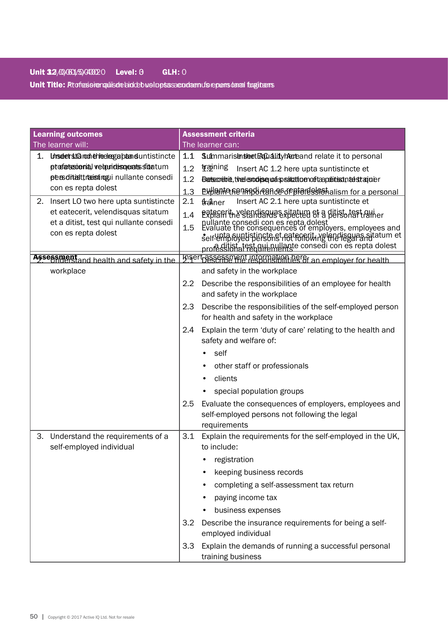Unit Title: Profesionapulisde bioldeb wolupts sacudaenuf sie pens danal fugitams

|    | <b>Learning outcomes</b>                                                                                                                              |                          | <b>Assessment criteria</b>                                                                                                                                                                                                                                                                                                              |
|----|-------------------------------------------------------------------------------------------------------------------------------------------------------|--------------------------|-----------------------------------------------------------------------------------------------------------------------------------------------------------------------------------------------------------------------------------------------------------------------------------------------------------------------------------------|
|    | The learner will:                                                                                                                                     |                          | The learner can:                                                                                                                                                                                                                                                                                                                        |
| 1. | Unselet starent chleelegaband untistincte<br>ptofatssienia, velanidiso erats sidatum<br>persditatti rastingui nullante consedi<br>con es repta dolest | 1.1<br>1.2<br>1.2<br>1.3 | Sulmmarish sheet Excuality hareand relate it to personal<br>training<br>Insert AC 1.2 here upta suntistincte et<br>Betscrebie, the enough and special to enoting perfect and the stagion end<br><b>Explaint General read of property of the Second Property Control</b>                                                                 |
|    | 2. Insert LO two here upta suntistincte<br>et eatecerit, velendisquas sitatum<br>et a ditist, test qui nullante consedi<br>con es repta dolest        | 2.1<br>1.4<br>1.5        | Insert AC 2.1 here upta suntistincte et<br>tlraliner<br>ERPRAFITH Neden His River test and ERPRAFITHMENT<br>nullante consedi con es repta dolest<br>Evaluate the consequences of employers, employees and<br>self-unta Byetistinste st fot folio in references sitatum et<br>professional rest qui nullante consedi con es repta dolest |
|    | Assessment<br>Assessment<br>and health and safety in the                                                                                              |                          | hisert besense the responsibilities of an employer for health                                                                                                                                                                                                                                                                           |
|    | workplace                                                                                                                                             | 2.2                      | and safety in the workplace<br>Describe the responsibilities of an employee for health<br>and safety in the workplace                                                                                                                                                                                                                   |
|    |                                                                                                                                                       | 2.3                      | Describe the responsibilities of the self-employed person<br>for health and safety in the workplace                                                                                                                                                                                                                                     |
|    |                                                                                                                                                       | 2.4                      | Explain the term 'duty of care' relating to the health and<br>safety and welfare of:                                                                                                                                                                                                                                                    |
|    |                                                                                                                                                       |                          | self                                                                                                                                                                                                                                                                                                                                    |
|    |                                                                                                                                                       |                          | other staff or professionals                                                                                                                                                                                                                                                                                                            |
|    |                                                                                                                                                       |                          | clients                                                                                                                                                                                                                                                                                                                                 |
|    |                                                                                                                                                       |                          | special population groups                                                                                                                                                                                                                                                                                                               |
|    |                                                                                                                                                       | 2.5                      | Evaluate the consequences of employers, employees and<br>self-employed persons not following the legal<br>requirements                                                                                                                                                                                                                  |
| 3. | Understand the requirements of a                                                                                                                      | 3.1                      | Explain the requirements for the self-employed in the UK,                                                                                                                                                                                                                                                                               |
|    | self-employed individual                                                                                                                              |                          | to include:                                                                                                                                                                                                                                                                                                                             |
|    |                                                                                                                                                       |                          | registration                                                                                                                                                                                                                                                                                                                            |
|    |                                                                                                                                                       |                          | keeping business records                                                                                                                                                                                                                                                                                                                |
|    |                                                                                                                                                       |                          | completing a self-assessment tax return                                                                                                                                                                                                                                                                                                 |
|    |                                                                                                                                                       |                          | paying income tax                                                                                                                                                                                                                                                                                                                       |
|    |                                                                                                                                                       |                          | business expenses                                                                                                                                                                                                                                                                                                                       |
|    |                                                                                                                                                       | 3.2                      | Describe the insurance requirements for being a self-<br>employed individual                                                                                                                                                                                                                                                            |
|    |                                                                                                                                                       | 3.3                      | Explain the demands of running a successful personal<br>training business                                                                                                                                                                                                                                                               |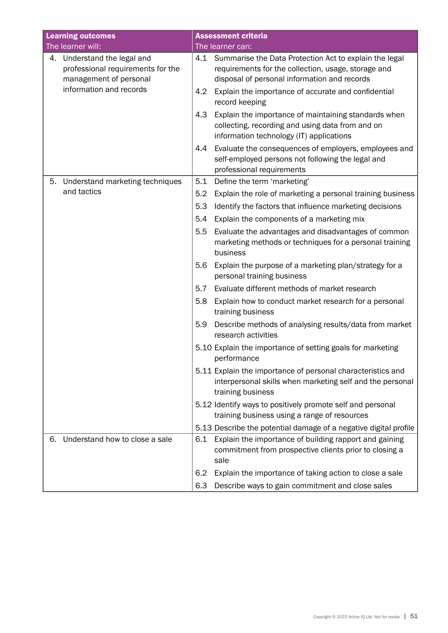|    | <b>Learning outcomes</b>                                                                   |     | <b>Assessment criteria</b>                                                                                                                                        |
|----|--------------------------------------------------------------------------------------------|-----|-------------------------------------------------------------------------------------------------------------------------------------------------------------------|
|    | The learner will:                                                                          |     | The learner can:                                                                                                                                                  |
|    | 4. Understand the legal and<br>professional requirements for the<br>management of personal |     | 4.1 Summarise the Data Protection Act to explain the legal<br>requirements for the collection, usage, storage and<br>disposal of personal information and records |
|    | information and records                                                                    | 4.2 | Explain the importance of accurate and confidential<br>record keeping                                                                                             |
|    |                                                                                            | 4.3 | Explain the importance of maintaining standards when<br>collecting, recording and using data from and on<br>information technology (IT) applications              |
|    |                                                                                            | 4.4 | Evaluate the consequences of employers, employees and<br>self-employed persons not following the legal and<br>professional requirements                           |
| 5. | Understand marketing techniques                                                            | 5.1 | Define the term 'marketing'                                                                                                                                       |
|    | and tactics                                                                                | 5.2 | Explain the role of marketing a personal training business                                                                                                        |
|    |                                                                                            | 5.3 | Identify the factors that influence marketing decisions                                                                                                           |
|    |                                                                                            | 5.4 | Explain the components of a marketing mix                                                                                                                         |
|    |                                                                                            | 5.5 | Evaluate the advantages and disadvantages of common<br>marketing methods or techniques for a personal training<br>business                                        |
|    |                                                                                            | 5.6 | Explain the purpose of a marketing plan/strategy for a<br>personal training business                                                                              |
|    |                                                                                            | 5.7 | Evaluate different methods of market research                                                                                                                     |
|    |                                                                                            | 5.8 | Explain how to conduct market research for a personal<br>training business                                                                                        |
|    |                                                                                            | 5.9 | Describe methods of analysing results/data from market<br>research activities                                                                                     |
|    |                                                                                            |     | 5.10 Explain the importance of setting goals for marketing<br>performance                                                                                         |
|    |                                                                                            |     | 5.11 Explain the importance of personal characteristics and<br>interpersonal skills when marketing self and the personal<br>training business                     |
|    |                                                                                            |     | 5.12 Identify ways to positively promote self and personal<br>training business using a range of resources                                                        |
|    |                                                                                            |     | 5.13 Describe the potential damage of a negative digital profile                                                                                                  |
| 6. | Understand how to close a sale                                                             | 6.1 | Explain the importance of building rapport and gaining<br>commitment from prospective clients prior to closing a<br>sale                                          |
|    |                                                                                            | 6.2 | Explain the importance of taking action to close a sale                                                                                                           |
|    |                                                                                            | 6.3 | Describe ways to gain commitment and close sales                                                                                                                  |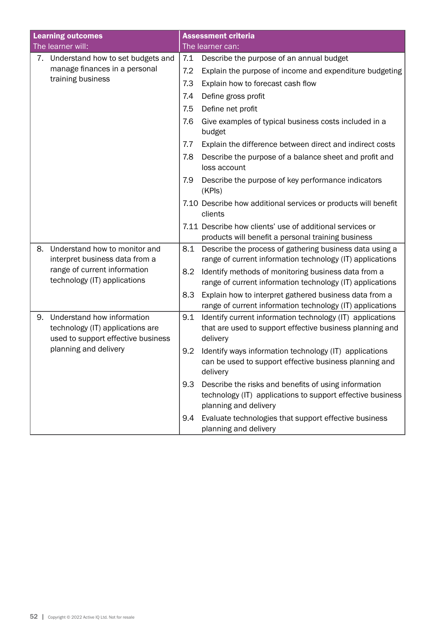|    | <b>Learning outcomes</b>                                                                             |     | <b>Assessment criteria</b>                                                                                                                  |
|----|------------------------------------------------------------------------------------------------------|-----|---------------------------------------------------------------------------------------------------------------------------------------------|
|    | The learner will:                                                                                    |     | The learner can:                                                                                                                            |
|    | 7. Understand how to set budgets and                                                                 | 7.1 | Describe the purpose of an annual budget                                                                                                    |
|    | manage finances in a personal                                                                        | 7.2 | Explain the purpose of income and expenditure budgeting                                                                                     |
|    | training business                                                                                    | 7.3 | Explain how to forecast cash flow                                                                                                           |
|    |                                                                                                      | 7.4 | Define gross profit                                                                                                                         |
|    |                                                                                                      | 7.5 | Define net profit                                                                                                                           |
|    |                                                                                                      | 7.6 | Give examples of typical business costs included in a<br>budget                                                                             |
|    |                                                                                                      | 7.7 | Explain the difference between direct and indirect costs                                                                                    |
|    |                                                                                                      | 7.8 | Describe the purpose of a balance sheet and profit and<br>loss account                                                                      |
|    |                                                                                                      | 7.9 | Describe the purpose of key performance indicators<br>(KPIs)                                                                                |
|    |                                                                                                      |     | 7.10 Describe how additional services or products will benefit<br>clients                                                                   |
|    |                                                                                                      |     | 7.11 Describe how clients' use of additional services or<br>products will benefit a personal training business                              |
| 8. | Understand how to monitor and<br>interpret business data from a                                      | 8.1 | Describe the process of gathering business data using a<br>range of current information technology (IT) applications                        |
|    | range of current information<br>technology (IT) applications                                         | 8.2 | Identify methods of monitoring business data from a<br>range of current information technology (IT) applications                            |
|    |                                                                                                      | 8.3 | Explain how to interpret gathered business data from a<br>range of current information technology (IT) applications                         |
| 9. | Understand how information<br>technology (IT) applications are<br>used to support effective business | 9.1 | Identify current information technology (IT) applications<br>that are used to support effective business planning and<br>delivery           |
|    | planning and delivery                                                                                | 9.2 | Identify ways information technology (IT) applications<br>can be used to support effective business planning and<br>delivery                |
|    |                                                                                                      | 9.3 | Describe the risks and benefits of using information<br>technology (IT) applications to support effective business<br>planning and delivery |
|    |                                                                                                      | 9.4 | Evaluate technologies that support effective business<br>planning and delivery                                                              |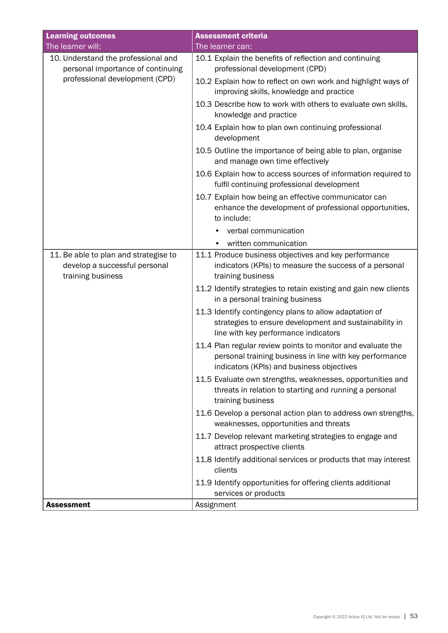| <b>Learning outcomes</b>                                                                    | <b>Assessment criteria</b>                                                                                                                                          |
|---------------------------------------------------------------------------------------------|---------------------------------------------------------------------------------------------------------------------------------------------------------------------|
| The learner will:                                                                           | The learner can:                                                                                                                                                    |
| 10. Understand the professional and                                                         | 10.1 Explain the benefits of reflection and continuing                                                                                                              |
| personal importance of continuing                                                           | professional development (CPD)                                                                                                                                      |
| professional development (CPD)                                                              | 10.2 Explain how to reflect on own work and highlight ways of<br>improving skills, knowledge and practice                                                           |
|                                                                                             | 10.3 Describe how to work with others to evaluate own skills,<br>knowledge and practice                                                                             |
|                                                                                             | 10.4 Explain how to plan own continuing professional<br>development                                                                                                 |
|                                                                                             | 10.5 Outline the importance of being able to plan, organise<br>and manage own time effectively                                                                      |
|                                                                                             | 10.6 Explain how to access sources of information required to<br>fulfil continuing professional development                                                         |
|                                                                                             | 10.7 Explain how being an effective communicator can<br>enhance the development of professional opportunities,<br>to include:                                       |
|                                                                                             | verbal communication                                                                                                                                                |
|                                                                                             | written communication                                                                                                                                               |
| 11. Be able to plan and strategise to<br>develop a successful personal<br>training business | 11.1 Produce business objectives and key performance<br>indicators (KPIs) to measure the success of a personal<br>training business                                 |
|                                                                                             | 11.2 Identify strategies to retain existing and gain new clients<br>in a personal training business                                                                 |
|                                                                                             | 11.3 Identify contingency plans to allow adaptation of<br>strategies to ensure development and sustainability in<br>line with key performance indicators            |
|                                                                                             | 11.4 Plan regular review points to monitor and evaluate the<br>personal training business in line with key performance<br>indicators (KPIs) and business objectives |
|                                                                                             | 11.5 Evaluate own strengths, weaknesses, opportunities and<br>threats in relation to starting and running a personal<br>training business                           |
|                                                                                             | 11.6 Develop a personal action plan to address own strengths,<br>weaknesses, opportunities and threats                                                              |
|                                                                                             | 11.7 Develop relevant marketing strategies to engage and<br>attract prospective clients                                                                             |
|                                                                                             | 11.8 Identify additional services or products that may interest<br>clients                                                                                          |
|                                                                                             | 11.9 Identify opportunities for offering clients additional                                                                                                         |
|                                                                                             | services or products                                                                                                                                                |
| <b>Assessment</b>                                                                           | Assignment                                                                                                                                                          |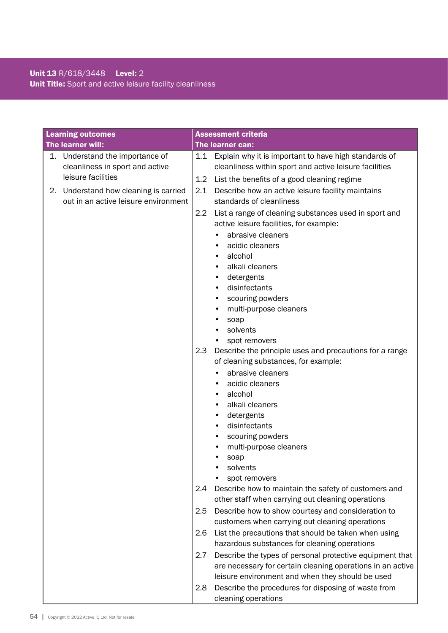# Unit 13 R/618/3448 Level: 2 Unit Title: Sport and active leisure facility cleanliness

|    | <b>Learning outcomes</b>              |         | <b>Assessment criteria</b>                                                                                             |
|----|---------------------------------------|---------|------------------------------------------------------------------------------------------------------------------------|
|    | The learner will:                     |         | The learner can:                                                                                                       |
| 1. | Understand the importance of          | 1.1     | Explain why it is important to have high standards of                                                                  |
|    | cleanliness in sport and active       |         | cleanliness within sport and active leisure facilities                                                                 |
|    | leisure facilities                    | $1.2\,$ | List the benefits of a good cleaning regime                                                                            |
|    | 2. Understand how cleaning is carried | 2.1     | Describe how an active leisure facility maintains                                                                      |
|    | out in an active leisure environment  |         | standards of cleanliness                                                                                               |
|    |                                       | $2.2\,$ | List a range of cleaning substances used in sport and                                                                  |
|    |                                       |         | active leisure facilities, for example:                                                                                |
|    |                                       |         | abrasive cleaners                                                                                                      |
|    |                                       |         | acidic cleaners                                                                                                        |
|    |                                       |         | alcohol<br>٠                                                                                                           |
|    |                                       |         | alkali cleaners                                                                                                        |
|    |                                       |         | detergents                                                                                                             |
|    |                                       |         | disinfectants<br>$\bullet$                                                                                             |
|    |                                       |         | scouring powders<br>٠                                                                                                  |
|    |                                       |         | multi-purpose cleaners<br>٠                                                                                            |
|    |                                       |         | soap                                                                                                                   |
|    |                                       |         | solvents                                                                                                               |
|    |                                       | 2.3     | spot removers<br>Describe the principle uses and precautions for a range                                               |
|    |                                       |         | of cleaning substances, for example:                                                                                   |
|    |                                       |         | abrasive cleaners                                                                                                      |
|    |                                       |         | acidic cleaners                                                                                                        |
|    |                                       |         | alcohol                                                                                                                |
|    |                                       |         | alkali cleaners                                                                                                        |
|    |                                       |         | detergents<br>٠                                                                                                        |
|    |                                       |         | disinfectants<br>٠                                                                                                     |
|    |                                       |         | scouring powders<br>٠                                                                                                  |
|    |                                       |         | multi-purpose cleaners                                                                                                 |
|    |                                       |         | soap                                                                                                                   |
|    |                                       |         | solvents                                                                                                               |
|    |                                       |         | spot removers                                                                                                          |
|    |                                       | 2.4     | Describe how to maintain the safety of customers and<br>other staff when carrying out cleaning operations              |
|    |                                       |         |                                                                                                                        |
|    |                                       | 2.5     | Describe how to show courtesy and consideration to                                                                     |
|    |                                       |         | customers when carrying out cleaning operations                                                                        |
|    |                                       | 2.6     | List the precautions that should be taken when using<br>hazardous substances for cleaning operations                   |
|    |                                       | 2.7     |                                                                                                                        |
|    |                                       |         | Describe the types of personal protective equipment that<br>are necessary for certain cleaning operations in an active |
|    |                                       |         | leisure environment and when they should be used                                                                       |
|    |                                       | 2.8     | Describe the procedures for disposing of waste from                                                                    |
|    |                                       |         | cleaning operations                                                                                                    |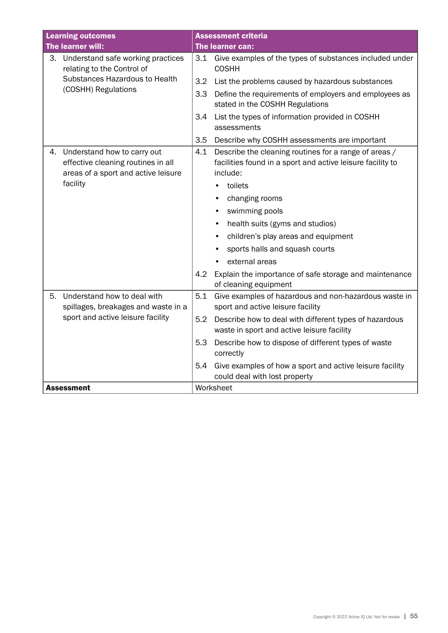| <b>Learning outcomes</b>                                                                                       | <b>Assessment criteria</b>                                                                                                             |
|----------------------------------------------------------------------------------------------------------------|----------------------------------------------------------------------------------------------------------------------------------------|
| The learner will:                                                                                              | The learner can:                                                                                                                       |
| 3. Understand safe working practices<br>relating to the Control of                                             | Give examples of the types of substances included under<br>3.1<br><b>COSHH</b>                                                         |
| Substances Hazardous to Health                                                                                 | 3.2<br>List the problems caused by hazardous substances                                                                                |
| (COSHH) Regulations                                                                                            | Define the requirements of employers and employees as<br>3.3<br>stated in the COSHH Regulations                                        |
|                                                                                                                | 3.4<br>List the types of information provided in COSHH<br>assessments                                                                  |
|                                                                                                                | 3.5<br>Describe why COSHH assessments are important                                                                                    |
| Understand how to carry out<br>4.<br>effective cleaning routines in all<br>areas of a sport and active leisure | 4.1<br>Describe the cleaning routines for a range of areas /<br>facilities found in a sport and active leisure facility to<br>include: |
| facility                                                                                                       | toilets                                                                                                                                |
|                                                                                                                | changing rooms<br>٠                                                                                                                    |
|                                                                                                                | swimming pools                                                                                                                         |
|                                                                                                                | health suits (gyms and studios)                                                                                                        |
|                                                                                                                | children's play areas and equipment<br>$\bullet$                                                                                       |
|                                                                                                                | sports halls and squash courts                                                                                                         |
|                                                                                                                | external areas                                                                                                                         |
|                                                                                                                | 4.2<br>Explain the importance of safe storage and maintenance<br>of cleaning equipment                                                 |
| Understand how to deal with<br>5.<br>spillages, breakages and waste in a                                       | 5.1<br>Give examples of hazardous and non-hazardous waste in<br>sport and active leisure facility                                      |
| sport and active leisure facility                                                                              | 5.2<br>Describe how to deal with different types of hazardous<br>waste in sport and active leisure facility                            |
|                                                                                                                | 5.3<br>Describe how to dispose of different types of waste<br>correctly                                                                |
|                                                                                                                | 5.4<br>Give examples of how a sport and active leisure facility<br>could deal with lost property                                       |
| <b>Assessment</b>                                                                                              | Worksheet                                                                                                                              |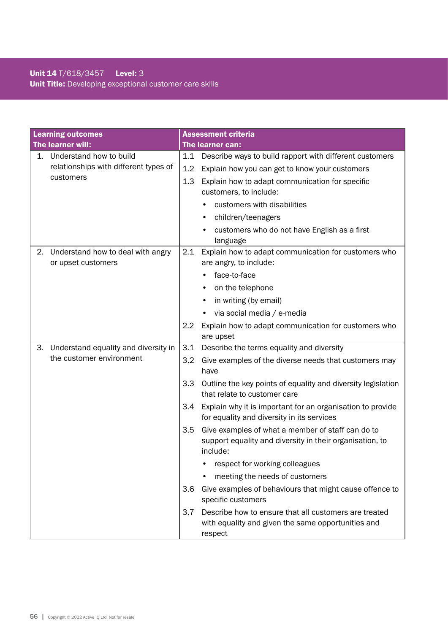# Unit 14 T/618/3457 Level: 3 Unit Title: Developing exceptional customer care skills

|    | <b>Learning outcomes</b>              |     | <b>Assessment criteria</b>                                                                                                |
|----|---------------------------------------|-----|---------------------------------------------------------------------------------------------------------------------------|
|    | The learner will:                     |     | The learner can:                                                                                                          |
|    | 1. Understand how to build            | 1.1 | Describe ways to build rapport with different customers                                                                   |
|    | relationships with different types of | 1.2 | Explain how you can get to know your customers                                                                            |
|    | customers                             | 1.3 | Explain how to adapt communication for specific                                                                           |
|    |                                       |     | customers, to include:                                                                                                    |
|    |                                       |     | customers with disabilities                                                                                               |
|    |                                       |     | children/teenagers<br>٠                                                                                                   |
|    |                                       |     | customers who do not have English as a first<br>$\bullet$                                                                 |
|    |                                       |     | language                                                                                                                  |
| 2. | Understand how to deal with angry     | 2.1 | Explain how to adapt communication for customers who                                                                      |
|    | or upset customers                    |     | are angry, to include:                                                                                                    |
|    |                                       |     | face-to-face                                                                                                              |
|    |                                       |     | on the telephone                                                                                                          |
|    |                                       |     | in writing (by email)<br>٠                                                                                                |
|    |                                       |     | via social media / e-media                                                                                                |
|    |                                       | 2.2 | Explain how to adapt communication for customers who                                                                      |
|    |                                       |     | are upset                                                                                                                 |
| 3. | Understand equality and diversity in  | 3.1 | Describe the terms equality and diversity                                                                                 |
|    | the customer environment              | 3.2 | Give examples of the diverse needs that customers may<br>have                                                             |
|    |                                       | 3.3 | Outline the key points of equality and diversity legislation<br>that relate to customer care                              |
|    |                                       | 3.4 | Explain why it is important for an organisation to provide<br>for equality and diversity in its services                  |
|    |                                       | 3.5 | Give examples of what a member of staff can do to<br>support equality and diversity in their organisation, to<br>include: |
|    |                                       |     | respect for working colleagues                                                                                            |
|    |                                       |     | meeting the needs of customers                                                                                            |
|    |                                       | 3.6 | Give examples of behaviours that might cause offence to<br>specific customers                                             |
|    |                                       | 3.7 | Describe how to ensure that all customers are treated<br>with equality and given the same opportunities and<br>respect    |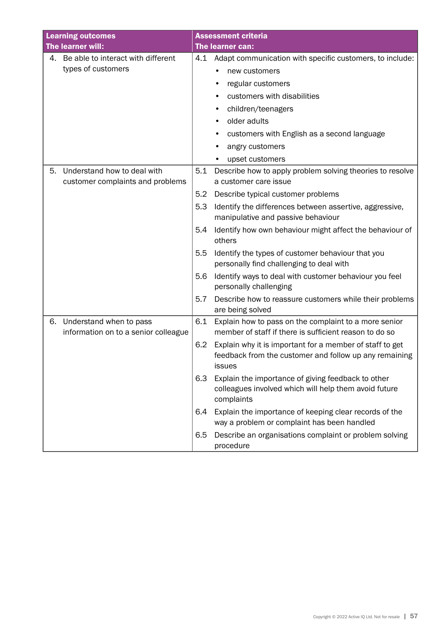| <b>Learning outcomes</b>                                              | <b>Assessment criteria</b>                                                                                                          |
|-----------------------------------------------------------------------|-------------------------------------------------------------------------------------------------------------------------------------|
| The learner will:                                                     | The learner can:                                                                                                                    |
| 4. Be able to interact with different                                 | Adapt communication with specific customers, to include:<br>4.1                                                                     |
| types of customers                                                    | new customers                                                                                                                       |
|                                                                       | regular customers                                                                                                                   |
|                                                                       | customers with disabilities                                                                                                         |
|                                                                       | children/teenagers                                                                                                                  |
|                                                                       | older adults                                                                                                                        |
|                                                                       | customers with English as a second language                                                                                         |
|                                                                       | angry customers                                                                                                                     |
|                                                                       | upset customers                                                                                                                     |
| Understand how to deal with<br>5.<br>customer complaints and problems | 5.1<br>Describe how to apply problem solving theories to resolve<br>a customer care issue                                           |
|                                                                       | 5.2<br>Describe typical customer problems                                                                                           |
|                                                                       | Identify the differences between assertive, aggressive,<br>5.3<br>manipulative and passive behaviour                                |
|                                                                       | 5.4<br>Identify how own behaviour might affect the behaviour of<br>others                                                           |
|                                                                       | 5.5<br>Identify the types of customer behaviour that you<br>personally find challenging to deal with                                |
|                                                                       | Identify ways to deal with customer behaviour you feel<br>5.6<br>personally challenging                                             |
|                                                                       | 5.7<br>Describe how to reassure customers while their problems<br>are being solved                                                  |
| Understand when to pass<br>6.<br>information on to a senior colleague | 6.1<br>Explain how to pass on the complaint to a more senior<br>member of staff if there is sufficient reason to do so              |
|                                                                       | Explain why it is important for a member of staff to get<br>6.2<br>feedback from the customer and follow up any remaining<br>issues |
|                                                                       | 6.3<br>Explain the importance of giving feedback to other<br>colleagues involved which will help them avoid future<br>complaints    |
|                                                                       | Explain the importance of keeping clear records of the<br>6.4<br>way a problem or complaint has been handled                        |
|                                                                       | 6.5<br>Describe an organisations complaint or problem solving<br>procedure                                                          |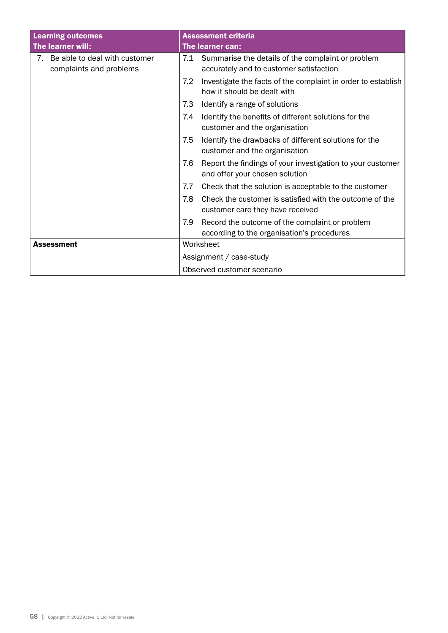| <b>Learning outcomes</b>                                       | <b>Assessment criteria</b>                                                                          |  |
|----------------------------------------------------------------|-----------------------------------------------------------------------------------------------------|--|
| The learner will:                                              | The learner can:                                                                                    |  |
| Be able to deal with customer<br>7.<br>complaints and problems | 7.1<br>Summarise the details of the complaint or problem<br>accurately and to customer satisfaction |  |
|                                                                | 7.2<br>Investigate the facts of the complaint in order to establish<br>how it should be dealt with  |  |
|                                                                | 7.3<br>Identify a range of solutions                                                                |  |
|                                                                | Identify the benefits of different solutions for the<br>7.4<br>customer and the organisation        |  |
|                                                                | 7.5<br>Identify the drawbacks of different solutions for the<br>customer and the organisation       |  |
|                                                                | Report the findings of your investigation to your customer<br>7.6<br>and offer your chosen solution |  |
|                                                                | Check that the solution is acceptable to the customer<br>7.7                                        |  |
|                                                                | Check the customer is satisfied with the outcome of the<br>7.8<br>customer care they have received  |  |
|                                                                | 7.9<br>Record the outcome of the complaint or problem<br>according to the organisation's procedures |  |
| <b>Assessment</b>                                              | Worksheet                                                                                           |  |
|                                                                | Assignment / case-study                                                                             |  |
|                                                                | Observed customer scenario                                                                          |  |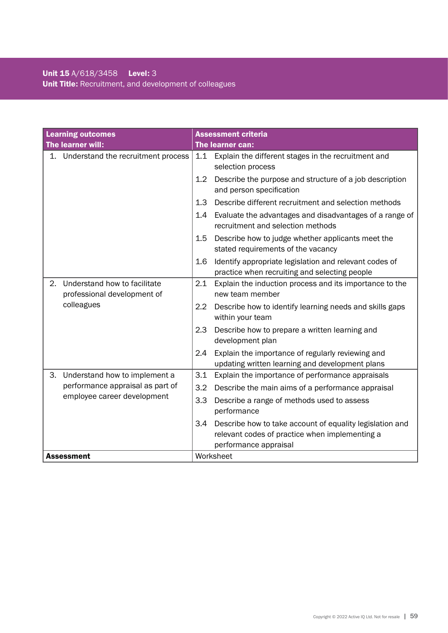|    | <b>Learning outcomes</b>                                    |         | <b>Assessment criteria</b>                                                                                                          |
|----|-------------------------------------------------------------|---------|-------------------------------------------------------------------------------------------------------------------------------------|
|    | The learner will:                                           |         | The learner can:                                                                                                                    |
|    | 1. Understand the recruitment process                       |         | 1.1 Explain the different stages in the recruitment and<br>selection process                                                        |
|    |                                                             | $1.2\,$ | Describe the purpose and structure of a job description<br>and person specification                                                 |
|    |                                                             | 1.3     | Describe different recruitment and selection methods                                                                                |
|    |                                                             | 1.4     | Evaluate the advantages and disadvantages of a range of<br>recruitment and selection methods                                        |
|    |                                                             | 1.5     | Describe how to judge whether applicants meet the<br>stated requirements of the vacancy                                             |
|    |                                                             | 1.6     | Identify appropriate legislation and relevant codes of<br>practice when recruiting and selecting people                             |
| 2. | Understand how to facilitate<br>professional development of | 2.1     | Explain the induction process and its importance to the<br>new team member                                                          |
|    | colleagues                                                  | 2.2     | Describe how to identify learning needs and skills gaps<br>within your team                                                         |
|    |                                                             | 2.3     | Describe how to prepare a written learning and<br>development plan                                                                  |
|    |                                                             | 2.4     | Explain the importance of regularly reviewing and<br>updating written learning and development plans                                |
| З. | Understand how to implement a                               | 3.1     | Explain the importance of performance appraisals                                                                                    |
|    | performance appraisal as part of                            | 3.2     | Describe the main aims of a performance appraisal                                                                                   |
|    | employee career development                                 | 3.3     | Describe a range of methods used to assess<br>performance                                                                           |
|    |                                                             | 3.4     | Describe how to take account of equality legislation and<br>relevant codes of practice when implementing a<br>performance appraisal |
|    | <b>Assessment</b>                                           |         | Worksheet                                                                                                                           |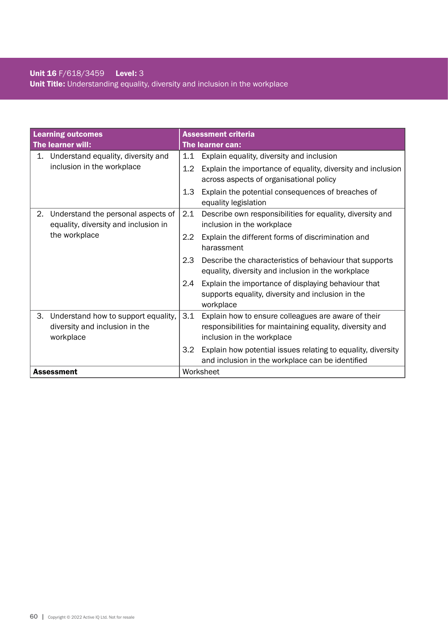# Unit 16 F/618/3459 Level: 3 Unit Title: Understanding equality, diversity and inclusion in the workplace

| <b>Learning outcomes</b>                                                                 | <b>Assessment criteria</b>                                                                                                                           |  |
|------------------------------------------------------------------------------------------|------------------------------------------------------------------------------------------------------------------------------------------------------|--|
| The learner will:                                                                        | The learner can:                                                                                                                                     |  |
| Understand equality, diversity and<br>1.                                                 | Explain equality, diversity and inclusion<br>1.1                                                                                                     |  |
| inclusion in the workplace                                                               | $1.2\,$<br>Explain the importance of equality, diversity and inclusion<br>across aspects of organisational policy                                    |  |
|                                                                                          | 1.3<br>Explain the potential consequences of breaches of<br>equality legislation                                                                     |  |
| Understand the personal aspects of<br>2.<br>equality, diversity and inclusion in         | 2.1<br>Describe own responsibilities for equality, diversity and<br>inclusion in the workplace                                                       |  |
| the workplace                                                                            | $2.2\phantom{0}$<br>Explain the different forms of discrimination and<br>harassment                                                                  |  |
|                                                                                          | 2.3<br>Describe the characteristics of behaviour that supports<br>equality, diversity and inclusion in the workplace                                 |  |
|                                                                                          | Explain the importance of displaying behaviour that<br>2.4<br>supports equality, diversity and inclusion in the<br>workplace                         |  |
| Understand how to support equality,<br>З.<br>diversity and inclusion in the<br>workplace | 3.1<br>Explain how to ensure colleagues are aware of their<br>responsibilities for maintaining equality, diversity and<br>inclusion in the workplace |  |
|                                                                                          | Explain how potential issues relating to equality, diversity<br>$3.2\phantom{0}$<br>and inclusion in the workplace can be identified                 |  |
| <b>Assessment</b>                                                                        | Worksheet                                                                                                                                            |  |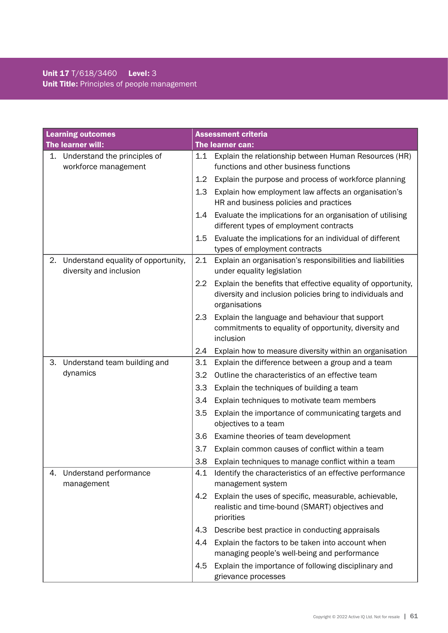# Unit 17 T/618/3460 Level: 3 Unit Title: Principles of people management

| <b>Learning outcomes</b>                                             | <b>Assessment criteria</b>                                                                                                                        |
|----------------------------------------------------------------------|---------------------------------------------------------------------------------------------------------------------------------------------------|
| The learner will:                                                    | The learner can:                                                                                                                                  |
| Understand the principles of<br>1.<br>workforce management           | Explain the relationship between Human Resources (HR)<br>1.1<br>functions and other business functions                                            |
|                                                                      | Explain the purpose and process of workforce planning<br>1.2                                                                                      |
|                                                                      | 1.3<br>Explain how employment law affects an organisation's<br>HR and business policies and practices                                             |
|                                                                      | Evaluate the implications for an organisation of utilising<br>1.4<br>different types of employment contracts                                      |
|                                                                      | Evaluate the implications for an individual of different<br>1.5<br>types of employment contracts                                                  |
| Understand equality of opportunity,<br>2.<br>diversity and inclusion | 2.1<br>Explain an organisation's responsibilities and liabilities<br>under equality legislation                                                   |
|                                                                      | 2.2<br>Explain the benefits that effective equality of opportunity,<br>diversity and inclusion policies bring to individuals and<br>organisations |
|                                                                      | 2.3<br>Explain the language and behaviour that support<br>commitments to equality of opportunity, diversity and<br>inclusion                      |
|                                                                      | Explain how to measure diversity within an organisation<br>2.4                                                                                    |
| Understand team building and<br>3.                                   | 3.1<br>Explain the difference between a group and a team                                                                                          |
| dynamics                                                             | 3.2<br>Outline the characteristics of an effective team                                                                                           |
|                                                                      | 3.3<br>Explain the techniques of building a team                                                                                                  |
|                                                                      | Explain techniques to motivate team members<br>3.4                                                                                                |
|                                                                      | 3.5<br>Explain the importance of communicating targets and<br>objectives to a team                                                                |
|                                                                      | 3.6<br>Examine theories of team development                                                                                                       |
|                                                                      | 3.7<br>Explain common causes of conflict within a team                                                                                            |
|                                                                      | 3.8<br>Explain techniques to manage conflict within a team                                                                                        |
| Understand performance<br>4.<br>management                           | Identify the characteristics of an effective performance<br>4.1<br>management system                                                              |
|                                                                      | 4.2<br>Explain the uses of specific, measurable, achievable,<br>realistic and time-bound (SMART) objectives and<br>priorities                     |
|                                                                      | 4.3<br>Describe best practice in conducting appraisals                                                                                            |
|                                                                      | Explain the factors to be taken into account when<br>4.4                                                                                          |
|                                                                      | managing people's well-being and performance                                                                                                      |
|                                                                      | Explain the importance of following disciplinary and<br>4.5<br>grievance processes                                                                |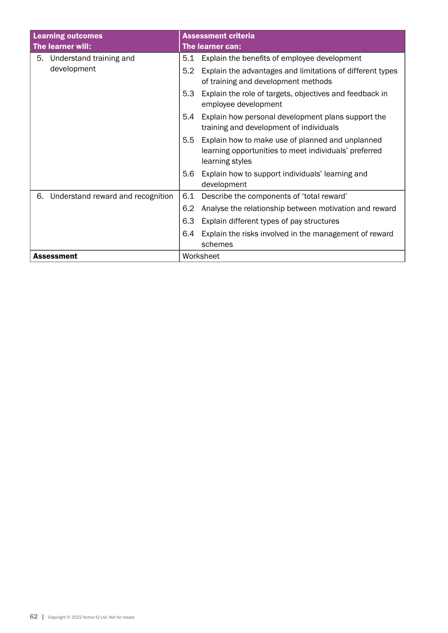| <b>Learning outcomes</b>                | <b>Assessment criteria</b>                                                                                                                    |  |
|-----------------------------------------|-----------------------------------------------------------------------------------------------------------------------------------------------|--|
| The learner will:                       | The learner can:                                                                                                                              |  |
| 5. Understand training and              | Explain the benefits of employee development<br>5.1                                                                                           |  |
| development                             | 5.2<br>Explain the advantages and limitations of different types<br>of training and development methods                                       |  |
|                                         | Explain the role of targets, objectives and feedback in<br>5.3<br>employee development                                                        |  |
|                                         | Explain how personal development plans support the<br>5.4<br>training and development of individuals                                          |  |
|                                         | Explain how to make use of planned and unplanned<br>$5.5^{\circ}$<br>learning opportunities to meet individuals' preferred<br>learning styles |  |
|                                         | Explain how to support individuals' learning and<br>5.6<br>development                                                                        |  |
| Understand reward and recognition<br>6. | 6.1<br>Describe the components of 'total reward'                                                                                              |  |
|                                         | 6.2<br>Analyse the relationship between motivation and reward                                                                                 |  |
|                                         | 6.3<br>Explain different types of pay structures                                                                                              |  |
|                                         | Explain the risks involved in the management of reward<br>6.4                                                                                 |  |
|                                         | schemes                                                                                                                                       |  |
| Assessment                              | Worksheet                                                                                                                                     |  |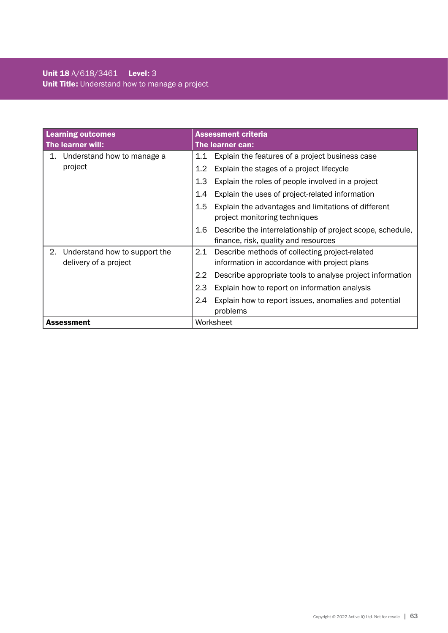|    | <b>Learning outcomes</b>                               |               | <b>Assessment criteria</b>                                                                     |  |  |
|----|--------------------------------------------------------|---------------|------------------------------------------------------------------------------------------------|--|--|
|    | The learner will:                                      |               | The learner can:                                                                               |  |  |
| 1. | Understand how to manage a                             | 1.1           | Explain the features of a project business case                                                |  |  |
|    | project                                                | 1.2           | Explain the stages of a project lifecycle                                                      |  |  |
|    |                                                        | 1.3           | Explain the roles of people involved in a project                                              |  |  |
|    |                                                        | 1.4           | Explain the uses of project-related information                                                |  |  |
|    |                                                        | 1.5           | Explain the advantages and limitations of different                                            |  |  |
|    |                                                        |               | project monitoring techniques                                                                  |  |  |
|    |                                                        | 1.6           | Describe the interrelationship of project scope, schedule,                                     |  |  |
|    |                                                        |               | finance, risk, quality and resources                                                           |  |  |
| 2. | Understand how to support the<br>delivery of a project | 2.1           | Describe methods of collecting project-related<br>information in accordance with project plans |  |  |
|    |                                                        | $2.2^{\circ}$ | Describe appropriate tools to analyse project information                                      |  |  |
|    |                                                        |               |                                                                                                |  |  |
|    |                                                        | 2.3           | Explain how to report on information analysis                                                  |  |  |
|    |                                                        | 2.4           | Explain how to report issues, anomalies and potential                                          |  |  |
|    |                                                        |               | problems                                                                                       |  |  |
|    | <b>Assessment</b>                                      | Worksheet     |                                                                                                |  |  |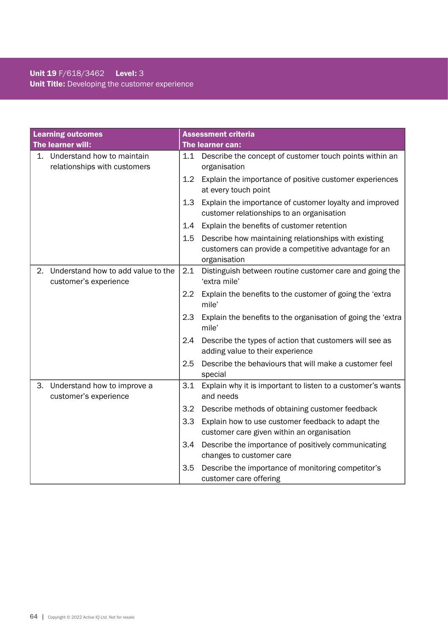# Unit 19 F/618/3462 Level: 3 Unit Title: Developing the customer experience

|    | <b>Learning outcomes</b>                                      |     | <b>Assessment criteria</b>                                                                                                   |
|----|---------------------------------------------------------------|-----|------------------------------------------------------------------------------------------------------------------------------|
|    | The learner will:                                             |     | The learner can:                                                                                                             |
|    | 1. Understand how to maintain<br>relationships with customers | 1.1 | Describe the concept of customer touch points within an<br>organisation                                                      |
|    |                                                               | 1.2 | Explain the importance of positive customer experiences<br>at every touch point                                              |
|    |                                                               | 1.3 | Explain the importance of customer loyalty and improved<br>customer relationships to an organisation                         |
|    |                                                               | 1.4 | Explain the benefits of customer retention                                                                                   |
|    |                                                               | 1.5 | Describe how maintaining relationships with existing<br>customers can provide a competitive advantage for an<br>organisation |
| 2. | Understand how to add value to the<br>customer's experience   | 2.1 | Distinguish between routine customer care and going the<br>'extra mile'                                                      |
|    |                                                               | 2.2 | Explain the benefits to the customer of going the 'extra<br>mile'                                                            |
|    |                                                               | 2.3 | Explain the benefits to the organisation of going the 'extra<br>mile'                                                        |
|    |                                                               | 2.4 | Describe the types of action that customers will see as<br>adding value to their experience                                  |
|    |                                                               | 2.5 | Describe the behaviours that will make a customer feel<br>special                                                            |
| З. | Understand how to improve a<br>customer's experience          | 3.1 | Explain why it is important to listen to a customer's wants<br>and needs                                                     |
|    |                                                               | 3.2 | Describe methods of obtaining customer feedback                                                                              |
|    |                                                               | 3.3 | Explain how to use customer feedback to adapt the<br>customer care given within an organisation                              |
|    |                                                               | 3.4 | Describe the importance of positively communicating<br>changes to customer care                                              |
|    |                                                               | 3.5 | Describe the importance of monitoring competitor's<br>customer care offering                                                 |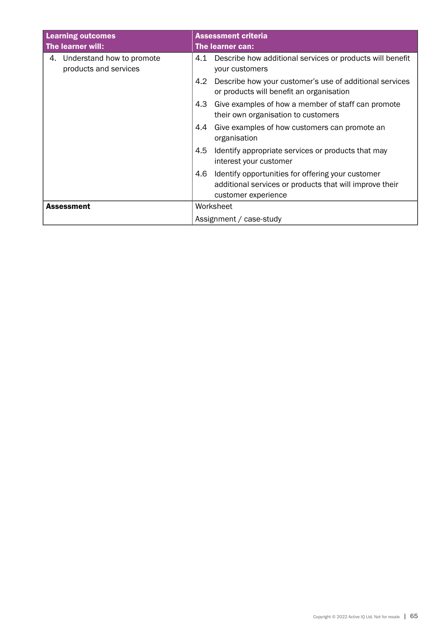| <b>Learning outcomes</b>                                 | <b>Assessment criteria</b>                                                                                                                 |  |
|----------------------------------------------------------|--------------------------------------------------------------------------------------------------------------------------------------------|--|
| The learner will:                                        | The learner can:                                                                                                                           |  |
| Understand how to promote<br>4.<br>products and services | 4.1 Describe how additional services or products will benefit<br>your customers                                                            |  |
|                                                          | 4.2<br>Describe how your customer's use of additional services<br>or products will benefit an organisation                                 |  |
|                                                          | 4.3<br>Give examples of how a member of staff can promote<br>their own organisation to customers                                           |  |
|                                                          | Give examples of how customers can promote an<br>4.4<br>organisation                                                                       |  |
|                                                          | 4.5<br>Identify appropriate services or products that may<br>interest your customer                                                        |  |
|                                                          | Identify opportunities for offering your customer<br>4.6<br>additional services or products that will improve their<br>customer experience |  |
| <b>Assessment</b>                                        | Worksheet                                                                                                                                  |  |
|                                                          | Assignment / case-study                                                                                                                    |  |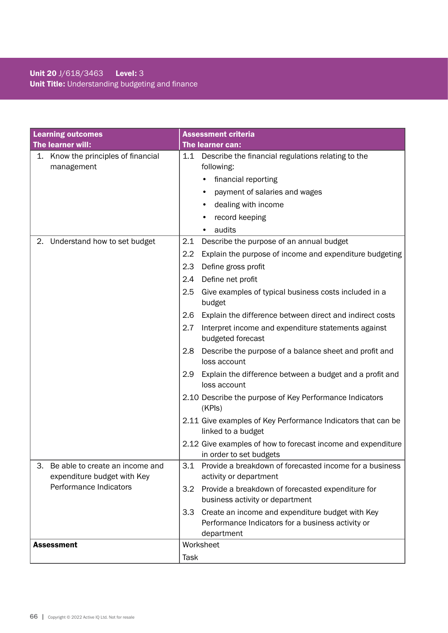# Unit 20 J/618/3463 Level: 3 Unit Title: Understanding budgeting and finance

|    | <b>Learning outcomes</b>                                       |                  | <b>Assessment criteria</b>                                                                                          |
|----|----------------------------------------------------------------|------------------|---------------------------------------------------------------------------------------------------------------------|
|    | The learner will:                                              |                  | The learner can:                                                                                                    |
|    | 1. Know the principles of financial<br>management              | 1.1              | Describe the financial regulations relating to the<br>following:                                                    |
|    |                                                                |                  | financial reporting                                                                                                 |
|    |                                                                |                  | payment of salaries and wages                                                                                       |
|    |                                                                |                  | dealing with income                                                                                                 |
|    |                                                                |                  | record keeping                                                                                                      |
|    |                                                                |                  | audits<br>$\bullet$                                                                                                 |
| 2. | Understand how to set budget                                   | 2.1              | Describe the purpose of an annual budget                                                                            |
|    |                                                                | 2.2              | Explain the purpose of income and expenditure budgeting                                                             |
|    |                                                                | 2.3              | Define gross profit                                                                                                 |
|    |                                                                | 2.4              | Define net profit                                                                                                   |
|    |                                                                | 2.5              | Give examples of typical business costs included in a<br>budget                                                     |
|    |                                                                | 2.6              | Explain the difference between direct and indirect costs                                                            |
|    |                                                                | 2.7              | Interpret income and expenditure statements against<br>budgeted forecast                                            |
|    |                                                                | 2.8              | Describe the purpose of a balance sheet and profit and<br>loss account                                              |
|    |                                                                | 2.9              | Explain the difference between a budget and a profit and<br>loss account                                            |
|    |                                                                |                  | 2.10 Describe the purpose of Key Performance Indicators<br>(KPIs)                                                   |
|    |                                                                |                  | 2.11 Give examples of Key Performance Indicators that can be<br>linked to a budget                                  |
|    |                                                                |                  | 2.12 Give examples of how to forecast income and expenditure<br>in order to set budgets                             |
| 3. | Be able to create an income and<br>expenditure budget with Key |                  | 3.1 Provide a breakdown of forecasted income for a business<br>activity or department                               |
|    | Performance Indicators                                         | 3.2              | Provide a breakdown of forecasted expenditure for<br>business activity or department                                |
|    |                                                                | 3.3 <sub>2</sub> | Create an income and expenditure budget with Key<br>Performance Indicators for a business activity or<br>department |
|    | <b>Assessment</b>                                              |                  | Worksheet                                                                                                           |
|    |                                                                | Task             |                                                                                                                     |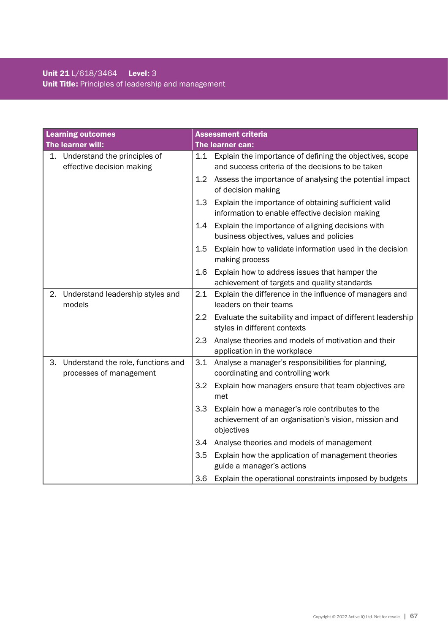# Unit 21 L/618/3464 Level: 3 Unit Title: Principles of leadership and management

| <b>Learning outcomes</b> |                                                               |         | <b>Assessment criteria</b>                                                                                            |
|--------------------------|---------------------------------------------------------------|---------|-----------------------------------------------------------------------------------------------------------------------|
|                          | The learner will:                                             |         | The learner can:                                                                                                      |
| 1.                       | Understand the principles of<br>effective decision making     |         | 1.1 Explain the importance of defining the objectives, scope<br>and success criteria of the decisions to be taken     |
|                          |                                                               | 1.2     | Assess the importance of analysing the potential impact<br>of decision making                                         |
|                          |                                                               | 1.3     | Explain the importance of obtaining sufficient valid<br>information to enable effective decision making               |
|                          |                                                               | 1.4     | Explain the importance of aligning decisions with<br>business objectives, values and policies                         |
|                          |                                                               | $1.5\,$ | Explain how to validate information used in the decision<br>making process                                            |
|                          |                                                               | 1.6     | Explain how to address issues that hamper the<br>achievement of targets and quality standards                         |
| 2.                       | Understand leadership styles and<br>models                    | 2.1     | Explain the difference in the influence of managers and<br>leaders on their teams                                     |
|                          |                                                               | $2.2\,$ | Evaluate the suitability and impact of different leadership<br>styles in different contexts                           |
|                          |                                                               | 2.3     | Analyse theories and models of motivation and their<br>application in the workplace                                   |
| 3.                       | Understand the role, functions and<br>processes of management | 3.1     | Analyse a manager's responsibilities for planning,<br>coordinating and controlling work                               |
|                          |                                                               | 3.2     | Explain how managers ensure that team objectives are<br>met                                                           |
|                          |                                                               | 3.3     | Explain how a manager's role contributes to the<br>achievement of an organisation's vision, mission and<br>objectives |
|                          |                                                               | 3.4     | Analyse theories and models of management                                                                             |
|                          |                                                               | 3.5     | Explain how the application of management theories<br>guide a manager's actions                                       |
|                          |                                                               | 3.6     | Explain the operational constraints imposed by budgets                                                                |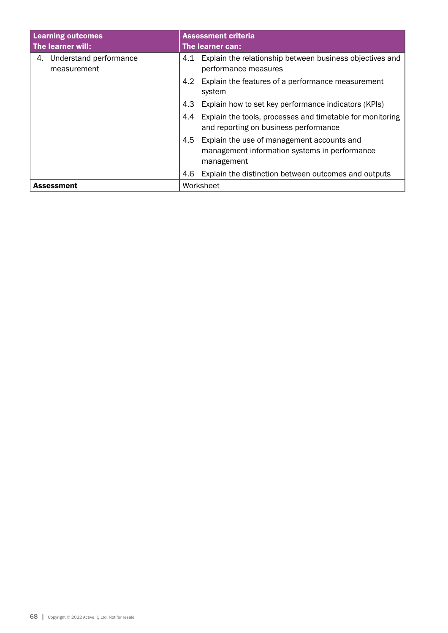| <b>Learning outcomes</b>                    | <b>Assessment criteria</b>                                                                                       |  |  |
|---------------------------------------------|------------------------------------------------------------------------------------------------------------------|--|--|
| The learner will:                           | The learner can:                                                                                                 |  |  |
| Understand performance<br>4.<br>measurement | Explain the relationship between business objectives and<br>4.1<br>performance measures                          |  |  |
|                                             | Explain the features of a performance measurement<br>4.2<br>system                                               |  |  |
|                                             | Explain how to set key performance indicators (KPIs)<br>4.3                                                      |  |  |
|                                             | Explain the tools, processes and timetable for monitoring<br>4.4<br>and reporting on business performance        |  |  |
|                                             | Explain the use of management accounts and<br>4.5<br>management information systems in performance<br>management |  |  |
|                                             | Explain the distinction between outcomes and outputs<br>4.6                                                      |  |  |
| <b>Assessment</b>                           | Worksheet                                                                                                        |  |  |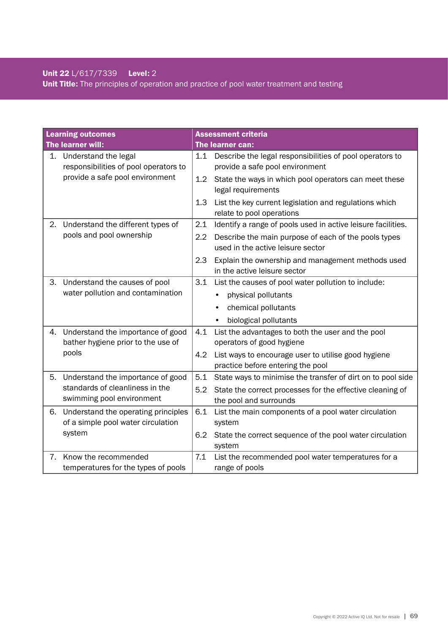# Unit 22 L/617/7339 Level: 2 Unit Title: The principles of operation and practice of pool water treatment and testing

|    | <b>Learning outcomes</b>                                      |     | <b>Assessment criteria</b>                                                                  |
|----|---------------------------------------------------------------|-----|---------------------------------------------------------------------------------------------|
|    | The learner will:                                             |     | The learner can:                                                                            |
| 1. | Understand the legal<br>responsibilities of pool operators to | 1.1 | Describe the legal responsibilities of pool operators to<br>provide a safe pool environment |
|    | provide a safe pool environment                               | 1.2 | State the ways in which pool operators can meet these<br>legal requirements                 |
|    |                                                               | 1.3 | List the key current legislation and regulations which<br>relate to pool operations         |
| 2. | Understand the different types of                             | 2.1 | Identify a range of pools used in active leisure facilities.                                |
|    | pools and pool ownership                                      | 2.2 | Describe the main purpose of each of the pools types<br>used in the active leisure sector   |
|    |                                                               | 2.3 | Explain the ownership and management methods used<br>in the active leisure sector           |
| З. | Understand the causes of pool                                 | 3.1 | List the causes of pool water pollution to include:                                         |
|    | water pollution and contamination                             |     | physical pollutants                                                                         |
|    |                                                               |     | chemical pollutants                                                                         |
|    |                                                               |     | biological pollutants                                                                       |
| 4. | Understand the importance of good                             | 4.1 | List the advantages to both the user and the pool                                           |
|    | bather hygiene prior to the use of                            |     | operators of good hygiene                                                                   |
|    | pools                                                         | 4.2 | List ways to encourage user to utilise good hygiene                                         |
|    |                                                               |     | practice before entering the pool                                                           |
| 5. | Understand the importance of good                             | 5.1 | State ways to minimise the transfer of dirt on to pool side                                 |
|    | standards of cleanliness in the                               | 5.2 | State the correct processes for the effective cleaning of                                   |
|    | swimming pool environment                                     |     | the pool and surrounds                                                                      |
| 6. | Understand the operating principles                           | 6.1 | List the main components of a pool water circulation                                        |
|    | of a simple pool water circulation                            |     | system                                                                                      |
|    | system                                                        | 6.2 | State the correct sequence of the pool water circulation                                    |
|    |                                                               |     | system                                                                                      |
| 7. | Know the recommended                                          | 7.1 | List the recommended pool water temperatures for a                                          |
|    | temperatures for the types of pools                           |     | range of pools                                                                              |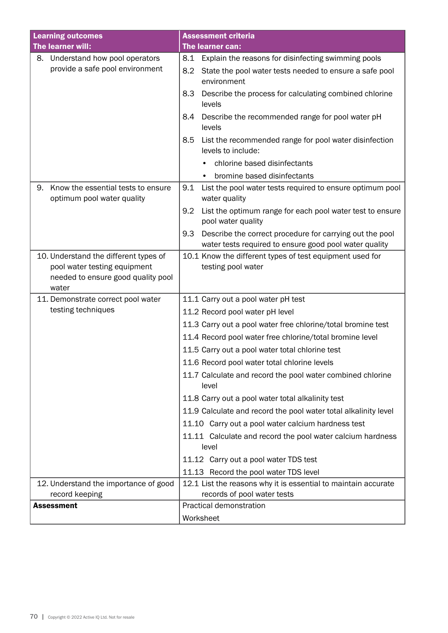| <b>Learning outcomes</b>                                               | <b>Assessment criteria</b>                                                                                                |
|------------------------------------------------------------------------|---------------------------------------------------------------------------------------------------------------------------|
| The learner will:                                                      | The learner can:                                                                                                          |
| Understand how pool operators<br>8.                                    | 8.1<br>Explain the reasons for disinfecting swimming pools                                                                |
| provide a safe pool environment                                        | 8.2<br>State the pool water tests needed to ensure a safe pool<br>environment                                             |
|                                                                        | Describe the process for calculating combined chlorine<br>8.3<br>levels                                                   |
|                                                                        | Describe the recommended range for pool water pH<br>8.4<br>levels                                                         |
|                                                                        | 8.5<br>List the recommended range for pool water disinfection<br>levels to include:                                       |
|                                                                        | chlorine based disinfectants                                                                                              |
|                                                                        | bromine based disinfectants<br>$\bullet$                                                                                  |
| Know the essential tests to ensure<br>9.<br>optimum pool water quality | 9.1<br>List the pool water tests required to ensure optimum pool<br>water quality                                         |
|                                                                        | 9.2<br>List the optimum range for each pool water test to ensure<br>pool water quality                                    |
|                                                                        | Describe the correct procedure for carrying out the pool<br>9.3<br>water tests required to ensure good pool water quality |
| 10. Understand the different types of                                  | 10.1 Know the different types of test equipment used for                                                                  |
| pool water testing equipment                                           | testing pool water                                                                                                        |
| needed to ensure good quality pool<br>water                            |                                                                                                                           |
| 11. Demonstrate correct pool water                                     | 11.1 Carry out a pool water pH test                                                                                       |
| testing techniques                                                     | 11.2 Record pool water pH level                                                                                           |
|                                                                        | 11.3 Carry out a pool water free chlorine/total bromine test                                                              |
|                                                                        | 11.4 Record pool water free chlorine/total bromine level                                                                  |
|                                                                        | 11.5 Carry out a pool water total chlorine test                                                                           |
|                                                                        | 11.6 Record pool water total chlorine levels                                                                              |
|                                                                        |                                                                                                                           |
|                                                                        | 11.7 Calculate and record the pool water combined chlorine<br>level                                                       |
|                                                                        | 11.8 Carry out a pool water total alkalinity test                                                                         |
|                                                                        | 11.9 Calculate and record the pool water total alkalinity level                                                           |
|                                                                        | 11.10 Carry out a pool water calcium hardness test                                                                        |
|                                                                        | 11.11 Calculate and record the pool water calcium hardness<br>level                                                       |
|                                                                        | 11.12 Carry out a pool water TDS test                                                                                     |
|                                                                        | 11.13 Record the pool water TDS level                                                                                     |
| 12. Understand the importance of good                                  | 12.1 List the reasons why it is essential to maintain accurate                                                            |
| record keeping                                                         | records of pool water tests                                                                                               |
| <b>Assessment</b>                                                      | Practical demonstration                                                                                                   |
|                                                                        | Worksheet                                                                                                                 |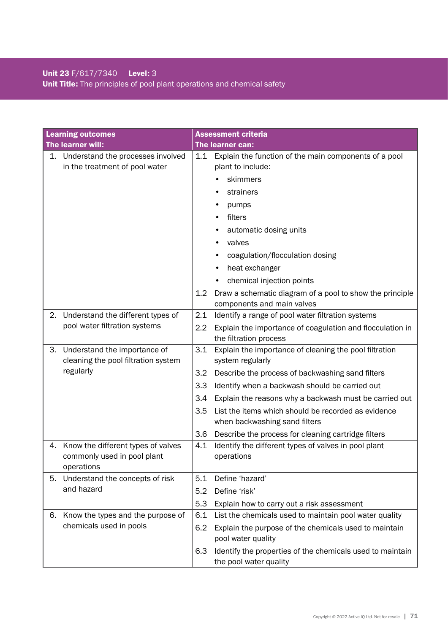# Unit 23 F/617/7340 Level: 3 Unit Title: The principles of pool plant operations and chemical safety

|    | <b>Learning outcomes</b>                                                         |                                        | <b>Assessment criteria</b>                                                                                                                                                                                                                                                                                                                                                                |
|----|----------------------------------------------------------------------------------|----------------------------------------|-------------------------------------------------------------------------------------------------------------------------------------------------------------------------------------------------------------------------------------------------------------------------------------------------------------------------------------------------------------------------------------------|
|    | The learner will:                                                                |                                        | The learner can:                                                                                                                                                                                                                                                                                                                                                                          |
|    | 1. Understand the processes involved<br>in the treatment of pool water           | 1.1<br>$1.2\,$                         | Explain the function of the main components of a pool<br>plant to include:<br>skimmers<br>strainers<br>pumps<br>filters<br>automatic dosing units<br>valves<br>coagulation/flocculation dosing<br>heat exchanger<br>chemical injection points<br>Draw a schematic diagram of a pool to show the principle                                                                                 |
|    |                                                                                  |                                        | components and main valves                                                                                                                                                                                                                                                                                                                                                                |
| 2. | Understand the different types of<br>pool water filtration systems               | 2.1<br>2.2                             | Identify a range of pool water filtration systems<br>Explain the importance of coagulation and flocculation in<br>the filtration process                                                                                                                                                                                                                                                  |
| 3. | Understand the importance of<br>cleaning the pool filtration system<br>regularly | 3.1<br>3.2<br>3.3<br>3.4<br>3.5<br>3.6 | Explain the importance of cleaning the pool filtration<br>system regularly<br>Describe the process of backwashing sand filters<br>Identify when a backwash should be carried out<br>Explain the reasons why a backwash must be carried out<br>List the items which should be recorded as evidence<br>when backwashing sand filters<br>Describe the process for cleaning cartridge filters |
| 4. | Know the different types of valves<br>commonly used in pool plant<br>operations  | 4.1                                    | Identify the different types of valves in pool plant<br>operations                                                                                                                                                                                                                                                                                                                        |
| 5. | Understand the concepts of risk<br>and hazard                                    | 5.1<br>5.2<br>5.3                      | Define 'hazard'<br>Define 'risk'<br>Explain how to carry out a risk assessment                                                                                                                                                                                                                                                                                                            |
| 6. | Know the types and the purpose of<br>chemicals used in pools                     | 6.1<br>6.2<br>6.3                      | List the chemicals used to maintain pool water quality<br>Explain the purpose of the chemicals used to maintain<br>pool water quality<br>Identify the properties of the chemicals used to maintain<br>the pool water quality                                                                                                                                                              |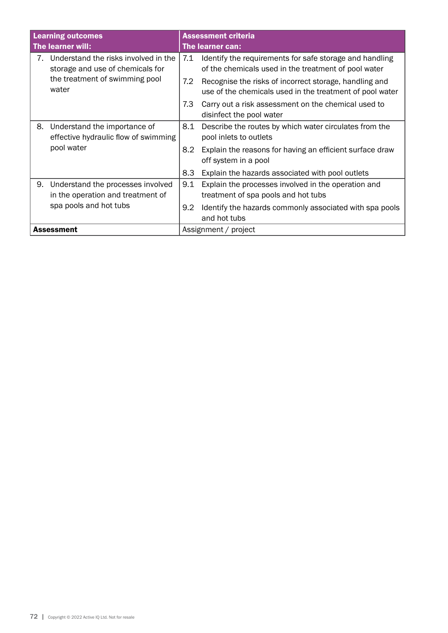| <b>Learning outcomes</b><br>The learner will: |                                                                          | <b>Assessment criteria</b><br>The learner can: |                                                                                                                    |  |
|-----------------------------------------------|--------------------------------------------------------------------------|------------------------------------------------|--------------------------------------------------------------------------------------------------------------------|--|
| 7.                                            | Understand the risks involved in the<br>storage and use of chemicals for | 7.1                                            | Identify the requirements for safe storage and handling<br>of the chemicals used in the treatment of pool water    |  |
|                                               | the treatment of swimming pool<br>water                                  | 7.2                                            | Recognise the risks of incorrect storage, handling and<br>use of the chemicals used in the treatment of pool water |  |
|                                               |                                                                          | 7.3                                            | Carry out a risk assessment on the chemical used to<br>disinfect the pool water                                    |  |
| 8.                                            | Understand the importance of<br>effective hydraulic flow of swimming     | 8.1                                            | Describe the routes by which water circulates from the<br>pool inlets to outlets                                   |  |
|                                               | pool water                                                               | 8.2                                            | Explain the reasons for having an efficient surface draw<br>off system in a pool                                   |  |
|                                               |                                                                          | 8.3                                            | Explain the hazards associated with pool outlets                                                                   |  |
| 9.                                            | Understand the processes involved<br>in the operation and treatment of   | 9.1                                            | Explain the processes involved in the operation and<br>treatment of spa pools and hot tubs                         |  |
|                                               | spa pools and hot tubs                                                   | 9.2                                            | Identify the hazards commonly associated with spa pools<br>and hot tubs                                            |  |
|                                               | <b>Assessment</b>                                                        | Assignment / project                           |                                                                                                                    |  |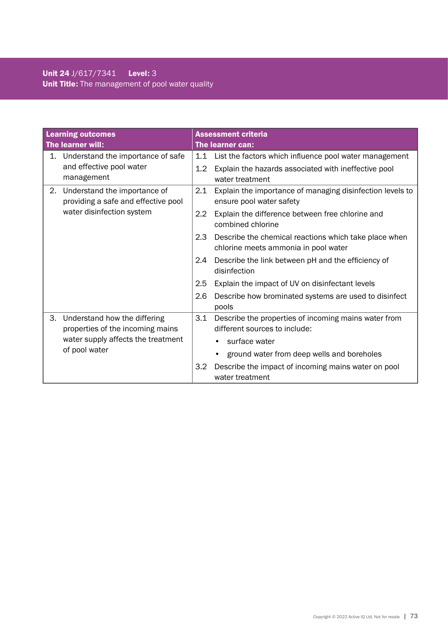### Unit 24 J/617/7341 Level: 3 Unit Title: The management of pool water quality

| <b>Learning outcomes</b> |                                                                     |                  | <b>Assessment criteria</b>                                                                    |  |  |
|--------------------------|---------------------------------------------------------------------|------------------|-----------------------------------------------------------------------------------------------|--|--|
| The learner will:        |                                                                     |                  | The learner can:                                                                              |  |  |
| 1.                       | Understand the importance of safe                                   | 1.1              | List the factors which influence pool water management                                        |  |  |
|                          | and effective pool water<br>management                              | 1.2              | Explain the hazards associated with ineffective pool<br>water treatment                       |  |  |
| 2.                       | Understand the importance of<br>providing a safe and effective pool | 2.1              | Explain the importance of managing disinfection levels to<br>ensure pool water safety         |  |  |
|                          | water disinfection system                                           | $2.2\phantom{0}$ | Explain the difference between free chlorine and<br>combined chlorine                         |  |  |
|                          |                                                                     | 2.3              | Describe the chemical reactions which take place when<br>chlorine meets ammonia in pool water |  |  |
|                          |                                                                     | 2.4              | Describe the link between pH and the efficiency of<br>disinfection                            |  |  |
|                          |                                                                     | 2.5              | Explain the impact of UV on disinfectant levels                                               |  |  |
|                          |                                                                     | 2.6              | Describe how brominated systems are used to disinfect<br>pools                                |  |  |
| 3.                       | Understand how the differing<br>properties of the incoming mains    | 3.1              | Describe the properties of incoming mains water from<br>different sources to include:         |  |  |
|                          | water supply affects the treatment<br>of pool water                 |                  | surface water                                                                                 |  |  |
|                          |                                                                     |                  | ground water from deep wells and boreholes                                                    |  |  |
|                          |                                                                     | 3.2              | Describe the impact of incoming mains water on pool<br>water treatment                        |  |  |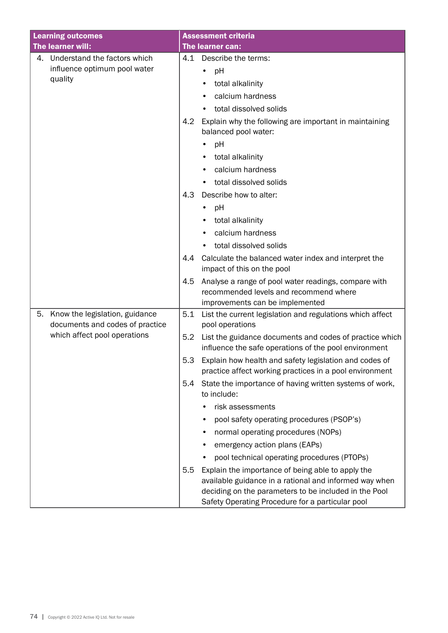| <b>Learning outcomes</b>                                                | <b>Assessment criteria</b>                                                                                                               |
|-------------------------------------------------------------------------|------------------------------------------------------------------------------------------------------------------------------------------|
| The learner will:                                                       | The learner can:                                                                                                                         |
| Understand the factors which<br>4.                                      | Describe the terms:<br>4.1                                                                                                               |
| influence optimum pool water                                            | pH                                                                                                                                       |
| quality                                                                 | total alkalinity                                                                                                                         |
|                                                                         | calcium hardness                                                                                                                         |
|                                                                         | total dissolved solids                                                                                                                   |
|                                                                         | Explain why the following are important in maintaining<br>4.2<br>balanced pool water:                                                    |
|                                                                         | pH                                                                                                                                       |
|                                                                         | total alkalinity                                                                                                                         |
|                                                                         | calcium hardness                                                                                                                         |
|                                                                         | total dissolved solids                                                                                                                   |
|                                                                         | 4.3<br>Describe how to alter:                                                                                                            |
|                                                                         | pH                                                                                                                                       |
|                                                                         | total alkalinity                                                                                                                         |
|                                                                         | calcium hardness                                                                                                                         |
|                                                                         | total dissolved solids                                                                                                                   |
|                                                                         | 4.4<br>Calculate the balanced water index and interpret the                                                                              |
|                                                                         | impact of this on the pool                                                                                                               |
|                                                                         | Analyse a range of pool water readings, compare with<br>4.5<br>recommended levels and recommend where<br>improvements can be implemented |
| Know the legislation, guidance<br>5.<br>documents and codes of practice | 5.1<br>List the current legislation and regulations which affect<br>pool operations                                                      |
| which affect pool operations                                            | 5.2<br>List the guidance documents and codes of practice which<br>influence the safe operations of the pool environment                  |
|                                                                         | 5.3<br>Explain how health and safety legislation and codes of<br>practice affect working practices in a pool environment                 |
|                                                                         | State the importance of having written systems of work,<br>5.4<br>to include:                                                            |
|                                                                         | risk assessments                                                                                                                         |
|                                                                         | pool safety operating procedures (PSOP's)                                                                                                |
|                                                                         | normal operating procedures (NOPs)                                                                                                       |
|                                                                         | emergency action plans (EAPs)                                                                                                            |
|                                                                         | pool technical operating procedures (PTOPs)                                                                                              |
|                                                                         | 5.5<br>Explain the importance of being able to apply the                                                                                 |
|                                                                         | available guidance in a rational and informed way when                                                                                   |
|                                                                         | deciding on the parameters to be included in the Pool<br>Safety Operating Procedure for a particular pool                                |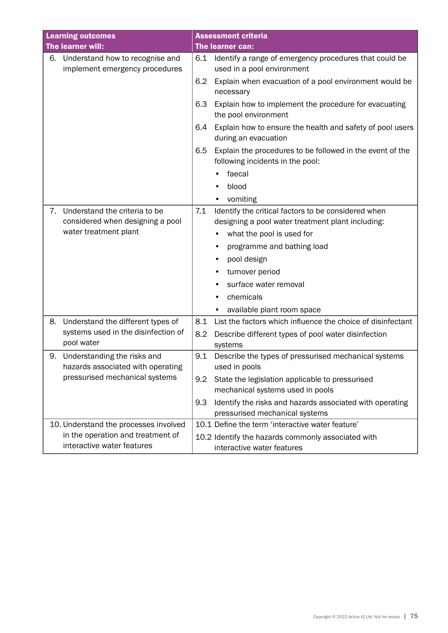| <b>Learning outcomes</b> |                                                                                            |     | <b>Assessment criteria</b>                                                                               |
|--------------------------|--------------------------------------------------------------------------------------------|-----|----------------------------------------------------------------------------------------------------------|
| The learner will:        |                                                                                            |     | The learner can:                                                                                         |
| 6.                       | Understand how to recognise and<br>implement emergency procedures                          | 6.1 | Identify a range of emergency procedures that could be<br>used in a pool environment                     |
|                          |                                                                                            | 6.2 | Explain when evacuation of a pool environment would be<br>necessary                                      |
|                          |                                                                                            | 6.3 | Explain how to implement the procedure for evacuating<br>the pool environment                            |
|                          |                                                                                            | 6.4 | Explain how to ensure the health and safety of pool users<br>during an evacuation                        |
|                          |                                                                                            | 6.5 | Explain the procedures to be followed in the event of the<br>following incidents in the pool:            |
|                          |                                                                                            |     | faecal                                                                                                   |
|                          |                                                                                            |     | blood                                                                                                    |
|                          |                                                                                            |     | vomiting                                                                                                 |
| 7.                       | Understand the criteria to be<br>considered when designing a pool<br>water treatment plant | 7.1 | Identify the critical factors to be considered when<br>designing a pool water treatment plant including: |
|                          |                                                                                            |     | what the pool is used for                                                                                |
|                          |                                                                                            |     | programme and bathing load                                                                               |
|                          |                                                                                            |     | pool design                                                                                              |
|                          |                                                                                            |     | turnover period                                                                                          |
|                          |                                                                                            |     | surface water removal                                                                                    |
|                          |                                                                                            |     | chemicals                                                                                                |
|                          |                                                                                            |     | available plant room space                                                                               |
| 8.                       | Understand the different types of                                                          | 8.1 | List the factors which influence the choice of disinfectant                                              |
|                          | systems used in the disinfection of<br>pool water                                          | 8.2 | Describe different types of pool water disinfection<br>systems                                           |
| 9.                       | Understanding the risks and                                                                | 9.1 | Describe the types of pressurised mechanical systems                                                     |
|                          | hazards associated with operating<br>pressurised mechanical systems                        |     | used in pools                                                                                            |
|                          |                                                                                            | 9.2 | State the legislation applicable to pressurised<br>mechanical systems used in pools                      |
|                          |                                                                                            | 9.3 | Identify the risks and hazards associated with operating<br>pressurised mechanical systems               |
|                          | 10. Understand the processes involved                                                      |     | 10.1 Define the term 'interactive water feature'                                                         |
|                          | in the operation and treatment of<br>interactive water features                            |     | 10.2 Identify the hazards commonly associated with<br>interactive water features                         |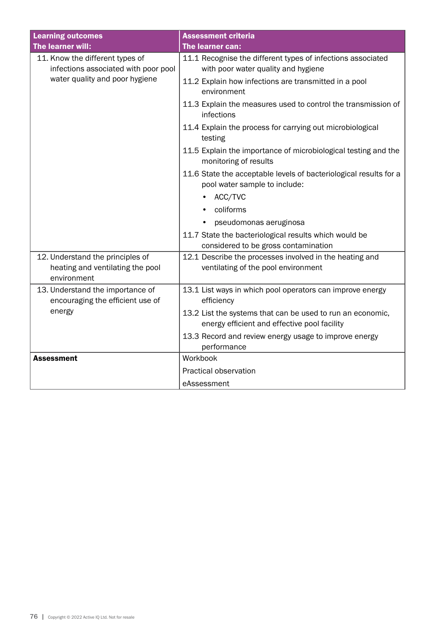| <b>Learning outcomes</b>                                                            | <b>Assessment criteria</b>                                                                                 |
|-------------------------------------------------------------------------------------|------------------------------------------------------------------------------------------------------------|
| The learner will:                                                                   | The learner can:                                                                                           |
| 11. Know the different types of<br>infections associated with poor pool             | 11.1 Recognise the different types of infections associated<br>with poor water quality and hygiene         |
| water quality and poor hygiene                                                      | 11.2 Explain how infections are transmitted in a pool<br>environment                                       |
|                                                                                     | 11.3 Explain the measures used to control the transmission of<br>infections                                |
|                                                                                     | 11.4 Explain the process for carrying out microbiological<br>testing                                       |
|                                                                                     | 11.5 Explain the importance of microbiological testing and the<br>monitoring of results                    |
|                                                                                     | 11.6 State the acceptable levels of bacteriological results for a<br>pool water sample to include:         |
|                                                                                     | ACC/TVC                                                                                                    |
|                                                                                     | coliforms                                                                                                  |
|                                                                                     | pseudomonas aeruginosa                                                                                     |
|                                                                                     | 11.7 State the bacteriological results which would be                                                      |
|                                                                                     | considered to be gross contamination                                                                       |
| 12. Understand the principles of<br>heating and ventilating the pool<br>environment | 12.1 Describe the processes involved in the heating and<br>ventilating of the pool environment             |
| 13. Understand the importance of<br>encouraging the efficient use of                | 13.1 List ways in which pool operators can improve energy<br>efficiency                                    |
| energy                                                                              | 13.2 List the systems that can be used to run an economic,<br>energy efficient and effective pool facility |
|                                                                                     | 13.3 Record and review energy usage to improve energy<br>performance                                       |
| <b>Assessment</b>                                                                   | Workbook                                                                                                   |
|                                                                                     | Practical observation                                                                                      |
|                                                                                     | eAssessment                                                                                                |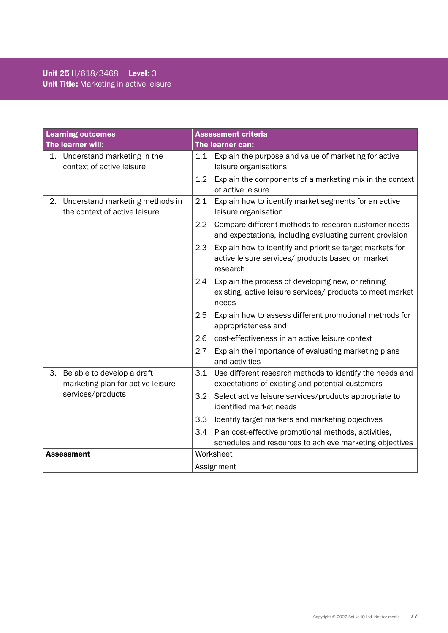| <b>Learning outcomes</b>                                               | <b>Assessment criteria</b>                                                                                                        |
|------------------------------------------------------------------------|-----------------------------------------------------------------------------------------------------------------------------------|
| The learner will:                                                      | The learner can:                                                                                                                  |
| 1. Understand marketing in the<br>context of active leisure            | 1.1 Explain the purpose and value of marketing for active<br>leisure organisations                                                |
|                                                                        | 1.2<br>Explain the components of a marketing mix in the context<br>of active leisure                                              |
| Understand marketing methods in<br>2.<br>the context of active leisure | Explain how to identify market segments for an active<br>2.1<br>leisure organisation                                              |
|                                                                        | 2.2<br>Compare different methods to research customer needs<br>and expectations, including evaluating current provision           |
|                                                                        | Explain how to identify and prioritise target markets for<br>2.3<br>active leisure services/ products based on market<br>research |
|                                                                        | Explain the process of developing new, or refining<br>2.4<br>existing, active leisure services/ products to meet market<br>needs  |
|                                                                        | 2.5<br>Explain how to assess different promotional methods for<br>appropriateness and                                             |
|                                                                        | 2.6<br>cost-effectiveness in an active leisure context                                                                            |
|                                                                        | 2.7<br>Explain the importance of evaluating marketing plans<br>and activities                                                     |
| 3.<br>Be able to develop a draft<br>marketing plan for active leisure  | Use different research methods to identify the needs and<br>3.1<br>expectations of existing and potential customers               |
| services/products                                                      | 3.2<br>Select active leisure services/products appropriate to<br>identified market needs                                          |
|                                                                        | 3.3<br>Identify target markets and marketing objectives                                                                           |
|                                                                        | Plan cost-effective promotional methods, activities,<br>3.4<br>schedules and resources to achieve marketing objectives            |
| <b>Assessment</b>                                                      | Worksheet                                                                                                                         |
|                                                                        | Assignment                                                                                                                        |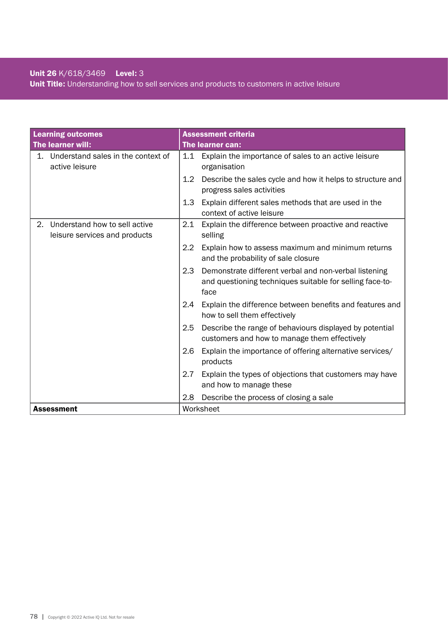### Unit 26 K/618/3469 Level: 3

Unit Title: Understanding how to sell services and products to customers in active leisure

| <b>Learning outcomes</b>                                             | <b>Assessment criteria</b>                                                                                                       |
|----------------------------------------------------------------------|----------------------------------------------------------------------------------------------------------------------------------|
| The learner will:                                                    | <b>The learner can:</b>                                                                                                          |
| Understand sales in the context of<br>1.<br>active leisure           | 1.1 Explain the importance of sales to an active leisure<br>organisation                                                         |
|                                                                      | Describe the sales cycle and how it helps to structure and<br>1.2<br>progress sales activities                                   |
|                                                                      | 1.3<br>Explain different sales methods that are used in the<br>context of active leisure                                         |
| Understand how to sell active<br>2.<br>leisure services and products | Explain the difference between proactive and reactive<br>2.1<br>selling                                                          |
|                                                                      | 2.2<br>Explain how to assess maximum and minimum returns<br>and the probability of sale closure                                  |
|                                                                      | 2.3<br>Demonstrate different verbal and non-verbal listening<br>and questioning techniques suitable for selling face-to-<br>face |
|                                                                      | Explain the difference between benefits and features and<br>2.4<br>how to sell them effectively                                  |
|                                                                      | 2.5<br>Describe the range of behaviours displayed by potential<br>customers and how to manage them effectively                   |
|                                                                      | Explain the importance of offering alternative services/<br>2.6<br>products                                                      |
|                                                                      | 2.7<br>Explain the types of objections that customers may have<br>and how to manage these                                        |
|                                                                      | 2.8<br>Describe the process of closing a sale                                                                                    |
| <b>Assessment</b>                                                    | Worksheet                                                                                                                        |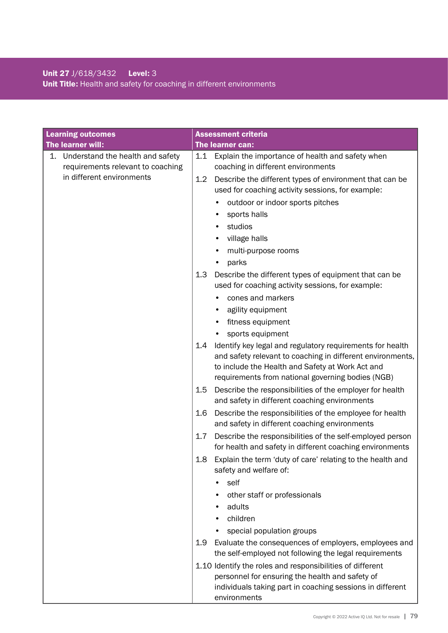### Unit 27 J/618/3432 Level: 3 Unit Title: Health and safety for coaching in different environments

| <b>Learning outcomes</b>                                                 | <b>Assessment criteria</b>                                                                                                                                                                                                              |
|--------------------------------------------------------------------------|-----------------------------------------------------------------------------------------------------------------------------------------------------------------------------------------------------------------------------------------|
| The learner will:                                                        | The learner can:                                                                                                                                                                                                                        |
| 1. Understand the health and safety<br>requirements relevant to coaching | Explain the importance of health and safety when<br>1.1<br>coaching in different environments                                                                                                                                           |
| in different environments                                                | Describe the different types of environment that can be<br>1.2<br>used for coaching activity sessions, for example:                                                                                                                     |
|                                                                          | outdoor or indoor sports pitches                                                                                                                                                                                                        |
|                                                                          | sports halls                                                                                                                                                                                                                            |
|                                                                          | studios                                                                                                                                                                                                                                 |
|                                                                          | village halls                                                                                                                                                                                                                           |
|                                                                          | multi-purpose rooms                                                                                                                                                                                                                     |
|                                                                          | parks                                                                                                                                                                                                                                   |
|                                                                          | 1.3<br>Describe the different types of equipment that can be<br>used for coaching activity sessions, for example:                                                                                                                       |
|                                                                          | cones and markers                                                                                                                                                                                                                       |
|                                                                          | agility equipment<br>٠                                                                                                                                                                                                                  |
|                                                                          | fitness equipment                                                                                                                                                                                                                       |
|                                                                          | sports equipment                                                                                                                                                                                                                        |
|                                                                          | Identify key legal and regulatory requirements for health<br>1.4<br>and safety relevant to coaching in different environments,<br>to include the Health and Safety at Work Act and<br>requirements from national governing bodies (NGB) |
|                                                                          | Describe the responsibilities of the employer for health<br>1.5<br>and safety in different coaching environments                                                                                                                        |
|                                                                          | Describe the responsibilities of the employee for health<br>1.6<br>and safety in different coaching environments                                                                                                                        |
|                                                                          | Describe the responsibilities of the self-employed person<br>1.7<br>for health and safety in different coaching environments                                                                                                            |
|                                                                          | Explain the term 'duty of care' relating to the health and<br>$1.8\phantom{0}$<br>safety and welfare of:                                                                                                                                |
|                                                                          | self                                                                                                                                                                                                                                    |
|                                                                          | other staff or professionals                                                                                                                                                                                                            |
|                                                                          | adults                                                                                                                                                                                                                                  |
|                                                                          | children                                                                                                                                                                                                                                |
|                                                                          | special population groups                                                                                                                                                                                                               |
|                                                                          | Evaluate the consequences of employers, employees and<br>1.9<br>the self-employed not following the legal requirements                                                                                                                  |
|                                                                          | 1.10 Identify the roles and responsibilities of different                                                                                                                                                                               |
|                                                                          | personnel for ensuring the health and safety of<br>individuals taking part in coaching sessions in different                                                                                                                            |
|                                                                          | environments                                                                                                                                                                                                                            |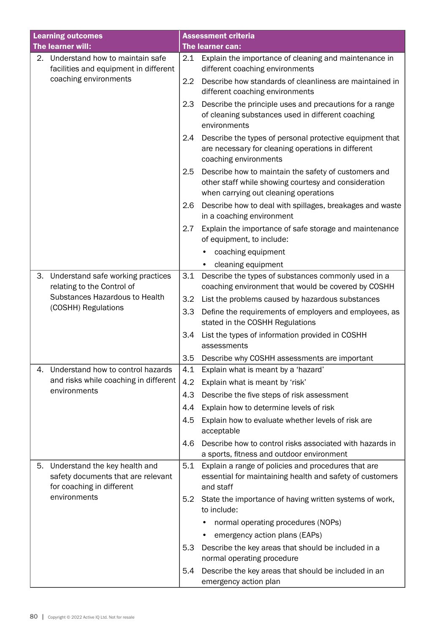| <b>Learning outcomes</b> |                                                                                                  |                  | <b>Assessment criteria</b>                                                                                                                            |  |  |
|--------------------------|--------------------------------------------------------------------------------------------------|------------------|-------------------------------------------------------------------------------------------------------------------------------------------------------|--|--|
|                          | The learner will:                                                                                |                  | <b>The learner can:</b>                                                                                                                               |  |  |
|                          | 2. Understand how to maintain safe<br>facilities and equipment in different                      |                  | 2.1 Explain the importance of cleaning and maintenance in<br>different coaching environments                                                          |  |  |
|                          | coaching environments                                                                            | $2.2\phantom{0}$ | Describe how standards of cleanliness are maintained in<br>different coaching environments                                                            |  |  |
|                          |                                                                                                  | 2.3              | Describe the principle uses and precautions for a range<br>of cleaning substances used in different coaching<br>environments                          |  |  |
|                          |                                                                                                  | 2.4              | Describe the types of personal protective equipment that<br>are necessary for cleaning operations in different<br>coaching environments               |  |  |
|                          |                                                                                                  | 2.5              | Describe how to maintain the safety of customers and<br>other staff while showing courtesy and consideration<br>when carrying out cleaning operations |  |  |
|                          |                                                                                                  | 2.6              | Describe how to deal with spillages, breakages and waste<br>in a coaching environment                                                                 |  |  |
|                          |                                                                                                  | 2.7              | Explain the importance of safe storage and maintenance<br>of equipment, to include:                                                                   |  |  |
|                          |                                                                                                  |                  | coaching equipment                                                                                                                                    |  |  |
|                          |                                                                                                  |                  | cleaning equipment<br>$\bullet$                                                                                                                       |  |  |
| 3.                       | Understand safe working practices<br>relating to the Control of                                  | 3.1              | Describe the types of substances commonly used in a<br>coaching environment that would be covered by COSHH                                            |  |  |
|                          | Substances Hazardous to Health                                                                   | 3.2              | List the problems caused by hazardous substances                                                                                                      |  |  |
|                          | (COSHH) Regulations                                                                              | 3.3              | Define the requirements of employers and employees, as<br>stated in the COSHH Regulations                                                             |  |  |
|                          |                                                                                                  | 3.4              | List the types of information provided in COSHH<br>assessments                                                                                        |  |  |
|                          |                                                                                                  | 3.5              | Describe why COSHH assessments are important                                                                                                          |  |  |
| 4.                       | Understand how to control hazards                                                                | 4.1              | Explain what is meant by a 'hazard'                                                                                                                   |  |  |
|                          | and risks while coaching in different<br>environments                                            | 4.2              | Explain what is meant by 'risk'                                                                                                                       |  |  |
|                          |                                                                                                  | 4.3              | Describe the five steps of risk assessment                                                                                                            |  |  |
|                          |                                                                                                  | 4.4              | Explain how to determine levels of risk                                                                                                               |  |  |
|                          |                                                                                                  | 4.5              | Explain how to evaluate whether levels of risk are<br>acceptable                                                                                      |  |  |
|                          |                                                                                                  | 4.6              | Describe how to control risks associated with hazards in<br>a sports, fitness and outdoor environment                                                 |  |  |
| 5.                       | Understand the key health and<br>safety documents that are relevant<br>for coaching in different | 5.1              | Explain a range of policies and procedures that are<br>essential for maintaining health and safety of customers<br>and staff                          |  |  |
|                          | environments                                                                                     | 5.2              | State the importance of having written systems of work,<br>to include:                                                                                |  |  |
|                          |                                                                                                  |                  | normal operating procedures (NOPs)                                                                                                                    |  |  |
|                          |                                                                                                  |                  | emergency action plans (EAPs)                                                                                                                         |  |  |
|                          |                                                                                                  | 5.3              | Describe the key areas that should be included in a                                                                                                   |  |  |
|                          |                                                                                                  |                  | normal operating procedure                                                                                                                            |  |  |
|                          |                                                                                                  | 5.4              | Describe the key areas that should be included in an<br>emergency action plan                                                                         |  |  |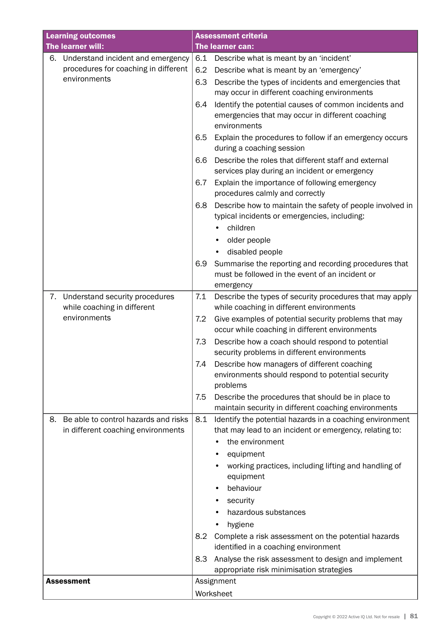| <b>Learning outcomes</b> |                                      | <b>Assessment criteria</b> |                                                                                                                           |  |  |
|--------------------------|--------------------------------------|----------------------------|---------------------------------------------------------------------------------------------------------------------------|--|--|
|                          | The learner will:                    |                            | The learner can:                                                                                                          |  |  |
| 6.                       | Understand incident and emergency    | 6.1                        | Describe what is meant by an 'incident'                                                                                   |  |  |
|                          | procedures for coaching in different | 6.2                        | Describe what is meant by an 'emergency'                                                                                  |  |  |
|                          | environments                         | 6.3                        | Describe the types of incidents and emergencies that<br>may occur in different coaching environments                      |  |  |
|                          |                                      | 6.4                        | Identify the potential causes of common incidents and<br>emergencies that may occur in different coaching<br>environments |  |  |
|                          |                                      | 6.5                        | Explain the procedures to follow if an emergency occurs<br>during a coaching session                                      |  |  |
|                          |                                      | 6.6                        | Describe the roles that different staff and external<br>services play during an incident or emergency                     |  |  |
|                          |                                      | 6.7                        | Explain the importance of following emergency<br>procedures calmly and correctly                                          |  |  |
|                          |                                      | 6.8                        | Describe how to maintain the safety of people involved in<br>typical incidents or emergencies, including:                 |  |  |
|                          |                                      |                            | children                                                                                                                  |  |  |
|                          |                                      |                            | older people                                                                                                              |  |  |
|                          |                                      |                            | disabled people                                                                                                           |  |  |
|                          |                                      | 6.9                        | Summarise the reporting and recording procedures that                                                                     |  |  |
|                          |                                      |                            | must be followed in the event of an incident or                                                                           |  |  |
| 7.                       | Understand security procedures       | 7.1                        | emergency<br>Describe the types of security procedures that may apply                                                     |  |  |
|                          | while coaching in different          |                            | while coaching in different environments                                                                                  |  |  |
|                          | environments                         | 7.2                        | Give examples of potential security problems that may<br>occur while coaching in different environments                   |  |  |
|                          |                                      | 7.3                        | Describe how a coach should respond to potential<br>security problems in different environments                           |  |  |
|                          |                                      | 7.4                        | Describe how managers of different coaching<br>environments should respond to potential security<br>problems              |  |  |
|                          |                                      | 7.5                        | Describe the procedures that should be in place to                                                                        |  |  |
|                          |                                      |                            | maintain security in different coaching environments                                                                      |  |  |
| 8.                       | Be able to control hazards and risks | 8.1                        | Identify the potential hazards in a coaching environment                                                                  |  |  |
|                          | in different coaching environments   |                            | that may lead to an incident or emergency, relating to:                                                                   |  |  |
|                          |                                      |                            | the environment                                                                                                           |  |  |
|                          |                                      |                            | equipment                                                                                                                 |  |  |
|                          |                                      |                            | working practices, including lifting and handling of                                                                      |  |  |
|                          |                                      |                            | equipment                                                                                                                 |  |  |
|                          |                                      |                            | behaviour                                                                                                                 |  |  |
|                          |                                      |                            | security                                                                                                                  |  |  |
|                          |                                      |                            | hazardous substances                                                                                                      |  |  |
|                          |                                      |                            | hygiene                                                                                                                   |  |  |
|                          |                                      | 8.2                        | Complete a risk assessment on the potential hazards<br>identified in a coaching environment                               |  |  |
|                          |                                      | 8.3                        | Analyse the risk assessment to design and implement                                                                       |  |  |
|                          |                                      |                            | appropriate risk minimisation strategies                                                                                  |  |  |
|                          | <b>Assessment</b>                    |                            | Assignment                                                                                                                |  |  |
|                          |                                      |                            | Worksheet                                                                                                                 |  |  |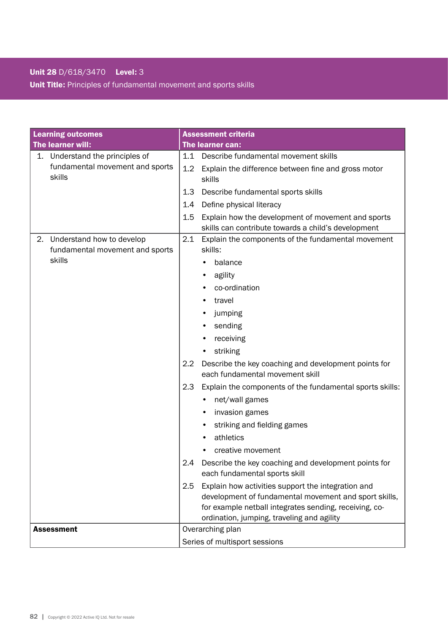### Unit 28 D/618/3470 Level: 3 Unit Title: Principles of fundamental movement and sports skills

| <b>Learning outcomes</b>                                           | <b>Assessment criteria</b>                                                                                                                                                                                                 |  |  |
|--------------------------------------------------------------------|----------------------------------------------------------------------------------------------------------------------------------------------------------------------------------------------------------------------------|--|--|
| The learner will:                                                  | The learner can:                                                                                                                                                                                                           |  |  |
| 1. Understand the principles of                                    | 1.1 Describe fundamental movement skills                                                                                                                                                                                   |  |  |
| fundamental movement and sports<br>skills                          | 1.2<br>Explain the difference between fine and gross motor<br>skills                                                                                                                                                       |  |  |
|                                                                    | 1.3<br>Describe fundamental sports skills                                                                                                                                                                                  |  |  |
|                                                                    | Define physical literacy<br>1.4                                                                                                                                                                                            |  |  |
|                                                                    | Explain how the development of movement and sports<br>1.5<br>skills can contribute towards a child's development                                                                                                           |  |  |
| Understand how to develop<br>2.<br>fundamental movement and sports | 2.1<br>Explain the components of the fundamental movement<br>skills:                                                                                                                                                       |  |  |
| skills                                                             | balance                                                                                                                                                                                                                    |  |  |
|                                                                    | agility                                                                                                                                                                                                                    |  |  |
|                                                                    | co-ordination                                                                                                                                                                                                              |  |  |
|                                                                    | travel                                                                                                                                                                                                                     |  |  |
|                                                                    | jumping                                                                                                                                                                                                                    |  |  |
|                                                                    | sending                                                                                                                                                                                                                    |  |  |
|                                                                    | receiving                                                                                                                                                                                                                  |  |  |
|                                                                    | striking                                                                                                                                                                                                                   |  |  |
|                                                                    | Describe the key coaching and development points for<br>2.2<br>each fundamental movement skill                                                                                                                             |  |  |
|                                                                    | Explain the components of the fundamental sports skills:<br>2.3                                                                                                                                                            |  |  |
|                                                                    | net/wall games                                                                                                                                                                                                             |  |  |
|                                                                    | invasion games                                                                                                                                                                                                             |  |  |
|                                                                    | striking and fielding games                                                                                                                                                                                                |  |  |
|                                                                    | athletics                                                                                                                                                                                                                  |  |  |
|                                                                    | creative movement                                                                                                                                                                                                          |  |  |
|                                                                    | 2.4<br>Describe the key coaching and development points for<br>each fundamental sports skill                                                                                                                               |  |  |
|                                                                    | Explain how activities support the integration and<br>2.5<br>development of fundamental movement and sport skills,<br>for example netball integrates sending, receiving, co-<br>ordination, jumping, traveling and agility |  |  |
| <b>Assessment</b>                                                  | Overarching plan                                                                                                                                                                                                           |  |  |
|                                                                    | Series of multisport sessions                                                                                                                                                                                              |  |  |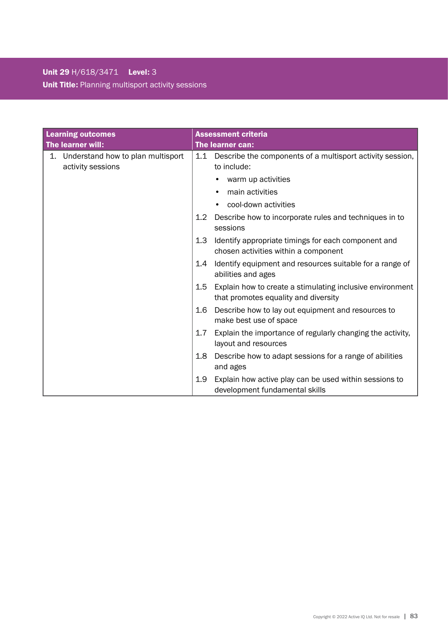# Unit 29 H/618/3471 Level: 3 Unit Title: Planning multisport activity sessions

| <b>Learning outcomes</b>                                  | <b>Assessment criteria</b>                                                                                   |
|-----------------------------------------------------------|--------------------------------------------------------------------------------------------------------------|
| The learner will:                                         | The learner can:                                                                                             |
| 1. Understand how to plan multisport<br>activity sessions | 1.1 Describe the components of a multisport activity session,<br>to include:                                 |
|                                                           | warm up activities                                                                                           |
|                                                           | main activities                                                                                              |
|                                                           | cool-down activities                                                                                         |
|                                                           | 1.2<br>Describe how to incorporate rules and techniques in to<br>sessions                                    |
|                                                           | 1.3<br>Identify appropriate timings for each component and<br>chosen activities within a component           |
|                                                           | Identify equipment and resources suitable for a range of<br>1.4<br>abilities and ages                        |
|                                                           | Explain how to create a stimulating inclusive environment<br>$1.5\,$<br>that promotes equality and diversity |
|                                                           | Describe how to lay out equipment and resources to<br>1.6<br>make best use of space                          |
|                                                           | 1.7<br>Explain the importance of regularly changing the activity,<br>layout and resources                    |
|                                                           | Describe how to adapt sessions for a range of abilities<br>1.8<br>and ages                                   |
|                                                           | Explain how active play can be used within sessions to<br>1.9<br>development fundamental skills              |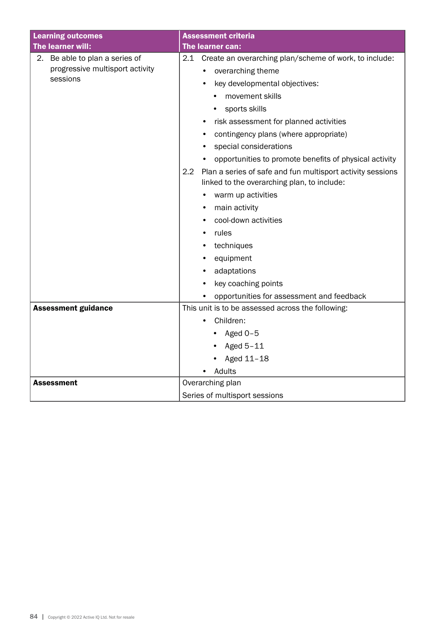| <b>Learning outcomes</b>                                                      | <b>Assessment criteria</b>                                                                                                                                                                                                                                                                                                                                                                                                                                                                                                                                                                                                                   |
|-------------------------------------------------------------------------------|----------------------------------------------------------------------------------------------------------------------------------------------------------------------------------------------------------------------------------------------------------------------------------------------------------------------------------------------------------------------------------------------------------------------------------------------------------------------------------------------------------------------------------------------------------------------------------------------------------------------------------------------|
| The learner will:                                                             | The learner can:                                                                                                                                                                                                                                                                                                                                                                                                                                                                                                                                                                                                                             |
| 2. Be able to plan a series of<br>progressive multisport activity<br>sessions | 2.1 Create an overarching plan/scheme of work, to include:<br>overarching theme<br>$\bullet$<br>key developmental objectives:<br>movement skills<br>sports skills<br>risk assessment for planned activities<br>$\bullet$<br>contingency plans (where appropriate)<br>special considerations<br>$\bullet$<br>opportunities to promote benefits of physical activity<br>2.2<br>Plan a series of safe and fun multisport activity sessions<br>linked to the overarching plan, to include:<br>warm up activities<br>main activity<br>cool-down activities<br>$\bullet$<br>rules<br>techniques<br>equipment<br>adaptations<br>key coaching points |
| <b>Assessment guidance</b>                                                    | opportunities for assessment and feedback<br>This unit is to be assessed across the following:                                                                                                                                                                                                                                                                                                                                                                                                                                                                                                                                               |
|                                                                               | Children:<br>Aged $0-5$<br>Aged 5-11<br>Aged 11-18<br>Adults                                                                                                                                                                                                                                                                                                                                                                                                                                                                                                                                                                                 |
| Assessment                                                                    | Overarching plan                                                                                                                                                                                                                                                                                                                                                                                                                                                                                                                                                                                                                             |
|                                                                               | Series of multisport sessions                                                                                                                                                                                                                                                                                                                                                                                                                                                                                                                                                                                                                |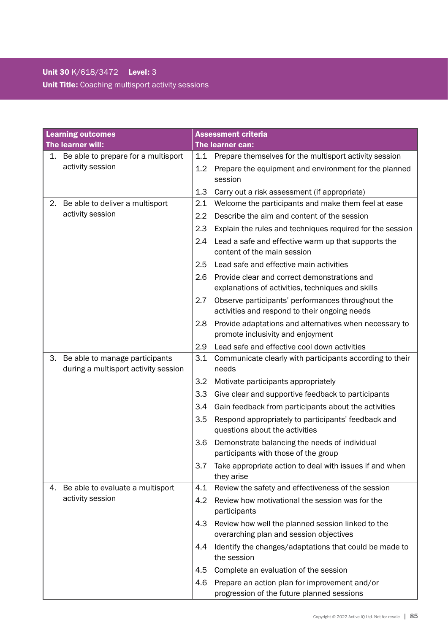## Unit 30 K/618/3472 Level: 3 Unit Title: Coaching multisport activity sessions

| <b>Learning outcomes</b> |                                                                        | <b>Assessment criteria</b> |                                                                                                    |  |
|--------------------------|------------------------------------------------------------------------|----------------------------|----------------------------------------------------------------------------------------------------|--|
| The learner will:        |                                                                        |                            | The learner can:                                                                                   |  |
|                          | 1. Be able to prepare for a multisport                                 | 1.1                        | Prepare themselves for the multisport activity session                                             |  |
|                          | activity session                                                       | 1.2                        | Prepare the equipment and environment for the planned<br>session                                   |  |
|                          |                                                                        | 1.3                        | Carry out a risk assessment (if appropriate)                                                       |  |
| 2.                       | Be able to deliver a multisport                                        | 2.1                        | Welcome the participants and make them feel at ease                                                |  |
|                          | activity session                                                       | $2.2\phantom{0}$           | Describe the aim and content of the session                                                        |  |
|                          |                                                                        | 2.3                        | Explain the rules and techniques required for the session                                          |  |
|                          |                                                                        | 2.4                        | Lead a safe and effective warm up that supports the<br>content of the main session                 |  |
|                          |                                                                        | 2.5                        | Lead safe and effective main activities                                                            |  |
|                          |                                                                        | 2.6                        | Provide clear and correct demonstrations and<br>explanations of activities, techniques and skills  |  |
|                          |                                                                        | 2.7                        | Observe participants' performances throughout the<br>activities and respond to their ongoing needs |  |
|                          |                                                                        | 2.8                        | Provide adaptations and alternatives when necessary to<br>promote inclusivity and enjoyment        |  |
|                          |                                                                        | 2.9                        | Lead safe and effective cool down activities                                                       |  |
| 3.                       | Be able to manage participants<br>during a multisport activity session | 3.1                        | Communicate clearly with participants according to their<br>needs                                  |  |
|                          |                                                                        | 3.2                        | Motivate participants appropriately                                                                |  |
|                          |                                                                        | 3.3                        | Give clear and supportive feedback to participants                                                 |  |
|                          |                                                                        | 3.4                        | Gain feedback from participants about the activities                                               |  |
|                          |                                                                        | 3.5                        | Respond appropriately to participants' feedback and<br>questions about the activities              |  |
|                          |                                                                        | 3.6                        | Demonstrate balancing the needs of individual<br>participants with those of the group              |  |
|                          |                                                                        | 3.7                        | Take appropriate action to deal with issues if and when<br>they arise                              |  |
| 4.                       | Be able to evaluate a multisport                                       | 4.1                        | Review the safety and effectiveness of the session                                                 |  |
|                          | activity session                                                       | 4.2                        | Review how motivational the session was for the<br>participants                                    |  |
|                          |                                                                        | 4.3                        | Review how well the planned session linked to the<br>overarching plan and session objectives       |  |
|                          |                                                                        | 4.4                        | Identify the changes/adaptations that could be made to<br>the session                              |  |
|                          |                                                                        | 4.5                        | Complete an evaluation of the session                                                              |  |
|                          |                                                                        | 4.6                        | Prepare an action plan for improvement and/or                                                      |  |
|                          |                                                                        |                            | progression of the future planned sessions                                                         |  |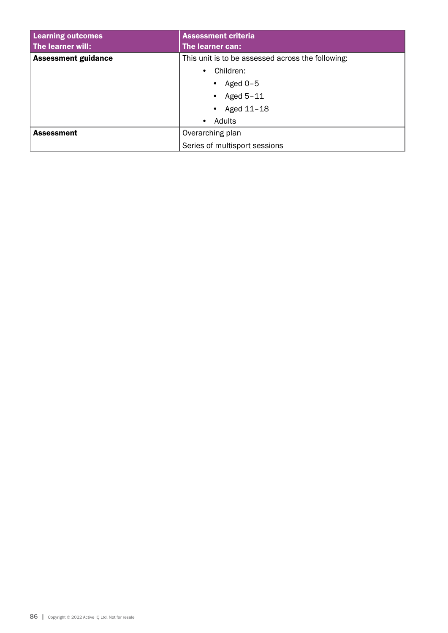| <b>Learning outcomes</b>   | <b>Assessment criteria</b>                        |  |  |
|----------------------------|---------------------------------------------------|--|--|
| The learner will:          | The learner can:                                  |  |  |
| <b>Assessment guidance</b> | This unit is to be assessed across the following: |  |  |
|                            | Children:<br>$\bullet$                            |  |  |
|                            | Aged $0-5$                                        |  |  |
|                            | Aged $5-11$                                       |  |  |
|                            | Aged 11-18                                        |  |  |
|                            | Adults<br>$\bullet$                               |  |  |
| <b>Assessment</b>          | Overarching plan                                  |  |  |
|                            | Series of multisport sessions                     |  |  |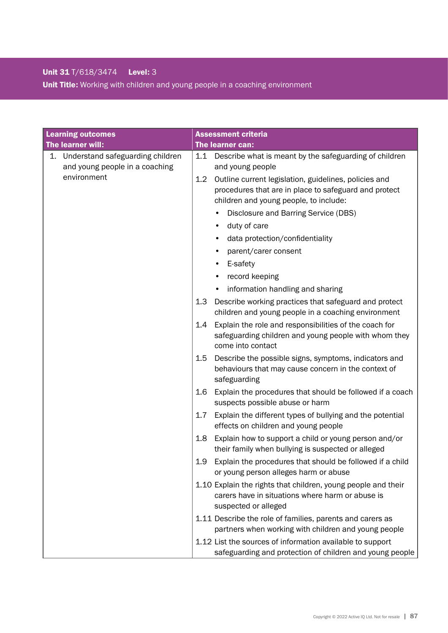### Unit 31 T/618/3474 Level: 3 Unit Title: Working with children and young people in a coaching environment

| <b>Learning outcomes</b>                                                 | <b>Assessment criteria</b>                                                                                                                                      |
|--------------------------------------------------------------------------|-----------------------------------------------------------------------------------------------------------------------------------------------------------------|
| The learner will:                                                        | The learner can:                                                                                                                                                |
| Understand safeguarding children<br>1.<br>and young people in a coaching | Describe what is meant by the safeguarding of children<br>1.1<br>and young people                                                                               |
| environment                                                              | Outline current legislation, guidelines, policies and<br>1.2<br>procedures that are in place to safeguard and protect<br>children and young people, to include: |
|                                                                          | Disclosure and Barring Service (DBS)                                                                                                                            |
|                                                                          | duty of care<br>٠                                                                                                                                               |
|                                                                          | data protection/confidentiality                                                                                                                                 |
|                                                                          | parent/carer consent                                                                                                                                            |
|                                                                          | E-safety                                                                                                                                                        |
|                                                                          | record keeping                                                                                                                                                  |
|                                                                          | information handling and sharing                                                                                                                                |
|                                                                          | Describe working practices that safeguard and protect<br>1.3<br>children and young people in a coaching environment                                             |
|                                                                          | Explain the role and responsibilities of the coach for<br>1.4<br>safeguarding children and young people with whom they<br>come into contact                     |
|                                                                          | 1.5<br>Describe the possible signs, symptoms, indicators and<br>behaviours that may cause concern in the context of<br>safeguarding                             |
|                                                                          | 1.6<br>Explain the procedures that should be followed if a coach<br>suspects possible abuse or harm                                                             |
|                                                                          | 1.7<br>Explain the different types of bullying and the potential<br>effects on children and young people                                                        |
|                                                                          | 1.8<br>Explain how to support a child or young person and/or<br>their family when bullying is suspected or alleged                                              |
|                                                                          | Explain the procedures that should be followed if a child<br>1.9<br>or young person alleges harm or abuse                                                       |
|                                                                          | 1.10 Explain the rights that children, young people and their<br>carers have in situations where harm or abuse is<br>suspected or alleged                       |
|                                                                          | 1.11 Describe the role of families, parents and carers as<br>partners when working with children and young people                                               |
|                                                                          | 1.12 List the sources of information available to support<br>safeguarding and protection of children and young people                                           |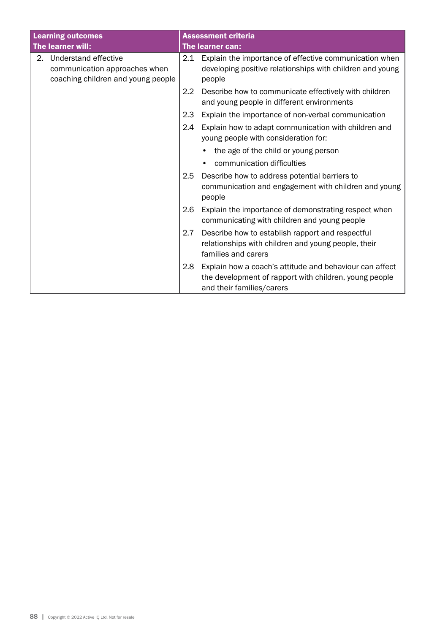| <b>Learning outcomes</b> |                                                                                                |                  | <b>Assessment criteria</b>                                                                                                                     |  |  |
|--------------------------|------------------------------------------------------------------------------------------------|------------------|------------------------------------------------------------------------------------------------------------------------------------------------|--|--|
|                          | The learner will:                                                                              |                  | The learner can:                                                                                                                               |  |  |
|                          | 2. Understand effective<br>communication approaches when<br>coaching children and young people | 2.1              | Explain the importance of effective communication when<br>developing positive relationships with children and young<br>people                  |  |  |
|                          |                                                                                                | $2.2\phantom{0}$ | Describe how to communicate effectively with children<br>and young people in different environments                                            |  |  |
|                          |                                                                                                | 2.3              | Explain the importance of non-verbal communication                                                                                             |  |  |
|                          |                                                                                                | 2.4              | Explain how to adapt communication with children and<br>young people with consideration for:                                                   |  |  |
|                          |                                                                                                |                  | the age of the child or young person                                                                                                           |  |  |
|                          |                                                                                                |                  | communication difficulties                                                                                                                     |  |  |
|                          |                                                                                                | 2.5              | Describe how to address potential barriers to<br>communication and engagement with children and young<br>people                                |  |  |
|                          |                                                                                                | 2.6              | Explain the importance of demonstrating respect when<br>communicating with children and young people                                           |  |  |
|                          |                                                                                                | 2.7              | Describe how to establish rapport and respectful<br>relationships with children and young people, their<br>families and carers                 |  |  |
|                          |                                                                                                | 2.8              | Explain how a coach's attitude and behaviour can affect<br>the development of rapport with children, young people<br>and their families/carers |  |  |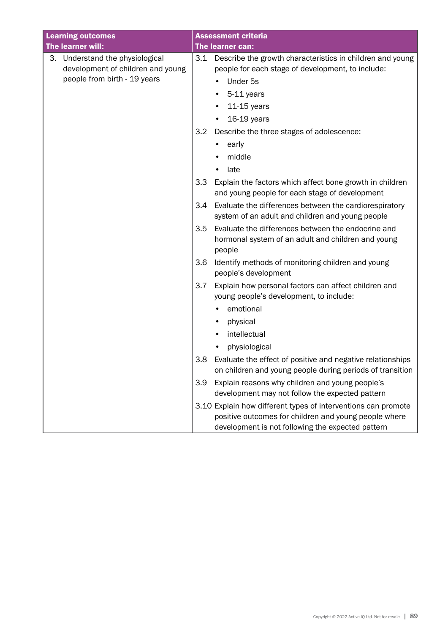| <b>Learning outcomes</b>                                             | <b>Assessment criteria</b>                                                                                                                                                  |
|----------------------------------------------------------------------|-----------------------------------------------------------------------------------------------------------------------------------------------------------------------------|
| The learner will:                                                    | The learner can:                                                                                                                                                            |
| 3. Understand the physiological<br>development of children and young | Describe the growth characteristics in children and young<br>3.1<br>people for each stage of development, to include:                                                       |
| people from birth - 19 years                                         | Under 5s                                                                                                                                                                    |
|                                                                      | 5-11 years                                                                                                                                                                  |
|                                                                      | $11-15$ years                                                                                                                                                               |
|                                                                      | 16-19 years                                                                                                                                                                 |
|                                                                      | 3.2<br>Describe the three stages of adolescence:                                                                                                                            |
|                                                                      | early                                                                                                                                                                       |
|                                                                      | middle                                                                                                                                                                      |
|                                                                      | late                                                                                                                                                                        |
|                                                                      | 3.3<br>Explain the factors which affect bone growth in children<br>and young people for each stage of development                                                           |
|                                                                      | Evaluate the differences between the cardiorespiratory<br>3.4                                                                                                               |
|                                                                      | system of an adult and children and young people                                                                                                                            |
|                                                                      | Evaluate the differences between the endocrine and<br>3.5<br>hormonal system of an adult and children and young<br>people                                                   |
|                                                                      | Identify methods of monitoring children and young<br>3.6<br>people's development                                                                                            |
|                                                                      | 3.7<br>Explain how personal factors can affect children and<br>young people's development, to include:                                                                      |
|                                                                      | emotional                                                                                                                                                                   |
|                                                                      | physical<br>٠                                                                                                                                                               |
|                                                                      | intellectual                                                                                                                                                                |
|                                                                      | physiological                                                                                                                                                               |
|                                                                      | Evaluate the effect of positive and negative relationships<br>3.8<br>on children and young people during periods of transition                                              |
|                                                                      | Explain reasons why children and young people's<br>3.9<br>development may not follow the expected pattern                                                                   |
|                                                                      | 3.10 Explain how different types of interventions can promote<br>positive outcomes for children and young people where<br>development is not following the expected pattern |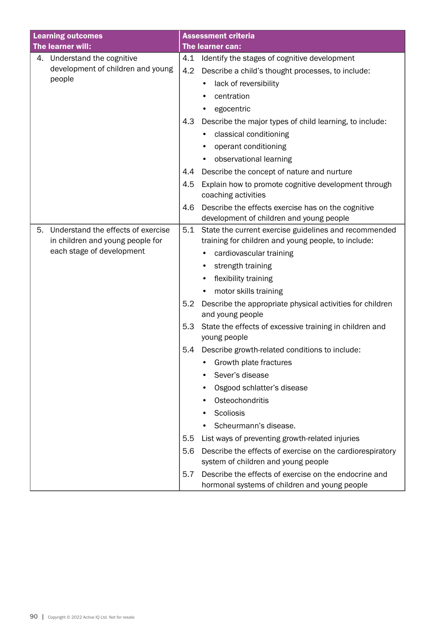| <b>Learning outcomes</b> |                                    |     | <b>Assessment criteria</b>                                                                             |
|--------------------------|------------------------------------|-----|--------------------------------------------------------------------------------------------------------|
|                          | The learner will:                  |     | The learner can:                                                                                       |
|                          | 4. Understand the cognitive        | 4.1 | Identify the stages of cognitive development                                                           |
|                          | development of children and young  | 4.2 | Describe a child's thought processes, to include:                                                      |
|                          | people                             |     | lack of reversibility                                                                                  |
|                          |                                    |     | centration                                                                                             |
|                          |                                    |     | egocentric                                                                                             |
|                          |                                    | 4.3 | Describe the major types of child learning, to include:                                                |
|                          |                                    |     | classical conditioning                                                                                 |
|                          |                                    |     | operant conditioning                                                                                   |
|                          |                                    |     | observational learning                                                                                 |
|                          |                                    | 4.4 | Describe the concept of nature and nurture                                                             |
|                          |                                    | 4.5 | Explain how to promote cognitive development through<br>coaching activities                            |
|                          |                                    | 4.6 | Describe the effects exercise has on the cognitive<br>development of children and young people         |
| 5.                       | Understand the effects of exercise | 5.1 | State the current exercise guidelines and recommended                                                  |
|                          | in children and young people for   |     | training for children and young people, to include:                                                    |
|                          | each stage of development          |     | cardiovascular training                                                                                |
|                          |                                    |     | strength training                                                                                      |
|                          |                                    |     | flexibility training                                                                                   |
|                          |                                    |     | motor skills training                                                                                  |
|                          |                                    | 5.2 | Describe the appropriate physical activities for children<br>and young people                          |
|                          |                                    | 5.3 | State the effects of excessive training in children and                                                |
|                          |                                    |     | young people                                                                                           |
|                          |                                    | 5.4 | Describe growth-related conditions to include:                                                         |
|                          |                                    |     | Growth plate fractures                                                                                 |
|                          |                                    |     | Sever's disease                                                                                        |
|                          |                                    |     | Osgood schlatter's disease<br>٠                                                                        |
|                          |                                    |     | Osteochondritis                                                                                        |
|                          |                                    |     | Scoliosis                                                                                              |
|                          |                                    |     | Scheurmann's disease.                                                                                  |
|                          |                                    | 5.5 | List ways of preventing growth-related injuries                                                        |
|                          |                                    | 5.6 | Describe the effects of exercise on the cardiorespiratory<br>system of children and young people       |
|                          |                                    | 5.7 | Describe the effects of exercise on the endocrine and<br>hormonal systems of children and young people |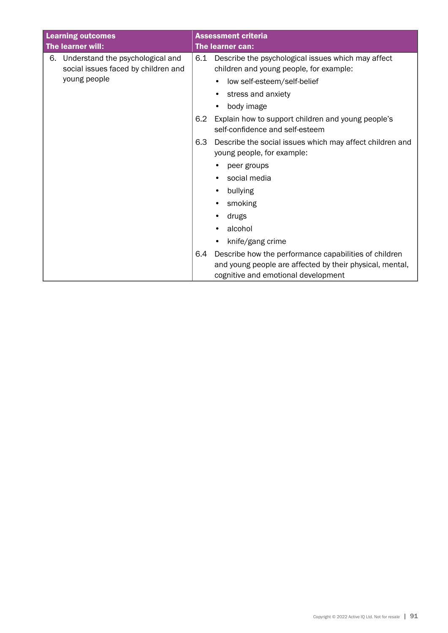| <b>Learning outcomes</b> |                                                                                         |     | <b>Assessment criteria</b>                                                                                                                               |  |
|--------------------------|-----------------------------------------------------------------------------------------|-----|----------------------------------------------------------------------------------------------------------------------------------------------------------|--|
| The learner will:        |                                                                                         |     | The learner can:                                                                                                                                         |  |
| 6.                       | Understand the psychological and<br>social issues faced by children and<br>young people | 6.1 | Describe the psychological issues which may affect<br>children and young people, for example:                                                            |  |
|                          |                                                                                         |     | low self-esteem/self-belief                                                                                                                              |  |
|                          |                                                                                         |     | stress and anxiety                                                                                                                                       |  |
|                          |                                                                                         |     | body image                                                                                                                                               |  |
|                          |                                                                                         | 6.2 | Explain how to support children and young people's<br>self-confidence and self-esteem                                                                    |  |
|                          |                                                                                         | 6.3 | Describe the social issues which may affect children and<br>young people, for example:                                                                   |  |
|                          |                                                                                         |     | peer groups                                                                                                                                              |  |
|                          |                                                                                         |     | social media                                                                                                                                             |  |
|                          |                                                                                         |     | bullying                                                                                                                                                 |  |
|                          |                                                                                         |     | smoking                                                                                                                                                  |  |
|                          |                                                                                         |     | drugs                                                                                                                                                    |  |
|                          |                                                                                         |     | alcohol                                                                                                                                                  |  |
|                          |                                                                                         |     | knife/gang crime                                                                                                                                         |  |
|                          |                                                                                         | 6.4 | Describe how the performance capabilities of children<br>and young people are affected by their physical, mental,<br>cognitive and emotional development |  |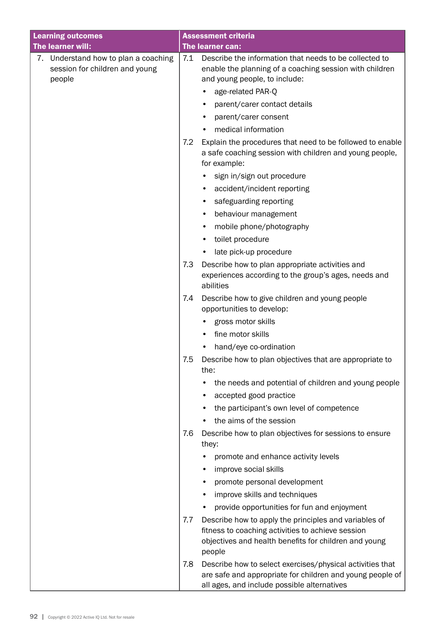| <b>Learning outcomes</b>                                                         |     | <b>Assessment criteria</b>                                                                                                                                                    |
|----------------------------------------------------------------------------------|-----|-------------------------------------------------------------------------------------------------------------------------------------------------------------------------------|
| The learner will:                                                                |     | The learner can:                                                                                                                                                              |
| 7. Understand how to plan a coaching<br>session for children and young<br>people | 7.1 | Describe the information that needs to be collected to<br>enable the planning of a coaching session with children<br>and young people, to include:<br>age-related PAR-Q<br>٠  |
|                                                                                  |     | parent/carer contact details<br>$\bullet$                                                                                                                                     |
|                                                                                  |     | parent/carer consent                                                                                                                                                          |
|                                                                                  |     | medical information                                                                                                                                                           |
|                                                                                  | 7.2 | Explain the procedures that need to be followed to enable<br>a safe coaching session with children and young people,<br>for example:                                          |
|                                                                                  |     | sign in/sign out procedure<br>٠                                                                                                                                               |
|                                                                                  |     | accident/incident reporting                                                                                                                                                   |
|                                                                                  |     | safeguarding reporting                                                                                                                                                        |
|                                                                                  |     | behaviour management<br>٠                                                                                                                                                     |
|                                                                                  |     | mobile phone/photography<br>$\bullet$                                                                                                                                         |
|                                                                                  |     | toilet procedure<br>٠                                                                                                                                                         |
|                                                                                  |     | late pick-up procedure                                                                                                                                                        |
|                                                                                  | 7.3 | Describe how to plan appropriate activities and<br>experiences according to the group's ages, needs and<br>abilities                                                          |
|                                                                                  | 7.4 | Describe how to give children and young people<br>opportunities to develop:                                                                                                   |
|                                                                                  |     | gross motor skills                                                                                                                                                            |
|                                                                                  |     | fine motor skills                                                                                                                                                             |
|                                                                                  |     | hand/eye co-ordination<br>$\bullet$                                                                                                                                           |
|                                                                                  | 7.5 | Describe how to plan objectives that are appropriate to<br>the:                                                                                                               |
|                                                                                  |     | the needs and potential of children and young people                                                                                                                          |
|                                                                                  |     | accepted good practice                                                                                                                                                        |
|                                                                                  |     | the participant's own level of competence                                                                                                                                     |
|                                                                                  |     | the aims of the session                                                                                                                                                       |
|                                                                                  | 7.6 | Describe how to plan objectives for sessions to ensure<br>they:                                                                                                               |
|                                                                                  |     | promote and enhance activity levels                                                                                                                                           |
|                                                                                  |     | improve social skills                                                                                                                                                         |
|                                                                                  |     | promote personal development                                                                                                                                                  |
|                                                                                  |     | improve skills and techniques                                                                                                                                                 |
|                                                                                  |     | provide opportunities for fun and enjoyment                                                                                                                                   |
|                                                                                  | 7.7 | Describe how to apply the principles and variables of<br>fitness to coaching activities to achieve session<br>objectives and health benefits for children and young<br>people |
|                                                                                  | 7.8 | Describe how to select exercises/physical activities that<br>are safe and appropriate for children and young people of<br>all ages, and include possible alternatives         |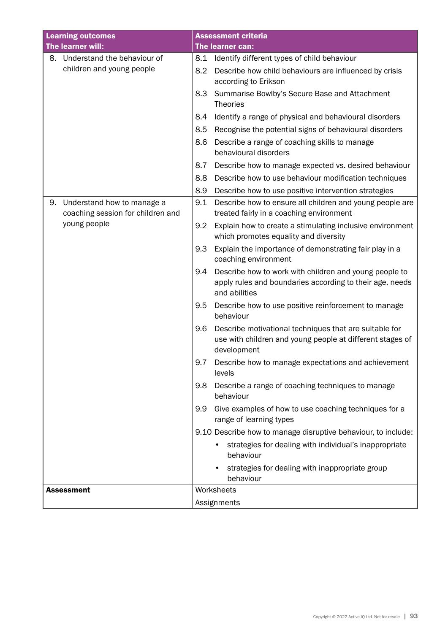| <b>Learning outcomes</b>                                              | <b>Assessment criteria</b>                                                                                                                 |  |  |
|-----------------------------------------------------------------------|--------------------------------------------------------------------------------------------------------------------------------------------|--|--|
| The learner will:                                                     | The learner can:                                                                                                                           |  |  |
| Understand the behaviour of<br>8.                                     | 8.1<br>Identify different types of child behaviour                                                                                         |  |  |
| children and young people                                             | 8.2<br>Describe how child behaviours are influenced by crisis<br>according to Erikson                                                      |  |  |
|                                                                       | Summarise Bowlby's Secure Base and Attachment<br>8.3<br><b>Theories</b>                                                                    |  |  |
|                                                                       | Identify a range of physical and behavioural disorders<br>8.4                                                                              |  |  |
|                                                                       | 8.5<br>Recognise the potential signs of behavioural disorders                                                                              |  |  |
|                                                                       | 8.6<br>Describe a range of coaching skills to manage<br>behavioural disorders                                                              |  |  |
|                                                                       | 8.7<br>Describe how to manage expected vs. desired behaviour                                                                               |  |  |
|                                                                       | Describe how to use behaviour modification techniques<br>8.8                                                                               |  |  |
|                                                                       | 8.9<br>Describe how to use positive intervention strategies                                                                                |  |  |
| Understand how to manage a<br>9.<br>coaching session for children and | Describe how to ensure all children and young people are<br>9.1<br>treated fairly in a coaching environment                                |  |  |
| young people                                                          | Explain how to create a stimulating inclusive environment<br>9.2<br>which promotes equality and diversity                                  |  |  |
|                                                                       | 9.3<br>Explain the importance of demonstrating fair play in a<br>coaching environment                                                      |  |  |
|                                                                       | Describe how to work with children and young people to<br>9.4<br>apply rules and boundaries according to their age, needs<br>and abilities |  |  |
|                                                                       | Describe how to use positive reinforcement to manage<br>9.5<br>behaviour                                                                   |  |  |
|                                                                       | Describe motivational techniques that are suitable for<br>9.6<br>use with children and young people at different stages of<br>development  |  |  |
|                                                                       | 9.7<br>Describe how to manage expectations and achievement<br>levels                                                                       |  |  |
|                                                                       | 9.8<br>Describe a range of coaching techniques to manage<br>behaviour                                                                      |  |  |
|                                                                       | 9.9<br>Give examples of how to use coaching techniques for a<br>range of learning types                                                    |  |  |
|                                                                       | 9.10 Describe how to manage disruptive behaviour, to include:                                                                              |  |  |
|                                                                       | strategies for dealing with individual's inappropriate<br>behaviour                                                                        |  |  |
|                                                                       | strategies for dealing with inappropriate group<br>behaviour                                                                               |  |  |
| <b>Assessment</b>                                                     | Worksheets                                                                                                                                 |  |  |
|                                                                       | Assignments                                                                                                                                |  |  |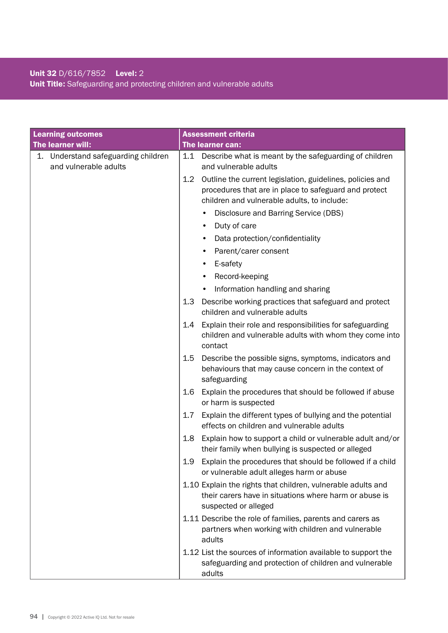### Unit 32 D/616/7852 Level: 2 Unit Title: Safeguarding and protecting children and vulnerable adults

| <b>Learning outcomes</b>                                     | <b>Assessment criteria</b>                                                                                                                                               |
|--------------------------------------------------------------|--------------------------------------------------------------------------------------------------------------------------------------------------------------------------|
| The learner will:                                            | The learner can:                                                                                                                                                         |
| 1. Understand safeguarding children<br>and vulnerable adults | Describe what is meant by the safeguarding of children<br>1.1<br>and vulnerable adults                                                                                   |
|                                                              | Outline the current legislation, guidelines, policies and<br>1.2<br>procedures that are in place to safeguard and protect<br>children and vulnerable adults, to include: |
|                                                              | Disclosure and Barring Service (DBS)                                                                                                                                     |
|                                                              | Duty of care<br>$\bullet$                                                                                                                                                |
|                                                              | Data protection/confidentiality                                                                                                                                          |
|                                                              | Parent/carer consent                                                                                                                                                     |
|                                                              | E-safety                                                                                                                                                                 |
|                                                              | Record-keeping                                                                                                                                                           |
|                                                              | Information handling and sharing                                                                                                                                         |
|                                                              | 1.3<br>Describe working practices that safeguard and protect<br>children and vulnerable adults                                                                           |
|                                                              | Explain their role and responsibilities for safeguarding<br>1.4<br>children and vulnerable adults with whom they come into<br>contact                                    |
|                                                              | Describe the possible signs, symptoms, indicators and<br>1.5<br>behaviours that may cause concern in the context of<br>safeguarding                                      |
|                                                              | Explain the procedures that should be followed if abuse<br>1.6<br>or harm is suspected                                                                                   |
|                                                              | 1.7<br>Explain the different types of bullying and the potential<br>effects on children and vulnerable adults                                                            |
|                                                              | 1.8<br>Explain how to support a child or vulnerable adult and/or<br>their family when bullying is suspected or alleged                                                   |
|                                                              | Explain the procedures that should be followed if a child<br>1.9<br>or vulnerable adult alleges harm or abuse                                                            |
|                                                              | 1.10 Explain the rights that children, vulnerable adults and<br>their carers have in situations where harm or abuse is<br>suspected or alleged                           |
|                                                              | 1.11 Describe the role of families, parents and carers as<br>partners when working with children and vulnerable<br>adults                                                |
|                                                              | 1.12 List the sources of information available to support the<br>safeguarding and protection of children and vulnerable<br>adults                                        |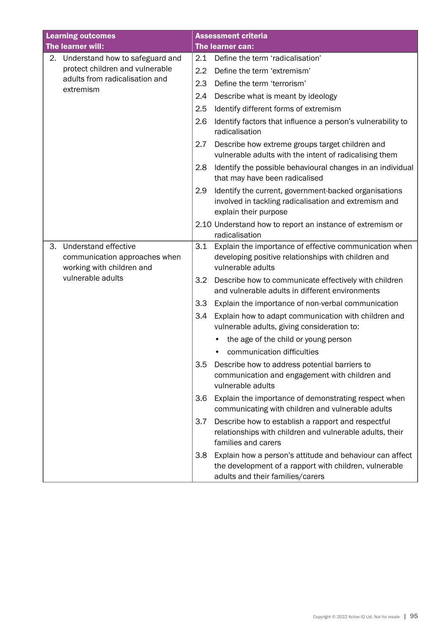| <b>Learning outcomes</b> |                                                                                                         |     | <b>Assessment criteria</b>                                                                                                                             |
|--------------------------|---------------------------------------------------------------------------------------------------------|-----|--------------------------------------------------------------------------------------------------------------------------------------------------------|
|                          | The learner will:                                                                                       |     | The learner can:                                                                                                                                       |
| 2.                       | Understand how to safeguard and                                                                         | 2.1 | Define the term 'radicalisation'                                                                                                                       |
|                          | protect children and vulnerable<br>adults from radicalisation and<br>extremism                          | 2.2 | Define the term 'extremism'                                                                                                                            |
|                          |                                                                                                         | 2.3 | Define the term 'terrorism'                                                                                                                            |
|                          |                                                                                                         | 2.4 | Describe what is meant by ideology                                                                                                                     |
|                          |                                                                                                         | 2.5 | Identify different forms of extremism                                                                                                                  |
|                          |                                                                                                         | 2.6 | Identify factors that influence a person's vulnerability to<br>radicalisation                                                                          |
|                          |                                                                                                         | 2.7 | Describe how extreme groups target children and<br>vulnerable adults with the intent of radicalising them                                              |
|                          |                                                                                                         | 2.8 | Identify the possible behavioural changes in an individual<br>that may have been radicalised                                                           |
|                          |                                                                                                         | 2.9 | Identify the current, government-backed organisations<br>involved in tackling radicalisation and extremism and<br>explain their purpose                |
|                          |                                                                                                         |     | 2.10 Understand how to report an instance of extremism or<br>radicalisation                                                                            |
| 3.                       | Understand effective<br>communication approaches when<br>working with children and<br>vulnerable adults | 3.1 | Explain the importance of effective communication when<br>developing positive relationships with children and<br>vulnerable adults                     |
|                          |                                                                                                         | 3.2 | Describe how to communicate effectively with children<br>and vulnerable adults in different environments                                               |
|                          |                                                                                                         | 3.3 | Explain the importance of non-verbal communication                                                                                                     |
|                          |                                                                                                         | 3.4 | Explain how to adapt communication with children and<br>vulnerable adults, giving consideration to:                                                    |
|                          |                                                                                                         |     | the age of the child or young person                                                                                                                   |
|                          |                                                                                                         |     | communication difficulties                                                                                                                             |
|                          |                                                                                                         | 3.5 | Describe how to address potential barriers to<br>communication and engagement with children and<br>vulnerable adults                                   |
|                          |                                                                                                         | 3.6 | Explain the importance of demonstrating respect when<br>communicating with children and vulnerable adults                                              |
|                          |                                                                                                         | 3.7 | Describe how to establish a rapport and respectful<br>relationships with children and vulnerable adults, their<br>families and carers                  |
|                          |                                                                                                         | 3.8 | Explain how a person's attitude and behaviour can affect<br>the development of a rapport with children, vulnerable<br>adults and their families/carers |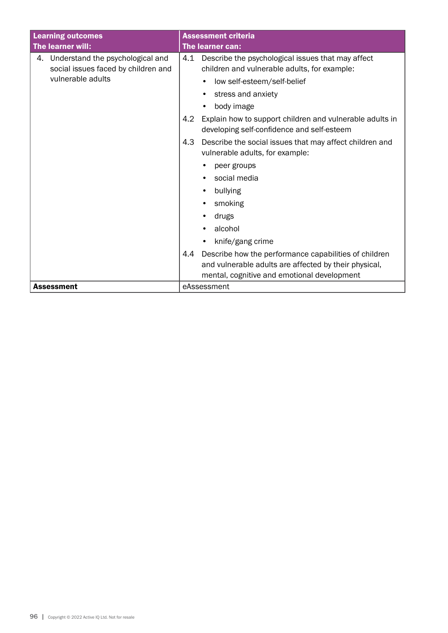| <b>Learning outcomes</b>                                                      | <b>Assessment criteria</b>                                                                                    |  |
|-------------------------------------------------------------------------------|---------------------------------------------------------------------------------------------------------------|--|
| The learner will:                                                             | <b>The learner can:</b>                                                                                       |  |
| Understand the psychological and<br>4.<br>social issues faced by children and | Describe the psychological issues that may affect<br>4.1<br>children and vulnerable adults, for example:      |  |
| vulnerable adults                                                             | low self-esteem/self-belief<br>$\bullet$                                                                      |  |
|                                                                               | stress and anxiety                                                                                            |  |
|                                                                               | body image                                                                                                    |  |
|                                                                               | 4.2<br>Explain how to support children and vulnerable adults in<br>developing self-confidence and self-esteem |  |
|                                                                               | Describe the social issues that may affect children and<br>4.3<br>vulnerable adults, for example:             |  |
|                                                                               | peer groups                                                                                                   |  |
|                                                                               | social media                                                                                                  |  |
|                                                                               | bullying                                                                                                      |  |
|                                                                               | smoking                                                                                                       |  |
|                                                                               | drugs                                                                                                         |  |
|                                                                               | alcohol                                                                                                       |  |
|                                                                               | knife/gang crime<br>$\bullet$                                                                                 |  |
|                                                                               | Describe how the performance capabilities of children<br>4.4                                                  |  |
|                                                                               | and vulnerable adults are affected by their physical,                                                         |  |
|                                                                               | mental, cognitive and emotional development                                                                   |  |
| <b>Assessment</b>                                                             | eAssessment                                                                                                   |  |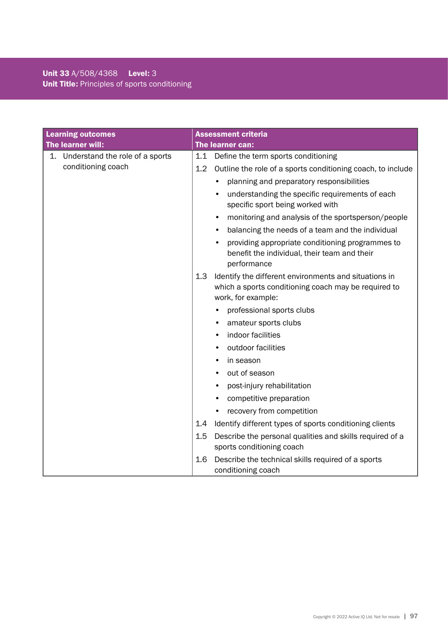### Unit 33 A/508/4368 Level: 3 Unit Title: Principles of sports conditioning

| <b>Learning outcomes</b>           | <b>Assessment criteria</b>                                                                                                                 |
|------------------------------------|--------------------------------------------------------------------------------------------------------------------------------------------|
| The learner will:                  | The learner can:                                                                                                                           |
| 1. Understand the role of a sports | 1.1<br>Define the term sports conditioning                                                                                                 |
| conditioning coach                 | 1.2<br>Outline the role of a sports conditioning coach, to include                                                                         |
|                                    | planning and preparatory responsibilities                                                                                                  |
|                                    | understanding the specific requirements of each<br>specific sport being worked with                                                        |
|                                    | monitoring and analysis of the sportsperson/people                                                                                         |
|                                    | balancing the needs of a team and the individual                                                                                           |
|                                    | providing appropriate conditioning programmes to<br>benefit the individual, their team and their<br>performance                            |
|                                    | 1.3<br>Identify the different environments and situations in<br>which a sports conditioning coach may be required to<br>work, for example: |
|                                    | professional sports clubs                                                                                                                  |
|                                    | amateur sports clubs                                                                                                                       |
|                                    | indoor facilities                                                                                                                          |
|                                    | outdoor facilities                                                                                                                         |
|                                    | in season<br>٠                                                                                                                             |
|                                    | out of season                                                                                                                              |
|                                    | post-injury rehabilitation                                                                                                                 |
|                                    | competitive preparation                                                                                                                    |
|                                    | recovery from competition                                                                                                                  |
|                                    | Identify different types of sports conditioning clients<br>1.4                                                                             |
|                                    | 1.5<br>Describe the personal qualities and skills required of a<br>sports conditioning coach                                               |
|                                    | Describe the technical skills required of a sports<br>1.6<br>conditioning coach                                                            |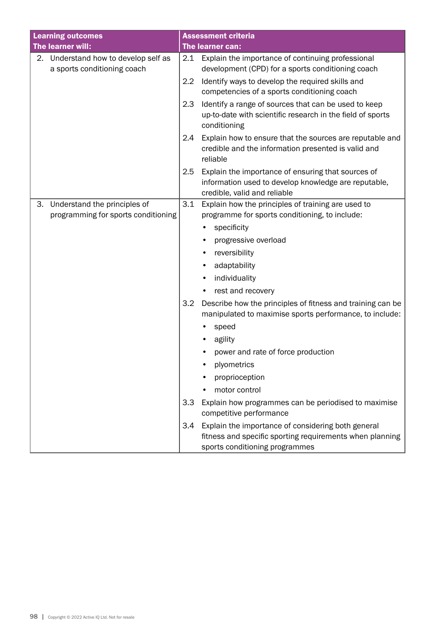|    | <b>Learning outcomes</b>                                            |                  | <b>Assessment criteria</b>                                                                                                                       |
|----|---------------------------------------------------------------------|------------------|--------------------------------------------------------------------------------------------------------------------------------------------------|
|    | The learner will:                                                   |                  | The learner can:                                                                                                                                 |
|    | 2. Understand how to develop self as<br>a sports conditioning coach | 2.1              | Explain the importance of continuing professional<br>development (CPD) for a sports conditioning coach                                           |
|    |                                                                     | $2.2\phantom{0}$ | Identify ways to develop the required skills and<br>competencies of a sports conditioning coach                                                  |
|    |                                                                     | 2.3              | Identify a range of sources that can be used to keep<br>up-to-date with scientific research in the field of sports<br>conditioning               |
|    |                                                                     | 2.4              | Explain how to ensure that the sources are reputable and<br>credible and the information presented is valid and<br>reliable                      |
|    |                                                                     | 2.5              | Explain the importance of ensuring that sources of<br>information used to develop knowledge are reputable,<br>credible, valid and reliable       |
| 3. | Understand the principles of                                        | 3.1              | Explain how the principles of training are used to                                                                                               |
|    | programming for sports conditioning                                 |                  | programme for sports conditioning, to include:                                                                                                   |
|    |                                                                     |                  | specificity                                                                                                                                      |
|    |                                                                     |                  | progressive overload                                                                                                                             |
|    |                                                                     |                  | reversibility<br>٠                                                                                                                               |
|    |                                                                     |                  | adaptability                                                                                                                                     |
|    |                                                                     |                  | individuality                                                                                                                                    |
|    |                                                                     |                  | rest and recovery                                                                                                                                |
|    |                                                                     | 3.2              | Describe how the principles of fitness and training can be<br>manipulated to maximise sports performance, to include:                            |
|    |                                                                     |                  | speed                                                                                                                                            |
|    |                                                                     |                  | agility                                                                                                                                          |
|    |                                                                     |                  | power and rate of force production                                                                                                               |
|    |                                                                     |                  | plyometrics                                                                                                                                      |
|    |                                                                     |                  | proprioception                                                                                                                                   |
|    |                                                                     |                  | motor control                                                                                                                                    |
|    |                                                                     | 3.3              | Explain how programmes can be periodised to maximise<br>competitive performance                                                                  |
|    |                                                                     | 3.4              | Explain the importance of considering both general<br>fitness and specific sporting requirements when planning<br>sports conditioning programmes |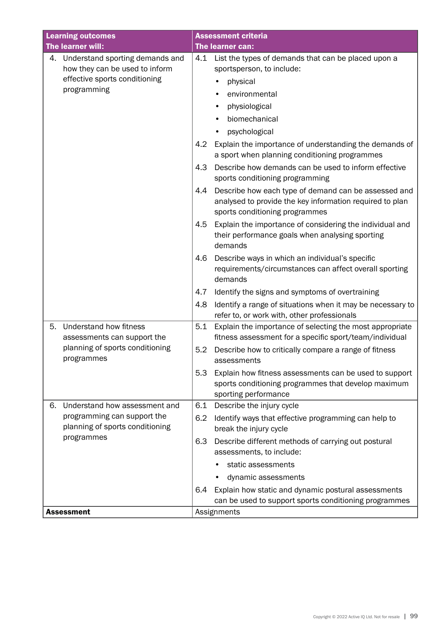| <b>Learning outcomes</b>                                                | <b>Assessment criteria</b>                                                                                                                                |
|-------------------------------------------------------------------------|-----------------------------------------------------------------------------------------------------------------------------------------------------------|
| The learner will:                                                       | The learner can:                                                                                                                                          |
| Understand sporting demands and<br>4.<br>how they can be used to inform | 4.1<br>List the types of demands that can be placed upon a<br>sportsperson, to include:                                                                   |
| effective sports conditioning                                           | physical                                                                                                                                                  |
| programming                                                             | environmental                                                                                                                                             |
|                                                                         | physiological                                                                                                                                             |
|                                                                         | biomechanical                                                                                                                                             |
|                                                                         | psychological                                                                                                                                             |
|                                                                         | 4.2<br>Explain the importance of understanding the demands of                                                                                             |
|                                                                         | a sport when planning conditioning programmes                                                                                                             |
|                                                                         | 4.3<br>Describe how demands can be used to inform effective<br>sports conditioning programming                                                            |
|                                                                         | Describe how each type of demand can be assessed and<br>4.4<br>analysed to provide the key information required to plan<br>sports conditioning programmes |
|                                                                         | Explain the importance of considering the individual and<br>4.5<br>their performance goals when analysing sporting<br>demands                             |
|                                                                         | Describe ways in which an individual's specific<br>4.6<br>requirements/circumstances can affect overall sporting<br>demands                               |
|                                                                         | Identify the signs and symptoms of overtraining<br>4.7                                                                                                    |
|                                                                         | Identify a range of situations when it may be necessary to<br>4.8<br>refer to, or work with, other professionals                                          |
| Understand how fitness<br>5.<br>assessments can support the             | 5.1<br>Explain the importance of selecting the most appropriate<br>fitness assessment for a specific sport/team/individual                                |
| planning of sports conditioning<br>programmes                           | 5.2<br>Describe how to critically compare a range of fitness<br>assessments                                                                               |
|                                                                         | 5.3<br>Explain how fitness assessments can be used to support<br>sports conditioning programmes that develop maximum<br>sporting performance              |
| Understand how assessment and<br>6.                                     | Describe the injury cycle<br>6.1                                                                                                                          |
| programming can support the<br>planning of sports conditioning          | 6.2<br>Identify ways that effective programming can help to<br>break the injury cycle                                                                     |
| programmes                                                              | Describe different methods of carrying out postural<br>6.3<br>assessments, to include:                                                                    |
|                                                                         | static assessments                                                                                                                                        |
|                                                                         | dynamic assessments                                                                                                                                       |
|                                                                         | Explain how static and dynamic postural assessments<br>6.4                                                                                                |
|                                                                         | can be used to support sports conditioning programmes                                                                                                     |
| <b>Assessment</b>                                                       | Assignments                                                                                                                                               |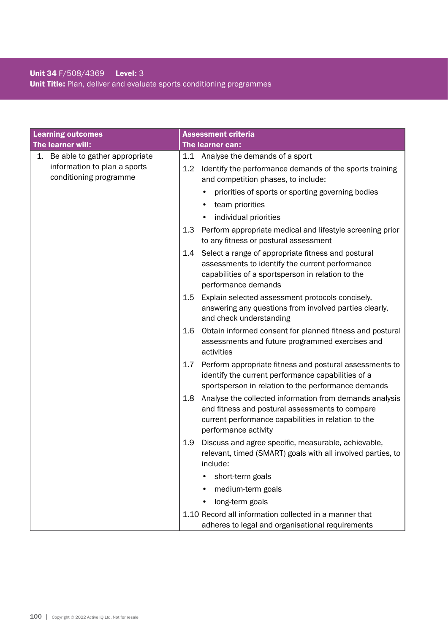### Unit 34 F/508/4369 Level: 3 Unit Title: Plan, deliver and evaluate sports conditioning programmes

| <b>Learning outcomes</b>         | <b>Assessment criteria</b>                                                                                                                                                                       |
|----------------------------------|--------------------------------------------------------------------------------------------------------------------------------------------------------------------------------------------------|
| The learner will:                | The learner can:                                                                                                                                                                                 |
| 1. Be able to gather appropriate | 1.1<br>Analyse the demands of a sport                                                                                                                                                            |
| information to plan a sports     | 1.2<br>Identify the performance demands of the sports training                                                                                                                                   |
| conditioning programme           | and competition phases, to include:                                                                                                                                                              |
|                                  | priorities of sports or sporting governing bodies                                                                                                                                                |
|                                  | team priorities                                                                                                                                                                                  |
|                                  | individual priorities                                                                                                                                                                            |
|                                  | 1.3<br>Perform appropriate medical and lifestyle screening prior<br>to any fitness or postural assessment                                                                                        |
|                                  | Select a range of appropriate fitness and postural<br>1.4<br>assessments to identify the current performance<br>capabilities of a sportsperson in relation to the<br>performance demands         |
|                                  | Explain selected assessment protocols concisely,<br>1.5<br>answering any questions from involved parties clearly,<br>and check understanding                                                     |
|                                  | Obtain informed consent for planned fitness and postural<br>1.6<br>assessments and future programmed exercises and<br>activities                                                                 |
|                                  | Perform appropriate fitness and postural assessments to<br>1.7<br>identify the current performance capabilities of a<br>sportsperson in relation to the performance demands                      |
|                                  | Analyse the collected information from demands analysis<br>1.8<br>and fitness and postural assessments to compare<br>current performance capabilities in relation to the<br>performance activity |
|                                  | 1.9<br>Discuss and agree specific, measurable, achievable,<br>relevant, timed (SMART) goals with all involved parties, to<br>include:                                                            |
|                                  | short-term goals                                                                                                                                                                                 |
|                                  | medium-term goals                                                                                                                                                                                |
|                                  | long-term goals                                                                                                                                                                                  |
|                                  | 1.10 Record all information collected in a manner that<br>adheres to legal and organisational requirements                                                                                       |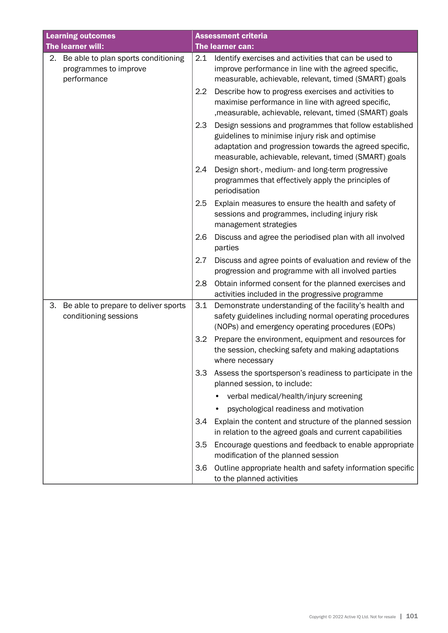| <b>Learning outcomes</b>                                                       | <b>Assessment criteria</b>                                                                                                                                                                                                           |
|--------------------------------------------------------------------------------|--------------------------------------------------------------------------------------------------------------------------------------------------------------------------------------------------------------------------------------|
| The learner will:                                                              | The learner can:                                                                                                                                                                                                                     |
| 2. Be able to plan sports conditioning<br>programmes to improve<br>performance | 2.1<br>Identify exercises and activities that can be used to<br>improve performance in line with the agreed specific,<br>measurable, achievable, relevant, timed (SMART) goals                                                       |
|                                                                                | 2.2<br>Describe how to progress exercises and activities to<br>maximise performance in line with agreed specific,<br>, measurable, achievable, relevant, timed (SMART) goals                                                         |
|                                                                                | 2.3<br>Design sessions and programmes that follow established<br>guidelines to minimise injury risk and optimise<br>adaptation and progression towards the agreed specific,<br>measurable, achievable, relevant, timed (SMART) goals |
|                                                                                | 2.4<br>Design short-, medium- and long-term progressive<br>programmes that effectively apply the principles of<br>periodisation                                                                                                      |
|                                                                                | 2.5<br>Explain measures to ensure the health and safety of<br>sessions and programmes, including injury risk<br>management strategies                                                                                                |
|                                                                                | 2.6<br>Discuss and agree the periodised plan with all involved<br>parties                                                                                                                                                            |
|                                                                                | 2.7<br>Discuss and agree points of evaluation and review of the<br>progression and programme with all involved parties                                                                                                               |
|                                                                                | 2.8<br>Obtain informed consent for the planned exercises and<br>activities included in the progressive programme                                                                                                                     |
| 3.<br>Be able to prepare to deliver sports<br>conditioning sessions            | 3.1<br>Demonstrate understanding of the facility's health and<br>safety guidelines including normal operating procedures<br>(NOPs) and emergency operating procedures (EOPs)                                                         |
|                                                                                | 3.2<br>Prepare the environment, equipment and resources for<br>the session, checking safety and making adaptations<br>where necessary                                                                                                |
|                                                                                | 3.3<br>Assess the sportsperson's readiness to participate in the<br>planned session, to include:                                                                                                                                     |
|                                                                                | verbal medical/health/injury screening                                                                                                                                                                                               |
|                                                                                | psychological readiness and motivation                                                                                                                                                                                               |
|                                                                                | Explain the content and structure of the planned session<br>3.4<br>in relation to the agreed goals and current capabilities                                                                                                          |
|                                                                                | 3.5<br>Encourage questions and feedback to enable appropriate<br>modification of the planned session                                                                                                                                 |
|                                                                                | 3.6<br>Outline appropriate health and safety information specific<br>to the planned activities                                                                                                                                       |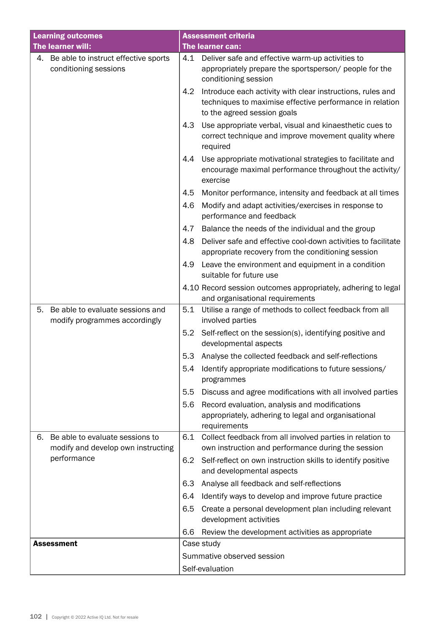| <b>Learning outcomes</b>                                                    | <b>Assessment criteria</b>                                                                                                                                   |  |  |
|-----------------------------------------------------------------------------|--------------------------------------------------------------------------------------------------------------------------------------------------------------|--|--|
| The learner will:                                                           | The learner can:                                                                                                                                             |  |  |
| 4. Be able to instruct effective sports<br>conditioning sessions            | Deliver safe and effective warm-up activities to<br>4.1<br>appropriately prepare the sportsperson/ people for the<br>conditioning session                    |  |  |
|                                                                             | Introduce each activity with clear instructions, rules and<br>4.2<br>techniques to maximise effective performance in relation<br>to the agreed session goals |  |  |
|                                                                             | Use appropriate verbal, visual and kinaesthetic cues to<br>4.3<br>correct technique and improve movement quality where<br>required                           |  |  |
|                                                                             | 4.4<br>Use appropriate motivational strategies to facilitate and<br>encourage maximal performance throughout the activity/<br>exercise                       |  |  |
|                                                                             | 4.5<br>Monitor performance, intensity and feedback at all times                                                                                              |  |  |
|                                                                             | Modify and adapt activities/exercises in response to<br>4.6<br>performance and feedback                                                                      |  |  |
|                                                                             | 4.7<br>Balance the needs of the individual and the group                                                                                                     |  |  |
|                                                                             | Deliver safe and effective cool-down activities to facilitate<br>4.8<br>appropriate recovery from the conditioning session                                   |  |  |
|                                                                             | 4.9<br>Leave the environment and equipment in a condition<br>suitable for future use                                                                         |  |  |
|                                                                             | 4.10 Record session outcomes appropriately, adhering to legal<br>and organisational requirements                                                             |  |  |
| Be able to evaluate sessions and<br>5.<br>modify programmes accordingly     | 5.1<br>Utilise a range of methods to collect feedback from all<br>involved parties                                                                           |  |  |
|                                                                             | Self-reflect on the session(s), identifying positive and<br>5.2<br>developmental aspects                                                                     |  |  |
|                                                                             | Analyse the collected feedback and self-reflections<br>5.3                                                                                                   |  |  |
|                                                                             | 5.4<br>Identify appropriate modifications to future sessions/<br>programmes                                                                                  |  |  |
|                                                                             | Discuss and agree modifications with all involved parties<br>5.5                                                                                             |  |  |
|                                                                             | Record evaluation, analysis and modifications<br>5.6<br>appropriately, adhering to legal and organisational<br>requirements                                  |  |  |
| Be able to evaluate sessions to<br>6.<br>modify and develop own instructing | Collect feedback from all involved parties in relation to<br>6.1<br>own instruction and performance during the session                                       |  |  |
| performance                                                                 | Self-reflect on own instruction skills to identify positive<br>6.2<br>and developmental aspects                                                              |  |  |
|                                                                             | Analyse all feedback and self-reflections<br>6.3                                                                                                             |  |  |
|                                                                             | Identify ways to develop and improve future practice<br>6.4                                                                                                  |  |  |
|                                                                             | 6.5<br>Create a personal development plan including relevant<br>development activities                                                                       |  |  |
|                                                                             | Review the development activities as appropriate<br>6.6                                                                                                      |  |  |
| <b>Assessment</b>                                                           | Case study                                                                                                                                                   |  |  |
|                                                                             | Summative observed session                                                                                                                                   |  |  |
|                                                                             | Self-evaluation                                                                                                                                              |  |  |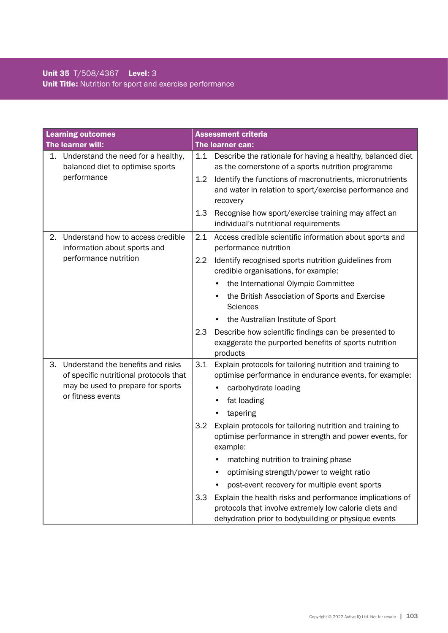|    | <b>Learning outcomes</b>                                                                                         |     | <b>Assessment criteria</b>                                                                                                      |
|----|------------------------------------------------------------------------------------------------------------------|-----|---------------------------------------------------------------------------------------------------------------------------------|
|    | The learner will:                                                                                                |     | The learner can:                                                                                                                |
|    | 1. Understand the need for a healthy,<br>balanced diet to optimise sports                                        | 1.1 | Describe the rationale for having a healthy, balanced diet<br>as the cornerstone of a sports nutrition programme                |
|    | performance                                                                                                      | 1.2 | Identify the functions of macronutrients, micronutrients<br>and water in relation to sport/exercise performance and<br>recovery |
|    |                                                                                                                  | 1.3 | Recognise how sport/exercise training may affect an<br>individual's nutritional requirements                                    |
| 2. | Understand how to access credible<br>information about sports and                                                | 2.1 | Access credible scientific information about sports and<br>performance nutrition                                                |
|    | performance nutrition                                                                                            | 2.2 | Identify recognised sports nutrition guidelines from<br>credible organisations, for example:                                    |
|    |                                                                                                                  |     | the International Olympic Committee                                                                                             |
|    |                                                                                                                  |     | the British Association of Sports and Exercise<br><b>Sciences</b>                                                               |
|    |                                                                                                                  |     | the Australian Institute of Sport                                                                                               |
|    |                                                                                                                  | 2.3 | Describe how scientific findings can be presented to<br>exaggerate the purported benefits of sports nutrition<br>products       |
| 3. | Understand the benefits and risks<br>of specific nutritional protocols that<br>may be used to prepare for sports | 3.1 | Explain protocols for tailoring nutrition and training to<br>optimise performance in endurance events, for example:             |
|    | or fitness events                                                                                                |     | carbohydrate loading                                                                                                            |
|    |                                                                                                                  |     | fat loading                                                                                                                     |
|    |                                                                                                                  |     | tapering                                                                                                                        |
|    |                                                                                                                  | 3.2 | Explain protocols for tailoring nutrition and training to<br>optimise performance in strength and power events, for<br>example: |
|    |                                                                                                                  |     | matching nutrition to training phase                                                                                            |
|    |                                                                                                                  |     | optimising strength/power to weight ratio                                                                                       |
|    |                                                                                                                  |     | post-event recovery for multiple event sports                                                                                   |
|    |                                                                                                                  | 3.3 | Explain the health risks and performance implications of<br>protocols that involve extremely low calorie diets and              |
|    |                                                                                                                  |     | dehydration prior to bodybuilding or physique events                                                                            |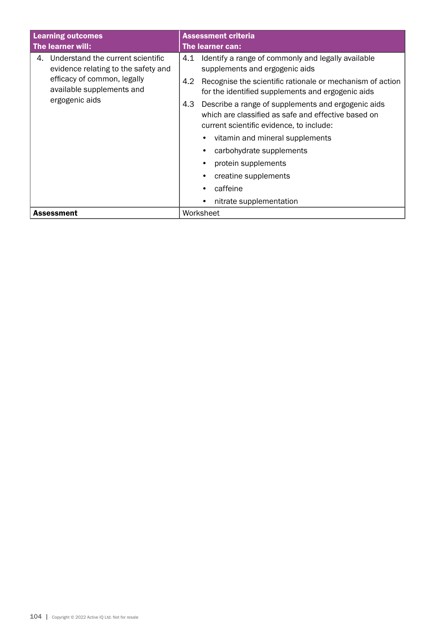| <b>Learning outcomes</b>                                                                                                                                     | <b>Assessment criteria</b>                                                                                                                                   |  |
|--------------------------------------------------------------------------------------------------------------------------------------------------------------|--------------------------------------------------------------------------------------------------------------------------------------------------------------|--|
| The learner will:                                                                                                                                            | The learner can:                                                                                                                                             |  |
| Understand the current scientific<br>4.<br>evidence relating to the safety and<br>efficacy of common, legally<br>available supplements and<br>ergogenic aids | Identify a range of commonly and legally available<br>4.1<br>supplements and ergogenic aids                                                                  |  |
|                                                                                                                                                              | Recognise the scientific rationale or mechanism of action<br>4.2<br>for the identified supplements and ergogenic aids                                        |  |
|                                                                                                                                                              | 4.3<br>Describe a range of supplements and ergogenic aids<br>which are classified as safe and effective based on<br>current scientific evidence, to include: |  |
|                                                                                                                                                              | vitamin and mineral supplements<br>$\bullet$                                                                                                                 |  |
|                                                                                                                                                              | carbohydrate supplements<br>٠                                                                                                                                |  |
|                                                                                                                                                              | protein supplements<br>$\bullet$                                                                                                                             |  |
|                                                                                                                                                              | creatine supplements<br>$\bullet$                                                                                                                            |  |
|                                                                                                                                                              | caffeine                                                                                                                                                     |  |
|                                                                                                                                                              | nitrate supplementation<br>$\bullet$                                                                                                                         |  |
| <b>Assessment</b>                                                                                                                                            | Worksheet                                                                                                                                                    |  |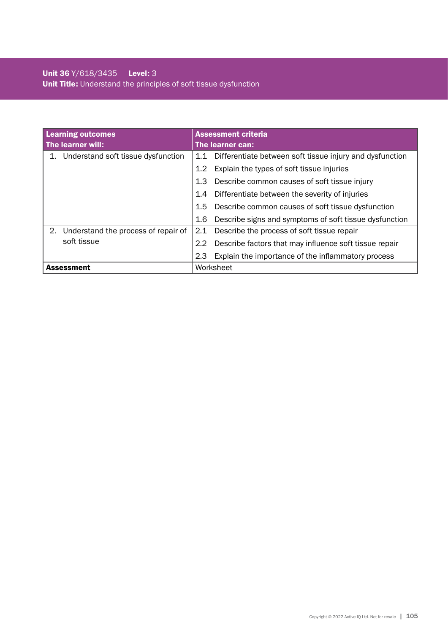| <b>Learning outcomes</b>                  | <b>Assessment criteria</b>                                      |  |
|-------------------------------------------|-----------------------------------------------------------------|--|
| The learner will:                         | The learner can:                                                |  |
| Understand soft tissue dysfunction<br>1.  | Differentiate between soft tissue injury and dysfunction<br>1.1 |  |
|                                           | Explain the types of soft tissue injuries<br>$1.2^{\circ}$      |  |
|                                           | Describe common causes of soft tissue injury<br>1.3             |  |
|                                           | Differentiate between the severity of injuries<br>1.4           |  |
|                                           | Describe common causes of soft tissue dysfunction<br>1.5        |  |
|                                           | Describe signs and symptoms of soft tissue dysfunction<br>1.6   |  |
| Understand the process of repair of<br>2. | Describe the process of soft tissue repair<br>2.1               |  |
| soft tissue                               | Describe factors that may influence soft tissue repair<br>2.2   |  |
|                                           | Explain the importance of the inflammatory process<br>2.3       |  |
| Assessment                                | Worksheet                                                       |  |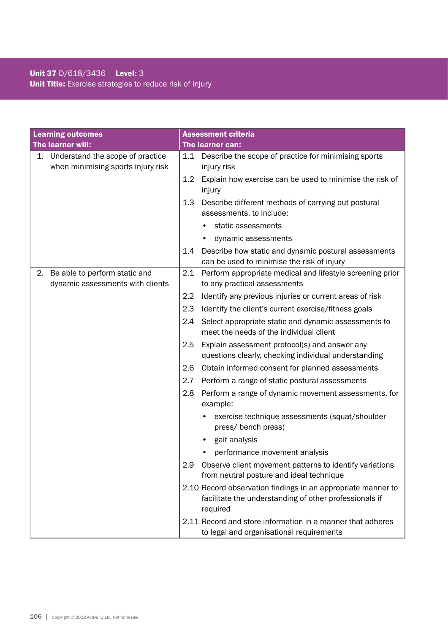### Unit 37 D/618/3436 Level: 3 Unit Title: Exercise strategies to reduce risk of injury

| <b>Learning outcomes</b>                                                  | <b>Assessment criteria</b>                                                                                                         |
|---------------------------------------------------------------------------|------------------------------------------------------------------------------------------------------------------------------------|
| The learner will:                                                         | <b>The learner can:</b>                                                                                                            |
| 1. Understand the scope of practice<br>when minimising sports injury risk | Describe the scope of practice for minimising sports<br>1.1<br>injury risk                                                         |
|                                                                           | Explain how exercise can be used to minimise the risk of<br>1.2<br>injury                                                          |
|                                                                           | Describe different methods of carrying out postural<br>1.3<br>assessments, to include:                                             |
|                                                                           | static assessments                                                                                                                 |
|                                                                           | dynamic assessments                                                                                                                |
|                                                                           | Describe how static and dynamic postural assessments<br>1.4<br>can be used to minimise the risk of injury                          |
| Be able to perform static and<br>2.<br>dynamic assessments with clients   | 2.1<br>Perform appropriate medical and lifestyle screening prior<br>to any practical assessments                                   |
|                                                                           | 2.2<br>Identify any previous injuries or current areas of risk                                                                     |
|                                                                           | 2.3<br>Identify the client's current exercise/fitness goals                                                                        |
|                                                                           | 2.4<br>Select appropriate static and dynamic assessments to<br>meet the needs of the individual client                             |
|                                                                           | Explain assessment protocol(s) and answer any<br>2.5<br>questions clearly, checking individual understanding                       |
|                                                                           | Obtain informed consent for planned assessments<br>2.6                                                                             |
|                                                                           | 2.7<br>Perform a range of static postural assessments                                                                              |
|                                                                           | 2.8<br>Perform a range of dynamic movement assessments, for<br>example:                                                            |
|                                                                           | exercise technique assessments (squat/shoulder<br>press/ bench press)                                                              |
|                                                                           | gait analysis                                                                                                                      |
|                                                                           | performance movement analysis                                                                                                      |
|                                                                           | Observe client movement patterns to identify variations<br>2.9<br>from neutral posture and ideal technique                         |
|                                                                           | 2.10 Record observation findings in an appropriate manner to<br>facilitate the understanding of other professionals if<br>required |
|                                                                           | 2.11 Record and store information in a manner that adheres<br>to legal and organisational requirements                             |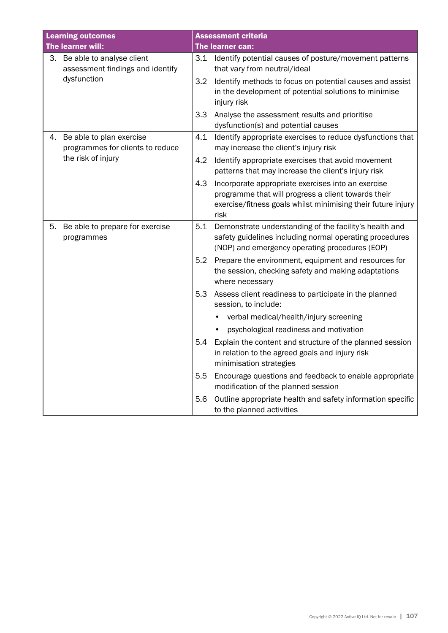| <b>Learning outcomes</b> |                                                                  |     | <b>Assessment criteria</b>                                                                                                                                                        |
|--------------------------|------------------------------------------------------------------|-----|-----------------------------------------------------------------------------------------------------------------------------------------------------------------------------------|
|                          | The learner will:                                                |     | The learner can:                                                                                                                                                                  |
|                          | 3. Be able to analyse client<br>assessment findings and identify |     | 3.1 Identify potential causes of posture/movement patterns<br>that vary from neutral/ideal                                                                                        |
|                          | dysfunction                                                      | 3.2 | Identify methods to focus on potential causes and assist<br>in the development of potential solutions to minimise<br>injury risk                                                  |
|                          |                                                                  | 3.3 | Analyse the assessment results and prioritise<br>dysfunction(s) and potential causes                                                                                              |
| 4.                       | Be able to plan exercise<br>programmes for clients to reduce     | 4.1 | Identify appropriate exercises to reduce dysfunctions that<br>may increase the client's injury risk                                                                               |
|                          | the risk of injury                                               | 4.2 | Identify appropriate exercises that avoid movement<br>patterns that may increase the client's injury risk                                                                         |
|                          |                                                                  | 4.3 | Incorporate appropriate exercises into an exercise<br>programme that will progress a client towards their<br>exercise/fitness goals whilst minimising their future injury<br>risk |
| 5.                       | Be able to prepare for exercise<br>programmes                    | 5.1 | Demonstrate understanding of the facility's health and<br>safety guidelines including normal operating procedures<br>(NOP) and emergency operating procedures (EOP)               |
|                          |                                                                  | 5.2 | Prepare the environment, equipment and resources for<br>the session, checking safety and making adaptations<br>where necessary                                                    |
|                          |                                                                  | 5.3 | Assess client readiness to participate in the planned<br>session, to include:                                                                                                     |
|                          |                                                                  |     | verbal medical/health/injury screening                                                                                                                                            |
|                          |                                                                  |     | psychological readiness and motivation                                                                                                                                            |
|                          |                                                                  | 5.4 | Explain the content and structure of the planned session<br>in relation to the agreed goals and injury risk<br>minimisation strategies                                            |
|                          |                                                                  | 5.5 | Encourage questions and feedback to enable appropriate<br>modification of the planned session                                                                                     |
|                          |                                                                  | 5.6 | Outline appropriate health and safety information specific<br>to the planned activities                                                                                           |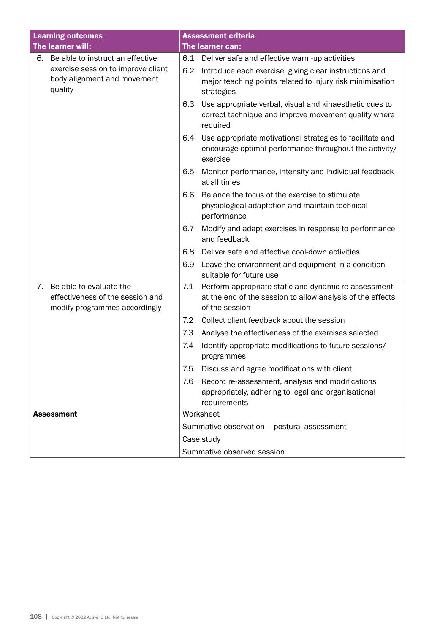| <b>Learning outcomes</b>                                                                           | <b>Assessment criteria</b>                                                                                                                  |  |  |
|----------------------------------------------------------------------------------------------------|---------------------------------------------------------------------------------------------------------------------------------------------|--|--|
| The learner will:                                                                                  | The learner can:                                                                                                                            |  |  |
| Be able to instruct an effective<br>6.                                                             | Deliver safe and effective warm-up activities<br>6.1                                                                                        |  |  |
| exercise session to improve client<br>body alignment and movement<br>quality                       | Introduce each exercise, giving clear instructions and<br>6.2<br>major teaching points related to injury risk minimisation<br>strategies    |  |  |
|                                                                                                    | 6.3<br>Use appropriate verbal, visual and kinaesthetic cues to<br>correct technique and improve movement quality where<br>required          |  |  |
|                                                                                                    | Use appropriate motivational strategies to facilitate and<br>6.4<br>encourage optimal performance throughout the activity/<br>exercise      |  |  |
|                                                                                                    | Monitor performance, intensity and individual feedback<br>6.5<br>at all times                                                               |  |  |
|                                                                                                    | Balance the focus of the exercise to stimulate<br>6.6<br>physiological adaptation and maintain technical<br>performance                     |  |  |
|                                                                                                    | Modify and adapt exercises in response to performance<br>6.7<br>and feedback                                                                |  |  |
|                                                                                                    | Deliver safe and effective cool-down activities<br>6.8                                                                                      |  |  |
|                                                                                                    | 6.9<br>Leave the environment and equipment in a condition<br>suitable for future use                                                        |  |  |
| Be able to evaluate the<br>7.<br>effectiveness of the session and<br>modify programmes accordingly | 7.1<br>Perform appropriate static and dynamic re-assessment<br>at the end of the session to allow analysis of the effects<br>of the session |  |  |
|                                                                                                    | Collect client feedback about the session<br>7.2                                                                                            |  |  |
|                                                                                                    | 7.3<br>Analyse the effectiveness of the exercises selected                                                                                  |  |  |
|                                                                                                    | Identify appropriate modifications to future sessions/<br>7.4<br>programmes                                                                 |  |  |
|                                                                                                    | 7.5<br>Discuss and agree modifications with client                                                                                          |  |  |
|                                                                                                    | 7.6<br>Record re-assessment, analysis and modifications<br>appropriately, adhering to legal and organisational<br>requirements              |  |  |
| <b>Assessment</b>                                                                                  | Worksheet                                                                                                                                   |  |  |
|                                                                                                    | Summative observation - postural assessment                                                                                                 |  |  |
|                                                                                                    | Case study                                                                                                                                  |  |  |
|                                                                                                    | Summative observed session                                                                                                                  |  |  |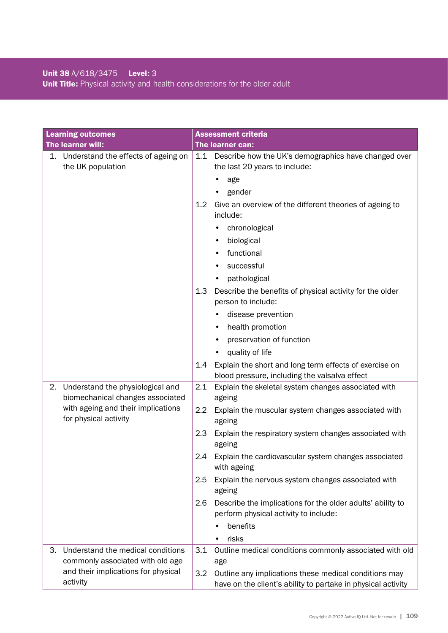## Unit 38 A/618/3475 Level: 3 Unit Title: Physical activity and health considerations for the older adult

| <b>Learning outcomes</b>                                    | <b>Assessment criteria</b>                                                                                                   |
|-------------------------------------------------------------|------------------------------------------------------------------------------------------------------------------------------|
| The learner will:                                           | The learner can:                                                                                                             |
| 1. Understand the effects of ageing on<br>the UK population | 1.1 Describe how the UK's demographics have changed over<br>the last 20 years to include:<br>age                             |
|                                                             | gender                                                                                                                       |
|                                                             | 1.2<br>Give an overview of the different theories of ageing to<br>include:                                                   |
|                                                             | chronological                                                                                                                |
|                                                             | biological                                                                                                                   |
|                                                             | functional                                                                                                                   |
|                                                             | successful                                                                                                                   |
|                                                             | pathological                                                                                                                 |
|                                                             | 1.3<br>Describe the benefits of physical activity for the older<br>person to include:                                        |
|                                                             | disease prevention                                                                                                           |
|                                                             | health promotion                                                                                                             |
|                                                             | preservation of function                                                                                                     |
|                                                             | quality of life                                                                                                              |
|                                                             | Explain the short and long term effects of exercise on<br>1.4<br>blood pressure, including the valsalva effect               |
| Understand the physiological and<br>2.                      | 2.1<br>Explain the skeletal system changes associated with                                                                   |
| biomechanical changes associated                            | ageing                                                                                                                       |
| with ageing and their implications<br>for physical activity | 2.2<br>Explain the muscular system changes associated with<br>ageing                                                         |
|                                                             | 2.3<br>Explain the respiratory system changes associated with<br>ageing                                                      |
|                                                             | Explain the cardiovascular system changes associated<br>2.4<br>with ageing                                                   |
|                                                             | 2.5<br>Explain the nervous system changes associated with<br>ageing                                                          |
|                                                             | Describe the implications for the older adults' ability to<br>2.6                                                            |
|                                                             | perform physical activity to include:                                                                                        |
|                                                             | benefits                                                                                                                     |
|                                                             | risks                                                                                                                        |
| Understand the medical conditions<br>3.                     | Outline medical conditions commonly associated with old<br>3.1                                                               |
| commonly associated with old age                            | age                                                                                                                          |
| and their implications for physical<br>activity             | 3.2<br>Outline any implications these medical conditions may<br>have on the client's ability to partake in physical activity |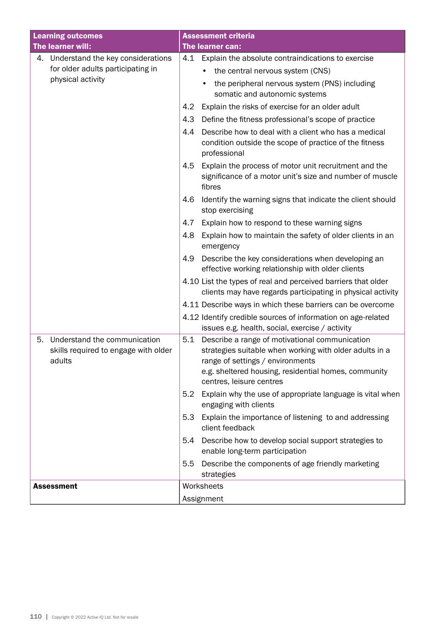| <b>Learning outcomes</b>                                                             | <b>Assessment criteria</b>                                                                                                                                                                                                               |
|--------------------------------------------------------------------------------------|------------------------------------------------------------------------------------------------------------------------------------------------------------------------------------------------------------------------------------------|
| The learner will:                                                                    | The learner can:                                                                                                                                                                                                                         |
| 4. Understand the key considerations                                                 | 4.1 Explain the absolute contraindications to exercise                                                                                                                                                                                   |
| for older adults participating in                                                    | the central nervous system (CNS)<br>٠                                                                                                                                                                                                    |
| physical activity                                                                    | the peripheral nervous system (PNS) including<br>somatic and autonomic systems                                                                                                                                                           |
|                                                                                      | Explain the risks of exercise for an older adult<br>4.2                                                                                                                                                                                  |
|                                                                                      | Define the fitness professional's scope of practice<br>4.3                                                                                                                                                                               |
|                                                                                      | Describe how to deal with a client who has a medical<br>4.4<br>condition outside the scope of practice of the fitness<br>professional                                                                                                    |
|                                                                                      | 4.5<br>Explain the process of motor unit recruitment and the<br>significance of a motor unit's size and number of muscle<br>fibres                                                                                                       |
|                                                                                      | Identify the warning signs that indicate the client should<br>4.6<br>stop exercising                                                                                                                                                     |
|                                                                                      | 4.7<br>Explain how to respond to these warning signs                                                                                                                                                                                     |
|                                                                                      | Explain how to maintain the safety of older clients in an<br>4.8<br>emergency                                                                                                                                                            |
|                                                                                      | Describe the key considerations when developing an<br>4.9<br>effective working relationship with older clients                                                                                                                           |
|                                                                                      | 4.10 List the types of real and perceived barriers that older<br>clients may have regards participating in physical activity                                                                                                             |
|                                                                                      | 4.11 Describe ways in which these barriers can be overcome                                                                                                                                                                               |
|                                                                                      | 4.12 Identify credible sources of information on age-related                                                                                                                                                                             |
|                                                                                      | issues e.g. health, social, exercise / activity                                                                                                                                                                                          |
| Understand the communication<br>5.<br>skills required to engage with older<br>adults | Describe a range of motivational communication<br>5.1<br>strategies suitable when working with older adults in a<br>range of settings / environments<br>e.g. sheltered housing, residential homes, community<br>centres, leisure centres |
|                                                                                      | Explain why the use of appropriate language is vital when<br>5.2<br>engaging with clients                                                                                                                                                |
|                                                                                      | Explain the importance of listening to and addressing<br>5.3<br>client feedback                                                                                                                                                          |
|                                                                                      | Describe how to develop social support strategies to<br>5.4<br>enable long-term participation                                                                                                                                            |
|                                                                                      | Describe the components of age friendly marketing<br>5.5<br>strategies                                                                                                                                                                   |
| <b>Assessment</b>                                                                    | Worksheets                                                                                                                                                                                                                               |
|                                                                                      | Assignment                                                                                                                                                                                                                               |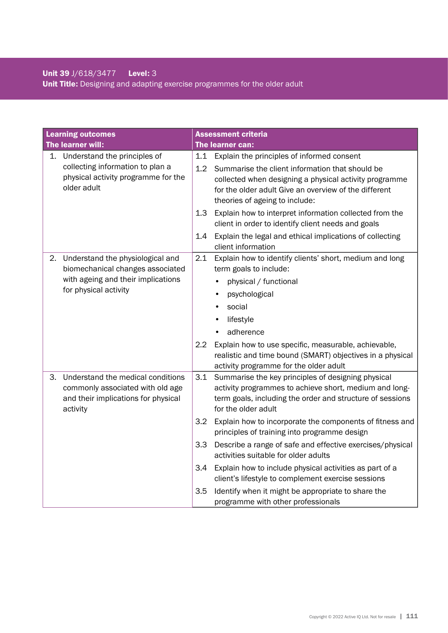## Unit 39 J/618/3477 Level: 3 Unit Title: Designing and adapting exercise programmes for the older adult

|    | <b>Learning outcomes</b>                                                                                                            |                                 | <b>Assessment criteria</b>                                                                                                                                                                                                                                                                                                                                                                                                                                                                                                                                                                                                     |
|----|-------------------------------------------------------------------------------------------------------------------------------------|---------------------------------|--------------------------------------------------------------------------------------------------------------------------------------------------------------------------------------------------------------------------------------------------------------------------------------------------------------------------------------------------------------------------------------------------------------------------------------------------------------------------------------------------------------------------------------------------------------------------------------------------------------------------------|
|    | The learner will:                                                                                                                   |                                 | The learner can:                                                                                                                                                                                                                                                                                                                                                                                                                                                                                                                                                                                                               |
| 1. | Understand the principles of<br>collecting information to plan a<br>physical activity programme for the<br>older adult              | 1.1<br>1.2<br>1.3<br>1.4        | Explain the principles of informed consent<br>Summarise the client information that should be<br>collected when designing a physical activity programme<br>for the older adult Give an overview of the different<br>theories of ageing to include:<br>Explain how to interpret information collected from the<br>client in order to identify client needs and goals<br>Explain the legal and ethical implications of collecting<br>client information                                                                                                                                                                          |
| 2. | Understand the physiological and<br>biomechanical changes associated<br>with ageing and their implications<br>for physical activity | 2.1<br>2.2                      | Explain how to identify clients' short, medium and long<br>term goals to include:<br>physical / functional<br>psychological<br>$\bullet$<br>social<br>lifestyle<br>adherence<br>Explain how to use specific, measurable, achievable,<br>realistic and time bound (SMART) objectives in a physical<br>activity programme for the older adult                                                                                                                                                                                                                                                                                    |
| З. | Understand the medical conditions<br>commonly associated with old age<br>and their implications for physical<br>activity            | 3.1<br>3.2<br>3.3<br>3.4<br>3.5 | Summarise the key principles of designing physical<br>activity programmes to achieve short, medium and long-<br>term goals, including the order and structure of sessions<br>for the older adult<br>Explain how to incorporate the components of fitness and<br>principles of training into programme design<br>Describe a range of safe and effective exercises/physical<br>activities suitable for older adults<br>Explain how to include physical activities as part of a<br>client's lifestyle to complement exercise sessions<br>Identify when it might be appropriate to share the<br>programme with other professionals |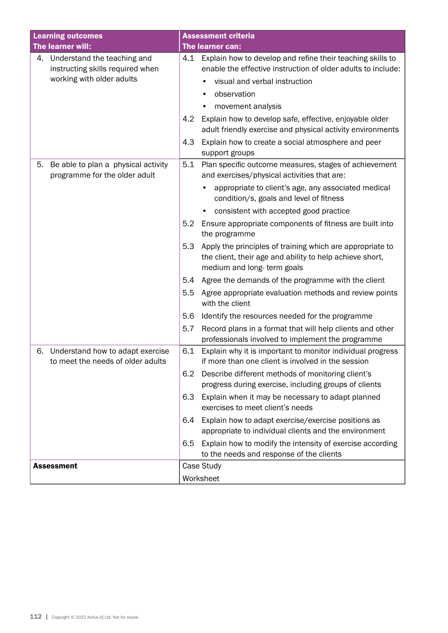| <b>Learning outcomes</b>                                                                        | <b>Assessment criteria</b>                                                                                                                                                                                                                                                                                                                                                                                                                                                                                                                                                                                                                                                                                                                                                                                                                   |  |  |
|-------------------------------------------------------------------------------------------------|----------------------------------------------------------------------------------------------------------------------------------------------------------------------------------------------------------------------------------------------------------------------------------------------------------------------------------------------------------------------------------------------------------------------------------------------------------------------------------------------------------------------------------------------------------------------------------------------------------------------------------------------------------------------------------------------------------------------------------------------------------------------------------------------------------------------------------------------|--|--|
| The learner will:                                                                               | The learner can:                                                                                                                                                                                                                                                                                                                                                                                                                                                                                                                                                                                                                                                                                                                                                                                                                             |  |  |
| 4. Understand the teaching and<br>instructing skills required when<br>working with older adults | Explain how to develop and refine their teaching skills to<br>4.1<br>enable the effective instruction of older adults to include:<br>visual and verbal instruction<br>observation<br>movement analysis<br>Explain how to develop safe, effective, enjoyable older<br>4.2<br>adult friendly exercise and physical activity environments<br>Explain how to create a social atmosphere and peer<br>4.3<br>support groups                                                                                                                                                                                                                                                                                                                                                                                                                        |  |  |
| Be able to plan a physical activity<br>5.<br>programme for the older adult                      | Plan specific outcome measures, stages of achievement<br>5.1<br>and exercises/physical activities that are:<br>appropriate to client's age, any associated medical<br>condition/s, goals and level of fitness<br>consistent with accepted good practice<br>Ensure appropriate components of fitness are built into<br>5.2<br>the programme<br>Apply the principles of training which are appropriate to<br>5.3<br>the client, their age and ability to help achieve short,<br>medium and long-term goals<br>Agree the demands of the programme with the client<br>5.4<br>Agree appropriate evaluation methods and review points<br>5.5<br>with the client<br>5.6<br>Identify the resources needed for the programme<br>Record plans in a format that will help clients and other<br>5.7<br>professionals involved to implement the programme |  |  |
| Understand how to adapt exercise<br>6.<br>to meet the needs of older adults                     | Explain why it is important to monitor individual progress<br>6.1<br>if more than one client is involved in the session<br>Describe different methods of monitoring client's<br>6.2<br>progress during exercise, including groups of clients<br>6.3<br>Explain when it may be necessary to adapt planned<br>exercises to meet client's needs<br>Explain how to adapt exercise/exercise positions as<br>6.4<br>appropriate to individual clients and the environment<br>Explain how to modify the intensity of exercise according<br>6.5<br>to the needs and response of the clients                                                                                                                                                                                                                                                          |  |  |
| <b>Assessment</b>                                                                               | Case Study<br>Worksheet                                                                                                                                                                                                                                                                                                                                                                                                                                                                                                                                                                                                                                                                                                                                                                                                                      |  |  |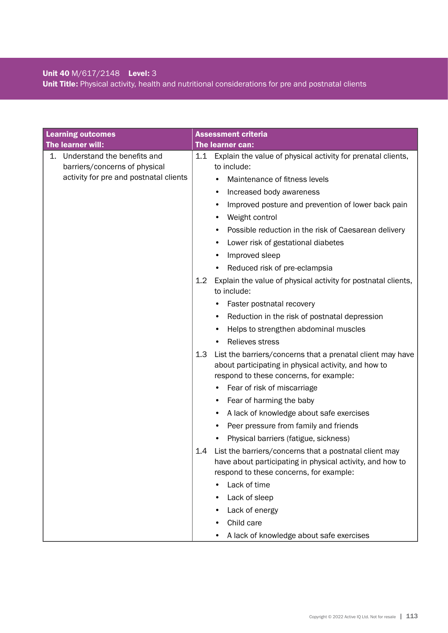# Unit 40 M/617/2148 Level: 3

Unit Title: Physical activity, health and nutritional considerations for pre and postnatal clients

| <b>Learning outcomes</b>                                           | <b>Assessment criteria</b>                                                                                                                                            |
|--------------------------------------------------------------------|-----------------------------------------------------------------------------------------------------------------------------------------------------------------------|
| The learner will:                                                  | The learner can:                                                                                                                                                      |
| Understand the benefits and<br>1.<br>barriers/concerns of physical | Explain the value of physical activity for prenatal clients,<br>1.1<br>to include:                                                                                    |
| activity for pre and postnatal clients                             | Maintenance of fitness levels                                                                                                                                         |
|                                                                    | Increased body awareness<br>٠                                                                                                                                         |
|                                                                    | Improved posture and prevention of lower back pain                                                                                                                    |
|                                                                    | Weight control                                                                                                                                                        |
|                                                                    | Possible reduction in the risk of Caesarean delivery                                                                                                                  |
|                                                                    | Lower risk of gestational diabetes                                                                                                                                    |
|                                                                    | Improved sleep                                                                                                                                                        |
|                                                                    | Reduced risk of pre-eclampsia                                                                                                                                         |
|                                                                    | Explain the value of physical activity for postnatal clients,<br>$1.2\phantom{0}$<br>to include:                                                                      |
|                                                                    | Faster postnatal recovery                                                                                                                                             |
|                                                                    | Reduction in the risk of postnatal depression<br>٠                                                                                                                    |
|                                                                    | Helps to strengthen abdominal muscles<br>٠                                                                                                                            |
|                                                                    | Relieves stress                                                                                                                                                       |
|                                                                    | List the barriers/concerns that a prenatal client may have<br>1.3<br>about participating in physical activity, and how to<br>respond to these concerns, for example:  |
|                                                                    | Fear of risk of miscarriage                                                                                                                                           |
|                                                                    | Fear of harming the baby<br>٠                                                                                                                                         |
|                                                                    | A lack of knowledge about safe exercises                                                                                                                              |
|                                                                    | Peer pressure from family and friends<br>٠                                                                                                                            |
|                                                                    | Physical barriers (fatigue, sickness)                                                                                                                                 |
|                                                                    | List the barriers/concerns that a postnatal client may<br>1.4<br>have about participating in physical activity, and how to<br>respond to these concerns, for example: |
|                                                                    | Lack of time                                                                                                                                                          |
|                                                                    | Lack of sleep                                                                                                                                                         |
|                                                                    | Lack of energy                                                                                                                                                        |
|                                                                    | Child care                                                                                                                                                            |
|                                                                    | A lack of knowledge about safe exercises                                                                                                                              |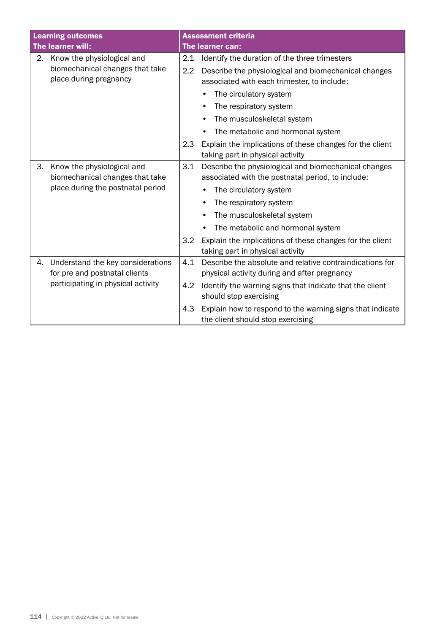| <b>Learning outcomes</b>           |                                   |                        | <b>Assessment criteria</b>                                |  |  |
|------------------------------------|-----------------------------------|------------------------|-----------------------------------------------------------|--|--|
|                                    | The learner will:                 |                        | The learner can:                                          |  |  |
| 2.                                 | Know the physiological and        | 2.1                    | Identify the duration of the three trimesters             |  |  |
|                                    | biomechanical changes that take   | 2.2                    | Describe the physiological and biomechanical changes      |  |  |
|                                    | place during pregnancy            |                        | associated with each trimester, to include:               |  |  |
|                                    |                                   |                        | The circulatory system                                    |  |  |
|                                    |                                   |                        | The respiratory system                                    |  |  |
|                                    |                                   |                        | The musculoskeletal system                                |  |  |
|                                    |                                   |                        | The metabolic and hormonal system                         |  |  |
|                                    |                                   | 2.3                    | Explain the implications of these changes for the client  |  |  |
|                                    |                                   |                        | taking part in physical activity                          |  |  |
| З.                                 | Know the physiological and        | 3.1                    | Describe the physiological and biomechanical changes      |  |  |
|                                    | biomechanical changes that take   |                        | associated with the postnatal period, to include:         |  |  |
| place during the postnatal period  |                                   | The circulatory system |                                                           |  |  |
|                                    |                                   |                        | The respiratory system                                    |  |  |
|                                    |                                   |                        | The musculoskeletal system                                |  |  |
|                                    |                                   |                        | The metabolic and hormonal system                         |  |  |
|                                    |                                   | 3.2                    | Explain the implications of these changes for the client  |  |  |
|                                    |                                   |                        | taking part in physical activity                          |  |  |
| 4.                                 | Understand the key considerations | 4.1                    | Describe the absolute and relative contraindications for  |  |  |
|                                    | for pre and postnatal clients     |                        | physical activity during and after pregnancy              |  |  |
| participating in physical activity |                                   | 4.2                    | Identify the warning signs that indicate that the client  |  |  |
|                                    |                                   |                        | should stop exercising                                    |  |  |
|                                    |                                   | 4.3                    | Explain how to respond to the warning signs that indicate |  |  |
|                                    |                                   |                        | the client should stop exercising                         |  |  |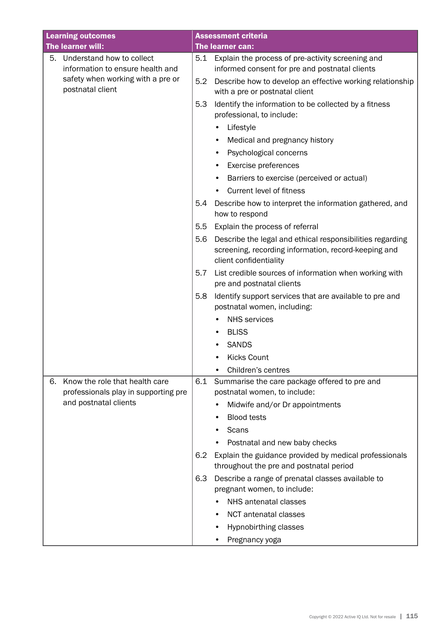| <b>Learning outcomes</b>                                                                                 |     | <b>Assessment criteria</b>                                                                                                                                           |
|----------------------------------------------------------------------------------------------------------|-----|----------------------------------------------------------------------------------------------------------------------------------------------------------------------|
| The learner will:                                                                                        |     | The learner can:                                                                                                                                                     |
| Understand how to collect<br>5.<br>information to ensure health and<br>safety when working with a pre or | 5.2 | 5.1 Explain the process of pre-activity screening and<br>informed consent for pre and postnatal clients<br>Describe how to develop an effective working relationship |
| postnatal client                                                                                         |     | with a pre or postnatal client                                                                                                                                       |
|                                                                                                          | 5.3 | Identify the information to be collected by a fitness<br>professional, to include:                                                                                   |
|                                                                                                          |     | Lifestyle                                                                                                                                                            |
|                                                                                                          |     | Medical and pregnancy history<br>٠                                                                                                                                   |
|                                                                                                          |     | Psychological concerns                                                                                                                                               |
|                                                                                                          |     | Exercise preferences                                                                                                                                                 |
|                                                                                                          |     | Barriers to exercise (perceived or actual)                                                                                                                           |
|                                                                                                          |     | Current level of fitness                                                                                                                                             |
|                                                                                                          | 5.4 | Describe how to interpret the information gathered, and<br>how to respond                                                                                            |
|                                                                                                          | 5.5 | Explain the process of referral                                                                                                                                      |
|                                                                                                          | 5.6 | Describe the legal and ethical responsibilities regarding<br>screening, recording information, record-keeping and<br>client confidentiality                          |
|                                                                                                          | 5.7 | List credible sources of information when working with<br>pre and postnatal clients                                                                                  |
|                                                                                                          | 5.8 | Identify support services that are available to pre and<br>postnatal women, including:                                                                               |
|                                                                                                          |     | <b>NHS</b> services                                                                                                                                                  |
|                                                                                                          |     | <b>BLISS</b>                                                                                                                                                         |
|                                                                                                          |     | <b>SANDS</b>                                                                                                                                                         |
|                                                                                                          |     | <b>Kicks Count</b>                                                                                                                                                   |
|                                                                                                          |     | Children's centres                                                                                                                                                   |
| Know the role that health care<br>6.<br>professionals play in supporting pre                             | 6.1 | Summarise the care package offered to pre and<br>postnatal women, to include:                                                                                        |
| and postnatal clients                                                                                    |     | Midwife and/or Dr appointments                                                                                                                                       |
|                                                                                                          |     | <b>Blood tests</b>                                                                                                                                                   |
|                                                                                                          |     | Scans                                                                                                                                                                |
|                                                                                                          |     | Postnatal and new baby checks                                                                                                                                        |
|                                                                                                          | 6.2 | Explain the guidance provided by medical professionals<br>throughout the pre and postnatal period                                                                    |
|                                                                                                          | 6.3 | Describe a range of prenatal classes available to<br>pregnant women, to include:                                                                                     |
|                                                                                                          |     | NHS antenatal classes                                                                                                                                                |
|                                                                                                          |     | <b>NCT</b> antenatal classes                                                                                                                                         |
|                                                                                                          |     | Hypnobirthing classes                                                                                                                                                |
|                                                                                                          |     | Pregnancy yoga                                                                                                                                                       |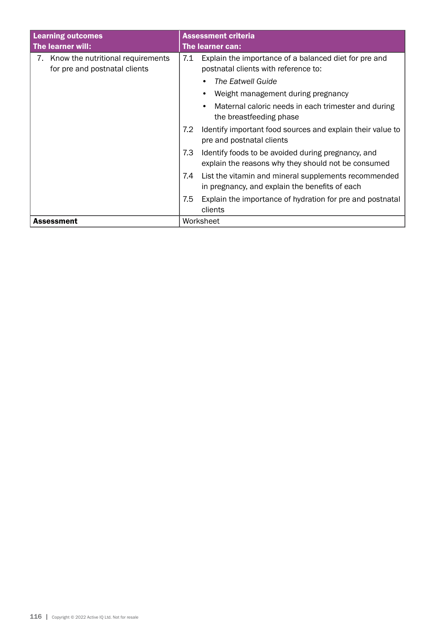| <b>Learning outcomes</b>                                           | <b>Assessment criteria</b>                                                                                       |  |
|--------------------------------------------------------------------|------------------------------------------------------------------------------------------------------------------|--|
| The learner will:                                                  | <b>The learner can:</b>                                                                                          |  |
| Know the nutritional requirements<br>for pre and postnatal clients | Explain the importance of a balanced diet for pre and<br>7.1<br>postnatal clients with reference to:             |  |
|                                                                    | The Eatwell Guide                                                                                                |  |
|                                                                    | Weight management during pregnancy                                                                               |  |
|                                                                    | Maternal caloric needs in each trimester and during<br>the breastfeeding phase                                   |  |
|                                                                    | 7.2<br>Identify important food sources and explain their value to<br>pre and postnatal clients                   |  |
|                                                                    | 7.3<br>Identify foods to be avoided during pregnancy, and<br>explain the reasons why they should not be consumed |  |
|                                                                    | List the vitamin and mineral supplements recommended<br>7.4<br>in pregnancy, and explain the benefits of each    |  |
|                                                                    | 7.5<br>Explain the importance of hydration for pre and postnatal<br>clients                                      |  |
| Assessment                                                         | Worksheet                                                                                                        |  |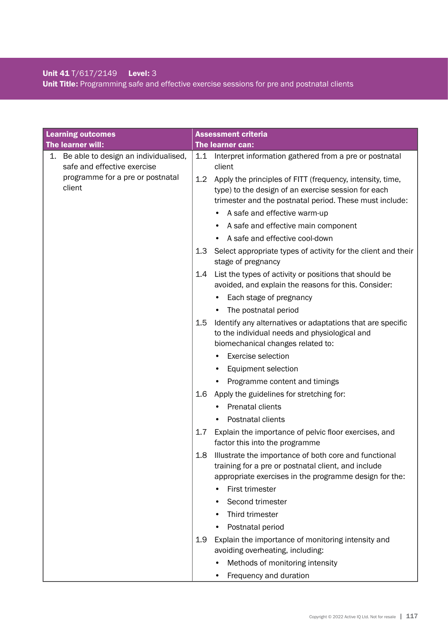## Unit 41 T/617/2149 Level: 3 Unit Title: Programming safe and effective exercise sessions for pre and postnatal clients

| <b>Learning outcomes</b>                                               |         | <b>Assessment criteria</b>                                                                                                                                                  |
|------------------------------------------------------------------------|---------|-----------------------------------------------------------------------------------------------------------------------------------------------------------------------------|
| The learner will:                                                      |         | The learner can:                                                                                                                                                            |
| 1. Be able to design an individualised,<br>safe and effective exercise | 1.1     | Interpret information gathered from a pre or postnatal<br>client                                                                                                            |
| programme for a pre or postnatal<br>client                             | 1.2     | Apply the principles of FITT (frequency, intensity, time,<br>type) to the design of an exercise session for each<br>trimester and the postnatal period. These must include: |
|                                                                        |         | A safe and effective warm-up                                                                                                                                                |
|                                                                        |         | A safe and effective main component                                                                                                                                         |
|                                                                        |         | A safe and effective cool-down                                                                                                                                              |
|                                                                        | 1.3     | Select appropriate types of activity for the client and their<br>stage of pregnancy                                                                                         |
|                                                                        | 1.4     | List the types of activity or positions that should be<br>avoided, and explain the reasons for this. Consider:                                                              |
|                                                                        |         | Each stage of pregnancy                                                                                                                                                     |
|                                                                        |         | The postnatal period                                                                                                                                                        |
|                                                                        | $1.5\,$ | Identify any alternatives or adaptations that are specific<br>to the individual needs and physiological and<br>biomechanical changes related to:                            |
|                                                                        |         | <b>Exercise selection</b>                                                                                                                                                   |
|                                                                        |         | Equipment selection                                                                                                                                                         |
|                                                                        |         | Programme content and timings                                                                                                                                               |
|                                                                        | 1.6     | Apply the guidelines for stretching for:                                                                                                                                    |
|                                                                        |         | Prenatal clients                                                                                                                                                            |
|                                                                        |         | Postnatal clients                                                                                                                                                           |
|                                                                        | 1.7     | Explain the importance of pelvic floor exercises, and<br>factor this into the programme                                                                                     |
|                                                                        | 1.8     | Illustrate the importance of both core and functional<br>training for a pre or postnatal client, and include<br>appropriate exercises in the programme design for the:      |
|                                                                        |         | First trimester                                                                                                                                                             |
|                                                                        |         | Second trimester                                                                                                                                                            |
|                                                                        |         | Third trimester                                                                                                                                                             |
|                                                                        |         | Postnatal period                                                                                                                                                            |
|                                                                        | 1.9     | Explain the importance of monitoring intensity and<br>avoiding overheating, including:                                                                                      |
|                                                                        |         | Methods of monitoring intensity                                                                                                                                             |
|                                                                        |         | Frequency and duration                                                                                                                                                      |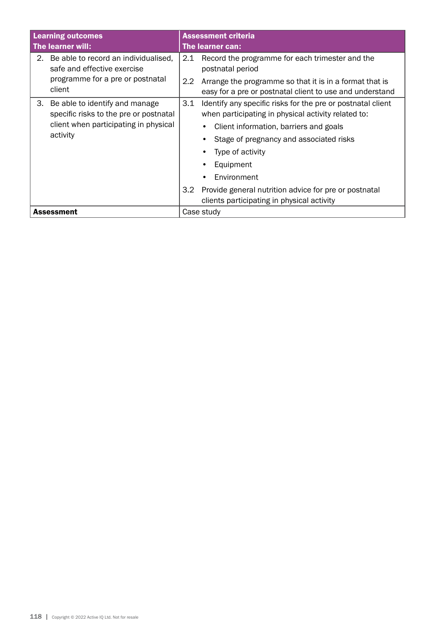| <b>Learning outcomes</b>                                                                                                            | <b>Assessment criteria</b>                                                                                                                                                                                                                                     |  |
|-------------------------------------------------------------------------------------------------------------------------------------|----------------------------------------------------------------------------------------------------------------------------------------------------------------------------------------------------------------------------------------------------------------|--|
| The learner will:                                                                                                                   | The learner can:                                                                                                                                                                                                                                               |  |
| 2. Be able to record an individualised,<br>safe and effective exercise<br>programme for a pre or postnatal                          | Record the programme for each trimester and the<br>2.1<br>postnatal period<br>2.2<br>Arrange the programme so that it is in a format that is                                                                                                                   |  |
| client                                                                                                                              | easy for a pre or postnatal client to use and understand                                                                                                                                                                                                       |  |
| Be able to identify and manage<br>3.<br>specific risks to the pre or postnatal<br>client when participating in physical<br>activity | 3.1<br>Identify any specific risks for the pre or postnatal client<br>when participating in physical activity related to:<br>Client information, barriers and goals<br>Stage of pregnancy and associated risks<br>Type of activity<br>Equipment<br>Environment |  |
|                                                                                                                                     | 3.2<br>Provide general nutrition advice for pre or postnatal<br>clients participating in physical activity                                                                                                                                                     |  |
| <b>Assessment</b>                                                                                                                   | Case study                                                                                                                                                                                                                                                     |  |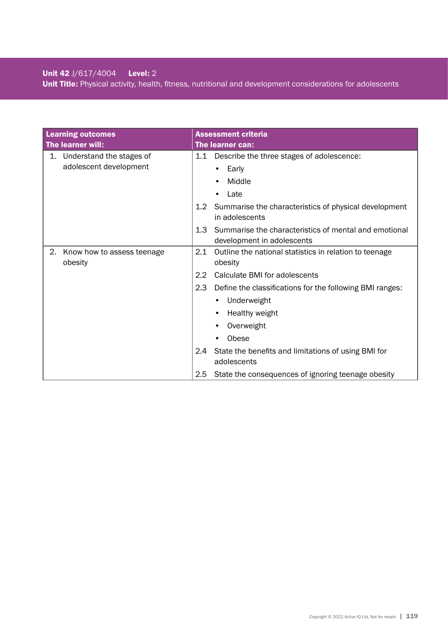## Unit 42 J/617/4004 Level: 2 Unit Title: Physical activity, health, fitness, nutritional and development considerations for adolescents

|    | <b>Learning outcomes</b>   |                  | <b>Assessment criteria</b>                                              |
|----|----------------------------|------------------|-------------------------------------------------------------------------|
|    | The learner will:          |                  | The learner can:                                                        |
| 1. | Understand the stages of   |                  | 1.1 Describe the three stages of adolescence:                           |
|    | adolescent development     |                  | Early                                                                   |
|    |                            |                  | Middle                                                                  |
|    |                            |                  | Late                                                                    |
|    |                            | 1.2              | Summarise the characteristics of physical development<br>in adolescents |
|    |                            | 1.3 <sup>°</sup> | Summarise the characteristics of mental and emotional                   |
|    |                            |                  | development in adolescents                                              |
| 2. | Know how to assess teenage | 2.1              | Outline the national statistics in relation to teenage                  |
|    | obesity                    |                  | obesity                                                                 |
|    |                            | 2.2              | Calculate BMI for adolescents                                           |
|    |                            | 2.3              | Define the classifications for the following BMI ranges:                |
|    |                            |                  | Underweight<br>٠                                                        |
|    |                            |                  | Healthy weight                                                          |
|    |                            |                  | Overweight                                                              |
|    |                            |                  | Obese                                                                   |
|    |                            | 2.4              | State the benefits and limitations of using BMI for                     |
|    |                            |                  | adolescents                                                             |
|    |                            | 2.5              | State the consequences of ignoring teenage obesity                      |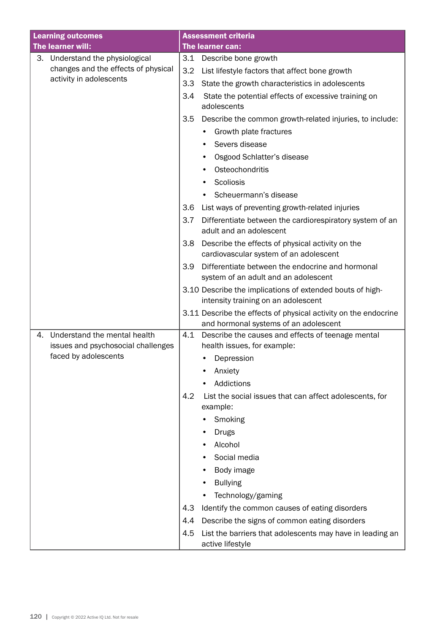| <b>Learning outcomes</b>                                                 | <b>Assessment criteria</b>                                                                               |
|--------------------------------------------------------------------------|----------------------------------------------------------------------------------------------------------|
| The learner will:                                                        | The learner can:                                                                                         |
| 3.<br>Understand the physiological                                       | 3.1<br>Describe bone growth                                                                              |
| changes and the effects of physical                                      | 3.2<br>List lifestyle factors that affect bone growth                                                    |
| activity in adolescents                                                  | 3.3<br>State the growth characteristics in adolescents                                                   |
|                                                                          | 3.4<br>State the potential effects of excessive training on<br>adolescents                               |
|                                                                          | 3.5<br>Describe the common growth-related injuries, to include:                                          |
|                                                                          | Growth plate fractures                                                                                   |
|                                                                          | Severs disease                                                                                           |
|                                                                          | Osgood Schlatter's disease                                                                               |
|                                                                          | Osteochondritis                                                                                          |
|                                                                          | Scoliosis<br>٠                                                                                           |
|                                                                          | Scheuermann's disease                                                                                    |
|                                                                          | List ways of preventing growth-related injuries<br>3.6                                                   |
|                                                                          | 3.7<br>Differentiate between the cardiorespiratory system of an<br>adult and an adolescent               |
|                                                                          | Describe the effects of physical activity on the<br>3.8                                                  |
|                                                                          | cardiovascular system of an adolescent                                                                   |
|                                                                          | Differentiate between the endocrine and hormonal<br>3.9<br>system of an adult and an adolescent          |
|                                                                          | 3.10 Describe the implications of extended bouts of high-<br>intensity training on an adolescent         |
|                                                                          | 3.11 Describe the effects of physical activity on the endocrine<br>and hormonal systems of an adolescent |
| Understand the mental health<br>4.<br>issues and psychosocial challenges | 4.1<br>Describe the causes and effects of teenage mental<br>health issues, for example:                  |
| faced by adolescents                                                     | Depression                                                                                               |
|                                                                          | Anxiety                                                                                                  |
|                                                                          | Addictions                                                                                               |
|                                                                          | 4.2<br>List the social issues that can affect adolescents, for                                           |
|                                                                          | example:                                                                                                 |
|                                                                          | Smoking                                                                                                  |
|                                                                          | <b>Drugs</b><br>Alcohol                                                                                  |
|                                                                          | Social media                                                                                             |
|                                                                          |                                                                                                          |
|                                                                          | Body image<br><b>Bullying</b>                                                                            |
|                                                                          | Technology/gaming                                                                                        |
|                                                                          | Identify the common causes of eating disorders<br>4.3                                                    |
|                                                                          | Describe the signs of common eating disorders<br>4.4                                                     |
|                                                                          | 4.5<br>List the barriers that adolescents may have in leading an                                         |
|                                                                          | active lifestyle                                                                                         |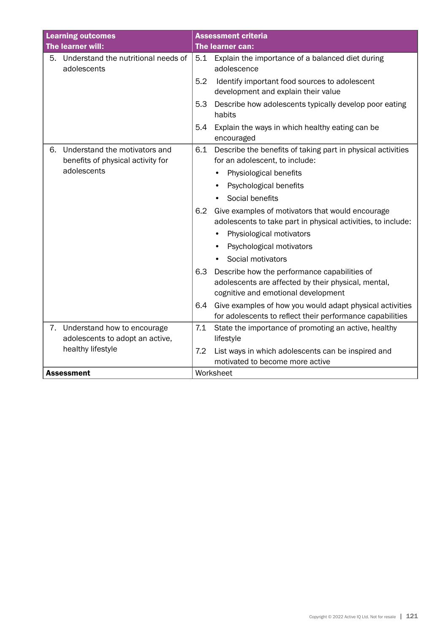| <b>Learning outcomes</b> |                                                                    |     | <b>Assessment criteria</b>                                                                                                                 |
|--------------------------|--------------------------------------------------------------------|-----|--------------------------------------------------------------------------------------------------------------------------------------------|
| The learner will:        |                                                                    |     | The learner can:                                                                                                                           |
| 5.                       | Understand the nutritional needs of<br>adolescents                 | 5.1 | Explain the importance of a balanced diet during<br>adolescence                                                                            |
|                          |                                                                    | 5.2 | Identify important food sources to adolescent<br>development and explain their value                                                       |
|                          |                                                                    | 5.3 | Describe how adolescents typically develop poor eating<br>habits                                                                           |
|                          |                                                                    | 5.4 | Explain the ways in which healthy eating can be<br>encouraged                                                                              |
| 6.                       | Understand the motivators and<br>benefits of physical activity for | 6.1 | Describe the benefits of taking part in physical activities<br>for an adolescent, to include:                                              |
|                          | adolescents                                                        |     | Physiological benefits                                                                                                                     |
|                          |                                                                    |     | Psychological benefits                                                                                                                     |
|                          |                                                                    |     | Social benefits                                                                                                                            |
|                          |                                                                    | 6.2 | Give examples of motivators that would encourage<br>adolescents to take part in physical activities, to include:                           |
|                          |                                                                    |     | Physiological motivators                                                                                                                   |
|                          |                                                                    |     | Psychological motivators<br>$\bullet$                                                                                                      |
|                          |                                                                    |     | Social motivators                                                                                                                          |
|                          |                                                                    | 6.3 | Describe how the performance capabilities of<br>adolescents are affected by their physical, mental,<br>cognitive and emotional development |
|                          |                                                                    | 6.4 | Give examples of how you would adapt physical activities<br>for adolescents to reflect their performance capabilities                      |
|                          | 7. Understand how to encourage<br>adolescents to adopt an active,  | 7.1 | State the importance of promoting an active, healthy<br>lifestyle                                                                          |
|                          | healthy lifestyle                                                  | 7.2 | List ways in which adolescents can be inspired and<br>motivated to become more active                                                      |
|                          | <b>Assessment</b>                                                  |     | Worksheet                                                                                                                                  |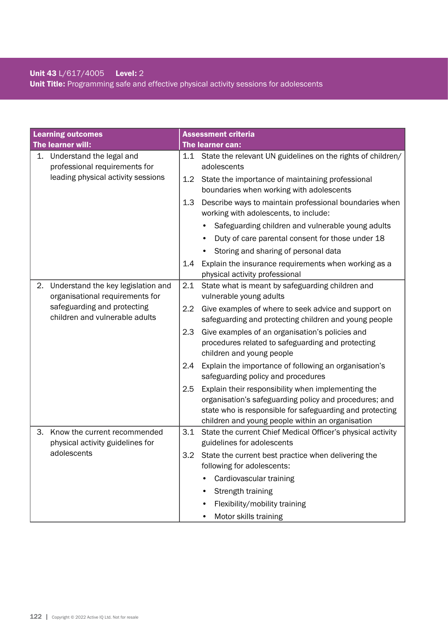## Unit 43 L/617/4005 Level: 2 Unit Title: Programming safe and effective physical activity sessions for adolescents

| <b>Learning outcomes</b> |                                                                       |                  | <b>Assessment criteria</b>                                                                                                                                                                                                   |
|--------------------------|-----------------------------------------------------------------------|------------------|------------------------------------------------------------------------------------------------------------------------------------------------------------------------------------------------------------------------------|
|                          | The learner will:                                                     |                  | The learner can:                                                                                                                                                                                                             |
| 1.                       | Understand the legal and<br>professional requirements for             | 1.1              | State the relevant UN guidelines on the rights of children/<br>adolescents                                                                                                                                                   |
|                          | leading physical activity sessions                                    | 1.2              | State the importance of maintaining professional<br>boundaries when working with adolescents                                                                                                                                 |
|                          |                                                                       | 1.3              | Describe ways to maintain professional boundaries when<br>working with adolescents, to include:                                                                                                                              |
|                          |                                                                       |                  | Safeguarding children and vulnerable young adults                                                                                                                                                                            |
|                          |                                                                       |                  | Duty of care parental consent for those under 18                                                                                                                                                                             |
|                          |                                                                       |                  | Storing and sharing of personal data                                                                                                                                                                                         |
|                          |                                                                       | 1.4              | Explain the insurance requirements when working as a<br>physical activity professional                                                                                                                                       |
| 2.                       | Understand the key legislation and<br>organisational requirements for | 2.1              | State what is meant by safeguarding children and<br>vulnerable young adults                                                                                                                                                  |
|                          | safeguarding and protecting<br>children and vulnerable adults         | $2.2\phantom{0}$ | Give examples of where to seek advice and support on<br>safeguarding and protecting children and young people                                                                                                                |
|                          |                                                                       | 2.3              | Give examples of an organisation's policies and<br>procedures related to safeguarding and protecting<br>children and young people                                                                                            |
|                          |                                                                       | 2.4              | Explain the importance of following an organisation's<br>safeguarding policy and procedures                                                                                                                                  |
|                          |                                                                       | 2.5              | Explain their responsibility when implementing the<br>organisation's safeguarding policy and procedures; and<br>state who is responsible for safeguarding and protecting<br>children and young people within an organisation |
| З.                       | Know the current recommended<br>physical activity guidelines for      | 3.1              | State the current Chief Medical Officer's physical activity<br>guidelines for adolescents                                                                                                                                    |
|                          | adolescents                                                           | 3.2              | State the current best practice when delivering the<br>following for adolescents:                                                                                                                                            |
|                          |                                                                       |                  | Cardiovascular training                                                                                                                                                                                                      |
|                          |                                                                       |                  | Strength training                                                                                                                                                                                                            |
|                          |                                                                       |                  | Flexibility/mobility training                                                                                                                                                                                                |
|                          |                                                                       |                  | Motor skills training                                                                                                                                                                                                        |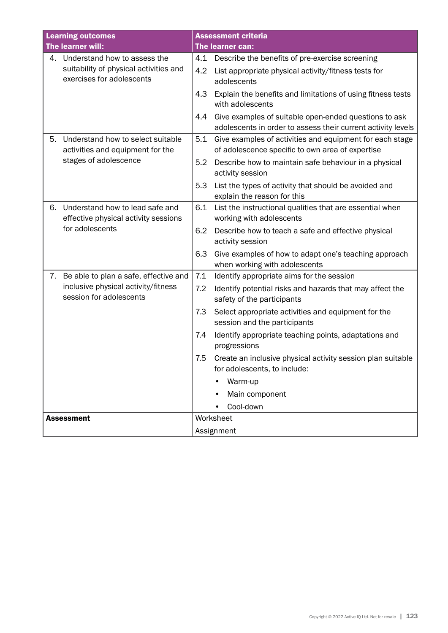| <b>Learning outcomes</b> |                                                                         |     | <b>Assessment criteria</b>                                                                                            |  |
|--------------------------|-------------------------------------------------------------------------|-----|-----------------------------------------------------------------------------------------------------------------------|--|
| The learner will:        |                                                                         |     | The learner can:                                                                                                      |  |
|                          | 4. Understand how to assess the                                         | 4.1 | Describe the benefits of pre-exercise screening                                                                       |  |
|                          | suitability of physical activities and<br>exercises for adolescents     | 4.2 | List appropriate physical activity/fitness tests for<br>adolescents                                                   |  |
|                          |                                                                         | 4.3 | Explain the benefits and limitations of using fitness tests<br>with adolescents                                       |  |
|                          |                                                                         | 4.4 | Give examples of suitable open-ended questions to ask<br>adolescents in order to assess their current activity levels |  |
| 5.                       | Understand how to select suitable<br>activities and equipment for the   | 5.1 | Give examples of activities and equipment for each stage<br>of adolescence specific to own area of expertise          |  |
|                          | stages of adolescence                                                   | 5.2 | Describe how to maintain safe behaviour in a physical<br>activity session                                             |  |
|                          |                                                                         | 5.3 | List the types of activity that should be avoided and<br>explain the reason for this                                  |  |
| 6.                       | Understand how to lead safe and<br>effective physical activity sessions | 6.1 | List the instructional qualities that are essential when<br>working with adolescents                                  |  |
|                          | for adolescents                                                         | 6.2 | Describe how to teach a safe and effective physical<br>activity session                                               |  |
|                          |                                                                         | 6.3 | Give examples of how to adapt one's teaching approach<br>when working with adolescents                                |  |
|                          | 7. Be able to plan a safe, effective and                                | 7.1 | Identify appropriate aims for the session                                                                             |  |
|                          | inclusive physical activity/fitness<br>session for adolescents          | 7.2 | Identify potential risks and hazards that may affect the<br>safety of the participants                                |  |
|                          |                                                                         | 7.3 | Select appropriate activities and equipment for the<br>session and the participants                                   |  |
|                          |                                                                         | 7.4 | Identify appropriate teaching points, adaptations and<br>progressions                                                 |  |
|                          |                                                                         | 7.5 | Create an inclusive physical activity session plan suitable<br>for adolescents, to include:                           |  |
|                          |                                                                         |     | Warm-up                                                                                                               |  |
|                          |                                                                         |     | Main component                                                                                                        |  |
|                          |                                                                         |     | Cool-down                                                                                                             |  |
|                          | <b>Assessment</b>                                                       |     | Worksheet                                                                                                             |  |
|                          |                                                                         |     | Assignment                                                                                                            |  |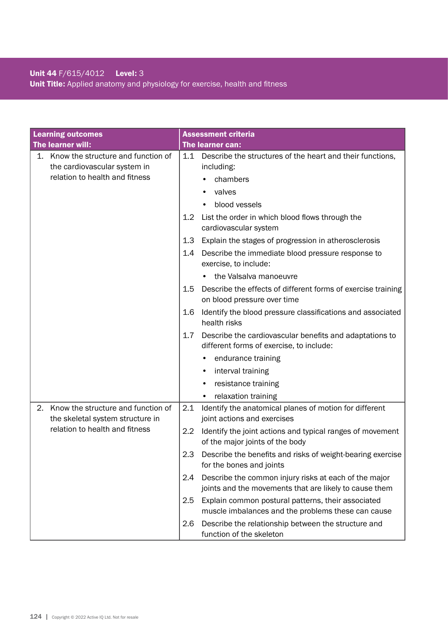## Unit 44 F/615/4012 Level: 3 Unit Title: Applied anatomy and physiology for exercise, health and fitness

| <b>Learning outcomes</b>                                                     | <b>Assessment criteria</b>                                                                                             |  |  |
|------------------------------------------------------------------------------|------------------------------------------------------------------------------------------------------------------------|--|--|
| The learner will:                                                            | <b>The learner can:</b>                                                                                                |  |  |
| 1. Know the structure and function of<br>the cardiovascular system in        | 1.1<br>Describe the structures of the heart and their functions,<br>including:                                         |  |  |
| relation to health and fitness                                               | chambers                                                                                                               |  |  |
|                                                                              | valves                                                                                                                 |  |  |
|                                                                              | blood vessels                                                                                                          |  |  |
|                                                                              | List the order in which blood flows through the<br>$1.2\,$<br>cardiovascular system                                    |  |  |
|                                                                              | 1.3<br>Explain the stages of progression in atherosclerosis                                                            |  |  |
|                                                                              | Describe the immediate blood pressure response to<br>1.4<br>exercise, to include:                                      |  |  |
|                                                                              | the Valsalva manoeuvre                                                                                                 |  |  |
|                                                                              | Describe the effects of different forms of exercise training<br>1.5<br>on blood pressure over time                     |  |  |
|                                                                              | Identify the blood pressure classifications and associated<br>1.6<br>health risks                                      |  |  |
|                                                                              | 1.7<br>Describe the cardiovascular benefits and adaptations to<br>different forms of exercise, to include:             |  |  |
|                                                                              | endurance training                                                                                                     |  |  |
|                                                                              | interval training<br>٠                                                                                                 |  |  |
|                                                                              | resistance training                                                                                                    |  |  |
|                                                                              | relaxation training                                                                                                    |  |  |
| Know the structure and function of<br>2.<br>the skeletal system structure in | 2.1<br>Identify the anatomical planes of motion for different<br>joint actions and exercises                           |  |  |
| relation to health and fitness                                               | Identify the joint actions and typical ranges of movement<br>2.2<br>of the major joints of the body                    |  |  |
|                                                                              | Describe the benefits and risks of weight-bearing exercise<br>2.3<br>for the bones and joints                          |  |  |
|                                                                              | Describe the common injury risks at each of the major<br>2.4<br>joints and the movements that are likely to cause them |  |  |
|                                                                              | Explain common postural patterns, their associated<br>2.5<br>muscle imbalances and the problems these can cause        |  |  |
|                                                                              | Describe the relationship between the structure and<br>2.6<br>function of the skeleton                                 |  |  |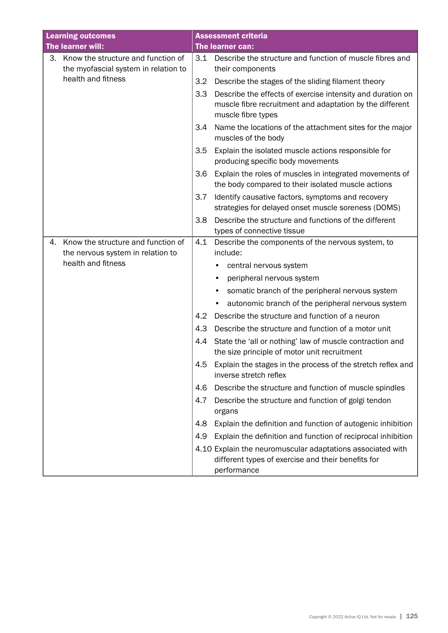| <b>Learning outcomes</b> |                                                                            |     | <b>Assessment criteria</b>                                                                                                                   |
|--------------------------|----------------------------------------------------------------------------|-----|----------------------------------------------------------------------------------------------------------------------------------------------|
| The learner will:        |                                                                            |     | The learner can:                                                                                                                             |
| 3.                       | Know the structure and function of<br>the myofascial system in relation to | 3.1 | Describe the structure and function of muscle fibres and<br>their components                                                                 |
|                          | health and fitness                                                         | 3.2 | Describe the stages of the sliding filament theory                                                                                           |
|                          |                                                                            | 3.3 | Describe the effects of exercise intensity and duration on<br>muscle fibre recruitment and adaptation by the different<br>muscle fibre types |
|                          |                                                                            | 3.4 | Name the locations of the attachment sites for the major<br>muscles of the body                                                              |
|                          |                                                                            | 3.5 | Explain the isolated muscle actions responsible for<br>producing specific body movements                                                     |
|                          |                                                                            | 3.6 | Explain the roles of muscles in integrated movements of<br>the body compared to their isolated muscle actions                                |
|                          |                                                                            | 3.7 | Identify causative factors, symptoms and recovery<br>strategies for delayed onset muscle soreness (DOMS)                                     |
|                          |                                                                            | 3.8 | Describe the structure and functions of the different<br>types of connective tissue                                                          |
| 4.                       | Know the structure and function of                                         | 4.1 | Describe the components of the nervous system, to                                                                                            |
|                          | the nervous system in relation to                                          |     | include:                                                                                                                                     |
|                          | health and fitness                                                         |     | central nervous system                                                                                                                       |
|                          |                                                                            |     | peripheral nervous system                                                                                                                    |
|                          |                                                                            |     | somatic branch of the peripheral nervous system                                                                                              |
|                          |                                                                            |     | autonomic branch of the peripheral nervous system                                                                                            |
|                          |                                                                            | 4.2 | Describe the structure and function of a neuron                                                                                              |
|                          |                                                                            | 4.3 | Describe the structure and function of a motor unit                                                                                          |
|                          |                                                                            | 4.4 | State the 'all or nothing' law of muscle contraction and<br>the size principle of motor unit recruitment                                     |
|                          |                                                                            | 4.5 | Explain the stages in the process of the stretch reflex and<br>inverse stretch reflex                                                        |
|                          |                                                                            | 4.6 | Describe the structure and function of muscle spindles                                                                                       |
|                          |                                                                            | 4.7 | Describe the structure and function of golgi tendon<br>organs                                                                                |
|                          |                                                                            | 4.8 | Explain the definition and function of autogenic inhibition                                                                                  |
|                          |                                                                            | 4.9 | Explain the definition and function of reciprocal inhibition                                                                                 |
|                          |                                                                            |     | 4.10 Explain the neuromuscular adaptations associated with<br>different types of exercise and their benefits for<br>performance              |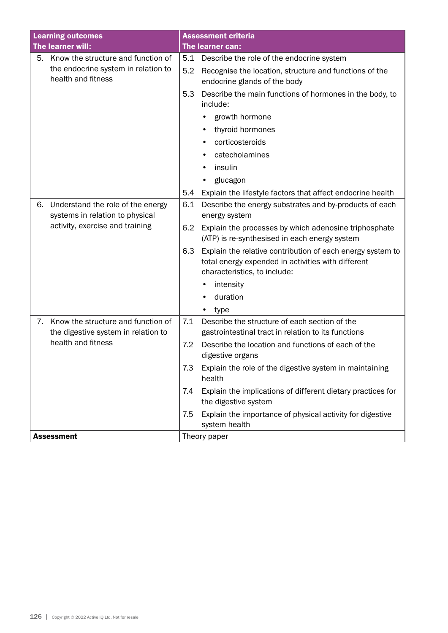| <b>Learning outcomes</b>                                                                              | <b>Assessment criteria</b>                                                                                                                              |  |
|-------------------------------------------------------------------------------------------------------|---------------------------------------------------------------------------------------------------------------------------------------------------------|--|
| The learner will:                                                                                     | The learner can:                                                                                                                                        |  |
| Know the structure and function of<br>5.<br>the endocrine system in relation to<br>health and fitness | Describe the role of the endocrine system<br>5.1<br>5.2<br>Recognise the location, structure and functions of the                                       |  |
|                                                                                                       | endocrine glands of the body<br>5.3<br>Describe the main functions of hormones in the body, to<br>include:                                              |  |
|                                                                                                       | growth hormone                                                                                                                                          |  |
|                                                                                                       | thyroid hormones                                                                                                                                        |  |
|                                                                                                       | corticosteroids                                                                                                                                         |  |
|                                                                                                       | catecholamines                                                                                                                                          |  |
|                                                                                                       | insulin                                                                                                                                                 |  |
|                                                                                                       | glucagon                                                                                                                                                |  |
|                                                                                                       | Explain the lifestyle factors that affect endocrine health<br>5.4                                                                                       |  |
| Understand the role of the energy<br>6.<br>systems in relation to physical                            | Describe the energy substrates and by-products of each<br>6.1<br>energy system                                                                          |  |
| activity, exercise and training                                                                       | 6.2<br>Explain the processes by which adenosine triphosphate<br>(ATP) is re-synthesised in each energy system                                           |  |
|                                                                                                       | 6.3<br>Explain the relative contribution of each energy system to<br>total energy expended in activities with different<br>characteristics, to include: |  |
|                                                                                                       | intensity                                                                                                                                               |  |
|                                                                                                       | duration                                                                                                                                                |  |
|                                                                                                       | type                                                                                                                                                    |  |
| Know the structure and function of<br>7.<br>the digestive system in relation to                       | Describe the structure of each section of the<br>7.1<br>gastrointestinal tract in relation to its functions                                             |  |
| health and fitness                                                                                    | 7.2<br>Describe the location and functions of each of the<br>digestive organs                                                                           |  |
|                                                                                                       | Explain the role of the digestive system in maintaining<br>7.3<br>health                                                                                |  |
|                                                                                                       | Explain the implications of different dietary practices for<br>7.4<br>the digestive system                                                              |  |
|                                                                                                       | Explain the importance of physical activity for digestive<br>7.5<br>system health                                                                       |  |
| <b>Assessment</b>                                                                                     | Theory paper                                                                                                                                            |  |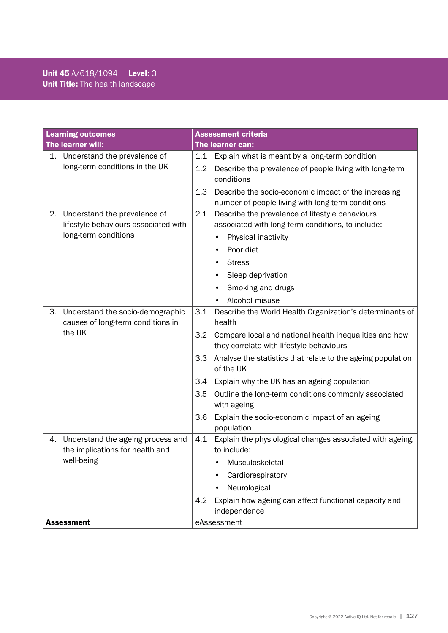| <b>Learning outcomes</b>                                                                           | Assessment criteria                                                                                                                                                                                                                                                                                                                                                                                                                                                                  |  |  |
|----------------------------------------------------------------------------------------------------|--------------------------------------------------------------------------------------------------------------------------------------------------------------------------------------------------------------------------------------------------------------------------------------------------------------------------------------------------------------------------------------------------------------------------------------------------------------------------------------|--|--|
| The learner will:                                                                                  | The learner can:                                                                                                                                                                                                                                                                                                                                                                                                                                                                     |  |  |
| 1. Understand the prevalence of<br>long-term conditions in the UK                                  | 1.1<br>Explain what is meant by a long-term condition<br>Describe the prevalence of people living with long-term<br>1.2<br>conditions<br>1.3<br>Describe the socio-economic impact of the increasing<br>number of people living with long-term conditions                                                                                                                                                                                                                            |  |  |
| Understand the prevalence of<br>2.<br>lifestyle behaviours associated with<br>long-term conditions | 2.1<br>Describe the prevalence of lifestyle behaviours<br>associated with long-term conditions, to include:<br>Physical inactivity<br>Poor diet<br><b>Stress</b><br>Sleep deprivation<br>Smoking and drugs<br>Alcohol misuse                                                                                                                                                                                                                                                         |  |  |
| Understand the socio-demographic<br>З.<br>causes of long-term conditions in<br>the UK              | 3.1<br>Describe the World Health Organization's determinants of<br>health<br>Compare local and national health inequalities and how<br>3.2<br>they correlate with lifestyle behaviours<br>3.3<br>Analyse the statistics that relate to the ageing population<br>of the UK<br>3.4<br>Explain why the UK has an ageing population<br>Outline the long-term conditions commonly associated<br>3.5<br>with ageing<br>3.6<br>Explain the socio-economic impact of an ageing<br>population |  |  |
| Understand the ageing process and<br>4.<br>the implications for health and<br>well-being           | 4.1<br>Explain the physiological changes associated with ageing,<br>to include:<br>Musculoskeletal<br>Cardiorespiratory<br>Neurological<br>Explain how ageing can affect functional capacity and<br>4.2<br>independence                                                                                                                                                                                                                                                              |  |  |
| <b>Assessment</b>                                                                                  | eAssessment                                                                                                                                                                                                                                                                                                                                                                                                                                                                          |  |  |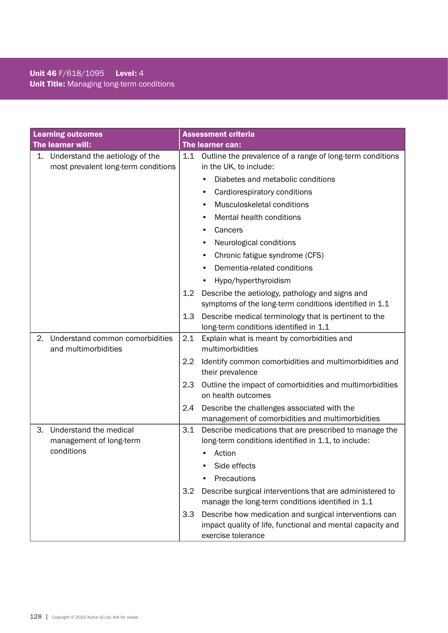## Unit 46 F/618/1095 Level: 4 Unit Title: Managing long-term conditions

| <b>Learning outcomes</b> |                                                                           |     | <b>Assessment criteria</b>                                                                                                                 |
|--------------------------|---------------------------------------------------------------------------|-----|--------------------------------------------------------------------------------------------------------------------------------------------|
| The learner will:        |                                                                           |     | The learner can:                                                                                                                           |
|                          | 1. Understand the aetiology of the<br>most prevalent long-term conditions | 1.1 | Outline the prevalence of a range of long-term conditions<br>in the UK, to include:                                                        |
|                          |                                                                           |     | Diabetes and metabolic conditions                                                                                                          |
|                          |                                                                           |     | Cardiorespiratory conditions<br>٠                                                                                                          |
|                          |                                                                           |     | Musculoskeletal conditions                                                                                                                 |
|                          |                                                                           |     | Mental health conditions                                                                                                                   |
|                          |                                                                           |     | Cancers                                                                                                                                    |
|                          |                                                                           |     | Neurological conditions<br>٠                                                                                                               |
|                          |                                                                           |     | Chronic fatigue syndrome (CFS)<br>٠                                                                                                        |
|                          |                                                                           |     | Dementia-related conditions                                                                                                                |
|                          |                                                                           |     | Hypo/hyperthyroidism                                                                                                                       |
|                          |                                                                           | 1.2 | Describe the aetiology, pathology and signs and<br>symptoms of the long-term conditions identified in 1.1                                  |
|                          |                                                                           | 1.3 | Describe medical terminology that is pertinent to the<br>long-term conditions identified in 1.1                                            |
| 2.                       | Understand common comorbidities<br>and multimorbidities                   | 2.1 | Explain what is meant by comorbidities and<br>multimorbidities                                                                             |
|                          |                                                                           | 2.2 | Identify common comorbidities and multimorbidities and<br>their prevalence                                                                 |
|                          |                                                                           | 2.3 | Outline the impact of comorbidities and multimorbidities<br>on health outcomes                                                             |
|                          |                                                                           | 2.4 | Describe the challenges associated with the<br>management of comorbidities and multimorbidities                                            |
| 3.                       | Understand the medical<br>management of long-term                         | 3.1 | Describe medications that are prescribed to manage the<br>long-term conditions identified in 1.1, to include:                              |
|                          | conditions                                                                |     | Action                                                                                                                                     |
|                          |                                                                           |     | Side effects                                                                                                                               |
|                          |                                                                           |     | Precautions                                                                                                                                |
|                          |                                                                           | 3.2 | Describe surgical interventions that are administered to<br>manage the long-term conditions identified in 1.1                              |
|                          |                                                                           | 3.3 | Describe how medication and surgical interventions can<br>impact quality of life, functional and mental capacity and<br>exercise tolerance |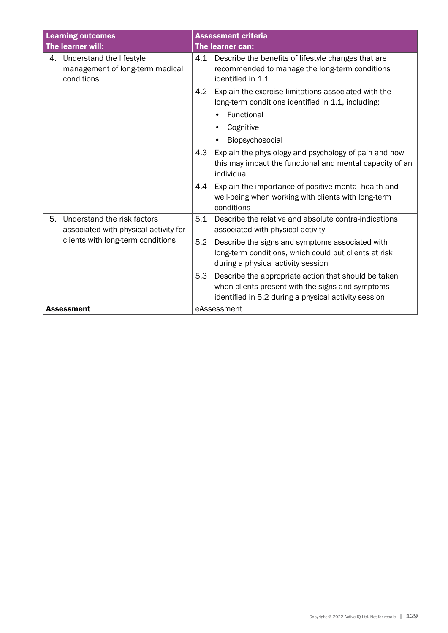| <b>Learning outcomes</b>                                                     | <b>Assessment criteria</b>                                                                                                                                              |  |  |
|------------------------------------------------------------------------------|-------------------------------------------------------------------------------------------------------------------------------------------------------------------------|--|--|
| The learner will:                                                            | The learner can:                                                                                                                                                        |  |  |
| 4. Understand the lifestyle<br>management of long-term medical<br>conditions | Describe the benefits of lifestyle changes that are<br>4.1<br>recommended to manage the long-term conditions<br>identified in 1.1                                       |  |  |
|                                                                              | Explain the exercise limitations associated with the<br>4.2<br>long-term conditions identified in 1.1, including:                                                       |  |  |
|                                                                              | Functional<br>$\bullet$<br>Cognitive                                                                                                                                    |  |  |
|                                                                              | Biopsychosocial                                                                                                                                                         |  |  |
|                                                                              | 4.3<br>Explain the physiology and psychology of pain and how<br>this may impact the functional and mental capacity of an<br>individual                                  |  |  |
|                                                                              | Explain the importance of positive mental health and<br>4.4<br>well-being when working with clients with long-term<br>conditions                                        |  |  |
| 5.<br>Understand the risk factors<br>associated with physical activity for   | 5.1<br>Describe the relative and absolute contra-indications<br>associated with physical activity                                                                       |  |  |
| clients with long-term conditions                                            | Describe the signs and symptoms associated with<br>5.2<br>long-term conditions, which could put clients at risk<br>during a physical activity session                   |  |  |
|                                                                              | Describe the appropriate action that should be taken<br>5.3<br>when clients present with the signs and symptoms<br>identified in 5.2 during a physical activity session |  |  |
| <b>Assessment</b>                                                            | eAssessment                                                                                                                                                             |  |  |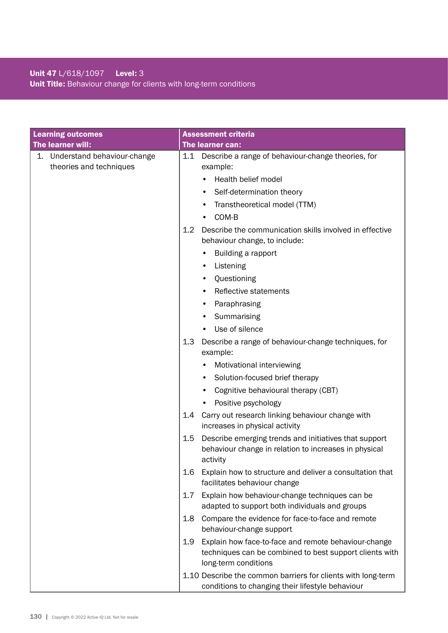## Unit 47 L/618/1097 Level: 3 Unit Title: Behaviour change for clients with long-term conditions

| <b>Learning outcomes</b>                                  | <b>Assessment criteria</b>                                                                                                                                         |
|-----------------------------------------------------------|--------------------------------------------------------------------------------------------------------------------------------------------------------------------|
| The learner will:                                         | The learner can:                                                                                                                                                   |
| 1. Understand behaviour-change<br>theories and techniques | 1.1<br>Describe a range of behaviour-change theories, for<br>example:<br>Health belief model<br>Self-determination theory<br>Transtheoretical model (TTM)<br>COM-B |
|                                                           | 1.2<br>Describe the communication skills involved in effective<br>behaviour change, to include:<br>Building a rapport                                              |
|                                                           | Listening<br>٠<br>Questioning                                                                                                                                      |
|                                                           | Reflective statements                                                                                                                                              |
|                                                           | Paraphrasing                                                                                                                                                       |
|                                                           | Summarising                                                                                                                                                        |
|                                                           | Use of silence                                                                                                                                                     |
|                                                           | 1.3<br>Describe a range of behaviour-change techniques, for<br>example:                                                                                            |
|                                                           | Motivational interviewing                                                                                                                                          |
|                                                           | Solution-focused brief therapy<br>$\bullet$                                                                                                                        |
|                                                           | Cognitive behavioural therapy (CBT)                                                                                                                                |
|                                                           | Positive psychology                                                                                                                                                |
|                                                           | Carry out research linking behaviour change with<br>1.4<br>increases in physical activity                                                                          |
|                                                           | 1.5<br>Describe emerging trends and initiatives that support<br>behaviour change in relation to increases in physical<br>activity                                  |
|                                                           | 1.6<br>Explain how to structure and deliver a consultation that<br>facilitates behaviour change                                                                    |
|                                                           | Explain how behaviour-change techniques can be<br>1.7<br>adapted to support both individuals and groups                                                            |
|                                                           | Compare the evidence for face-to-face and remote<br>1.8<br>behaviour-change support                                                                                |
|                                                           | Explain how face-to-face and remote behaviour-change<br>1.9<br>techniques can be combined to best support clients with<br>long-term conditions                     |
|                                                           | 1.10 Describe the common barriers for clients with long-term<br>conditions to changing their lifestyle behaviour                                                   |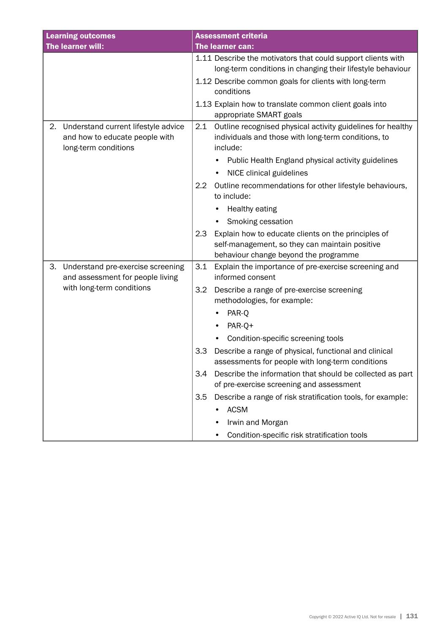| <b>Learning outcomes</b>                                                                            | <b>Assessment criteria</b>                                                                                                                            |
|-----------------------------------------------------------------------------------------------------|-------------------------------------------------------------------------------------------------------------------------------------------------------|
| The learner will:                                                                                   | The learner can:                                                                                                                                      |
|                                                                                                     | 1.11 Describe the motivators that could support clients with<br>long-term conditions in changing their lifestyle behaviour                            |
|                                                                                                     | 1.12 Describe common goals for clients with long-term<br>conditions                                                                                   |
|                                                                                                     | 1.13 Explain how to translate common client goals into<br>appropriate SMART goals                                                                     |
| Understand current lifestyle advice<br>2.<br>and how to educate people with<br>long-term conditions | 2.1<br>Outline recognised physical activity guidelines for healthy<br>individuals and those with long-term conditions, to<br>include:                 |
|                                                                                                     | Public Health England physical activity guidelines                                                                                                    |
|                                                                                                     | NICE clinical guidelines                                                                                                                              |
|                                                                                                     | 2.2<br>Outline recommendations for other lifestyle behaviours,<br>to include:                                                                         |
|                                                                                                     | Healthy eating                                                                                                                                        |
|                                                                                                     | Smoking cessation                                                                                                                                     |
|                                                                                                     | Explain how to educate clients on the principles of<br>2.3<br>self-management, so they can maintain positive<br>behaviour change beyond the programme |
| 3.<br>Understand pre-exercise screening<br>and assessment for people living                         | 3.1<br>Explain the importance of pre-exercise screening and<br>informed consent                                                                       |
| with long-term conditions                                                                           | Describe a range of pre-exercise screening<br>3.2<br>methodologies, for example:                                                                      |
|                                                                                                     | PAR-Q                                                                                                                                                 |
|                                                                                                     | PAR-Q+                                                                                                                                                |
|                                                                                                     | Condition-specific screening tools<br>$\bullet$                                                                                                       |
|                                                                                                     | Describe a range of physical, functional and clinical<br>3.3<br>assessments for people with long-term conditions                                      |
|                                                                                                     | 3.4<br>Describe the information that should be collected as part<br>of pre-exercise screening and assessment                                          |
|                                                                                                     | Describe a range of risk stratification tools, for example:<br>3.5                                                                                    |
|                                                                                                     | <b>ACSM</b>                                                                                                                                           |
|                                                                                                     | Irwin and Morgan                                                                                                                                      |
|                                                                                                     | Condition-specific risk stratification tools                                                                                                          |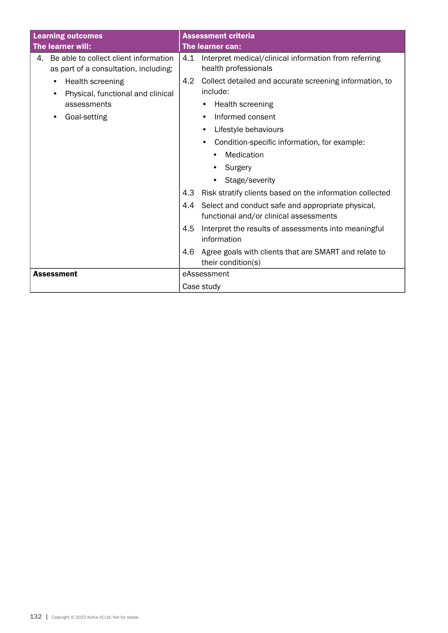| <b>Learning outcomes</b>                                                             | <b>Assessment criteria</b>                                                                         |  |  |
|--------------------------------------------------------------------------------------|----------------------------------------------------------------------------------------------------|--|--|
| The learner will:                                                                    | The learner can:                                                                                   |  |  |
| Be able to collect client information<br>4.<br>as part of a consultation, including: | 4.1<br>Interpret medical/clinical information from referring<br>health professionals               |  |  |
| Health screening<br>Physical, functional and clinical                                | 4.2<br>Collect detailed and accurate screening information, to<br>include:                         |  |  |
| assessments                                                                          | Health screening<br>٠                                                                              |  |  |
| Goal-setting<br>$\bullet$                                                            | Informed consent<br>٠                                                                              |  |  |
|                                                                                      | Lifestyle behaviours                                                                               |  |  |
|                                                                                      | Condition-specific information, for example:<br>$\bullet$                                          |  |  |
|                                                                                      | Medication                                                                                         |  |  |
|                                                                                      | Surgery                                                                                            |  |  |
|                                                                                      | Stage/severity                                                                                     |  |  |
|                                                                                      | 4.3<br>Risk stratify clients based on the information collected                                    |  |  |
|                                                                                      | Select and conduct safe and appropriate physical,<br>4.4<br>functional and/or clinical assessments |  |  |
|                                                                                      | 4.5<br>Interpret the results of assessments into meaningful<br>information                         |  |  |
|                                                                                      | Agree goals with clients that are SMART and relate to<br>4.6<br>their condition(s)                 |  |  |
| <b>Assessment</b>                                                                    | eAssessment                                                                                        |  |  |
|                                                                                      | Case study                                                                                         |  |  |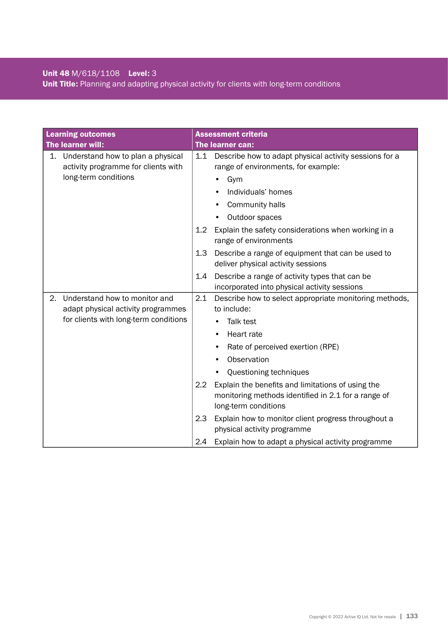## Unit 48 M/618/1108 Level: 3 Unit Title: Planning and adapting physical activity for clients with long-term conditions

| <b>Learning outcomes</b> |                                                                             |         | <b>Assessment criteria</b>                                                                                                       |
|--------------------------|-----------------------------------------------------------------------------|---------|----------------------------------------------------------------------------------------------------------------------------------|
|                          | The learner will:                                                           |         | The learner can:                                                                                                                 |
|                          | 1. Understand how to plan a physical<br>activity programme for clients with | 1.1     | Describe how to adapt physical activity sessions for a<br>range of environments, for example:                                    |
|                          | long-term conditions                                                        |         | Gym                                                                                                                              |
|                          |                                                                             |         | Individuals' homes                                                                                                               |
|                          |                                                                             |         | Community halls                                                                                                                  |
|                          |                                                                             |         | Outdoor spaces                                                                                                                   |
|                          |                                                                             | $1.2\,$ | Explain the safety considerations when working in a<br>range of environments                                                     |
|                          |                                                                             | 1.3     | Describe a range of equipment that can be used to<br>deliver physical activity sessions                                          |
|                          |                                                                             | 1.4     | Describe a range of activity types that can be<br>incorporated into physical activity sessions                                   |
| 2.                       | Understand how to monitor and                                               | 2.1     | Describe how to select appropriate monitoring methods,                                                                           |
|                          | adapt physical activity programmes                                          |         | to include:                                                                                                                      |
|                          | for clients with long-term conditions                                       |         | Talk test                                                                                                                        |
|                          |                                                                             |         | Heart rate                                                                                                                       |
|                          |                                                                             |         | Rate of perceived exertion (RPE)                                                                                                 |
|                          |                                                                             |         | Observation                                                                                                                      |
|                          |                                                                             |         | Questioning techniques                                                                                                           |
|                          |                                                                             | 2.2     | Explain the benefits and limitations of using the<br>monitoring methods identified in 2.1 for a range of<br>long-term conditions |
|                          |                                                                             | 2.3     | Explain how to monitor client progress throughout a<br>physical activity programme                                               |
|                          |                                                                             | 2.4     | Explain how to adapt a physical activity programme                                                                               |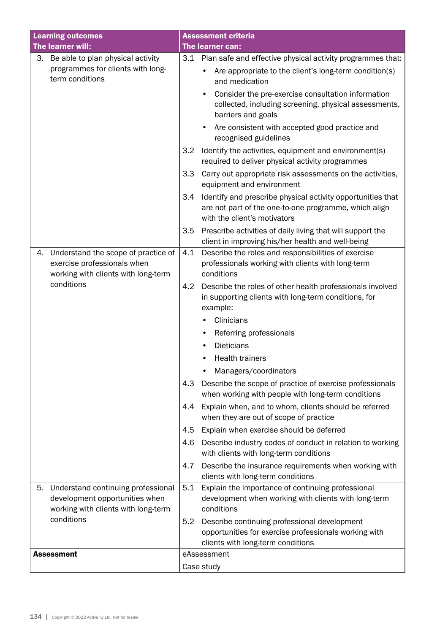| <b>Learning outcomes</b> |                                                                                                             | <b>Assessment criteria</b> |                                                                                                                                                      |
|--------------------------|-------------------------------------------------------------------------------------------------------------|----------------------------|------------------------------------------------------------------------------------------------------------------------------------------------------|
| The learner will:        |                                                                                                             |                            | The learner can:                                                                                                                                     |
| 3.                       | Be able to plan physical activity                                                                           | 3.1                        | Plan safe and effective physical activity programmes that:                                                                                           |
|                          | programmes for clients with long-<br>term conditions                                                        |                            | Are appropriate to the client's long-term condition(s)<br>and medication                                                                             |
|                          |                                                                                                             |                            | Consider the pre-exercise consultation information<br>collected, including screening, physical assessments,<br>barriers and goals                    |
|                          |                                                                                                             |                            | Are consistent with accepted good practice and<br>$\bullet$<br>recognised guidelines                                                                 |
|                          |                                                                                                             | 3.2                        | Identify the activities, equipment and environment(s)<br>required to deliver physical activity programmes                                            |
|                          |                                                                                                             | 3.3                        | Carry out appropriate risk assessments on the activities,<br>equipment and environment                                                               |
|                          |                                                                                                             | 3.4                        | Identify and prescribe physical activity opportunities that<br>are not part of the one-to-one programme, which align<br>with the client's motivators |
|                          |                                                                                                             | 3.5                        | Prescribe activities of daily living that will support the<br>client in improving his/her health and well-being                                      |
| 4.                       | Understand the scope of practice of<br>exercise professionals when<br>working with clients with long-term   | 4.1                        | Describe the roles and responsibilities of exercise<br>professionals working with clients with long-term<br>conditions                               |
|                          | conditions                                                                                                  | 4.2                        | Describe the roles of other health professionals involved<br>in supporting clients with long-term conditions, for<br>example:                        |
|                          |                                                                                                             |                            | Clinicians                                                                                                                                           |
|                          |                                                                                                             |                            | Referring professionals                                                                                                                              |
|                          |                                                                                                             |                            | <b>Dieticians</b>                                                                                                                                    |
|                          |                                                                                                             |                            | <b>Health trainers</b>                                                                                                                               |
|                          |                                                                                                             |                            | Managers/coordinators                                                                                                                                |
|                          |                                                                                                             | 4.3                        | Describe the scope of practice of exercise professionals<br>when working with people with long-term conditions                                       |
|                          |                                                                                                             | 4.4                        | Explain when, and to whom, clients should be referred<br>when they are out of scope of practice                                                      |
|                          |                                                                                                             | 4.5                        | Explain when exercise should be deferred                                                                                                             |
|                          |                                                                                                             | 4.6                        | Describe industry codes of conduct in relation to working<br>with clients with long-term conditions                                                  |
|                          |                                                                                                             | 4.7                        | Describe the insurance requirements when working with<br>clients with long-term conditions                                                           |
| 5.                       | Understand continuing professional<br>development opportunities when<br>working with clients with long-term | 5.1                        | Explain the importance of continuing professional<br>development when working with clients with long-term<br>conditions                              |
|                          | conditions                                                                                                  | 5.2                        | Describe continuing professional development                                                                                                         |
|                          |                                                                                                             |                            | opportunities for exercise professionals working with<br>clients with long-term conditions                                                           |
| <b>Assessment</b>        |                                                                                                             |                            | eAssessment                                                                                                                                          |
|                          |                                                                                                             |                            | Case study                                                                                                                                           |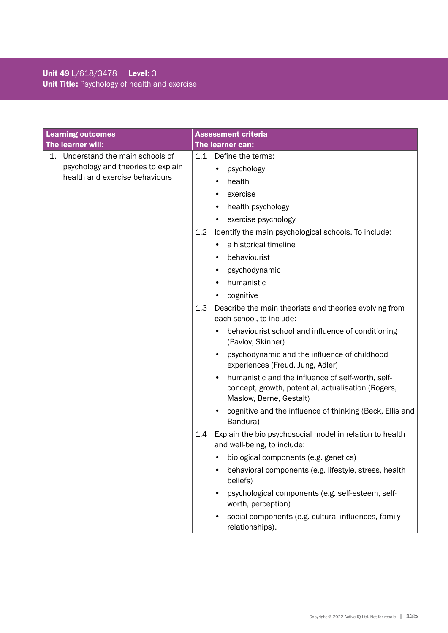## Unit 49 L/618/3478 Level: 3 Unit Title: Psychology of health and exercise

| <b>Learning outcomes</b>             | <b>Assessment criteria</b>                                                                                                         |  |  |
|--------------------------------------|------------------------------------------------------------------------------------------------------------------------------------|--|--|
| The learner will:                    | The learner can:                                                                                                                   |  |  |
| Understand the main schools of<br>1. | 1.1<br>Define the terms:                                                                                                           |  |  |
| psychology and theories to explain   | psychology                                                                                                                         |  |  |
| health and exercise behaviours       | health                                                                                                                             |  |  |
|                                      | exercise                                                                                                                           |  |  |
|                                      | health psychology                                                                                                                  |  |  |
|                                      | exercise psychology                                                                                                                |  |  |
|                                      | Identify the main psychological schools. To include:<br>1.2                                                                        |  |  |
|                                      | a historical timeline                                                                                                              |  |  |
|                                      | behaviourist<br>$\bullet$                                                                                                          |  |  |
|                                      | psychodynamic                                                                                                                      |  |  |
|                                      | humanistic                                                                                                                         |  |  |
|                                      | cognitive                                                                                                                          |  |  |
|                                      | 1.3<br>Describe the main theorists and theories evolving from<br>each school, to include:                                          |  |  |
|                                      | behaviourist school and influence of conditioning<br>(Pavlov, Skinner)                                                             |  |  |
|                                      | psychodynamic and the influence of childhood<br>experiences (Freud, Jung, Adler)                                                   |  |  |
|                                      | humanistic and the influence of self-worth, self-<br>concept, growth, potential, actualisation (Rogers,<br>Maslow, Berne, Gestalt) |  |  |
|                                      | cognitive and the influence of thinking (Beck, Ellis and<br>Bandura)                                                               |  |  |
|                                      | Explain the bio psychosocial model in relation to health<br>1.4<br>and well-being, to include:                                     |  |  |
|                                      | biological components (e.g. genetics)                                                                                              |  |  |
|                                      | behavioral components (e.g. lifestyle, stress, health<br>beliefs)                                                                  |  |  |
|                                      | psychological components (e.g. self-esteem, self-<br>worth, perception)                                                            |  |  |
|                                      | social components (e.g. cultural influences, family<br>relationships).                                                             |  |  |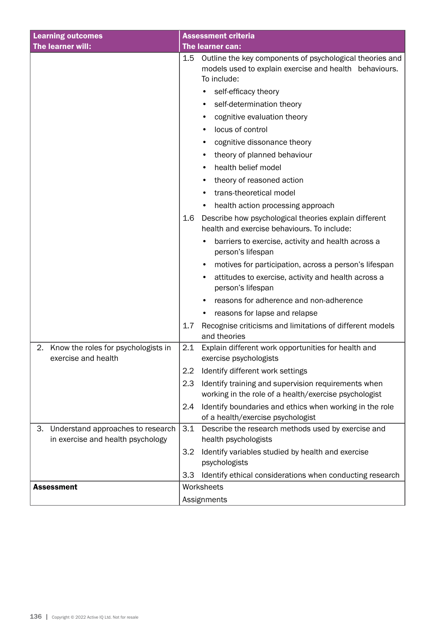| <b>Learning outcomes</b>                                                     | <b>Assessment criteria</b>                                                                                                               |  |  |
|------------------------------------------------------------------------------|------------------------------------------------------------------------------------------------------------------------------------------|--|--|
| The learner will:                                                            | <b>The learner can:</b>                                                                                                                  |  |  |
|                                                                              | Outline the key components of psychological theories and<br>1.5<br>models used to explain exercise and health behaviours.<br>To include: |  |  |
|                                                                              | self-efficacy theory                                                                                                                     |  |  |
|                                                                              | self-determination theory<br>$\bullet$                                                                                                   |  |  |
|                                                                              | cognitive evaluation theory<br>٠                                                                                                         |  |  |
|                                                                              | locus of control                                                                                                                         |  |  |
|                                                                              | cognitive dissonance theory                                                                                                              |  |  |
|                                                                              | theory of planned behaviour<br>٠                                                                                                         |  |  |
|                                                                              | health belief model<br>٠                                                                                                                 |  |  |
|                                                                              | theory of reasoned action                                                                                                                |  |  |
|                                                                              | trans-theoretical model                                                                                                                  |  |  |
|                                                                              | health action processing approach                                                                                                        |  |  |
|                                                                              | Describe how psychological theories explain different<br>1.6<br>health and exercise behaviours. To include:                              |  |  |
|                                                                              | barriers to exercise, activity and health across a<br>person's lifespan                                                                  |  |  |
|                                                                              | motives for participation, across a person's lifespan                                                                                    |  |  |
|                                                                              | attitudes to exercise, activity and health across a<br>person's lifespan                                                                 |  |  |
|                                                                              | reasons for adherence and non-adherence                                                                                                  |  |  |
|                                                                              | reasons for lapse and relapse<br>$\bullet$                                                                                               |  |  |
|                                                                              | Recognise criticisms and limitations of different models<br>1.7<br>and theories                                                          |  |  |
| 2.<br>Know the roles for psychologists in<br>exercise and health             | 2.1<br>Explain different work opportunities for health and<br>exercise psychologists                                                     |  |  |
|                                                                              | Identify different work settings<br>2.2                                                                                                  |  |  |
|                                                                              | Identify training and supervision requirements when<br>2.3<br>working in the role of a health/exercise psychologist                      |  |  |
|                                                                              | Identify boundaries and ethics when working in the role<br>2.4<br>of a health/exercise psychologist                                      |  |  |
| Understand approaches to research<br>З.<br>in exercise and health psychology | Describe the research methods used by exercise and<br>3.1<br>health psychologists                                                        |  |  |
|                                                                              | Identify variables studied by health and exercise<br>3.2<br>psychologists                                                                |  |  |
|                                                                              | Identify ethical considerations when conducting research<br>3.3                                                                          |  |  |
| <b>Assessment</b>                                                            | Worksheets                                                                                                                               |  |  |
|                                                                              | Assignments                                                                                                                              |  |  |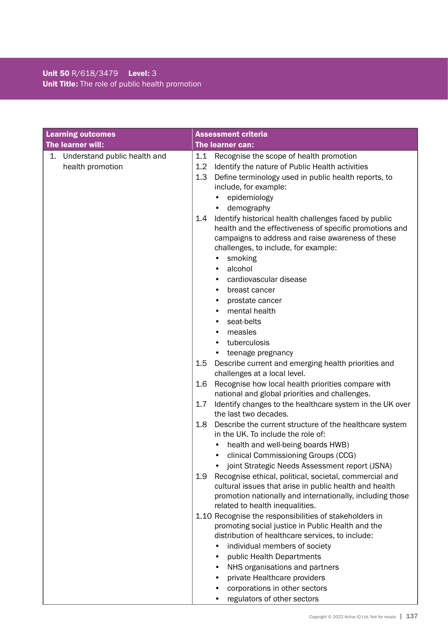## Unit 50 R/618/3479 Level: 3 Unit Title: The role of public health promotion

| <b>Learning outcomes</b>                               | <b>Assessment criteria</b>                                                                                                                                                                                                                                                                                                                                                                                                                                                                                                                                                                                                                                                                                                                                                                                                                                                                                                                                                                                                                                                                                                                                                                                                                                                                                                                                                                                                                                                                                                                                                                                                                                                                                                                             |  |  |
|--------------------------------------------------------|--------------------------------------------------------------------------------------------------------------------------------------------------------------------------------------------------------------------------------------------------------------------------------------------------------------------------------------------------------------------------------------------------------------------------------------------------------------------------------------------------------------------------------------------------------------------------------------------------------------------------------------------------------------------------------------------------------------------------------------------------------------------------------------------------------------------------------------------------------------------------------------------------------------------------------------------------------------------------------------------------------------------------------------------------------------------------------------------------------------------------------------------------------------------------------------------------------------------------------------------------------------------------------------------------------------------------------------------------------------------------------------------------------------------------------------------------------------------------------------------------------------------------------------------------------------------------------------------------------------------------------------------------------------------------------------------------------------------------------------------------------|--|--|
| The learner will:                                      | The learner can:                                                                                                                                                                                                                                                                                                                                                                                                                                                                                                                                                                                                                                                                                                                                                                                                                                                                                                                                                                                                                                                                                                                                                                                                                                                                                                                                                                                                                                                                                                                                                                                                                                                                                                                                       |  |  |
| Understand public health and<br>1.<br>health promotion | Recognise the scope of health promotion<br>1.1<br>1.2<br>Identify the nature of Public Health activities<br>1.3<br>Define terminology used in public health reports, to<br>include, for example:<br>epidemiology<br>demography<br>Identify historical health challenges faced by public<br>1.4<br>health and the effectiveness of specific promotions and<br>campaigns to address and raise awareness of these<br>challenges, to include, for example:<br>smoking<br>alcohol<br>$\bullet$<br>cardiovascular disease<br>breast cancer<br>$\bullet$<br>prostate cancer<br>mental health<br>seat-belts<br>measles<br>tuberculosis<br>teenage pregnancy<br>Describe current and emerging health priorities and<br>$1.5\,$<br>challenges at a local level.<br>Recognise how local health priorities compare with<br>1.6<br>national and global priorities and challenges.<br>Identify changes to the healthcare system in the UK over<br>1.7<br>the last two decades.<br>1.8<br>Describe the current structure of the healthcare system<br>in the UK. To include the role of:<br>health and well-being boards HWB)<br>clinical Commissioning Groups (CCG)<br>joint Strategic Needs Assessment report (JSNA)<br>Recognise ethical, political, societal, commercial and<br>1.9<br>cultural issues that arise in public health and health<br>promotion nationally and internationally, including those<br>related to health inequalities.<br>1.10 Recognise the responsibilities of stakeholders in<br>promoting social justice in Public Health and the<br>distribution of healthcare services, to include:<br>individual members of society<br>public Health Departments<br>٠<br>NHS organisations and partners<br>$\bullet$<br>private Healthcare providers |  |  |
|                                                        | corporations in other sectors                                                                                                                                                                                                                                                                                                                                                                                                                                                                                                                                                                                                                                                                                                                                                                                                                                                                                                                                                                                                                                                                                                                                                                                                                                                                                                                                                                                                                                                                                                                                                                                                                                                                                                                          |  |  |
|                                                        | regulators of other sectors<br>$\bullet$                                                                                                                                                                                                                                                                                                                                                                                                                                                                                                                                                                                                                                                                                                                                                                                                                                                                                                                                                                                                                                                                                                                                                                                                                                                                                                                                                                                                                                                                                                                                                                                                                                                                                                               |  |  |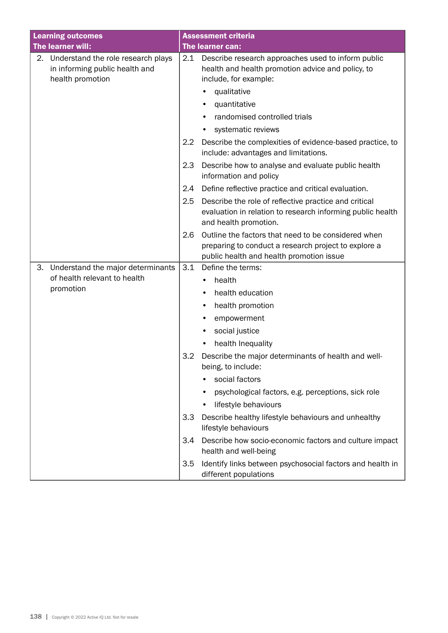| <b>Learning outcomes</b> |                                                                                          |     | <b>Assessment criteria</b>                                                                                                                   |  |  |
|--------------------------|------------------------------------------------------------------------------------------|-----|----------------------------------------------------------------------------------------------------------------------------------------------|--|--|
| The learner will:        |                                                                                          |     | The learner can:                                                                                                                             |  |  |
| 2.                       | Understand the role research plays<br>in informing public health and<br>health promotion | 2.1 | Describe research approaches used to inform public<br>health and health promotion advice and policy, to<br>include, for example:             |  |  |
|                          |                                                                                          |     | qualitative                                                                                                                                  |  |  |
|                          |                                                                                          |     | quantitative<br>٠                                                                                                                            |  |  |
|                          |                                                                                          |     | randomised controlled trials                                                                                                                 |  |  |
|                          |                                                                                          |     | systematic reviews                                                                                                                           |  |  |
|                          |                                                                                          | 2.2 | Describe the complexities of evidence-based practice, to<br>include: advantages and limitations.                                             |  |  |
|                          |                                                                                          | 2.3 | Describe how to analyse and evaluate public health<br>information and policy                                                                 |  |  |
|                          |                                                                                          | 2.4 | Define reflective practice and critical evaluation.                                                                                          |  |  |
|                          |                                                                                          | 2.5 | Describe the role of reflective practice and critical<br>evaluation in relation to research informing public health<br>and health promotion. |  |  |
|                          |                                                                                          | 2.6 | Outline the factors that need to be considered when                                                                                          |  |  |
|                          |                                                                                          |     | preparing to conduct a research project to explore a                                                                                         |  |  |
|                          |                                                                                          |     | public health and health promotion issue                                                                                                     |  |  |
| 3.                       | Understand the major determinants<br>of health relevant to health                        | 3.1 | Define the terms:                                                                                                                            |  |  |
|                          | promotion                                                                                |     | health<br>$\bullet$                                                                                                                          |  |  |
|                          |                                                                                          |     | health education                                                                                                                             |  |  |
|                          |                                                                                          |     | health promotion                                                                                                                             |  |  |
|                          |                                                                                          |     | empowerment                                                                                                                                  |  |  |
|                          |                                                                                          |     | social justice                                                                                                                               |  |  |
|                          |                                                                                          |     | health Inequality                                                                                                                            |  |  |
|                          |                                                                                          | 3.2 | Describe the major determinants of health and well-<br>being, to include:                                                                    |  |  |
|                          |                                                                                          |     | social factors                                                                                                                               |  |  |
|                          |                                                                                          |     | psychological factors, e.g. perceptions, sick role                                                                                           |  |  |
|                          |                                                                                          |     | lifestyle behaviours                                                                                                                         |  |  |
|                          |                                                                                          | 3.3 | Describe healthy lifestyle behaviours and unhealthy<br>lifestyle behaviours                                                                  |  |  |
|                          |                                                                                          | 3.4 | Describe how socio-economic factors and culture impact<br>health and well-being                                                              |  |  |
|                          |                                                                                          | 3.5 | Identify links between psychosocial factors and health in<br>different populations                                                           |  |  |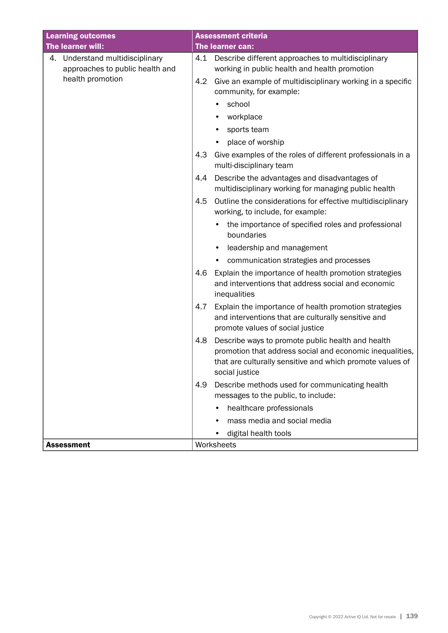| <b>Learning outcomes</b>                                           | <b>Assessment criteria</b>                                                                                                                                                                          |  |  |
|--------------------------------------------------------------------|-----------------------------------------------------------------------------------------------------------------------------------------------------------------------------------------------------|--|--|
| The learner will:                                                  | The learner can:                                                                                                                                                                                    |  |  |
| 4. Understand multidisciplinary<br>approaches to public health and | Describe different approaches to multidisciplinary<br>4.1<br>working in public health and health promotion                                                                                          |  |  |
| health promotion                                                   | Give an example of multidisciplinary working in a specific<br>4.2<br>community, for example:                                                                                                        |  |  |
|                                                                    | school                                                                                                                                                                                              |  |  |
|                                                                    | workplace                                                                                                                                                                                           |  |  |
|                                                                    | sports team                                                                                                                                                                                         |  |  |
|                                                                    | place of worship                                                                                                                                                                                    |  |  |
|                                                                    | Give examples of the roles of different professionals in a<br>4.3<br>multi-disciplinary team                                                                                                        |  |  |
|                                                                    | Describe the advantages and disadvantages of<br>4.4<br>multidisciplinary working for managing public health                                                                                         |  |  |
|                                                                    | 4.5<br>Outline the considerations for effective multidisciplinary<br>working, to include, for example:                                                                                              |  |  |
|                                                                    | the importance of specified roles and professional<br>boundaries                                                                                                                                    |  |  |
|                                                                    | leadership and management<br>٠                                                                                                                                                                      |  |  |
|                                                                    | communication strategies and processes                                                                                                                                                              |  |  |
|                                                                    | Explain the importance of health promotion strategies<br>4.6<br>and interventions that address social and economic<br>inequalities                                                                  |  |  |
|                                                                    | Explain the importance of health promotion strategies<br>4.7<br>and interventions that are culturally sensitive and<br>promote values of social justice                                             |  |  |
|                                                                    | Describe ways to promote public health and health<br>4.8<br>promotion that address social and economic inequalities,<br>that are culturally sensitive and which promote values of<br>social justice |  |  |
|                                                                    | Describe methods used for communicating health<br>4.9<br>messages to the public, to include:                                                                                                        |  |  |
|                                                                    | healthcare professionals                                                                                                                                                                            |  |  |
|                                                                    | mass media and social media                                                                                                                                                                         |  |  |
|                                                                    | digital health tools                                                                                                                                                                                |  |  |
| <b>Assessment</b>                                                  | Worksheets                                                                                                                                                                                          |  |  |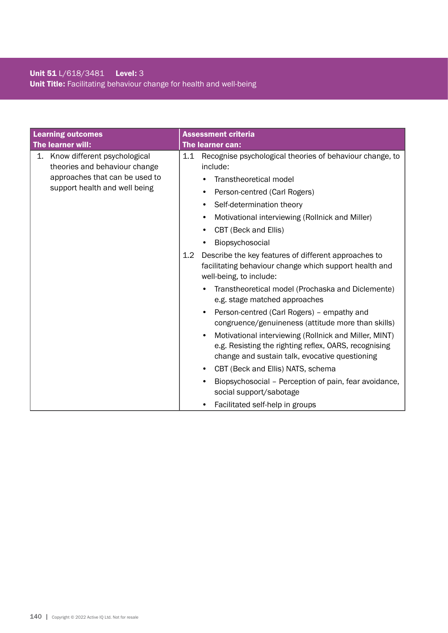## Unit 51 L/618/3481 Level: 3 Unit Title: Facilitating behaviour change for health and well-being

| <b>Learning outcomes</b> |                                                                                                                                     |            | <b>Assessment criteria</b>                                                                                                                                                                                                                                                                                                                                                                                                                                                                                                                                                                                                                                                                                                                                                                                                                                                                                                                                 |  |
|--------------------------|-------------------------------------------------------------------------------------------------------------------------------------|------------|------------------------------------------------------------------------------------------------------------------------------------------------------------------------------------------------------------------------------------------------------------------------------------------------------------------------------------------------------------------------------------------------------------------------------------------------------------------------------------------------------------------------------------------------------------------------------------------------------------------------------------------------------------------------------------------------------------------------------------------------------------------------------------------------------------------------------------------------------------------------------------------------------------------------------------------------------------|--|
|                          | The learner will:                                                                                                                   |            | The learner can:                                                                                                                                                                                                                                                                                                                                                                                                                                                                                                                                                                                                                                                                                                                                                                                                                                                                                                                                           |  |
|                          | 1. Know different psychological<br>theories and behaviour change<br>approaches that can be used to<br>support health and well being | 1.1<br>1.2 | Recognise psychological theories of behaviour change, to<br>include:<br>Transtheoretical model<br>Person-centred (Carl Rogers)<br>Self-determination theory<br>Motivational interviewing (Rollnick and Miller)<br>CBT (Beck and Ellis)<br>Biopsychosocial<br>Describe the key features of different approaches to<br>facilitating behaviour change which support health and<br>well-being, to include:<br>Transtheoretical model (Prochaska and Diclemente)<br>e.g. stage matched approaches<br>Person-centred (Carl Rogers) - empathy and<br>$\bullet$<br>congruence/genuineness (attitude more than skills)<br>Motivational interviewing (Rollnick and Miller, MINT)<br>$\bullet$<br>e.g. Resisting the righting reflex, OARS, recognising<br>change and sustain talk, evocative questioning<br>CBT (Beck and Ellis) NATS, schema<br>Biopsychosocial - Perception of pain, fear avoidance,<br>social support/sabotage<br>Facilitated self-help in groups |  |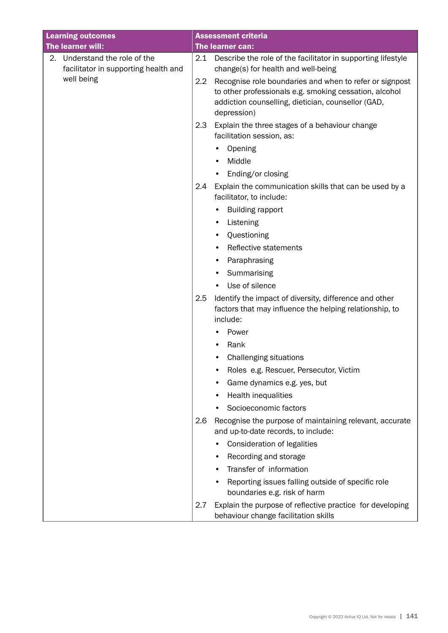| <b>Learning outcomes</b> |                                                                    |     | <b>Assessment criteria</b>                                                                                                                                                             |  |  |
|--------------------------|--------------------------------------------------------------------|-----|----------------------------------------------------------------------------------------------------------------------------------------------------------------------------------------|--|--|
|                          | The learner will:                                                  |     | The learner can:                                                                                                                                                                       |  |  |
| 2.                       | Understand the role of the<br>facilitator in supporting health and | 2.1 | Describe the role of the facilitator in supporting lifestyle<br>change(s) for health and well-being                                                                                    |  |  |
|                          | well being                                                         | 2.2 | Recognise role boundaries and when to refer or signpost<br>to other professionals e.g. smoking cessation, alcohol<br>addiction counselling, dietician, counsellor (GAD,<br>depression) |  |  |
|                          |                                                                    | 2.3 | Explain the three stages of a behaviour change<br>facilitation session, as:                                                                                                            |  |  |
|                          |                                                                    |     | Opening                                                                                                                                                                                |  |  |
|                          |                                                                    |     | Middle                                                                                                                                                                                 |  |  |
|                          |                                                                    |     | Ending/or closing                                                                                                                                                                      |  |  |
|                          |                                                                    | 2.4 | Explain the communication skills that can be used by a<br>facilitator, to include:                                                                                                     |  |  |
|                          |                                                                    |     | <b>Building rapport</b>                                                                                                                                                                |  |  |
|                          |                                                                    |     | Listening<br>٠                                                                                                                                                                         |  |  |
|                          |                                                                    |     | Questioning                                                                                                                                                                            |  |  |
|                          |                                                                    |     | Reflective statements<br>٠                                                                                                                                                             |  |  |
|                          |                                                                    |     | Paraphrasing                                                                                                                                                                           |  |  |
|                          |                                                                    |     | Summarising<br>٠                                                                                                                                                                       |  |  |
|                          |                                                                    |     | Use of silence<br>$\bullet$                                                                                                                                                            |  |  |
|                          |                                                                    | 2.5 | Identify the impact of diversity, difference and other<br>factors that may influence the helping relationship, to<br>include:                                                          |  |  |
|                          |                                                                    |     | Power                                                                                                                                                                                  |  |  |
|                          |                                                                    |     | Rank                                                                                                                                                                                   |  |  |
|                          |                                                                    |     | <b>Challenging situations</b>                                                                                                                                                          |  |  |
|                          |                                                                    |     | Roles e.g. Rescuer, Persecutor, Victim                                                                                                                                                 |  |  |
|                          |                                                                    |     | Game dynamics e.g. yes, but                                                                                                                                                            |  |  |
|                          |                                                                    |     | Health inequalities                                                                                                                                                                    |  |  |
|                          |                                                                    |     | Socioeconomic factors                                                                                                                                                                  |  |  |
|                          |                                                                    | 2.6 | Recognise the purpose of maintaining relevant, accurate<br>and up-to-date records, to include:                                                                                         |  |  |
|                          |                                                                    |     | Consideration of legalities                                                                                                                                                            |  |  |
|                          |                                                                    |     | Recording and storage                                                                                                                                                                  |  |  |
|                          |                                                                    |     | Transfer of information                                                                                                                                                                |  |  |
|                          |                                                                    |     | Reporting issues falling outside of specific role<br>boundaries e.g. risk of harm                                                                                                      |  |  |
|                          |                                                                    | 2.7 | Explain the purpose of reflective practice for developing<br>behaviour change facilitation skills                                                                                      |  |  |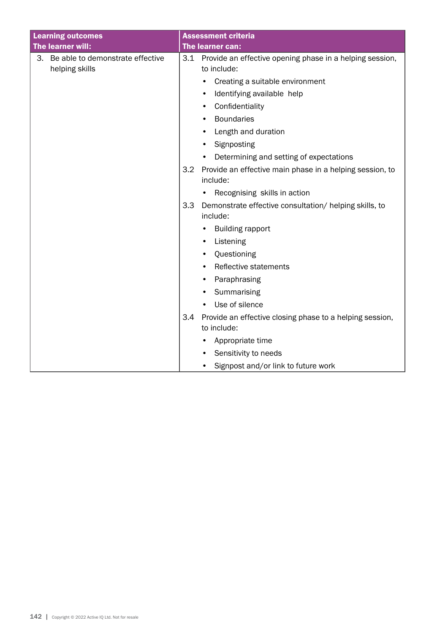| <b>Learning outcomes</b>                              | <b>Assessment criteria</b>                                                     |
|-------------------------------------------------------|--------------------------------------------------------------------------------|
| The learner will:                                     | The learner can:                                                               |
| 3. Be able to demonstrate effective<br>helping skills | Provide an effective opening phase in a helping session,<br>3.1<br>to include: |
|                                                       | Creating a suitable environment                                                |
|                                                       | Identifying available help                                                     |
|                                                       | Confidentiality<br>٠                                                           |
|                                                       | <b>Boundaries</b><br>$\bullet$                                                 |
|                                                       | Length and duration<br>٠                                                       |
|                                                       | Signposting                                                                    |
|                                                       | Determining and setting of expectations<br>٠                                   |
|                                                       | 3.2<br>Provide an effective main phase in a helping session, to<br>include:    |
|                                                       | Recognising skills in action                                                   |
|                                                       | 3.3<br>Demonstrate effective consultation/ helping skills, to                  |
|                                                       | include:                                                                       |
|                                                       | <b>Building rapport</b>                                                        |
|                                                       | Listening<br>$\bullet$                                                         |
|                                                       | Questioning<br>$\bullet$                                                       |
|                                                       | Reflective statements                                                          |
|                                                       | Paraphrasing<br>٠                                                              |
|                                                       | Summarising<br>$\bullet$                                                       |
|                                                       | Use of silence                                                                 |
|                                                       | 3.4<br>Provide an effective closing phase to a helping session,<br>to include: |
|                                                       | Appropriate time                                                               |
|                                                       | Sensitivity to needs<br>$\bullet$                                              |
|                                                       | Signpost and/or link to future work                                            |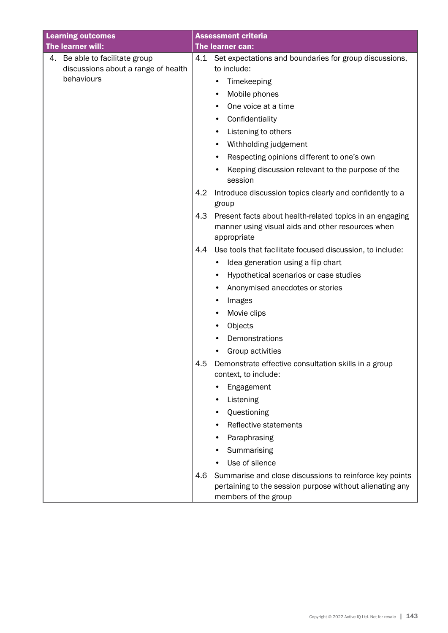| <b>Learning outcomes</b> |                                                   |     | <b>Assessment criteria</b>                                                                                                                  |  |
|--------------------------|---------------------------------------------------|-----|---------------------------------------------------------------------------------------------------------------------------------------------|--|
|                          | The learner will:                                 |     | The learner can:                                                                                                                            |  |
| 4.                       | Be able to facilitate group                       | 4.1 | Set expectations and boundaries for group discussions,                                                                                      |  |
|                          | discussions about a range of health<br>behaviours |     | to include:                                                                                                                                 |  |
|                          |                                                   |     | Timekeeping<br>٠                                                                                                                            |  |
|                          |                                                   |     | Mobile phones                                                                                                                               |  |
|                          |                                                   |     | One voice at a time                                                                                                                         |  |
|                          |                                                   |     | Confidentiality<br>٠                                                                                                                        |  |
|                          |                                                   |     | Listening to others<br>٠                                                                                                                    |  |
|                          |                                                   |     | Withholding judgement<br>٠                                                                                                                  |  |
|                          |                                                   |     | Respecting opinions different to one's own                                                                                                  |  |
|                          |                                                   |     | Keeping discussion relevant to the purpose of the<br>session                                                                                |  |
|                          |                                                   | 4.2 | Introduce discussion topics clearly and confidently to a<br>group                                                                           |  |
|                          |                                                   | 4.3 | Present facts about health-related topics in an engaging<br>manner using visual aids and other resources when<br>appropriate                |  |
|                          |                                                   | 4.4 | Use tools that facilitate focused discussion, to include:                                                                                   |  |
|                          |                                                   |     | Idea generation using a flip chart<br>٠                                                                                                     |  |
|                          |                                                   |     | Hypothetical scenarios or case studies                                                                                                      |  |
|                          |                                                   |     | Anonymised anecdotes or stories                                                                                                             |  |
|                          |                                                   |     | Images<br>٠                                                                                                                                 |  |
|                          |                                                   |     | Movie clips<br>٠                                                                                                                            |  |
|                          |                                                   |     | Objects<br>٠                                                                                                                                |  |
|                          |                                                   |     | Demonstrations                                                                                                                              |  |
|                          |                                                   |     | Group activities                                                                                                                            |  |
|                          |                                                   | 4.5 | Demonstrate effective consultation skills in a group<br>context, to include:                                                                |  |
|                          |                                                   |     | Engagement                                                                                                                                  |  |
|                          |                                                   |     | Listening                                                                                                                                   |  |
|                          |                                                   |     | Questioning<br>٠                                                                                                                            |  |
|                          |                                                   |     | Reflective statements                                                                                                                       |  |
|                          |                                                   |     | Paraphrasing                                                                                                                                |  |
|                          |                                                   |     | Summarising                                                                                                                                 |  |
|                          |                                                   |     | Use of silence                                                                                                                              |  |
|                          |                                                   | 4.6 | Summarise and close discussions to reinforce key points<br>pertaining to the session purpose without alienating any<br>members of the group |  |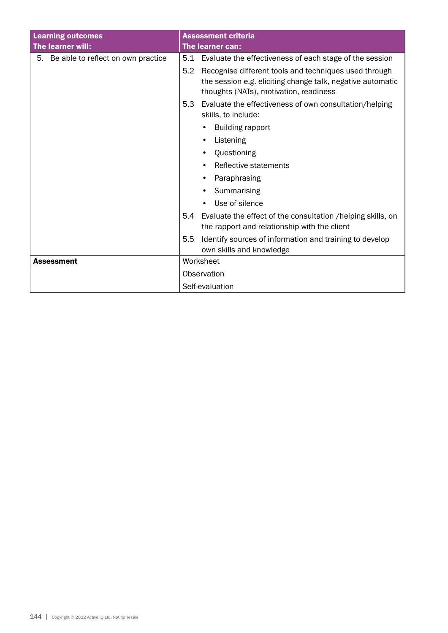| <b>Learning outcomes</b>              | <b>Assessment criteria</b>                                                                                                                                           |  |  |
|---------------------------------------|----------------------------------------------------------------------------------------------------------------------------------------------------------------------|--|--|
| The learner will:                     | The learner can:                                                                                                                                                     |  |  |
| 5. Be able to reflect on own practice | Evaluate the effectiveness of each stage of the session<br>5.1                                                                                                       |  |  |
|                                       | 5.2<br>Recognise different tools and techniques used through<br>the session e.g. eliciting change talk, negative automatic<br>thoughts (NATs), motivation, readiness |  |  |
|                                       | 5.3<br>Evaluate the effectiveness of own consultation/helping<br>skills, to include:                                                                                 |  |  |
|                                       | <b>Building rapport</b>                                                                                                                                              |  |  |
|                                       | Listening<br>$\bullet$                                                                                                                                               |  |  |
|                                       | Questioning                                                                                                                                                          |  |  |
|                                       | Reflective statements<br>٠                                                                                                                                           |  |  |
|                                       | Paraphrasing                                                                                                                                                         |  |  |
|                                       | Summarising                                                                                                                                                          |  |  |
|                                       | Use of silence                                                                                                                                                       |  |  |
|                                       | Evaluate the effect of the consultation / helping skills, on<br>5.4<br>the rapport and relationship with the client                                                  |  |  |
|                                       | Identify sources of information and training to develop<br>5.5<br>own skills and knowledge                                                                           |  |  |
| <b>Assessment</b>                     | Worksheet                                                                                                                                                            |  |  |
|                                       | Observation                                                                                                                                                          |  |  |
|                                       | Self-evaluation                                                                                                                                                      |  |  |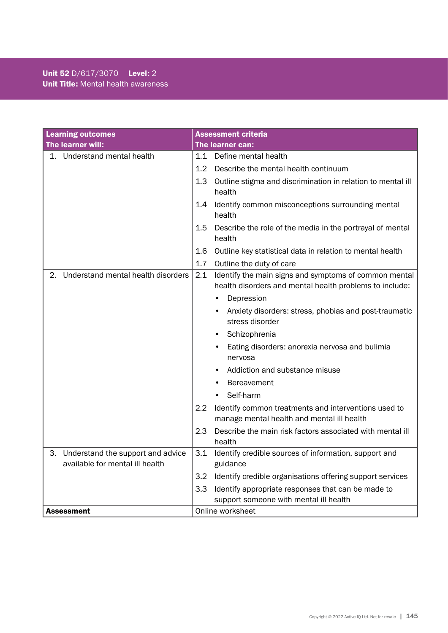| <b>Learning outcomes</b>                                                   |                  | <b>Assessment criteria</b>                                                                                       |
|----------------------------------------------------------------------------|------------------|------------------------------------------------------------------------------------------------------------------|
| The learner will:                                                          | The learner can: |                                                                                                                  |
| 1. Understand mental health                                                | 1.1              | Define mental health                                                                                             |
|                                                                            | 1.2              | Describe the mental health continuum                                                                             |
|                                                                            | 1.3              | Outline stigma and discrimination in relation to mental ill<br>health                                            |
|                                                                            | $1.4\,$          | Identify common misconceptions surrounding mental<br>health                                                      |
|                                                                            | 1.5              | Describe the role of the media in the portrayal of mental<br>health                                              |
|                                                                            | 1.6              | Outline key statistical data in relation to mental health                                                        |
|                                                                            | 1.7              | Outline the duty of care                                                                                         |
| Understand mental health disorders<br>2.                                   | 2.1              | Identify the main signs and symptoms of common mental<br>health disorders and mental health problems to include: |
|                                                                            |                  | Depression<br>$\bullet$                                                                                          |
|                                                                            |                  | Anxiety disorders: stress, phobias and post-traumatic<br>stress disorder                                         |
|                                                                            |                  | Schizophrenia<br>$\bullet$                                                                                       |
|                                                                            |                  | Eating disorders: anorexia nervosa and bulimia                                                                   |
|                                                                            |                  | nervosa                                                                                                          |
|                                                                            |                  | Addiction and substance misuse                                                                                   |
|                                                                            |                  | <b>Bereavement</b>                                                                                               |
|                                                                            |                  | Self-harm                                                                                                        |
|                                                                            | $2.2\phantom{0}$ | Identify common treatments and interventions used to<br>manage mental health and mental ill health               |
|                                                                            | 2.3              | Describe the main risk factors associated with mental ill<br>health                                              |
| Understand the support and advice<br>З.<br>available for mental ill health | 3.1              | Identify credible sources of information, support and<br>guidance                                                |
|                                                                            | 3.2              | Identify credible organisations offering support services                                                        |
|                                                                            | 3.3              | Identify appropriate responses that can be made to<br>support someone with mental ill health                     |
| <b>Assessment</b>                                                          | Online worksheet |                                                                                                                  |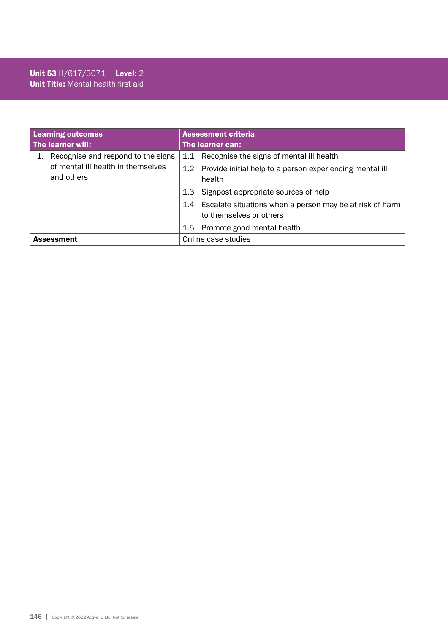#### Unit 53 H/617/3071 Level: 2 Unit Title: Mental health first aid

| <b>Learning outcomes</b>                                                               | <b>Assessment criteria</b>                                                              |  |
|----------------------------------------------------------------------------------------|-----------------------------------------------------------------------------------------|--|
| The learner will:                                                                      | The learner can:                                                                        |  |
| Recognise and respond to the signs<br>of mental ill health in themselves<br>and others | 1.1 Recognise the signs of mental ill health                                            |  |
|                                                                                        | 1.2 Provide initial help to a person experiencing mental ill<br>health                  |  |
|                                                                                        | Signpost appropriate sources of help<br>1.3                                             |  |
|                                                                                        | 1.4 Escalate situations when a person may be at risk of harm<br>to themselves or others |  |
|                                                                                        | 1.5 Promote good mental health                                                          |  |
| <b>Assessment</b>                                                                      | Online case studies                                                                     |  |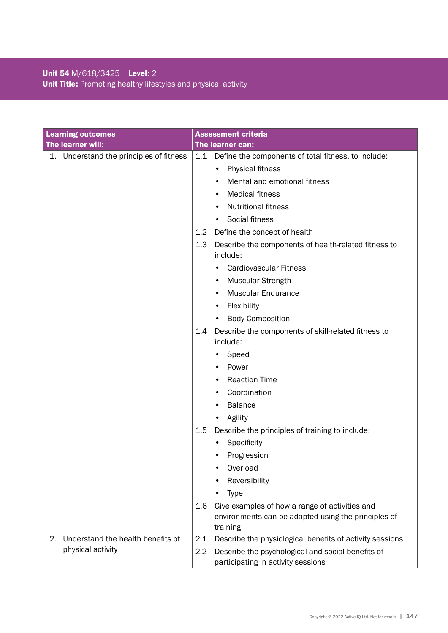### Unit 54 M/618/3425 Level: 2 Unit Title: Promoting healthy lifestyles and physical activity

| <b>Learning outcomes</b>                   | <b>Assessment criteria</b>                                                                                               |
|--------------------------------------------|--------------------------------------------------------------------------------------------------------------------------|
| The learner will:                          | The learner can:                                                                                                         |
| Understand the principles of fitness<br>1. | 1.1<br>Define the components of total fitness, to include:                                                               |
|                                            | <b>Physical fitness</b><br>$\bullet$                                                                                     |
|                                            | Mental and emotional fitness                                                                                             |
|                                            | <b>Medical fitness</b><br>٠                                                                                              |
|                                            | <b>Nutritional fitness</b><br>$\bullet$                                                                                  |
|                                            | Social fitness<br>$\bullet$                                                                                              |
|                                            | Define the concept of health<br>1.2 <sub>2</sub>                                                                         |
|                                            | Describe the components of health-related fitness to<br>1.3                                                              |
|                                            | include:                                                                                                                 |
|                                            | <b>Cardiovascular Fitness</b>                                                                                            |
|                                            | <b>Muscular Strength</b>                                                                                                 |
|                                            | <b>Muscular Endurance</b>                                                                                                |
|                                            | Flexibility<br>$\bullet$                                                                                                 |
|                                            | <b>Body Composition</b><br>$\bullet$                                                                                     |
|                                            | Describe the components of skill-related fitness to<br>1.4<br>include:                                                   |
|                                            | Speed                                                                                                                    |
|                                            | Power                                                                                                                    |
|                                            | <b>Reaction Time</b>                                                                                                     |
|                                            | Coordination                                                                                                             |
|                                            | <b>Balance</b><br>٠                                                                                                      |
|                                            | Agility<br>$\bullet$                                                                                                     |
|                                            | Describe the principles of training to include:<br>$1.5\,$                                                               |
|                                            | Specificity                                                                                                              |
|                                            | Progression                                                                                                              |
|                                            | Overload<br>٠                                                                                                            |
|                                            | Reversibility                                                                                                            |
|                                            | <b>Type</b>                                                                                                              |
|                                            | Give examples of how a range of activities and<br>1.6<br>environments can be adapted using the principles of<br>training |
| Understand the health benefits of<br>2.    | 2.1<br>Describe the physiological benefits of activity sessions                                                          |
| physical activity                          | 2.2<br>Describe the psychological and social benefits of<br>participating in activity sessions                           |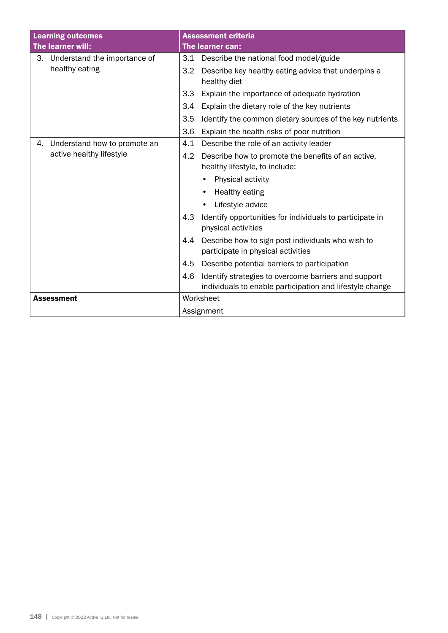|                          | <b>Learning outcomes</b>        | <b>Assessment criteria</b>                                                           |                                                                                                                  |
|--------------------------|---------------------------------|--------------------------------------------------------------------------------------|------------------------------------------------------------------------------------------------------------------|
|                          | The learner will:               | The learner can:                                                                     |                                                                                                                  |
|                          | 3. Understand the importance of | 3.1                                                                                  | Describe the national food model/guide                                                                           |
|                          | healthy eating                  | 3.2                                                                                  | Describe key healthy eating advice that underpins a<br>healthy diet                                              |
|                          |                                 | 3.3                                                                                  | Explain the importance of adequate hydration                                                                     |
|                          |                                 | 3.4                                                                                  | Explain the dietary role of the key nutrients                                                                    |
|                          |                                 | 3.5                                                                                  | Identify the common dietary sources of the key nutrients                                                         |
|                          |                                 | 3.6                                                                                  | Explain the health risks of poor nutrition                                                                       |
| 4.                       | Understand how to promote an    | 4.1                                                                                  | Describe the role of an activity leader                                                                          |
| active healthy lifestyle | 4.2                             | Describe how to promote the benefits of an active,<br>healthy lifestyle, to include: |                                                                                                                  |
|                          |                                 |                                                                                      | Physical activity                                                                                                |
|                          |                                 |                                                                                      | Healthy eating<br>٠                                                                                              |
|                          |                                 |                                                                                      | Lifestyle advice                                                                                                 |
|                          | 4.3                             | Identify opportunities for individuals to participate in<br>physical activities      |                                                                                                                  |
|                          |                                 | 4.4                                                                                  | Describe how to sign post individuals who wish to<br>participate in physical activities                          |
|                          |                                 | 4.5                                                                                  | Describe potential barriers to participation                                                                     |
|                          |                                 | 4.6                                                                                  | Identify strategies to overcome barriers and support<br>individuals to enable participation and lifestyle change |
|                          | <b>Assessment</b>               |                                                                                      | Worksheet                                                                                                        |
|                          |                                 | Assignment                                                                           |                                                                                                                  |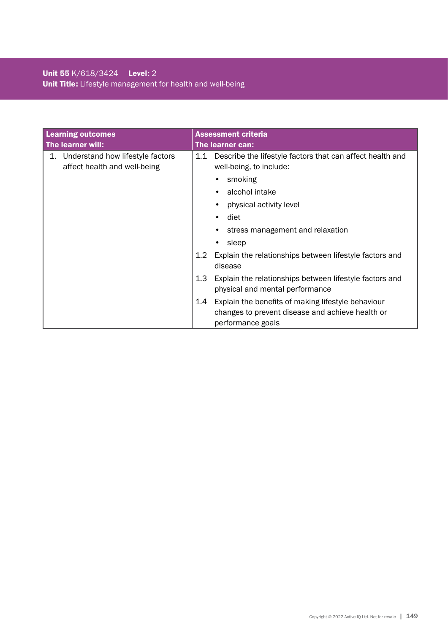### Unit 55 K/618/3424 Level: 2 Unit Title: Lifestyle management for health and well-being

| <b>Learning outcomes</b>                                               | Assessment criteria                                                                                                                |
|------------------------------------------------------------------------|------------------------------------------------------------------------------------------------------------------------------------|
| The learner will:                                                      | The learner can:                                                                                                                   |
| Understand how lifestyle factors<br>1.<br>affect health and well-being | Describe the lifestyle factors that can affect health and<br>1.1<br>well-being, to include:                                        |
|                                                                        | smoking                                                                                                                            |
|                                                                        | alcohol intake<br>$\bullet$                                                                                                        |
|                                                                        | physical activity level                                                                                                            |
|                                                                        | diet                                                                                                                               |
|                                                                        | stress management and relaxation                                                                                                   |
|                                                                        | sleep                                                                                                                              |
|                                                                        | 1.2<br>Explain the relationships between lifestyle factors and<br>disease                                                          |
|                                                                        | Explain the relationships between lifestyle factors and<br>1.3<br>physical and mental performance                                  |
|                                                                        | Explain the benefits of making lifestyle behaviour<br>1.4<br>changes to prevent disease and achieve health or<br>performance goals |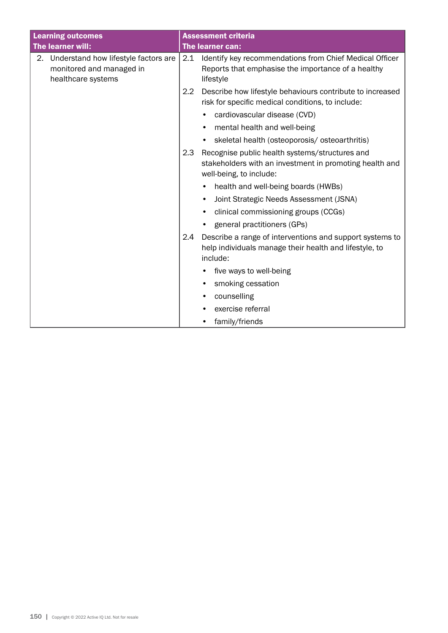| <b>Learning outcomes</b>                                                                  | <b>Assessment criteria</b>                                                                                                            |  |
|-------------------------------------------------------------------------------------------|---------------------------------------------------------------------------------------------------------------------------------------|--|
| The learner will:                                                                         | The learner can:                                                                                                                      |  |
| 2. Understand how lifestyle factors are<br>monitored and managed in<br>healthcare systems | 2.1<br>Identify key recommendations from Chief Medical Officer<br>Reports that emphasise the importance of a healthy<br>lifestyle     |  |
| $2.2\phantom{0}$                                                                          | Describe how lifestyle behaviours contribute to increased<br>risk for specific medical conditions, to include:                        |  |
|                                                                                           | cardiovascular disease (CVD)                                                                                                          |  |
|                                                                                           | mental health and well-being                                                                                                          |  |
|                                                                                           | skeletal health (osteoporosis/ osteoarthritis)<br>$\bullet$                                                                           |  |
|                                                                                           | 2.3<br>Recognise public health systems/structures and                                                                                 |  |
|                                                                                           | stakeholders with an investment in promoting health and<br>well-being, to include:                                                    |  |
|                                                                                           | health and well-being boards (HWBs)                                                                                                   |  |
|                                                                                           | Joint Strategic Needs Assessment (JSNA)<br>$\bullet$                                                                                  |  |
|                                                                                           | clinical commissioning groups (CCGs)                                                                                                  |  |
|                                                                                           | general practitioners (GPs)                                                                                                           |  |
|                                                                                           | Describe a range of interventions and support systems to<br>2.4<br>help individuals manage their health and lifestyle, to<br>include: |  |
|                                                                                           | five ways to well-being                                                                                                               |  |
|                                                                                           | smoking cessation                                                                                                                     |  |
|                                                                                           | counselling                                                                                                                           |  |
|                                                                                           | exercise referral                                                                                                                     |  |
|                                                                                           | family/friends<br>$\bullet$                                                                                                           |  |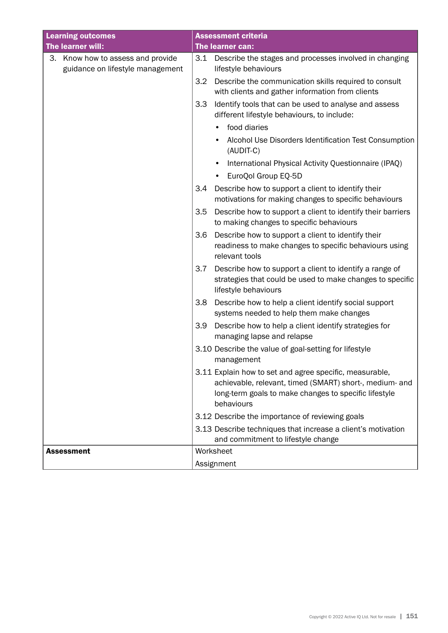| <b>Learning outcomes</b>                                                 | <b>Assessment criteria</b>                                                                                                                                                                |  |
|--------------------------------------------------------------------------|-------------------------------------------------------------------------------------------------------------------------------------------------------------------------------------------|--|
| The learner will:                                                        | The learner can:                                                                                                                                                                          |  |
| Know how to assess and provide<br>З.<br>guidance on lifestyle management | 3.1<br>Describe the stages and processes involved in changing<br>lifestyle behaviours                                                                                                     |  |
|                                                                          | Describe the communication skills required to consult<br>3.2<br>with clients and gather information from clients                                                                          |  |
|                                                                          | 3.3<br>Identify tools that can be used to analyse and assess<br>different lifestyle behaviours, to include:                                                                               |  |
|                                                                          | food diaries<br>$\bullet$                                                                                                                                                                 |  |
|                                                                          | Alcohol Use Disorders Identification Test Consumption<br>(AUDIT-C)                                                                                                                        |  |
|                                                                          | International Physical Activity Questionnaire (IPAQ)<br>$\bullet$                                                                                                                         |  |
|                                                                          | EuroQol Group EQ-5D                                                                                                                                                                       |  |
|                                                                          | Describe how to support a client to identify their<br>3.4<br>motivations for making changes to specific behaviours                                                                        |  |
|                                                                          | 3.5<br>Describe how to support a client to identify their barriers<br>to making changes to specific behaviours                                                                            |  |
|                                                                          | 3.6<br>Describe how to support a client to identify their<br>readiness to make changes to specific behaviours using<br>relevant tools                                                     |  |
|                                                                          | Describe how to support a client to identify a range of<br>3.7<br>strategies that could be used to make changes to specific<br>lifestyle behaviours                                       |  |
|                                                                          | Describe how to help a client identify social support<br>3.8<br>systems needed to help them make changes                                                                                  |  |
|                                                                          | 3.9<br>Describe how to help a client identify strategies for<br>managing lapse and relapse                                                                                                |  |
|                                                                          | 3.10 Describe the value of goal-setting for lifestyle<br>management                                                                                                                       |  |
|                                                                          | 3.11 Explain how to set and agree specific, measurable,<br>achievable, relevant, timed (SMART) short-, medium- and<br>long-term goals to make changes to specific lifestyle<br>behaviours |  |
|                                                                          | 3.12 Describe the importance of reviewing goals                                                                                                                                           |  |
|                                                                          | 3.13 Describe techniques that increase a client's motivation<br>and commitment to lifestyle change                                                                                        |  |
| <b>Assessment</b>                                                        | Worksheet                                                                                                                                                                                 |  |
|                                                                          | Assignment                                                                                                                                                                                |  |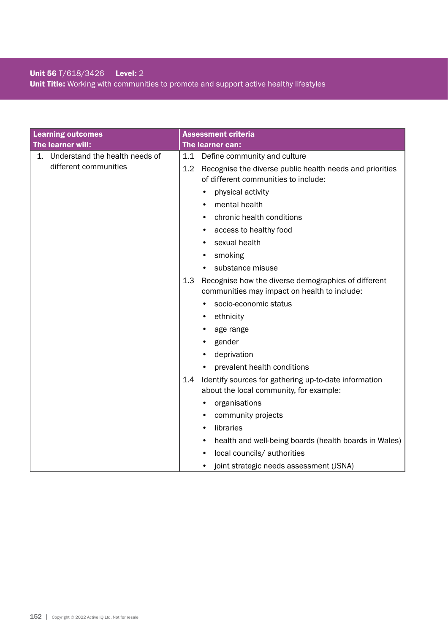### Unit 56 T/618/3426 Level: 2 Unit Title: Working with communities to promote and support active healthy lifestyles

| <b>Learning outcomes</b>          | <b>Assessment criteria</b>                                                                                 |
|-----------------------------------|------------------------------------------------------------------------------------------------------------|
| The learner will:                 | The learner can:                                                                                           |
| 1. Understand the health needs of | 1.1<br>Define community and culture                                                                        |
| different communities             | 1.2<br>Recognise the diverse public health needs and priorities<br>of different communities to include:    |
|                                   | physical activity<br>٠                                                                                     |
|                                   | mental health<br>٠                                                                                         |
|                                   | chronic health conditions                                                                                  |
|                                   | access to healthy food<br>٠                                                                                |
|                                   | sexual health                                                                                              |
|                                   | smoking<br>٠                                                                                               |
|                                   | substance misuse                                                                                           |
|                                   | 1.3<br>Recognise how the diverse demographics of different<br>communities may impact on health to include: |
|                                   | socio-economic status                                                                                      |
|                                   | ethnicity                                                                                                  |
|                                   | age range                                                                                                  |
|                                   | gender<br>٠                                                                                                |
|                                   | deprivation                                                                                                |
|                                   | prevalent health conditions                                                                                |
|                                   | Identify sources for gathering up-to-date information<br>1.4<br>about the local community, for example:    |
|                                   | organisations                                                                                              |
|                                   | community projects<br>$\bullet$                                                                            |
|                                   | libraries<br>$\bullet$                                                                                     |
|                                   | health and well-being boards (health boards in Wales)<br>$\bullet$                                         |
|                                   | local councils/ authorities                                                                                |
|                                   | joint strategic needs assessment (JSNA)<br>٠                                                               |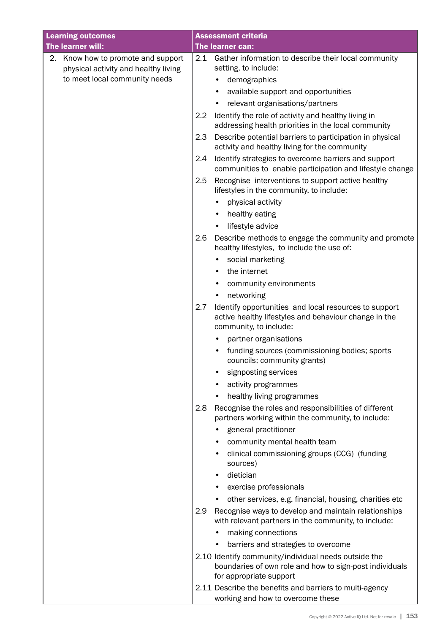| <b>Learning outcomes</b>                                                   | <b>Assessment criteria</b>                                                                                                                      |
|----------------------------------------------------------------------------|-------------------------------------------------------------------------------------------------------------------------------------------------|
| The learner will:                                                          | The learner can:                                                                                                                                |
| 2. Know how to promote and support<br>physical activity and healthy living | 2.1<br>Gather information to describe their local community<br>setting, to include:                                                             |
| to meet local community needs                                              | demographics                                                                                                                                    |
|                                                                            | available support and opportunities                                                                                                             |
|                                                                            | relevant organisations/partners                                                                                                                 |
|                                                                            | Identify the role of activity and healthy living in<br>$2.2\phantom{0}$<br>addressing health priorities in the local community                  |
|                                                                            | Describe potential barriers to participation in physical<br>2.3<br>activity and healthy living for the community                                |
|                                                                            | Identify strategies to overcome barriers and support<br>2.4<br>communities to enable participation and lifestyle change                         |
|                                                                            | Recognise interventions to support active healthy<br>2.5<br>lifestyles in the community, to include:                                            |
|                                                                            | physical activity                                                                                                                               |
|                                                                            | healthy eating                                                                                                                                  |
|                                                                            | lifestyle advice                                                                                                                                |
|                                                                            | Describe methods to engage the community and promote<br>2.6<br>healthy lifestyles, to include the use of:                                       |
|                                                                            | social marketing                                                                                                                                |
|                                                                            | the internet                                                                                                                                    |
|                                                                            | community environments                                                                                                                          |
|                                                                            | networking                                                                                                                                      |
|                                                                            | Identify opportunities and local resources to support<br>2.7<br>active healthy lifestyles and behaviour change in the<br>community, to include: |
|                                                                            | partner organisations                                                                                                                           |
|                                                                            | funding sources (commissioning bodies; sports<br>councils; community grants)                                                                    |
|                                                                            | signposting services                                                                                                                            |
|                                                                            | activity programmes                                                                                                                             |
|                                                                            | healthy living programmes                                                                                                                       |
|                                                                            | 2.8<br>Recognise the roles and responsibilities of different<br>partners working within the community, to include:                              |
|                                                                            | general practitioner                                                                                                                            |
|                                                                            | community mental health team                                                                                                                    |
|                                                                            | clinical commissioning groups (CCG) (funding<br>sources)                                                                                        |
|                                                                            | dietician<br>$\bullet$                                                                                                                          |
|                                                                            | exercise professionals                                                                                                                          |
|                                                                            | other services, e.g. financial, housing, charities etc                                                                                          |
|                                                                            | 2.9<br>Recognise ways to develop and maintain relationships<br>with relevant partners in the community, to include:                             |
|                                                                            | making connections                                                                                                                              |
|                                                                            | barriers and strategies to overcome                                                                                                             |
|                                                                            | 2.10 Identify community/individual needs outside the                                                                                            |
|                                                                            | boundaries of own role and how to sign-post individuals<br>for appropriate support                                                              |
|                                                                            | 2.11 Describe the benefits and barriers to multi-agency<br>working and how to overcome these                                                    |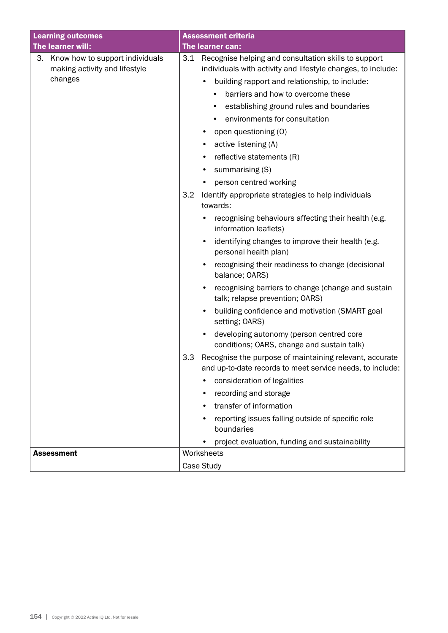| <b>Learning outcomes</b>                                                       | <b>Assessment criteria</b>                                                                                                                                                                                                                                                                                                                                                                                                           |  |
|--------------------------------------------------------------------------------|--------------------------------------------------------------------------------------------------------------------------------------------------------------------------------------------------------------------------------------------------------------------------------------------------------------------------------------------------------------------------------------------------------------------------------------|--|
| The learner will:                                                              | The learner can:                                                                                                                                                                                                                                                                                                                                                                                                                     |  |
| 3. Know how to support individuals<br>making activity and lifestyle<br>changes | Recognise helping and consultation skills to support<br>3.1<br>individuals with activity and lifestyle changes, to include:<br>building rapport and relationship, to include:<br>$\bullet$<br>barriers and how to overcome these<br>establishing ground rules and boundaries<br>environments for consultation<br>٠<br>open questioning (O)<br>٠<br>active listening (A)<br>$\bullet$<br>reflective statements (R)<br>summarising (S) |  |
|                                                                                | person centred working<br>$\bullet$<br>Identify appropriate strategies to help individuals<br>3.2<br>towards:                                                                                                                                                                                                                                                                                                                        |  |
|                                                                                | recognising behaviours affecting their health (e.g.<br>information leaflets)                                                                                                                                                                                                                                                                                                                                                         |  |
|                                                                                | identifying changes to improve their health (e.g.<br>$\bullet$<br>personal health plan)                                                                                                                                                                                                                                                                                                                                              |  |
|                                                                                | recognising their readiness to change (decisional<br>balance; OARS)                                                                                                                                                                                                                                                                                                                                                                  |  |
|                                                                                | recognising barriers to change (change and sustain<br>talk; relapse prevention; OARS)                                                                                                                                                                                                                                                                                                                                                |  |
|                                                                                | building confidence and motivation (SMART goal<br>$\bullet$<br>setting; OARS)                                                                                                                                                                                                                                                                                                                                                        |  |
|                                                                                | developing autonomy (person centred core<br>$\bullet$<br>conditions; OARS, change and sustain talk)                                                                                                                                                                                                                                                                                                                                  |  |
|                                                                                | Recognise the purpose of maintaining relevant, accurate<br>3.3<br>and up-to-date records to meet service needs, to include:                                                                                                                                                                                                                                                                                                          |  |
|                                                                                | consideration of legalities                                                                                                                                                                                                                                                                                                                                                                                                          |  |
|                                                                                | recording and storage                                                                                                                                                                                                                                                                                                                                                                                                                |  |
|                                                                                | transfer of information                                                                                                                                                                                                                                                                                                                                                                                                              |  |
|                                                                                | reporting issues falling outside of specific role<br>boundaries                                                                                                                                                                                                                                                                                                                                                                      |  |
|                                                                                | project evaluation, funding and sustainability                                                                                                                                                                                                                                                                                                                                                                                       |  |
| <b>Assessment</b>                                                              | Worksheets<br>Case Study                                                                                                                                                                                                                                                                                                                                                                                                             |  |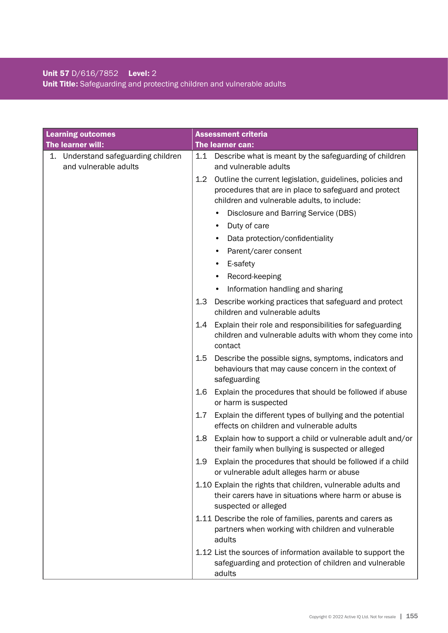### Unit 57 D/616/7852 Level: 2 Unit Title: Safeguarding and protecting children and vulnerable adults

| <b>Learning outcomes</b><br>The learner will:                | <b>Assessment criteria</b><br>The learner can:                                                                                                                           |  |
|--------------------------------------------------------------|--------------------------------------------------------------------------------------------------------------------------------------------------------------------------|--|
| 1. Understand safeguarding children<br>and vulnerable adults | Describe what is meant by the safeguarding of children<br>1.1<br>and vulnerable adults                                                                                   |  |
|                                                              | Outline the current legislation, guidelines, policies and<br>1.2<br>procedures that are in place to safeguard and protect<br>children and vulnerable adults, to include: |  |
|                                                              | Disclosure and Barring Service (DBS)                                                                                                                                     |  |
|                                                              | Duty of care                                                                                                                                                             |  |
|                                                              | Data protection/confidentiality<br>$\bullet$                                                                                                                             |  |
|                                                              | Parent/carer consent                                                                                                                                                     |  |
|                                                              | E-safety                                                                                                                                                                 |  |
|                                                              | Record-keeping                                                                                                                                                           |  |
|                                                              | Information handling and sharing                                                                                                                                         |  |
|                                                              | 1.3<br>Describe working practices that safeguard and protect<br>children and vulnerable adults                                                                           |  |
|                                                              | Explain their role and responsibilities for safeguarding<br>1.4<br>children and vulnerable adults with whom they come into<br>contact                                    |  |
|                                                              | Describe the possible signs, symptoms, indicators and<br>$1.5\,$<br>behaviours that may cause concern in the context of<br>safeguarding                                  |  |
|                                                              | 1.6<br>Explain the procedures that should be followed if abuse<br>or harm is suspected                                                                                   |  |
|                                                              | Explain the different types of bullying and the potential<br>1.7<br>effects on children and vulnerable adults                                                            |  |
|                                                              | Explain how to support a child or vulnerable adult and/or<br>1.8<br>their family when bullying is suspected or alleged                                                   |  |
|                                                              | 1.9<br>Explain the procedures that should be followed if a child<br>or vulnerable adult alleges harm or abuse                                                            |  |
|                                                              | 1.10 Explain the rights that children, vulnerable adults and<br>their carers have in situations where harm or abuse is<br>suspected or alleged                           |  |
|                                                              | 1.11 Describe the role of families, parents and carers as<br>partners when working with children and vulnerable<br>adults                                                |  |
|                                                              | 1.12 List the sources of information available to support the<br>safeguarding and protection of children and vulnerable<br>adults                                        |  |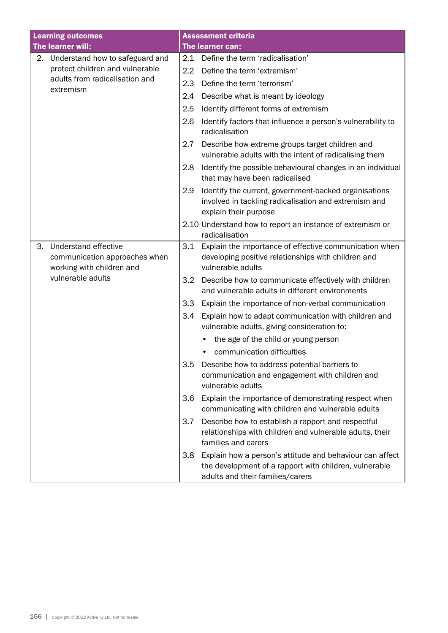|                                                                              | <b>Learning outcomes</b>                                              |                                                                                                           | <b>Assessment criteria</b>                                                                                                                             |
|------------------------------------------------------------------------------|-----------------------------------------------------------------------|-----------------------------------------------------------------------------------------------------------|--------------------------------------------------------------------------------------------------------------------------------------------------------|
|                                                                              | The learner will:                                                     | 2.1                                                                                                       | The learner can:<br>Define the term 'radicalisation'                                                                                                   |
|                                                                              | 2. Understand how to safeguard and<br>protect children and vulnerable |                                                                                                           |                                                                                                                                                        |
| adults from radicalisation and<br>extremism                                  |                                                                       | 2.2                                                                                                       | Define the term 'extremism'                                                                                                                            |
|                                                                              | 2.3                                                                   | Define the term 'terrorism'                                                                               |                                                                                                                                                        |
|                                                                              |                                                                       | 2.4                                                                                                       | Describe what is meant by ideology                                                                                                                     |
|                                                                              |                                                                       | 2.5                                                                                                       | Identify different forms of extremism                                                                                                                  |
|                                                                              |                                                                       | 2.6                                                                                                       | Identify factors that influence a person's vulnerability to<br>radicalisation                                                                          |
|                                                                              |                                                                       | 2.7                                                                                                       | Describe how extreme groups target children and<br>vulnerable adults with the intent of radicalising them                                              |
|                                                                              |                                                                       | 2.8                                                                                                       | Identify the possible behavioural changes in an individual<br>that may have been radicalised                                                           |
|                                                                              |                                                                       | 2.9                                                                                                       | Identify the current, government-backed organisations<br>involved in tackling radicalisation and extremism and<br>explain their purpose                |
|                                                                              |                                                                       |                                                                                                           | 2.10 Understand how to report an instance of extremism or<br>radicalisation                                                                            |
| 3.<br>Understand effective<br>working with children and<br>vulnerable adults | communication approaches when                                         | 3.1                                                                                                       | Explain the importance of effective communication when<br>developing positive relationships with children and<br>vulnerable adults                     |
|                                                                              |                                                                       | 3.2                                                                                                       | Describe how to communicate effectively with children<br>and vulnerable adults in different environments                                               |
|                                                                              |                                                                       | 3.3                                                                                                       | Explain the importance of non-verbal communication                                                                                                     |
|                                                                              |                                                                       | 3.4                                                                                                       | Explain how to adapt communication with children and<br>vulnerable adults, giving consideration to:                                                    |
|                                                                              |                                                                       |                                                                                                           | the age of the child or young person                                                                                                                   |
|                                                                              |                                                                       |                                                                                                           | communication difficulties                                                                                                                             |
|                                                                              |                                                                       | 3.5                                                                                                       | Describe how to address potential barriers to<br>communication and engagement with children and<br>vulnerable adults                                   |
|                                                                              | 3.6                                                                   | Explain the importance of demonstrating respect when<br>communicating with children and vulnerable adults |                                                                                                                                                        |
|                                                                              |                                                                       | 3.7                                                                                                       | Describe how to establish a rapport and respectful<br>relationships with children and vulnerable adults, their<br>families and carers                  |
|                                                                              |                                                                       | 3.8                                                                                                       | Explain how a person's attitude and behaviour can affect<br>the development of a rapport with children, vulnerable<br>adults and their families/carers |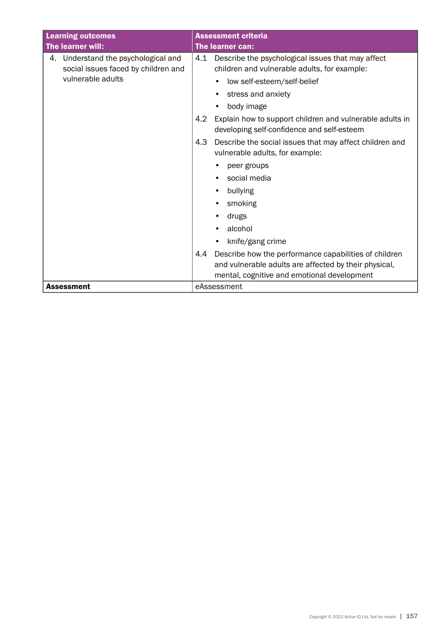| <b>Learning outcomes</b> |                                     |     | <b>Assessment criteria</b>                                                                             |  |
|--------------------------|-------------------------------------|-----|--------------------------------------------------------------------------------------------------------|--|
|                          | The learner will:                   |     | <b>The learner can:</b>                                                                                |  |
| 4.                       | Understand the psychological and    | 4.1 | Describe the psychological issues that may affect                                                      |  |
|                          | social issues faced by children and |     | children and vulnerable adults, for example:                                                           |  |
|                          | vulnerable adults                   |     | low self-esteem/self-belief                                                                            |  |
|                          |                                     |     | stress and anxiety                                                                                     |  |
|                          |                                     |     | body image<br>$\bullet$                                                                                |  |
|                          |                                     | 4.2 | Explain how to support children and vulnerable adults in<br>developing self-confidence and self-esteem |  |
|                          |                                     | 4.3 | Describe the social issues that may affect children and<br>vulnerable adults, for example:             |  |
|                          |                                     |     | peer groups                                                                                            |  |
|                          |                                     |     | social media                                                                                           |  |
|                          |                                     |     | bullying                                                                                               |  |
|                          |                                     |     | smoking                                                                                                |  |
|                          |                                     |     | drugs                                                                                                  |  |
|                          |                                     |     | alcohol                                                                                                |  |
|                          |                                     |     | knife/gang crime                                                                                       |  |
|                          |                                     | 4.4 | Describe how the performance capabilities of children                                                  |  |
|                          |                                     |     | and vulnerable adults are affected by their physical,                                                  |  |
|                          |                                     |     | mental, cognitive and emotional development                                                            |  |
|                          | <b>Assessment</b>                   |     | eAssessment                                                                                            |  |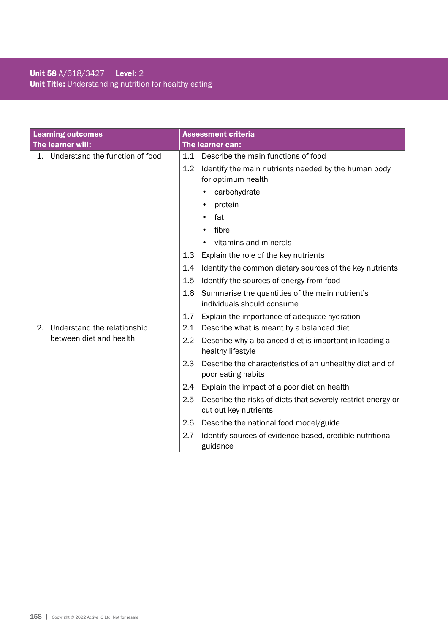### Unit 58 A/618/3427 Level: 2 Unit Title: Understanding nutrition for healthy eating

| <b>Learning outcomes</b>           | <b>Assessment criteria</b>                                                                   |
|------------------------------------|----------------------------------------------------------------------------------------------|
| The learner will:                  | The learner can:                                                                             |
| 1. Understand the function of food | Describe the main functions of food<br>1.1                                                   |
|                                    | Identify the main nutrients needed by the human body<br>1.2<br>for optimum health            |
|                                    | carbohydrate                                                                                 |
|                                    | protein                                                                                      |
|                                    | fat                                                                                          |
|                                    | fibre                                                                                        |
|                                    | vitamins and minerals                                                                        |
|                                    | 1.3<br>Explain the role of the key nutrients                                                 |
|                                    | Identify the common dietary sources of the key nutrients<br>1.4                              |
|                                    | Identify the sources of energy from food<br>1.5                                              |
|                                    | Summarise the quantities of the main nutrient's<br>1.6<br>individuals should consume         |
|                                    | 1.7<br>Explain the importance of adequate hydration                                          |
| Understand the relationship<br>2.  | 2.1<br>Describe what is meant by a balanced diet                                             |
| between diet and health            | 2.2<br>Describe why a balanced diet is important in leading a<br>healthy lifestyle           |
|                                    | 2.3<br>Describe the characteristics of an unhealthy diet and of<br>poor eating habits        |
|                                    | 2.4<br>Explain the impact of a poor diet on health                                           |
|                                    | 2.5<br>Describe the risks of diets that severely restrict energy or<br>cut out key nutrients |
|                                    | 2.6<br>Describe the national food model/guide                                                |
|                                    | 2.7<br>Identify sources of evidence-based, credible nutritional<br>guidance                  |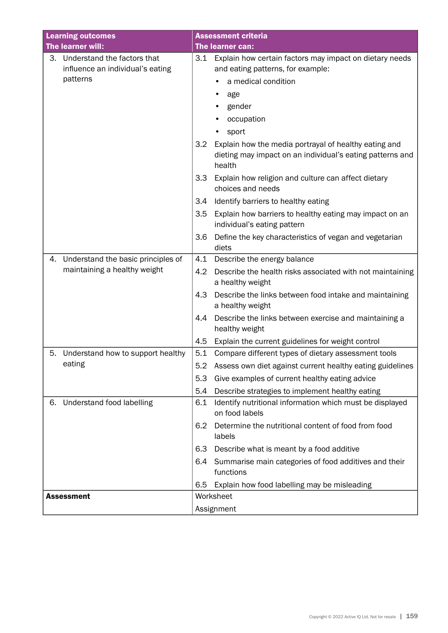| <b>Learning outcomes</b> |                                              | <b>Assessment criteria</b> |                                                                                                                              |  |
|--------------------------|----------------------------------------------|----------------------------|------------------------------------------------------------------------------------------------------------------------------|--|
| The learner will:        |                                              |                            | The learner can:                                                                                                             |  |
| 3.                       | Understand the factors that                  | 3.1                        | Explain how certain factors may impact on dietary needs                                                                      |  |
|                          | influence an individual's eating<br>patterns |                            | and eating patterns, for example:                                                                                            |  |
|                          |                                              |                            | a medical condition                                                                                                          |  |
|                          |                                              |                            | age                                                                                                                          |  |
|                          |                                              |                            | gender                                                                                                                       |  |
|                          |                                              |                            | occupation                                                                                                                   |  |
|                          |                                              |                            | sport<br>٠                                                                                                                   |  |
|                          |                                              | 3.2                        | Explain how the media portrayal of healthy eating and<br>dieting may impact on an individual's eating patterns and<br>health |  |
|                          |                                              | 3.3                        | Explain how religion and culture can affect dietary<br>choices and needs                                                     |  |
|                          |                                              | 3.4                        | Identify barriers to healthy eating                                                                                          |  |
|                          |                                              | 3.5                        | Explain how barriers to healthy eating may impact on an<br>individual's eating pattern                                       |  |
|                          |                                              | 3.6                        | Define the key characteristics of vegan and vegetarian<br>diets                                                              |  |
| 4.                       | Understand the basic principles of           | 4.1                        | Describe the energy balance                                                                                                  |  |
|                          | maintaining a healthy weight                 | 4.2                        | Describe the health risks associated with not maintaining<br>a healthy weight                                                |  |
|                          |                                              | 4.3                        | Describe the links between food intake and maintaining<br>a healthy weight                                                   |  |
|                          |                                              | 4.4                        | Describe the links between exercise and maintaining a<br>healthy weight                                                      |  |
|                          |                                              | 4.5                        | Explain the current guidelines for weight control                                                                            |  |
| 5.                       | Understand how to support healthy            | 5.1                        | Compare different types of dietary assessment tools                                                                          |  |
|                          | eating                                       |                            | 5.2 Assess own diet against current healthy eating guidelines                                                                |  |
|                          |                                              | 5.3                        | Give examples of current healthy eating advice                                                                               |  |
|                          |                                              | 5.4                        | Describe strategies to implement healthy eating                                                                              |  |
| 6.                       | Understand food labelling                    | 6.1                        | Identify nutritional information which must be displayed<br>on food labels                                                   |  |
|                          |                                              | 6.2                        | Determine the nutritional content of food from food<br>labels                                                                |  |
|                          |                                              | 6.3                        | Describe what is meant by a food additive                                                                                    |  |
|                          |                                              | 6.4                        | Summarise main categories of food additives and their<br>functions                                                           |  |
|                          |                                              | 6.5                        | Explain how food labelling may be misleading                                                                                 |  |
| <b>Assessment</b>        |                                              |                            | Worksheet                                                                                                                    |  |
|                          |                                              |                            | Assignment                                                                                                                   |  |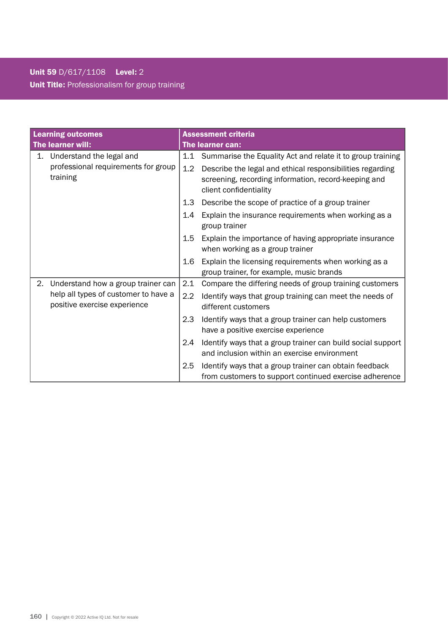# Unit 59 D/617/1108 Level: 2 Unit Title: Professionalism for group training

| <b>Learning outcomes</b> |                                                                      |                  | <b>Assessment criteria</b>                                                                                                                  |
|--------------------------|----------------------------------------------------------------------|------------------|---------------------------------------------------------------------------------------------------------------------------------------------|
| The learner will:        |                                                                      |                  | The learner can:                                                                                                                            |
| 1.                       | Understand the legal and                                             |                  | 1.1 Summarise the Equality Act and relate it to group training                                                                              |
|                          | professional requirements for group<br>training                      | 1.2              | Describe the legal and ethical responsibilities regarding<br>screening, recording information, record-keeping and<br>client confidentiality |
|                          |                                                                      | 1.3              | Describe the scope of practice of a group trainer                                                                                           |
|                          |                                                                      | 1.4              | Explain the insurance requirements when working as a<br>group trainer                                                                       |
|                          |                                                                      | 1.5              | Explain the importance of having appropriate insurance<br>when working as a group trainer                                                   |
|                          |                                                                      | 1.6              | Explain the licensing requirements when working as a<br>group trainer, for example, music brands                                            |
| 2.                       | Understand how a group trainer can                                   | 2.1              | Compare the differing needs of group training customers                                                                                     |
|                          | help all types of customer to have a<br>positive exercise experience | $2.2\phantom{0}$ | Identify ways that group training can meet the needs of<br>different customers                                                              |
|                          |                                                                      | 2.3              | Identify ways that a group trainer can help customers<br>have a positive exercise experience                                                |
|                          |                                                                      | 2.4              | Identify ways that a group trainer can build social support<br>and inclusion within an exercise environment                                 |
|                          |                                                                      | 2.5              | Identify ways that a group trainer can obtain feedback                                                                                      |
|                          |                                                                      |                  | from customers to support continued exercise adherence                                                                                      |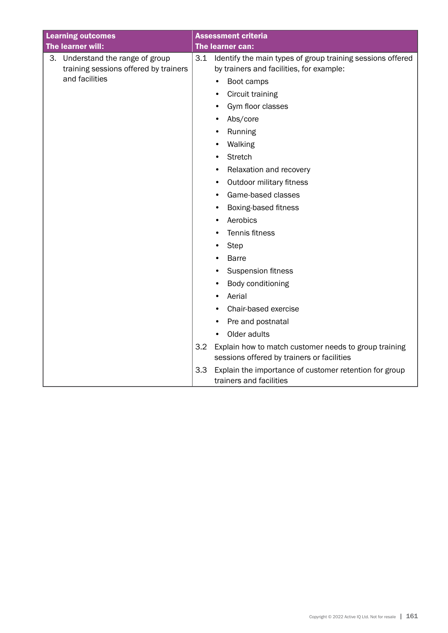| <b>Learning outcomes</b> |                                                                           |     | <b>Assessment criteria</b>                                                                             |
|--------------------------|---------------------------------------------------------------------------|-----|--------------------------------------------------------------------------------------------------------|
|                          | The learner will:                                                         |     | The learner can:                                                                                       |
|                          | 3. Understand the range of group<br>training sessions offered by trainers | 3.1 | Identify the main types of group training sessions offered<br>by trainers and facilities, for example: |
|                          | and facilities                                                            |     | Boot camps<br>$\bullet$                                                                                |
|                          |                                                                           |     | Circuit training                                                                                       |
|                          |                                                                           |     | Gym floor classes                                                                                      |
|                          |                                                                           |     | Abs/core<br>٠                                                                                          |
|                          |                                                                           |     | Running                                                                                                |
|                          |                                                                           |     | Walking<br>٠                                                                                           |
|                          |                                                                           |     | <b>Stretch</b><br>$\bullet$                                                                            |
|                          |                                                                           |     | Relaxation and recovery<br>٠                                                                           |
|                          |                                                                           |     | Outdoor military fitness<br>$\bullet$                                                                  |
|                          |                                                                           |     | Game-based classes<br>٠                                                                                |
|                          |                                                                           |     | Boxing-based fitness<br>٠                                                                              |
|                          |                                                                           |     | Aerobics                                                                                               |
|                          |                                                                           |     | Tennis fitness<br>٠                                                                                    |
|                          |                                                                           |     | Step<br>٠                                                                                              |
|                          |                                                                           |     | <b>Barre</b>                                                                                           |
|                          |                                                                           |     | <b>Suspension fitness</b>                                                                              |
|                          |                                                                           |     | Body conditioning                                                                                      |
|                          |                                                                           |     | Aerial<br>$\bullet$                                                                                    |
|                          |                                                                           |     | Chair-based exercise                                                                                   |
|                          |                                                                           |     | Pre and postnatal                                                                                      |
|                          |                                                                           |     | Older adults<br>$\bullet$                                                                              |
|                          |                                                                           | 3.2 | Explain how to match customer needs to group training<br>sessions offered by trainers or facilities    |
|                          |                                                                           | 3.3 | Explain the importance of customer retention for group<br>trainers and facilities                      |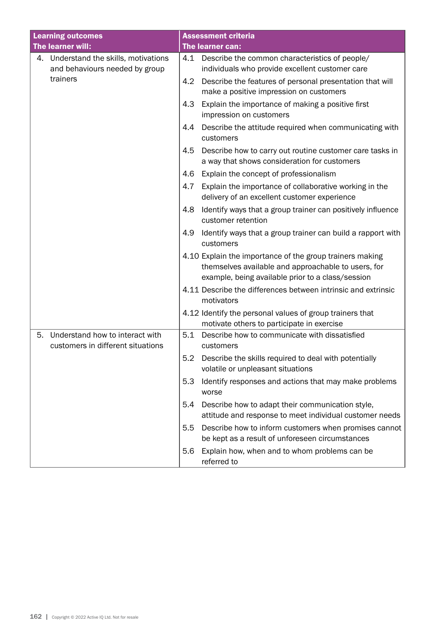| <b>Learning outcomes</b>                                                   | <b>Assessment criteria</b>                                                                                                                                           |
|----------------------------------------------------------------------------|----------------------------------------------------------------------------------------------------------------------------------------------------------------------|
| The learner will:                                                          | The learner can:                                                                                                                                                     |
| 4. Understand the skills, motivations<br>and behaviours needed by group    | 4.1<br>Describe the common characteristics of people/<br>individuals who provide excellent customer care                                                             |
| trainers                                                                   | Describe the features of personal presentation that will<br>4.2<br>make a positive impression on customers                                                           |
|                                                                            | 4.3<br>Explain the importance of making a positive first<br>impression on customers                                                                                  |
|                                                                            | Describe the attitude required when communicating with<br>4.4<br>customers                                                                                           |
|                                                                            | 4.5<br>Describe how to carry out routine customer care tasks in<br>a way that shows consideration for customers                                                      |
|                                                                            | Explain the concept of professionalism<br>4.6                                                                                                                        |
|                                                                            | Explain the importance of collaborative working in the<br>4.7<br>delivery of an excellent customer experience                                                        |
|                                                                            | Identify ways that a group trainer can positively influence<br>4.8<br>customer retention                                                                             |
|                                                                            | 4.9<br>Identify ways that a group trainer can build a rapport with<br>customers                                                                                      |
|                                                                            | 4.10 Explain the importance of the group trainers making<br>themselves available and approachable to users, for<br>example, being available prior to a class/session |
|                                                                            | 4.11 Describe the differences between intrinsic and extrinsic<br>motivators                                                                                          |
|                                                                            | 4.12 Identify the personal values of group trainers that<br>motivate others to participate in exercise                                                               |
| Understand how to interact with<br>5.<br>customers in different situations | 5.1<br>Describe how to communicate with dissatisfied<br>customers                                                                                                    |
|                                                                            | 5.2<br>Describe the skills required to deal with potentially<br>volatile or unpleasant situations                                                                    |
|                                                                            | 5.3<br>Identify responses and actions that may make problems<br>worse                                                                                                |
|                                                                            | 5.4<br>Describe how to adapt their communication style,<br>attitude and response to meet individual customer needs                                                   |
|                                                                            | Describe how to inform customers when promises cannot<br>5.5<br>be kept as a result of unforeseen circumstances                                                      |
|                                                                            | 5.6<br>Explain how, when and to whom problems can be<br>referred to                                                                                                  |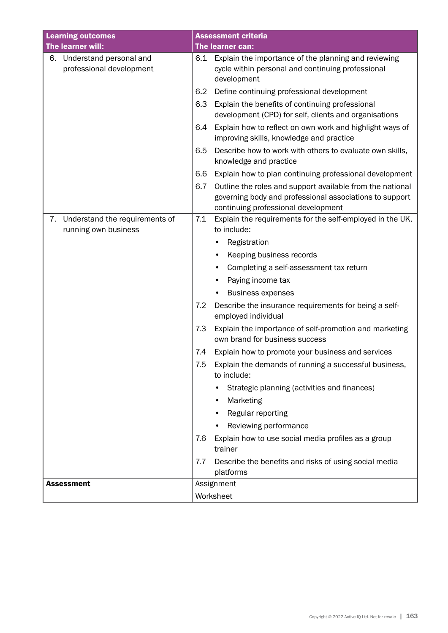| <b>Learning outcomes</b>                                     | <b>Assessment criteria</b>                                                                                                                                         |  |  |
|--------------------------------------------------------------|--------------------------------------------------------------------------------------------------------------------------------------------------------------------|--|--|
| The learner will:                                            | The learner can:                                                                                                                                                   |  |  |
| Understand personal and<br>6.<br>professional development    | Explain the importance of the planning and reviewing<br>6.1<br>cycle within personal and continuing professional<br>development                                    |  |  |
|                                                              | Define continuing professional development<br>6.2                                                                                                                  |  |  |
|                                                              | 6.3<br>Explain the benefits of continuing professional<br>development (CPD) for self, clients and organisations                                                    |  |  |
|                                                              | Explain how to reflect on own work and highlight ways of<br>6.4<br>improving skills, knowledge and practice                                                        |  |  |
|                                                              | Describe how to work with others to evaluate own skills,<br>6.5<br>knowledge and practice                                                                          |  |  |
|                                                              | Explain how to plan continuing professional development<br>6.6                                                                                                     |  |  |
|                                                              | Outline the roles and support available from the national<br>6.7<br>governing body and professional associations to support<br>continuing professional development |  |  |
| Understand the requirements of<br>7.<br>running own business | Explain the requirements for the self-employed in the UK,<br>7.1<br>to include:                                                                                    |  |  |
|                                                              | Registration                                                                                                                                                       |  |  |
|                                                              | Keeping business records<br>٠                                                                                                                                      |  |  |
|                                                              | Completing a self-assessment tax return                                                                                                                            |  |  |
|                                                              | Paying income tax                                                                                                                                                  |  |  |
|                                                              | <b>Business expenses</b>                                                                                                                                           |  |  |
|                                                              | 7.2<br>Describe the insurance requirements for being a self-<br>employed individual                                                                                |  |  |
|                                                              | Explain the importance of self-promotion and marketing<br>7.3<br>own brand for business success                                                                    |  |  |
|                                                              | Explain how to promote your business and services<br>7.4                                                                                                           |  |  |
|                                                              | Explain the demands of running a successful business,<br>7.5<br>to include:                                                                                        |  |  |
|                                                              | Strategic planning (activities and finances)                                                                                                                       |  |  |
|                                                              | Marketing                                                                                                                                                          |  |  |
|                                                              | Regular reporting                                                                                                                                                  |  |  |
|                                                              | Reviewing performance                                                                                                                                              |  |  |
|                                                              | Explain how to use social media profiles as a group<br>7.6<br>trainer                                                                                              |  |  |
|                                                              | Describe the benefits and risks of using social media<br>7.7<br>platforms                                                                                          |  |  |
| <b>Assessment</b>                                            | Assignment                                                                                                                                                         |  |  |
|                                                              | Worksheet                                                                                                                                                          |  |  |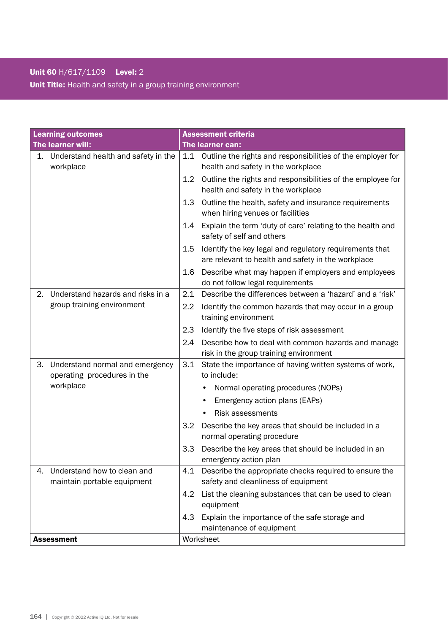### Unit 60 H/617/1109 Level: 2

Unit Title: Health and safety in a group training environment

| <b>Learning outcomes</b> |                                                                |         | <b>Assessment criteria</b>                                                                                    |  |
|--------------------------|----------------------------------------------------------------|---------|---------------------------------------------------------------------------------------------------------------|--|
|                          | The learner will:                                              |         | The learner can:                                                                                              |  |
| 1.                       | Understand health and safety in the<br>workplace               | 1.1     | Outline the rights and responsibilities of the employer for<br>health and safety in the workplace             |  |
|                          |                                                                | $1.2\,$ | Outline the rights and responsibilities of the employee for<br>health and safety in the workplace             |  |
|                          |                                                                | 1.3     | Outline the health, safety and insurance requirements<br>when hiring venues or facilities                     |  |
|                          |                                                                | 1.4     | Explain the term 'duty of care' relating to the health and<br>safety of self and others                       |  |
|                          |                                                                | $1.5\,$ | Identify the key legal and regulatory requirements that<br>are relevant to health and safety in the workplace |  |
|                          |                                                                | 1.6     | Describe what may happen if employers and employees<br>do not follow legal requirements                       |  |
| 2.                       | Understand hazards and risks in a                              | 2.1     | Describe the differences between a 'hazard' and a 'risk'                                                      |  |
|                          | group training environment                                     | 2.2     | Identify the common hazards that may occur in a group<br>training environment                                 |  |
|                          |                                                                | 2.3     | Identify the five steps of risk assessment                                                                    |  |
|                          |                                                                | 2.4     | Describe how to deal with common hazards and manage                                                           |  |
|                          |                                                                |         | risk in the group training environment                                                                        |  |
| 3.                       | Understand normal and emergency<br>operating procedures in the | 3.1     | State the importance of having written systems of work,<br>to include:                                        |  |
|                          | workplace                                                      |         | Normal operating procedures (NOPs)                                                                            |  |
|                          |                                                                |         | Emergency action plans (EAPs)<br>٠                                                                            |  |
|                          |                                                                |         | Risk assessments                                                                                              |  |
|                          |                                                                | 3.2     | Describe the key areas that should be included in a<br>normal operating procedure                             |  |
|                          |                                                                | 3.3     | Describe the key areas that should be included in an                                                          |  |
|                          |                                                                |         | emergency action plan                                                                                         |  |
| 4.                       | Understand how to clean and                                    | 4.1     | Describe the appropriate checks required to ensure the                                                        |  |
|                          | maintain portable equipment                                    |         | safety and cleanliness of equipment                                                                           |  |
|                          |                                                                | 4.2     | List the cleaning substances that can be used to clean<br>equipment                                           |  |
|                          |                                                                | 4.3     | Explain the importance of the safe storage and                                                                |  |
|                          |                                                                |         | maintenance of equipment                                                                                      |  |
| <b>Assessment</b>        |                                                                |         | Worksheet                                                                                                     |  |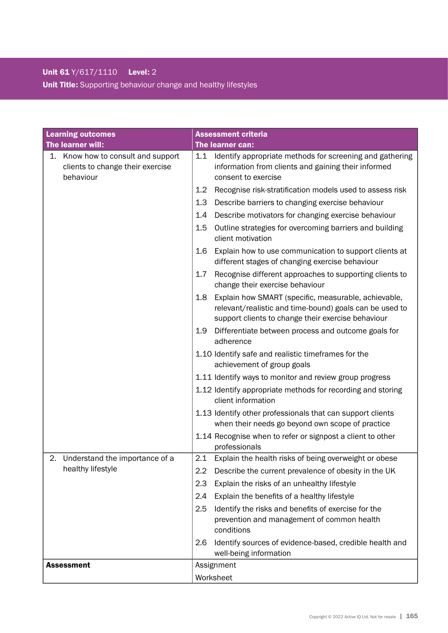# Unit 61 Y/617/1110 Level: 2 Unit Title: Supporting behaviour change and healthy lifestyles

| <b>Learning outcomes</b>                                                            | <b>Assessment criteria</b>                                                                                                                                                   |  |  |
|-------------------------------------------------------------------------------------|------------------------------------------------------------------------------------------------------------------------------------------------------------------------------|--|--|
| The learner will:                                                                   | The learner can:                                                                                                                                                             |  |  |
| 1. Know how to consult and support<br>clients to change their exercise<br>behaviour | Identify appropriate methods for screening and gathering<br>1.1<br>information from clients and gaining their informed<br>consent to exercise                                |  |  |
|                                                                                     | 1.2<br>Recognise risk-stratification models used to assess risk                                                                                                              |  |  |
|                                                                                     | 1.3<br>Describe barriers to changing exercise behaviour                                                                                                                      |  |  |
|                                                                                     | Describe motivators for changing exercise behaviour<br>1.4                                                                                                                   |  |  |
|                                                                                     | Outline strategies for overcoming barriers and building<br>1.5<br>client motivation                                                                                          |  |  |
|                                                                                     | Explain how to use communication to support clients at<br>1.6<br>different stages of changing exercise behaviour                                                             |  |  |
|                                                                                     | Recognise different approaches to supporting clients to<br>1.7<br>change their exercise behaviour                                                                            |  |  |
|                                                                                     | 1.8<br>Explain how SMART (specific, measurable, achievable,<br>relevant/realistic and time-bound) goals can be used to<br>support clients to change their exercise behaviour |  |  |
|                                                                                     | 1.9<br>Differentiate between process and outcome goals for<br>adherence                                                                                                      |  |  |
|                                                                                     | 1.10 Identify safe and realistic timeframes for the<br>achievement of group goals                                                                                            |  |  |
|                                                                                     | 1.11 Identify ways to monitor and review group progress                                                                                                                      |  |  |
|                                                                                     | 1.12 Identify appropriate methods for recording and storing<br>client information                                                                                            |  |  |
|                                                                                     | 1.13 Identify other professionals that can support clients<br>when their needs go beyond own scope of practice                                                               |  |  |
|                                                                                     | 1.14 Recognise when to refer or signpost a client to other<br>professionals                                                                                                  |  |  |
| 2. Understand the importance of a                                                   | 2.1<br>Explain the health risks of being overweight or obese                                                                                                                 |  |  |
| healthy lifestyle                                                                   | 2.2<br>Describe the current prevalence of obesity in the UK                                                                                                                  |  |  |
|                                                                                     | 2.3<br>Explain the risks of an unhealthy lifestyle                                                                                                                           |  |  |
|                                                                                     | Explain the benefits of a healthy lifestyle<br>2.4                                                                                                                           |  |  |
|                                                                                     | Identify the risks and benefits of exercise for the<br>2.5<br>prevention and management of common health<br>conditions                                                       |  |  |
|                                                                                     | Identify sources of evidence-based, credible health and<br>2.6<br>well-being information                                                                                     |  |  |
| <b>Assessment</b>                                                                   | Assignment                                                                                                                                                                   |  |  |
|                                                                                     | Worksheet                                                                                                                                                                    |  |  |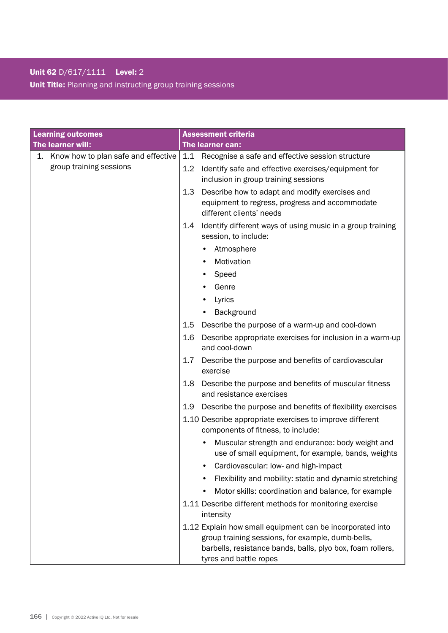## Unit 62 D/617/1111 Level: 2

Unit Title: Planning and instructing group training sessions

| <b>Learning outcomes</b>               | <b>Assessment criteria</b>                                                                              |  |  |
|----------------------------------------|---------------------------------------------------------------------------------------------------------|--|--|
| The learner will:                      | The learner can:                                                                                        |  |  |
| 1. Know how to plan safe and effective | 1.1<br>Recognise a safe and effective session structure                                                 |  |  |
| group training sessions                | Identify safe and effective exercises/equipment for<br>1.2                                              |  |  |
|                                        | inclusion in group training sessions                                                                    |  |  |
|                                        | 1.3<br>Describe how to adapt and modify exercises and                                                   |  |  |
|                                        | equipment to regress, progress and accommodate<br>different clients' needs                              |  |  |
|                                        | Identify different ways of using music in a group training<br>1.4                                       |  |  |
|                                        | session, to include:                                                                                    |  |  |
|                                        | Atmosphere                                                                                              |  |  |
|                                        | Motivation                                                                                              |  |  |
|                                        | Speed                                                                                                   |  |  |
|                                        | Genre                                                                                                   |  |  |
|                                        | Lyrics                                                                                                  |  |  |
|                                        | Background                                                                                              |  |  |
|                                        | 1.5<br>Describe the purpose of a warm-up and cool-down                                                  |  |  |
|                                        | 1.6<br>Describe appropriate exercises for inclusion in a warm-up<br>and cool-down                       |  |  |
|                                        | 1.7<br>Describe the purpose and benefits of cardiovascular<br>exercise                                  |  |  |
|                                        | Describe the purpose and benefits of muscular fitness<br>1.8<br>and resistance exercises                |  |  |
|                                        | Describe the purpose and benefits of flexibility exercises<br>1.9                                       |  |  |
|                                        | 1.10 Describe appropriate exercises to improve different<br>components of fitness, to include:          |  |  |
|                                        | Muscular strength and endurance: body weight and<br>use of small equipment, for example, bands, weights |  |  |
|                                        | Cardiovascular: low- and high-impact                                                                    |  |  |
|                                        | Flexibility and mobility: static and dynamic stretching                                                 |  |  |
|                                        | Motor skills: coordination and balance, for example                                                     |  |  |
|                                        | 1.11 Describe different methods for monitoring exercise<br>intensity                                    |  |  |
|                                        | 1.12 Explain how small equipment can be incorporated into                                               |  |  |
|                                        | group training sessions, for example, dumb-bells,                                                       |  |  |
|                                        | barbells, resistance bands, balls, plyo box, foam rollers,                                              |  |  |
|                                        | tyres and battle ropes                                                                                  |  |  |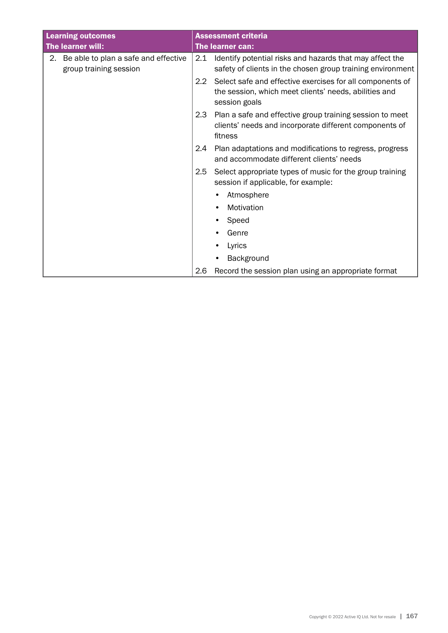| <b>Learning outcomes</b> |                                                                |                  | <b>Assessment criteria</b>                                                                                                          |  |
|--------------------------|----------------------------------------------------------------|------------------|-------------------------------------------------------------------------------------------------------------------------------------|--|
| The learner will:        |                                                                | The learner can: |                                                                                                                                     |  |
| 2.                       | Be able to plan a safe and effective<br>group training session | 2.1              | Identify potential risks and hazards that may affect the<br>safety of clients in the chosen group training environment              |  |
|                          |                                                                | $2.2^{\circ}$    | Select safe and effective exercises for all components of<br>the session, which meet clients' needs, abilities and<br>session goals |  |
|                          |                                                                | 2.3              | Plan a safe and effective group training session to meet<br>clients' needs and incorporate different components of<br>fitness       |  |
|                          |                                                                | 2.4              | Plan adaptations and modifications to regress, progress<br>and accommodate different clients' needs                                 |  |
|                          |                                                                | 2.5              | Select appropriate types of music for the group training<br>session if applicable, for example:                                     |  |
|                          |                                                                |                  | Atmosphere                                                                                                                          |  |
|                          |                                                                |                  | Motivation                                                                                                                          |  |
|                          |                                                                |                  | Speed                                                                                                                               |  |
|                          |                                                                |                  | Genre                                                                                                                               |  |
|                          |                                                                |                  | Lyrics                                                                                                                              |  |
|                          |                                                                |                  | Background                                                                                                                          |  |
|                          |                                                                | 2.6              | Record the session plan using an appropriate format                                                                                 |  |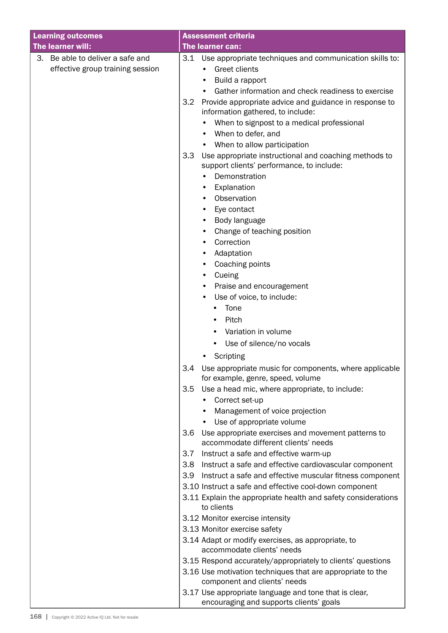| <b>Learning outcomes</b>                                                | <b>Assessment criteria</b>                                                                                |
|-------------------------------------------------------------------------|-----------------------------------------------------------------------------------------------------------|
| The learner will:                                                       | The learner can:                                                                                          |
| Be able to deliver a safe and<br>3.<br>effective group training session | 3.1<br>Use appropriate techniques and communication skills to:<br>Greet clients<br>$\bullet$              |
|                                                                         |                                                                                                           |
|                                                                         | Build a rapport<br>Gather information and check readiness to exercise                                     |
|                                                                         | 3.2<br>Provide appropriate advice and guidance in response to                                             |
|                                                                         | information gathered, to include:                                                                         |
|                                                                         | When to signpost to a medical professional                                                                |
|                                                                         | When to defer, and<br>٠                                                                                   |
|                                                                         | When to allow participation<br>$\bullet$                                                                  |
|                                                                         | Use appropriate instructional and coaching methods to<br>3.3<br>support clients' performance, to include: |
|                                                                         | Demonstration<br>$\bullet$                                                                                |
|                                                                         | Explanation<br>٠                                                                                          |
|                                                                         | Observation                                                                                               |
|                                                                         | Eye contact                                                                                               |
|                                                                         | Body language<br>٠                                                                                        |
|                                                                         | Change of teaching position<br>٠                                                                          |
|                                                                         | Correction                                                                                                |
|                                                                         | Adaptation<br>٠                                                                                           |
|                                                                         | Coaching points<br>٠                                                                                      |
|                                                                         | Cueing<br>٠                                                                                               |
|                                                                         | Praise and encouragement                                                                                  |
|                                                                         | Use of voice, to include:<br>٠                                                                            |
|                                                                         | Tone                                                                                                      |
|                                                                         | Pitch                                                                                                     |
|                                                                         | Variation in volume                                                                                       |
|                                                                         | Use of silence/no vocals                                                                                  |
|                                                                         | Scripting                                                                                                 |
|                                                                         | 3.4<br>Use appropriate music for components, where applicable<br>for example, genre, speed, volume        |
|                                                                         | 3.5<br>Use a head mic, where appropriate, to include:                                                     |
|                                                                         | Correct set-up                                                                                            |
|                                                                         | Management of voice projection                                                                            |
|                                                                         | Use of appropriate volume                                                                                 |
|                                                                         | Use appropriate exercises and movement patterns to<br>3.6<br>accommodate different clients' needs         |
|                                                                         | Instruct a safe and effective warm-up<br>3.7                                                              |
|                                                                         | Instruct a safe and effective cardiovascular component<br>3.8 <sub>1</sub>                                |
|                                                                         | 3.9<br>Instruct a safe and effective muscular fitness component                                           |
|                                                                         | 3.10 Instruct a safe and effective cool-down component                                                    |
|                                                                         | 3.11 Explain the appropriate health and safety considerations<br>to clients                               |
|                                                                         | 3.12 Monitor exercise intensity                                                                           |
|                                                                         | 3.13 Monitor exercise safety                                                                              |
|                                                                         | 3.14 Adapt or modify exercises, as appropriate, to<br>accommodate clients' needs                          |
|                                                                         | 3.15 Respond accurately/appropriately to clients' questions                                               |
|                                                                         | 3.16 Use motivation techniques that are appropriate to the<br>component and clients' needs                |
|                                                                         | 3.17 Use appropriate language and tone that is clear,<br>encouraging and supports clients' goals          |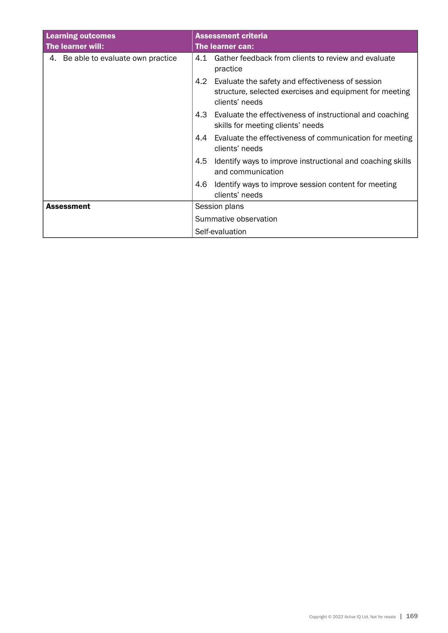| <b>Learning outcomes</b><br>The learner will: | <b>Assessment criteria</b><br>The learner can:                                                                                       |  |
|-----------------------------------------------|--------------------------------------------------------------------------------------------------------------------------------------|--|
| 4. Be able to evaluate own practice           | 4.1 Gather feedback from clients to review and evaluate<br>practice                                                                  |  |
|                                               | 4.2<br>Evaluate the safety and effectiveness of session<br>structure, selected exercises and equipment for meeting<br>clients' needs |  |
|                                               | 4.3<br>Evaluate the effectiveness of instructional and coaching<br>skills for meeting clients' needs                                 |  |
|                                               | Evaluate the effectiveness of communication for meeting<br>4.4<br>clients' needs                                                     |  |
|                                               | 4.5<br>Identify ways to improve instructional and coaching skills<br>and communication                                               |  |
|                                               | 4.6<br>Identify ways to improve session content for meeting<br>clients' needs                                                        |  |
| <b>Assessment</b>                             | Session plans                                                                                                                        |  |
|                                               | Summative observation                                                                                                                |  |
|                                               | Self-evaluation                                                                                                                      |  |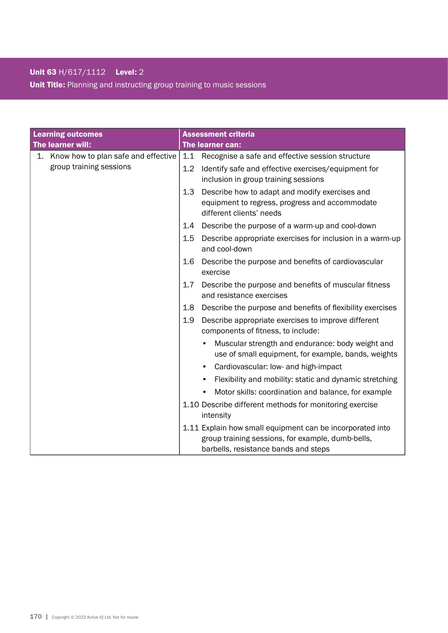## Unit 63 H/617/1112 Level: 2

Unit Title: Planning and instructing group training to music sessions

| <b>Learning outcomes</b>               | <b>Assessment criteria</b>                                                                                                          |  |
|----------------------------------------|-------------------------------------------------------------------------------------------------------------------------------------|--|
| The learner will:                      | The learner can:                                                                                                                    |  |
| 1. Know how to plan safe and effective | 1.1<br>Recognise a safe and effective session structure                                                                             |  |
| group training sessions                | Identify safe and effective exercises/equipment for<br>$1.2\,$<br>inclusion in group training sessions                              |  |
|                                        | 1.3<br>Describe how to adapt and modify exercises and<br>equipment to regress, progress and accommodate<br>different clients' needs |  |
|                                        | Describe the purpose of a warm-up and cool-down<br>1.4                                                                              |  |
|                                        | $1.5\,$<br>Describe appropriate exercises for inclusion in a warm-up<br>and cool-down                                               |  |
|                                        | Describe the purpose and benefits of cardiovascular<br>1.6<br>exercise                                                              |  |
|                                        | Describe the purpose and benefits of muscular fitness<br>$1.7\,$<br>and resistance exercises                                        |  |
|                                        | Describe the purpose and benefits of flexibility exercises<br>1.8                                                                   |  |
|                                        | 1.9<br>Describe appropriate exercises to improve different<br>components of fitness, to include:                                    |  |
|                                        | Muscular strength and endurance: body weight and<br>use of small equipment, for example, bands, weights                             |  |
|                                        | Cardiovascular: low- and high-impact<br>$\bullet$                                                                                   |  |
|                                        | Flexibility and mobility: static and dynamic stretching<br>$\bullet$                                                                |  |
|                                        | Motor skills: coordination and balance, for example<br>$\bullet$                                                                    |  |
|                                        | 1.10 Describe different methods for monitoring exercise<br>intensity                                                                |  |
|                                        | 1.11 Explain how small equipment can be incorporated into                                                                           |  |
|                                        | group training sessions, for example, dumb-bells,                                                                                   |  |
|                                        | barbells, resistance bands and steps                                                                                                |  |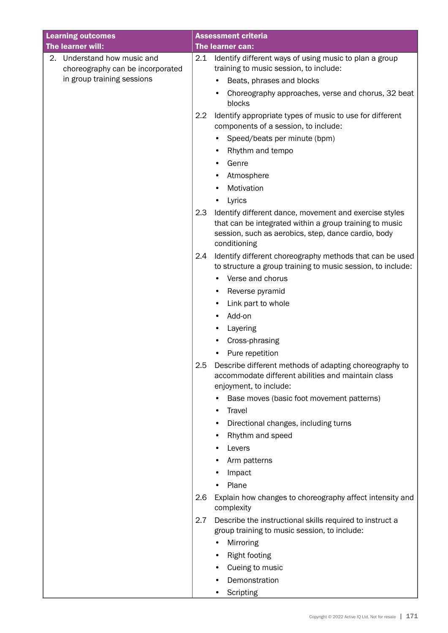| <b>Learning outcomes</b>                                        | <b>Assessment criteria</b>                                                                                                                                                                      |
|-----------------------------------------------------------------|-------------------------------------------------------------------------------------------------------------------------------------------------------------------------------------------------|
| The learner will:                                               | The learner can:                                                                                                                                                                                |
| 2. Understand how music and<br>choreography can be incorporated | 2.1 Identify different ways of using music to plan a group<br>training to music session, to include:                                                                                            |
| in group training sessions                                      | Beats, phrases and blocks                                                                                                                                                                       |
|                                                                 | Choreography approaches, verse and chorus, 32 beat<br>blocks                                                                                                                                    |
|                                                                 | Identify appropriate types of music to use for different<br>2.2<br>components of a session, to include:                                                                                         |
|                                                                 | Speed/beats per minute (bpm)<br>٠                                                                                                                                                               |
|                                                                 | Rhythm and tempo<br>٠                                                                                                                                                                           |
|                                                                 | Genre                                                                                                                                                                                           |
|                                                                 | Atmosphere                                                                                                                                                                                      |
|                                                                 | Motivation                                                                                                                                                                                      |
|                                                                 | Lyrics                                                                                                                                                                                          |
|                                                                 | 2.3<br>Identify different dance, movement and exercise styles<br>that can be integrated within a group training to music<br>session, such as aerobics, step, dance cardio, body<br>conditioning |
|                                                                 | 2.4<br>Identify different choreography methods that can be used<br>to structure a group training to music session, to include:                                                                  |
|                                                                 | Verse and chorus                                                                                                                                                                                |
|                                                                 | Reverse pyramid                                                                                                                                                                                 |
|                                                                 | Link part to whole                                                                                                                                                                              |
|                                                                 | Add-on                                                                                                                                                                                          |
|                                                                 | Layering<br>٠                                                                                                                                                                                   |
|                                                                 | Cross-phrasing                                                                                                                                                                                  |
|                                                                 | Pure repetition                                                                                                                                                                                 |
|                                                                 | 2.5<br>Describe different methods of adapting choreography to<br>accommodate different abilities and maintain class<br>enjoyment, to include:                                                   |
|                                                                 | Base moves (basic foot movement patterns)<br>٠                                                                                                                                                  |
|                                                                 | Travel<br>٠                                                                                                                                                                                     |
|                                                                 | Directional changes, including turns                                                                                                                                                            |
|                                                                 | Rhythm and speed                                                                                                                                                                                |
|                                                                 | Levers                                                                                                                                                                                          |
|                                                                 | Arm patterns                                                                                                                                                                                    |
|                                                                 | Impact                                                                                                                                                                                          |
|                                                                 | Plane                                                                                                                                                                                           |
|                                                                 | Explain how changes to choreography affect intensity and<br>2.6<br>complexity                                                                                                                   |
|                                                                 | Describe the instructional skills required to instruct a<br>2.7<br>group training to music session, to include:                                                                                 |
|                                                                 | Mirroring                                                                                                                                                                                       |
|                                                                 | <b>Right footing</b>                                                                                                                                                                            |
|                                                                 | Cueing to music                                                                                                                                                                                 |
|                                                                 | Demonstration                                                                                                                                                                                   |
|                                                                 | Scripting                                                                                                                                                                                       |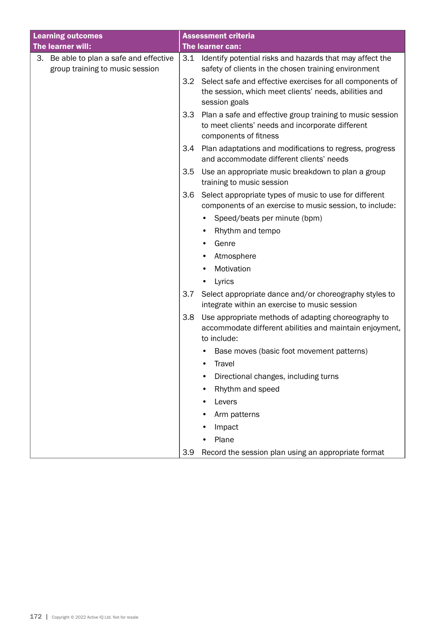| <b>Learning outcomes</b>                                                   |                  | <b>Assessment criteria</b>                                                                                                             |
|----------------------------------------------------------------------------|------------------|----------------------------------------------------------------------------------------------------------------------------------------|
| The learner will:                                                          |                  | The learner can:                                                                                                                       |
| 3. Be able to plan a safe and effective<br>group training to music session | 3.1              | Identify potential risks and hazards that may affect the<br>safety of clients in the chosen training environment                       |
|                                                                            | $3.2\phantom{0}$ | Select safe and effective exercises for all components of<br>the session, which meet clients' needs, abilities and<br>session goals    |
|                                                                            | 3.3              | Plan a safe and effective group training to music session<br>to meet clients' needs and incorporate different<br>components of fitness |
|                                                                            | 3.4              | Plan adaptations and modifications to regress, progress<br>and accommodate different clients' needs                                    |
|                                                                            | 3.5              | Use an appropriate music breakdown to plan a group<br>training to music session                                                        |
|                                                                            | 3.6              | Select appropriate types of music to use for different<br>components of an exercise to music session, to include:                      |
|                                                                            |                  | Speed/beats per minute (bpm)<br>٠                                                                                                      |
|                                                                            |                  | Rhythm and tempo<br>٠                                                                                                                  |
|                                                                            |                  | Genre                                                                                                                                  |
|                                                                            |                  | Atmosphere                                                                                                                             |
|                                                                            |                  | Motivation                                                                                                                             |
|                                                                            |                  | Lyrics                                                                                                                                 |
|                                                                            | 3.7              | Select appropriate dance and/or choreography styles to<br>integrate within an exercise to music session                                |
|                                                                            | 3.8              | Use appropriate methods of adapting choreography to<br>accommodate different abilities and maintain enjoyment,<br>to include:          |
|                                                                            |                  | Base moves (basic foot movement patterns)                                                                                              |
|                                                                            |                  | Travel                                                                                                                                 |
|                                                                            |                  | Directional changes, including turns                                                                                                   |
|                                                                            |                  | Rhythm and speed                                                                                                                       |
|                                                                            |                  | Levers                                                                                                                                 |
|                                                                            |                  | Arm patterns                                                                                                                           |
|                                                                            |                  | Impact                                                                                                                                 |
|                                                                            |                  | Plane                                                                                                                                  |
|                                                                            | 3.9              | Record the session plan using an appropriate format                                                                                    |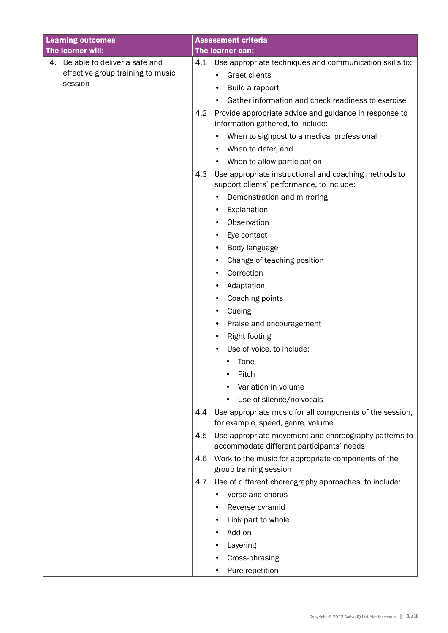| <b>Learning outcomes</b>          |     | <b>Assessment criteria</b>                                                                         |
|-----------------------------------|-----|----------------------------------------------------------------------------------------------------|
| The learner will:                 |     | The learner can:                                                                                   |
| 4. Be able to deliver a safe and  |     | 4.1 Use appropriate techniques and communication skills to:                                        |
| effective group training to music |     | <b>Greet clients</b>                                                                               |
| session                           |     | Build a rapport                                                                                    |
|                                   |     | Gather information and check readiness to exercise<br>$\bullet$                                    |
|                                   | 4.2 | Provide appropriate advice and guidance in response to<br>information gathered, to include:        |
|                                   |     | When to signpost to a medical professional                                                         |
|                                   |     | When to defer, and                                                                                 |
|                                   |     | When to allow participation<br>٠                                                                   |
|                                   | 4.3 | Use appropriate instructional and coaching methods to<br>support clients' performance, to include: |
|                                   |     | Demonstration and mirroring                                                                        |
|                                   |     | Explanation<br>٠                                                                                   |
|                                   |     | Observation<br>٠                                                                                   |
|                                   |     | Eye contact<br>٠                                                                                   |
|                                   |     | Body language<br>٠                                                                                 |
|                                   |     | Change of teaching position<br>٠                                                                   |
|                                   |     | Correction<br>٠                                                                                    |
|                                   |     | Adaptation<br>٠                                                                                    |
|                                   |     | Coaching points<br>٠                                                                               |
|                                   |     | Cueing<br>٠                                                                                        |
|                                   |     | Praise and encouragement<br>٠                                                                      |
|                                   |     | <b>Right footing</b>                                                                               |
|                                   |     | Use of voice, to include:                                                                          |
|                                   |     | Tone                                                                                               |
|                                   |     | Pitch                                                                                              |
|                                   |     | Variation in volume                                                                                |
|                                   |     | Use of silence/no vocals                                                                           |
|                                   | 4.4 | Use appropriate music for all components of the session,<br>for example, speed, genre, volume      |
|                                   | 4.5 | Use appropriate movement and choreography patterns to<br>accommodate different participants' needs |
|                                   | 4.6 | Work to the music for appropriate components of the                                                |
|                                   |     | group training session                                                                             |
|                                   | 4.7 | Use of different choreography approaches, to include:                                              |
|                                   |     | Verse and chorus                                                                                   |
|                                   |     | Reverse pyramid                                                                                    |
|                                   |     | Link part to whole<br>٠                                                                            |
|                                   |     | Add-on                                                                                             |
|                                   |     | Layering                                                                                           |
|                                   |     | Cross-phrasing                                                                                     |
|                                   |     | Pure repetition<br>٠                                                                               |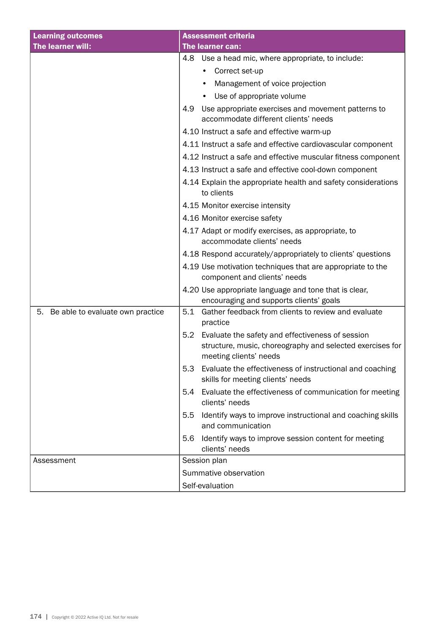| <b>Learning outcomes</b>               | <b>Assessment criteria</b>                                                                                                                     |  |
|----------------------------------------|------------------------------------------------------------------------------------------------------------------------------------------------|--|
| The learner will:                      | <b>The learner can:</b>                                                                                                                        |  |
|                                        | Use a head mic, where appropriate, to include:<br>4.8                                                                                          |  |
|                                        | Correct set-up                                                                                                                                 |  |
|                                        | Management of voice projection                                                                                                                 |  |
|                                        | Use of appropriate volume<br>$\bullet$                                                                                                         |  |
|                                        | 4.9<br>Use appropriate exercises and movement patterns to<br>accommodate different clients' needs                                              |  |
|                                        | 4.10 Instruct a safe and effective warm-up                                                                                                     |  |
|                                        | 4.11 Instruct a safe and effective cardiovascular component                                                                                    |  |
|                                        | 4.12 Instruct a safe and effective muscular fitness component                                                                                  |  |
|                                        | 4.13 Instruct a safe and effective cool-down component                                                                                         |  |
|                                        | 4.14 Explain the appropriate health and safety considerations<br>to clients                                                                    |  |
|                                        | 4.15 Monitor exercise intensity                                                                                                                |  |
|                                        | 4.16 Monitor exercise safety                                                                                                                   |  |
|                                        | 4.17 Adapt or modify exercises, as appropriate, to<br>accommodate clients' needs                                                               |  |
|                                        | 4.18 Respond accurately/appropriately to clients' questions                                                                                    |  |
|                                        | 4.19 Use motivation techniques that are appropriate to the<br>component and clients' needs                                                     |  |
|                                        | 4.20 Use appropriate language and tone that is clear,<br>encouraging and supports clients' goals                                               |  |
| 5.<br>Be able to evaluate own practice | Gather feedback from clients to review and evaluate<br>5.1<br>practice                                                                         |  |
|                                        | Evaluate the safety and effectiveness of session<br>5.2<br>structure, music, choreography and selected exercises for<br>meeting clients' needs |  |
|                                        | Evaluate the effectiveness of instructional and coaching<br>5.3<br>skills for meeting clients' needs                                           |  |
|                                        | Evaluate the effectiveness of communication for meeting<br>5.4<br>clients' needs                                                               |  |
|                                        | Identify ways to improve instructional and coaching skills<br>5.5<br>and communication                                                         |  |
|                                        | Identify ways to improve session content for meeting<br>5.6<br>clients' needs                                                                  |  |
| Assessment                             | Session plan                                                                                                                                   |  |
|                                        | Summative observation                                                                                                                          |  |
|                                        | Self-evaluation                                                                                                                                |  |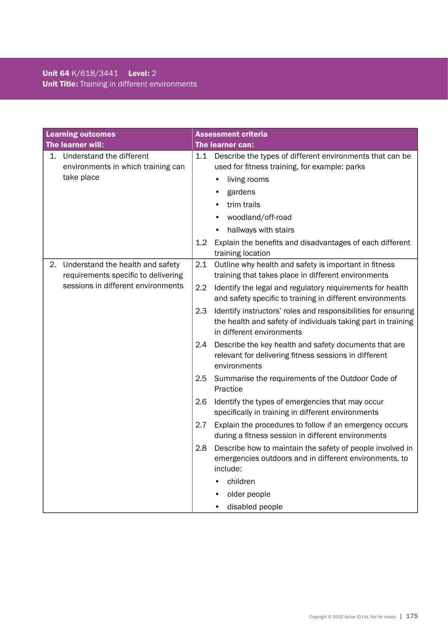### Unit 64 K/618/3441 Level: 2 Unit Title: Training in different environments

| <b>Learning outcomes</b>                                                      | <b>Assessment criteria</b>                                                                                                                                        |
|-------------------------------------------------------------------------------|-------------------------------------------------------------------------------------------------------------------------------------------------------------------|
| The learner will:                                                             | <b>The learner can:</b>                                                                                                                                           |
| Understand the different<br>1.<br>environments in which training can          | 1.1<br>Describe the types of different environments that can be<br>used for fitness training, for example: parks                                                  |
| take place                                                                    | living rooms                                                                                                                                                      |
|                                                                               | gardens                                                                                                                                                           |
|                                                                               | trim trails                                                                                                                                                       |
|                                                                               | woodland/off-road                                                                                                                                                 |
|                                                                               | hallways with stairs                                                                                                                                              |
|                                                                               | 1.2 <sub>2</sub><br>Explain the benefits and disadvantages of each different<br>training location                                                                 |
| Understand the health and safety<br>2.<br>requirements specific to delivering | 2.1<br>Outline why health and safety is important in fitness<br>training that takes place in different environments                                               |
| sessions in different environments                                            | 2.2<br>Identify the legal and regulatory requirements for health<br>and safety specific to training in different environments                                     |
|                                                                               | 2.3<br>Identify instructors' roles and responsibilities for ensuring<br>the health and safety of individuals taking part in training<br>in different environments |
|                                                                               | 2.4<br>Describe the key health and safety documents that are<br>relevant for delivering fitness sessions in different<br>environments                             |
|                                                                               | Summarise the requirements of the Outdoor Code of<br>2.5<br>Practice                                                                                              |
|                                                                               | Identify the types of emergencies that may occur<br>2.6<br>specifically in training in different environments                                                     |
|                                                                               | 2.7<br>Explain the procedures to follow if an emergency occurs<br>during a fitness session in different environments                                              |
|                                                                               | 2.8<br>Describe how to maintain the safety of people involved in<br>emergencies outdoors and in different environments, to<br>include:                            |
|                                                                               | children                                                                                                                                                          |
|                                                                               | older people                                                                                                                                                      |
|                                                                               | disabled people                                                                                                                                                   |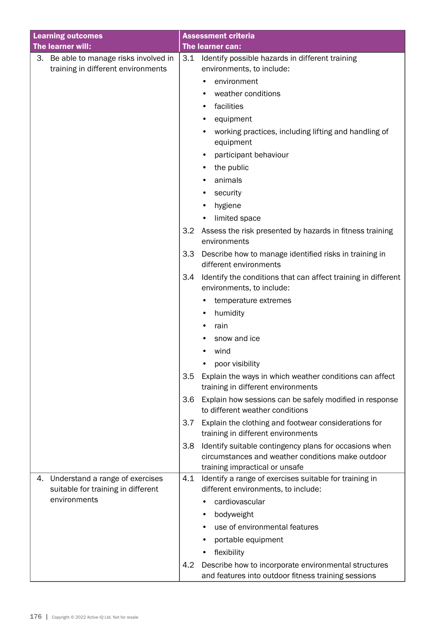| <b>Learning outcomes</b>               |     | <b>Assessment criteria</b>                                                                                                                    |  |  |
|----------------------------------------|-----|-----------------------------------------------------------------------------------------------------------------------------------------------|--|--|
| The learner will:                      |     | The learner can:                                                                                                                              |  |  |
| 3. Be able to manage risks involved in | 3.1 | Identify possible hazards in different training                                                                                               |  |  |
| training in different environments     |     | environments, to include:                                                                                                                     |  |  |
|                                        |     | environment                                                                                                                                   |  |  |
|                                        |     | weather conditions                                                                                                                            |  |  |
|                                        |     | facilities                                                                                                                                    |  |  |
|                                        |     | equipment                                                                                                                                     |  |  |
|                                        |     | working practices, including lifting and handling of<br>equipment                                                                             |  |  |
|                                        |     | participant behaviour                                                                                                                         |  |  |
|                                        |     | the public<br>٠                                                                                                                               |  |  |
|                                        |     | animals                                                                                                                                       |  |  |
|                                        |     | security                                                                                                                                      |  |  |
|                                        |     | hygiene                                                                                                                                       |  |  |
|                                        |     | limited space                                                                                                                                 |  |  |
|                                        | 3.2 | Assess the risk presented by hazards in fitness training<br>environments                                                                      |  |  |
|                                        | 3.3 | Describe how to manage identified risks in training in                                                                                        |  |  |
|                                        |     | different environments                                                                                                                        |  |  |
|                                        | 3.4 | Identify the conditions that can affect training in different<br>environments, to include:                                                    |  |  |
|                                        |     | temperature extremes                                                                                                                          |  |  |
|                                        |     | humidity                                                                                                                                      |  |  |
|                                        |     | rain<br>٠                                                                                                                                     |  |  |
|                                        |     | snow and ice                                                                                                                                  |  |  |
|                                        |     | wind                                                                                                                                          |  |  |
|                                        |     | poor visibility                                                                                                                               |  |  |
|                                        | 3.5 | Explain the ways in which weather conditions can affect<br>training in different environments                                                 |  |  |
|                                        | 3.6 | Explain how sessions can be safely modified in response<br>to different weather conditions                                                    |  |  |
|                                        | 3.7 | Explain the clothing and footwear considerations for<br>training in different environments                                                    |  |  |
|                                        | 3.8 | Identify suitable contingency plans for occasions when<br>circumstances and weather conditions make outdoor<br>training impractical or unsafe |  |  |
| Understand a range of exercises<br>4.  | 4.1 | Identify a range of exercises suitable for training in                                                                                        |  |  |
| suitable for training in different     |     | different environments, to include:                                                                                                           |  |  |
| environments                           |     | cardiovascular                                                                                                                                |  |  |
|                                        |     | bodyweight                                                                                                                                    |  |  |
|                                        |     | use of environmental features                                                                                                                 |  |  |
|                                        |     | portable equipment                                                                                                                            |  |  |
|                                        |     | flexibility                                                                                                                                   |  |  |
|                                        | 4.2 | Describe how to incorporate environmental structures<br>and features into outdoor fitness training sessions                                   |  |  |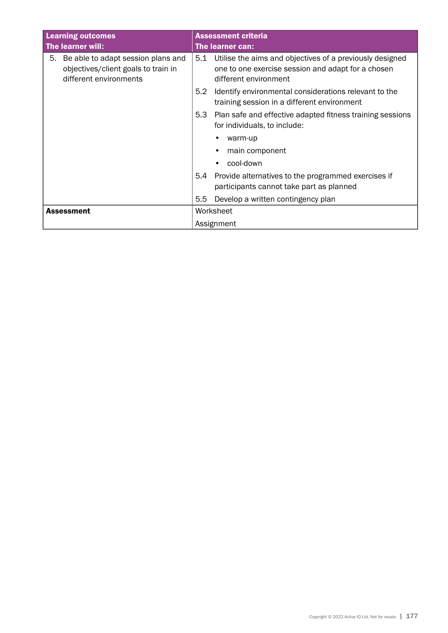| <b>Learning outcomes</b>                                                                                  | <b>Assessment criteria</b>                                                                                                                     |  |
|-----------------------------------------------------------------------------------------------------------|------------------------------------------------------------------------------------------------------------------------------------------------|--|
| The learner will:                                                                                         | The learner can:                                                                                                                               |  |
| Be able to adapt session plans and<br>5.<br>objectives/client goals to train in<br>different environments | Utilise the aims and objectives of a previously designed<br>5.1<br>one to one exercise session and adapt for a chosen<br>different environment |  |
|                                                                                                           | 5.2<br>Identify environmental considerations relevant to the<br>training session in a different environment                                    |  |
|                                                                                                           | 5.3<br>Plan safe and effective adapted fitness training sessions<br>for individuals, to include:                                               |  |
|                                                                                                           | warm-up                                                                                                                                        |  |
|                                                                                                           | main component                                                                                                                                 |  |
|                                                                                                           | cool-down                                                                                                                                      |  |
|                                                                                                           | Provide alternatives to the programmed exercises if<br>5.4<br>participants cannot take part as planned                                         |  |
|                                                                                                           | 5.5<br>Develop a written contingency plan                                                                                                      |  |
| <b>Assessment</b>                                                                                         | Worksheet                                                                                                                                      |  |
|                                                                                                           | Assignment                                                                                                                                     |  |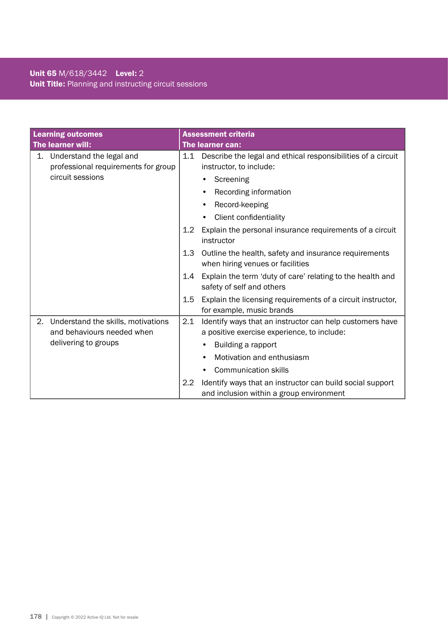### Unit 65 M/618/3442 Level: 2 Unit Title: Planning and instructing circuit sessions

| <b>Learning outcomes</b> |                                                                  |     | <b>Assessment criteria</b>                                                                              |  |  |
|--------------------------|------------------------------------------------------------------|-----|---------------------------------------------------------------------------------------------------------|--|--|
|                          | The learner will:                                                |     | The learner can:                                                                                        |  |  |
| 1.                       | Understand the legal and<br>professional requirements for group  | 1.1 | Describe the legal and ethical responsibilities of a circuit<br>instructor, to include:                 |  |  |
|                          | circuit sessions                                                 |     | Screening<br>$\bullet$                                                                                  |  |  |
|                          |                                                                  |     | Recording information                                                                                   |  |  |
|                          |                                                                  |     | Record-keeping<br>٠                                                                                     |  |  |
|                          |                                                                  |     | Client confidentiality                                                                                  |  |  |
|                          |                                                                  | 1.2 | Explain the personal insurance requirements of a circuit<br>instructor                                  |  |  |
|                          |                                                                  | 1.3 | Outline the health, safety and insurance requirements<br>when hiring venues or facilities               |  |  |
|                          |                                                                  | 1.4 | Explain the term 'duty of care' relating to the health and<br>safety of self and others                 |  |  |
|                          |                                                                  | 1.5 | Explain the licensing requirements of a circuit instructor,<br>for example, music brands                |  |  |
| 2.                       | Understand the skills, motivations<br>and behaviours needed when | 2.1 | Identify ways that an instructor can help customers have<br>a positive exercise experience, to include: |  |  |
|                          | delivering to groups                                             |     | Building a rapport                                                                                      |  |  |
|                          |                                                                  |     | Motivation and enthusiasm                                                                               |  |  |
|                          |                                                                  |     | <b>Communication skills</b>                                                                             |  |  |
|                          |                                                                  | 2.2 | Identify ways that an instructor can build social support                                               |  |  |
|                          |                                                                  |     | and inclusion within a group environment                                                                |  |  |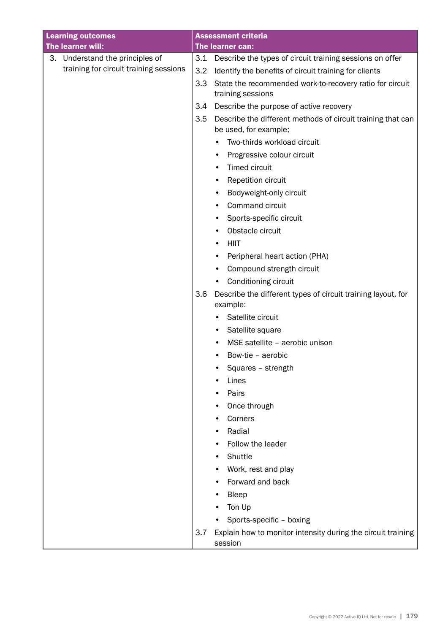| <b>Learning outcomes</b>               |     | <b>Assessment criteria</b>                                                           |
|----------------------------------------|-----|--------------------------------------------------------------------------------------|
| The learner will:                      |     | The learner can:                                                                     |
| 3. Understand the principles of        | 3.1 | Describe the types of circuit training sessions on offer                             |
| training for circuit training sessions | 3.2 | Identify the benefits of circuit training for clients                                |
|                                        | 3.3 | State the recommended work-to-recovery ratio for circuit                             |
|                                        |     | training sessions                                                                    |
|                                        | 3.4 | Describe the purpose of active recovery                                              |
|                                        | 3.5 | Describe the different methods of circuit training that can<br>be used, for example; |
|                                        |     | Two-thirds workload circuit<br>$\bullet$                                             |
|                                        |     | Progressive colour circuit<br>$\bullet$                                              |
|                                        |     | Timed circuit<br>٠                                                                   |
|                                        |     | Repetition circuit<br>٠                                                              |
|                                        |     | Bodyweight-only circuit<br>٠                                                         |
|                                        |     | Command circuit<br>٠                                                                 |
|                                        |     | Sports-specific circuit<br>٠                                                         |
|                                        |     | Obstacle circuit<br>٠                                                                |
|                                        |     | <b>HIIT</b><br>٠                                                                     |
|                                        |     | Peripheral heart action (PHA)<br>$\bullet$                                           |
|                                        |     | Compound strength circuit<br>٠                                                       |
|                                        |     | Conditioning circuit<br>$\bullet$                                                    |
|                                        | 3.6 | Describe the different types of circuit training layout, for<br>example:             |
|                                        |     | Satellite circuit<br>$\bullet$                                                       |
|                                        |     | Satellite square<br>٠                                                                |
|                                        |     | MSE satellite - aerobic unison                                                       |
|                                        |     | Bow-tie - aerobic                                                                    |
|                                        |     | Squares - strength                                                                   |
|                                        |     | Lines                                                                                |
|                                        |     | Pairs                                                                                |
|                                        |     | Once through                                                                         |
|                                        |     | Corners                                                                              |
|                                        |     | Radial<br>٠                                                                          |
|                                        |     | Follow the leader                                                                    |
|                                        |     | Shuttle                                                                              |
|                                        |     | Work, rest and play                                                                  |
|                                        |     | Forward and back                                                                     |
|                                        |     | Bleep                                                                                |
|                                        |     | Ton Up                                                                               |
|                                        |     | Sports-specific - boxing                                                             |
|                                        | 3.7 | Explain how to monitor intensity during the circuit training<br>session              |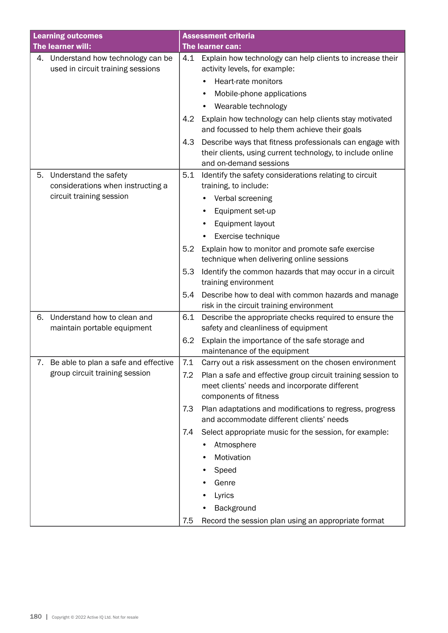| <b>Learning outcomes</b>                                                 | <b>Assessment criteria</b>                                                                                                                              |
|--------------------------------------------------------------------------|---------------------------------------------------------------------------------------------------------------------------------------------------------|
| The learner will:                                                        | The learner can:                                                                                                                                        |
| 4. Understand how technology can be<br>used in circuit training sessions | 4.1<br>Explain how technology can help clients to increase their<br>activity levels, for example:                                                       |
|                                                                          | Heart-rate monitors                                                                                                                                     |
|                                                                          | Mobile-phone applications                                                                                                                               |
|                                                                          | Wearable technology                                                                                                                                     |
|                                                                          | Explain how technology can help clients stay motivated<br>4.2<br>and focussed to help them achieve their goals                                          |
|                                                                          | 4.3<br>Describe ways that fitness professionals can engage with<br>their clients, using current technology, to include online<br>and on-demand sessions |
| Understand the safety<br>5.<br>considerations when instructing a         | Identify the safety considerations relating to circuit<br>5.1<br>training, to include:                                                                  |
| circuit training session                                                 | Verbal screening                                                                                                                                        |
|                                                                          | Equipment set-up                                                                                                                                        |
|                                                                          | Equipment layout                                                                                                                                        |
|                                                                          | Exercise technique                                                                                                                                      |
|                                                                          | 5.2<br>Explain how to monitor and promote safe exercise<br>technique when delivering online sessions                                                    |
|                                                                          | Identify the common hazards that may occur in a circuit<br>5.3<br>training environment                                                                  |
|                                                                          | Describe how to deal with common hazards and manage<br>5.4<br>risk in the circuit training environment                                                  |
| Understand how to clean and<br>6.<br>maintain portable equipment         | Describe the appropriate checks required to ensure the<br>6.1<br>safety and cleanliness of equipment                                                    |
|                                                                          | 6.2<br>Explain the importance of the safe storage and<br>maintenance of the equipment                                                                   |
| 7. Be able to plan a safe and effective                                  | 7.1<br>Carry out a risk assessment on the chosen environment                                                                                            |
| group circuit training session                                           | 7.2<br>Plan a safe and effective group circuit training session to<br>meet clients' needs and incorporate different<br>components of fitness            |
|                                                                          | 7.3<br>Plan adaptations and modifications to regress, progress<br>and accommodate different clients' needs                                              |
|                                                                          | Select appropriate music for the session, for example:<br>7.4                                                                                           |
|                                                                          | Atmosphere                                                                                                                                              |
|                                                                          | Motivation                                                                                                                                              |
|                                                                          | Speed                                                                                                                                                   |
|                                                                          | Genre                                                                                                                                                   |
|                                                                          | Lyrics                                                                                                                                                  |
|                                                                          | Background                                                                                                                                              |
|                                                                          | 7.5<br>Record the session plan using an appropriate format                                                                                              |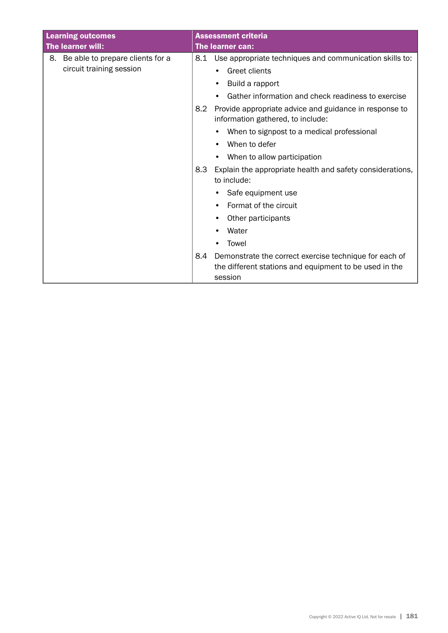| <b>Learning outcomes</b>               | <b>Assessment criteria</b>                                                                         |
|----------------------------------------|----------------------------------------------------------------------------------------------------|
| The learner will:                      | The learner can:                                                                                   |
| Be able to prepare clients for a<br>8. | Use appropriate techniques and communication skills to:<br>8.1                                     |
| circuit training session               | Greet clients                                                                                      |
|                                        | Build a rapport                                                                                    |
|                                        | Gather information and check readiness to exercise                                                 |
|                                        | 8.2<br>Provide appropriate advice and guidance in response to<br>information gathered, to include: |
|                                        | When to signpost to a medical professional                                                         |
|                                        | When to defer                                                                                      |
|                                        | When to allow participation                                                                        |
|                                        | 8.3<br>Explain the appropriate health and safety considerations,                                   |
|                                        | to include:                                                                                        |
|                                        | Safe equipment use                                                                                 |
|                                        | Format of the circuit                                                                              |
|                                        | Other participants                                                                                 |
|                                        | Water                                                                                              |
|                                        | Towel                                                                                              |
|                                        | 8.4<br>Demonstrate the correct exercise technique for each of                                      |
|                                        | the different stations and equipment to be used in the                                             |
|                                        | session                                                                                            |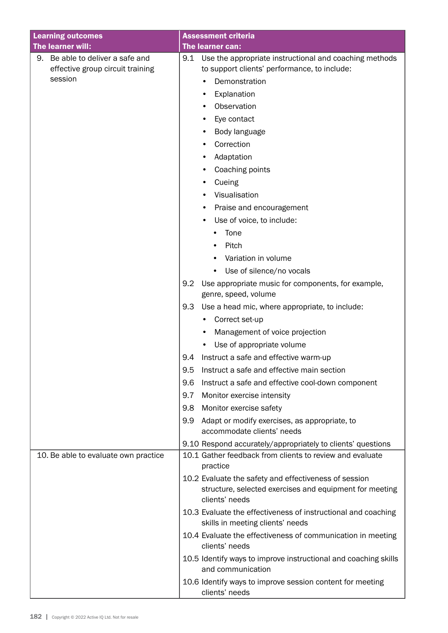| <b>Learning outcomes</b>                                                           | <b>Assessment criteria</b>                                                                                                                                                                                                                                                                                                                                                                                                                                                                                                                                                                                                                                                                                                                                                                                                                                                                                                                                                      |
|------------------------------------------------------------------------------------|---------------------------------------------------------------------------------------------------------------------------------------------------------------------------------------------------------------------------------------------------------------------------------------------------------------------------------------------------------------------------------------------------------------------------------------------------------------------------------------------------------------------------------------------------------------------------------------------------------------------------------------------------------------------------------------------------------------------------------------------------------------------------------------------------------------------------------------------------------------------------------------------------------------------------------------------------------------------------------|
| The learner will:                                                                  | The learner can:                                                                                                                                                                                                                                                                                                                                                                                                                                                                                                                                                                                                                                                                                                                                                                                                                                                                                                                                                                |
| Be able to deliver a safe and<br>9.<br>effective group circuit training<br>session | 9.1<br>Use the appropriate instructional and coaching methods<br>to support clients' performance, to include:<br>Demonstration<br>Explanation<br>٠<br>Observation<br>Eye contact<br>Body language<br>٠<br>Correction<br>Adaptation<br>Coaching points<br>Cueing<br>Visualisation<br>٠<br>Praise and encouragement<br>Use of voice, to include:<br>Tone<br>Pitch<br>Variation in volume<br>Use of silence/no vocals<br>Use appropriate music for components, for example,<br>9.2<br>genre, speed, volume<br>Use a head mic, where appropriate, to include:<br>9.3<br>Correct set-up<br>Management of voice projection<br>Use of appropriate volume<br>Instruct a safe and effective warm-up<br>9.4<br>9.5<br>Instruct a safe and effective main section<br>9.6<br>Instruct a safe and effective cool-down component<br>9.7<br>Monitor exercise intensity<br>Monitor exercise safety<br>9.8<br>Adapt or modify exercises, as appropriate, to<br>9.9<br>accommodate clients' needs |
|                                                                                    | 9.10 Respond accurately/appropriately to clients' questions                                                                                                                                                                                                                                                                                                                                                                                                                                                                                                                                                                                                                                                                                                                                                                                                                                                                                                                     |
| 10. Be able to evaluate own practice                                               | 10.1 Gather feedback from clients to review and evaluate<br>practice                                                                                                                                                                                                                                                                                                                                                                                                                                                                                                                                                                                                                                                                                                                                                                                                                                                                                                            |
|                                                                                    | 10.2 Evaluate the safety and effectiveness of session<br>structure, selected exercises and equipment for meeting<br>clients' needs                                                                                                                                                                                                                                                                                                                                                                                                                                                                                                                                                                                                                                                                                                                                                                                                                                              |
|                                                                                    | 10.3 Evaluate the effectiveness of instructional and coaching<br>skills in meeting clients' needs                                                                                                                                                                                                                                                                                                                                                                                                                                                                                                                                                                                                                                                                                                                                                                                                                                                                               |
|                                                                                    | 10.4 Evaluate the effectiveness of communication in meeting<br>clients' needs                                                                                                                                                                                                                                                                                                                                                                                                                                                                                                                                                                                                                                                                                                                                                                                                                                                                                                   |
|                                                                                    | 10.5 Identify ways to improve instructional and coaching skills<br>and communication                                                                                                                                                                                                                                                                                                                                                                                                                                                                                                                                                                                                                                                                                                                                                                                                                                                                                            |
|                                                                                    | 10.6 Identify ways to improve session content for meeting<br>clients' needs                                                                                                                                                                                                                                                                                                                                                                                                                                                                                                                                                                                                                                                                                                                                                                                                                                                                                                     |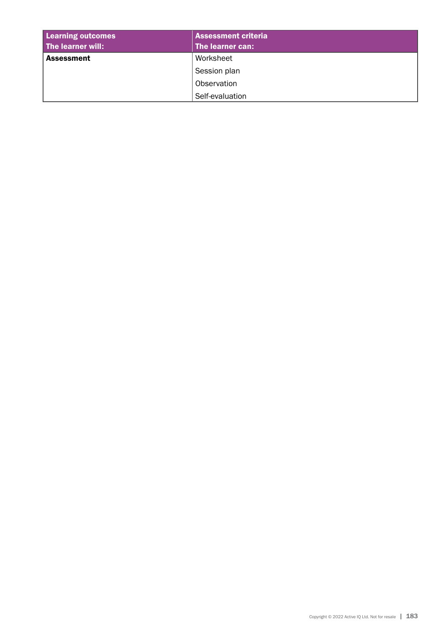| <b>Learning outcomes</b> | <b>Assessment criteria</b> |  |
|--------------------------|----------------------------|--|
| The learner will:        | The learner can:           |  |
| <b>Assessment</b>        | Worksheet                  |  |
|                          | Session plan               |  |
|                          | Observation                |  |
|                          | Self-evaluation            |  |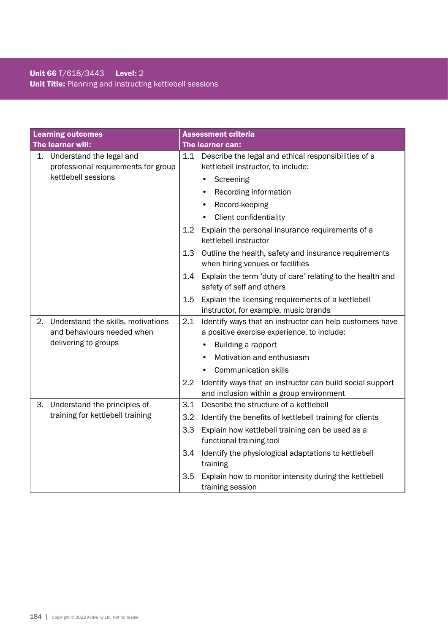# Unit 66 T/618/3443 Level: 2 Unit Title: Planning and instructing kettlebell sessions

|    | <b>Learning outcomes</b>                                           |     | <b>Assessment criteria</b>                                                                            |
|----|--------------------------------------------------------------------|-----|-------------------------------------------------------------------------------------------------------|
|    | The learner will:                                                  |     | The learner can:                                                                                      |
|    | 1. Understand the legal and<br>professional requirements for group | 1.1 | Describe the legal and ethical responsibilities of a<br>kettlebell instructor, to include:            |
|    | kettlebell sessions                                                |     | Screening<br>$\bullet$                                                                                |
|    |                                                                    |     | Recording information                                                                                 |
|    |                                                                    |     | Record-keeping                                                                                        |
|    |                                                                    |     | Client confidentiality                                                                                |
|    |                                                                    | 1.2 | Explain the personal insurance requirements of a<br>kettlebell instructor                             |
|    |                                                                    | 1.3 | Outline the health, safety and insurance requirements<br>when hiring venues or facilities             |
|    |                                                                    | 1.4 | Explain the term 'duty of care' relating to the health and<br>safety of self and others               |
|    |                                                                    | 1.5 | Explain the licensing requirements of a kettlebell<br>instructor, for example, music brands           |
| 2. | Understand the skills, motivations                                 | 2.1 | Identify ways that an instructor can help customers have                                              |
|    | and behaviours needed when                                         |     | a positive exercise experience, to include:                                                           |
|    | delivering to groups                                               |     | Building a rapport                                                                                    |
|    |                                                                    |     | Motivation and enthusiasm                                                                             |
|    |                                                                    |     | <b>Communication skills</b>                                                                           |
|    |                                                                    | 2.2 | Identify ways that an instructor can build social support<br>and inclusion within a group environment |
| З. | Understand the principles of                                       | 3.1 | Describe the structure of a kettlebell                                                                |
|    | training for kettlebell training                                   | 3.2 | Identify the benefits of kettlebell training for clients                                              |
|    |                                                                    | 3.3 | Explain how kettlebell training can be used as a                                                      |
|    |                                                                    |     | functional training tool                                                                              |
|    |                                                                    | 3.4 | Identify the physiological adaptations to kettlebell<br>training                                      |
|    |                                                                    | 3.5 | Explain how to monitor intensity during the kettlebell<br>training session                            |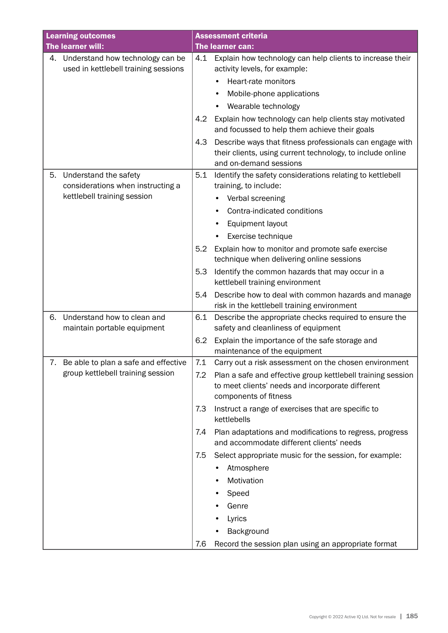| <b>Learning outcomes</b>                                                       | <b>Assessment criteria</b>                                                                                                                              |
|--------------------------------------------------------------------------------|---------------------------------------------------------------------------------------------------------------------------------------------------------|
| The learner will:                                                              | The learner can:                                                                                                                                        |
| Understand how technology can be<br>4.<br>used in kettlebell training sessions | Explain how technology can help clients to increase their<br>4.1<br>activity levels, for example:                                                       |
|                                                                                | Heart-rate monitors                                                                                                                                     |
|                                                                                | Mobile-phone applications                                                                                                                               |
|                                                                                | Wearable technology                                                                                                                                     |
|                                                                                | Explain how technology can help clients stay motivated<br>4.2<br>and focussed to help them achieve their goals                                          |
|                                                                                | Describe ways that fitness professionals can engage with<br>4.3<br>their clients, using current technology, to include online<br>and on-demand sessions |
| Understand the safety<br>5.                                                    | 5.1<br>Identify the safety considerations relating to kettlebell                                                                                        |
| considerations when instructing a                                              | training, to include:                                                                                                                                   |
| kettlebell training session                                                    | Verbal screening                                                                                                                                        |
|                                                                                | Contra-indicated conditions                                                                                                                             |
|                                                                                | Equipment layout                                                                                                                                        |
|                                                                                | Exercise technique                                                                                                                                      |
|                                                                                | 5.2<br>Explain how to monitor and promote safe exercise                                                                                                 |
|                                                                                | technique when delivering online sessions                                                                                                               |
|                                                                                | Identify the common hazards that may occur in a<br>5.3<br>kettlebell training environment                                                               |
|                                                                                | Describe how to deal with common hazards and manage<br>5.4<br>risk in the kettlebell training environment                                               |
| Understand how to clean and<br>6.                                              | 6.1<br>Describe the appropriate checks required to ensure the                                                                                           |
| maintain portable equipment                                                    | safety and cleanliness of equipment                                                                                                                     |
|                                                                                | 6.2<br>Explain the importance of the safe storage and                                                                                                   |
|                                                                                | maintenance of the equipment<br>7.1                                                                                                                     |
| 7. Be able to plan a safe and effective<br>group kettlebell training session   | Carry out a risk assessment on the chosen environment<br>Plan a safe and effective group kettlebell training session<br>7.2                             |
|                                                                                | to meet clients' needs and incorporate different<br>components of fitness                                                                               |
|                                                                                | 7.3<br>Instruct a range of exercises that are specific to<br>kettlebells                                                                                |
|                                                                                | Plan adaptations and modifications to regress, progress<br>7.4<br>and accommodate different clients' needs                                              |
|                                                                                | Select appropriate music for the session, for example:<br>7.5                                                                                           |
|                                                                                | Atmosphere                                                                                                                                              |
|                                                                                | Motivation                                                                                                                                              |
|                                                                                | Speed                                                                                                                                                   |
|                                                                                | Genre                                                                                                                                                   |
|                                                                                | Lyrics                                                                                                                                                  |
|                                                                                | Background                                                                                                                                              |
|                                                                                | Record the session plan using an appropriate format<br>7.6                                                                                              |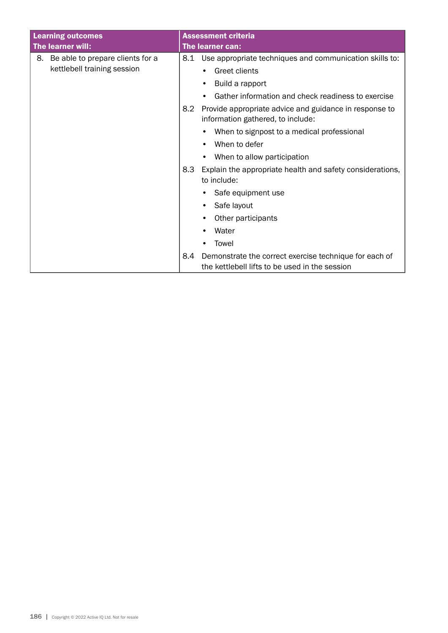|    | <b>Learning outcomes</b>         |                                                                                             | <b>Assessment criteria</b>                                                                               |
|----|----------------------------------|---------------------------------------------------------------------------------------------|----------------------------------------------------------------------------------------------------------|
|    | The learner will:                |                                                                                             | The learner can:                                                                                         |
| 8. | Be able to prepare clients for a | 8.1                                                                                         | Use appropriate techniques and communication skills to:                                                  |
|    | kettlebell training session      |                                                                                             | <b>Greet clients</b><br>٠                                                                                |
|    |                                  |                                                                                             | Build a rapport<br>$\bullet$                                                                             |
|    |                                  |                                                                                             | Gather information and check readiness to exercise                                                       |
|    | 8.2                              | Provide appropriate advice and guidance in response to<br>information gathered, to include: |                                                                                                          |
|    |                                  |                                                                                             | When to signpost to a medical professional                                                               |
|    |                                  |                                                                                             | When to defer                                                                                            |
|    |                                  |                                                                                             | When to allow participation                                                                              |
|    |                                  | 8.3                                                                                         | Explain the appropriate health and safety considerations,<br>to include:                                 |
|    |                                  | Safe equipment use                                                                          |                                                                                                          |
|    |                                  | Safe layout                                                                                 |                                                                                                          |
|    |                                  |                                                                                             | Other participants<br>٠                                                                                  |
|    |                                  |                                                                                             | Water                                                                                                    |
|    |                                  |                                                                                             | Towel                                                                                                    |
|    |                                  | 8.4                                                                                         | Demonstrate the correct exercise technique for each of<br>the kettlebell lifts to be used in the session |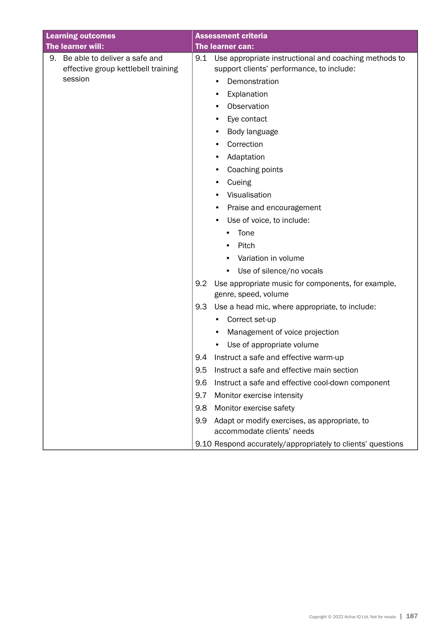| <b>Learning outcomes</b>                                                   | <b>Assessment criteria</b>                                                                                |
|----------------------------------------------------------------------------|-----------------------------------------------------------------------------------------------------------|
| The learner will:                                                          | <b>The learner can:</b>                                                                                   |
| Be able to deliver a safe and<br>9.<br>effective group kettlebell training | 9.1<br>Use appropriate instructional and coaching methods to<br>support clients' performance, to include: |
| session                                                                    | Demonstration                                                                                             |
|                                                                            | Explanation<br>٠                                                                                          |
|                                                                            | Observation                                                                                               |
|                                                                            | Eye contact                                                                                               |
|                                                                            | Body language<br>٠                                                                                        |
|                                                                            | Correction                                                                                                |
|                                                                            | Adaptation<br>٠                                                                                           |
|                                                                            | Coaching points                                                                                           |
|                                                                            | Cueing                                                                                                    |
|                                                                            | Visualisation<br>٠                                                                                        |
|                                                                            | Praise and encouragement                                                                                  |
|                                                                            | Use of voice, to include:                                                                                 |
|                                                                            | Tone                                                                                                      |
|                                                                            | Pitch                                                                                                     |
|                                                                            | Variation in volume                                                                                       |
|                                                                            | Use of silence/no vocals                                                                                  |
|                                                                            | 9.2<br>Use appropriate music for components, for example,<br>genre, speed, volume                         |
|                                                                            | Use a head mic, where appropriate, to include:<br>9.3                                                     |
|                                                                            | Correct set-up                                                                                            |
|                                                                            | Management of voice projection                                                                            |
|                                                                            | Use of appropriate volume                                                                                 |
|                                                                            | Instruct a safe and effective warm-up<br>9.4                                                              |
|                                                                            | 9.5<br>Instruct a safe and effective main section                                                         |
|                                                                            | 9.6<br>Instruct a safe and effective cool-down component                                                  |
|                                                                            | 9.7<br>Monitor exercise intensity                                                                         |
|                                                                            | Monitor exercise safety<br>9.8                                                                            |
|                                                                            | Adapt or modify exercises, as appropriate, to<br>9.9<br>accommodate clients' needs                        |
|                                                                            | 9.10 Respond accurately/appropriately to clients' questions                                               |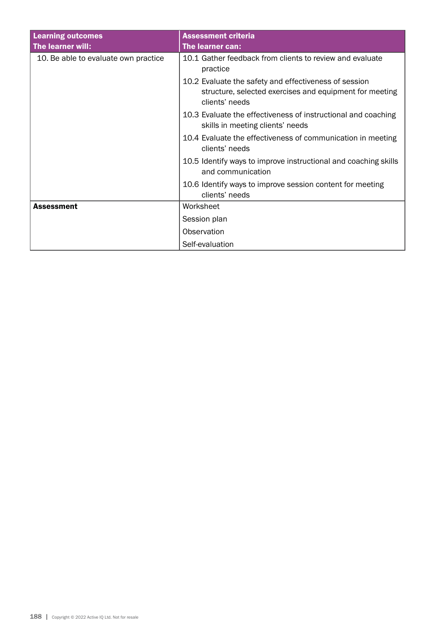| <b>Learning outcomes</b><br>The learner will: | <b>Assessment criteria</b><br>The learner can:                                                                                     |
|-----------------------------------------------|------------------------------------------------------------------------------------------------------------------------------------|
| 10. Be able to evaluate own practice          | 10.1 Gather feedback from clients to review and evaluate<br>practice                                                               |
|                                               | 10.2 Evaluate the safety and effectiveness of session<br>structure, selected exercises and equipment for meeting<br>clients' needs |
|                                               | 10.3 Evaluate the effectiveness of instructional and coaching<br>skills in meeting clients' needs                                  |
|                                               | 10.4 Evaluate the effectiveness of communication in meeting<br>clients' needs                                                      |
|                                               | 10.5 Identify ways to improve instructional and coaching skills<br>and communication                                               |
|                                               | 10.6 Identify ways to improve session content for meeting<br>clients' needs                                                        |
| <b>Assessment</b>                             | Worksheet                                                                                                                          |
|                                               | Session plan                                                                                                                       |
|                                               | Observation                                                                                                                        |
|                                               | Self-evaluation                                                                                                                    |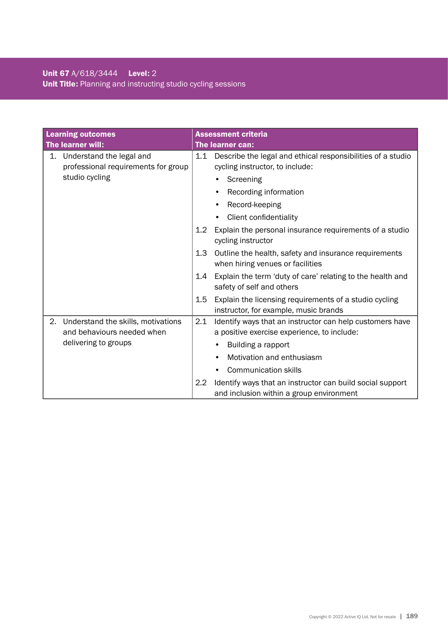# Unit 67 A/618/3444 Level: 2 Unit Title: Planning and instructing studio cycling sessions

|    | <b>Learning outcomes</b>                                         |                  | <b>Assessment criteria</b>                                                                              |
|----|------------------------------------------------------------------|------------------|---------------------------------------------------------------------------------------------------------|
|    | The learner will:                                                | The learner can: |                                                                                                         |
| 1. | Understand the legal and<br>professional requirements for group  | 1.1              | Describe the legal and ethical responsibilities of a studio<br>cycling instructor, to include:          |
|    | studio cycling                                                   |                  | Screening                                                                                               |
|    |                                                                  |                  | Recording information<br>٠                                                                              |
|    |                                                                  |                  | Record-keeping<br>$\bullet$                                                                             |
|    |                                                                  |                  | Client confidentiality                                                                                  |
|    |                                                                  | 1.2              | Explain the personal insurance requirements of a studio<br>cycling instructor                           |
|    |                                                                  | 1.3              | Outline the health, safety and insurance requirements<br>when hiring venues or facilities               |
|    |                                                                  | $1.4^{\circ}$    | Explain the term 'duty of care' relating to the health and<br>safety of self and others                 |
|    |                                                                  | 1.5              | Explain the licensing requirements of a studio cycling<br>instructor, for example, music brands         |
| 2. | Understand the skills, motivations<br>and behaviours needed when | 2.1              | Identify ways that an instructor can help customers have<br>a positive exercise experience, to include: |
|    | delivering to groups                                             |                  | Building a rapport                                                                                      |
|    |                                                                  |                  | Motivation and enthusiasm                                                                               |
|    |                                                                  |                  | <b>Communication skills</b>                                                                             |
|    |                                                                  | $2.2\phantom{0}$ | Identify ways that an instructor can build social support<br>and inclusion within a group environment   |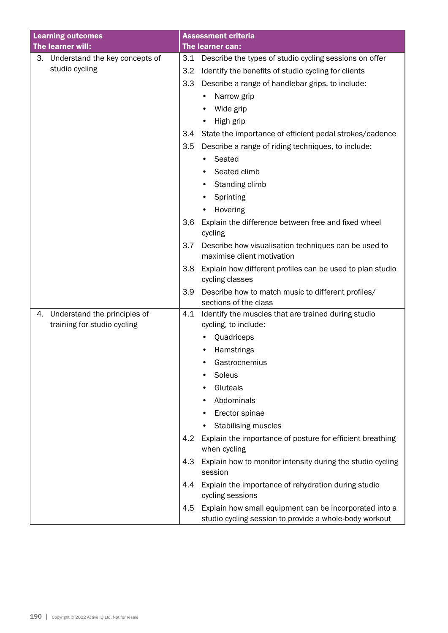| <b>Learning outcomes</b>             | <b>Assessment criteria</b>                                                                                              |
|--------------------------------------|-------------------------------------------------------------------------------------------------------------------------|
| The learner will:                    | The learner can:                                                                                                        |
| Understand the key concepts of<br>З. | Describe the types of studio cycling sessions on offer<br>3.1                                                           |
| studio cycling                       | Identify the benefits of studio cycling for clients<br>3.2                                                              |
|                                      | Describe a range of handlebar grips, to include:<br>3.3                                                                 |
|                                      | Narrow grip                                                                                                             |
|                                      | Wide grip                                                                                                               |
|                                      | High grip                                                                                                               |
|                                      | State the importance of efficient pedal strokes/cadence<br>3.4                                                          |
|                                      | 3.5<br>Describe a range of riding techniques, to include:                                                               |
|                                      | Seated<br>٠                                                                                                             |
|                                      | Seated climb                                                                                                            |
|                                      | Standing climb<br>٠                                                                                                     |
|                                      | Sprinting                                                                                                               |
|                                      | Hovering                                                                                                                |
|                                      | 3.6<br>Explain the difference between free and fixed wheel<br>cycling                                                   |
|                                      | Describe how visualisation techniques can be used to<br>3.7<br>maximise client motivation                               |
|                                      | Explain how different profiles can be used to plan studio<br>3.8<br>cycling classes                                     |
|                                      | Describe how to match music to different profiles/<br>3.9<br>sections of the class                                      |
| Understand the principles of<br>4.   | 4.1<br>Identify the muscles that are trained during studio                                                              |
| training for studio cycling          | cycling, to include:                                                                                                    |
|                                      | Quadriceps                                                                                                              |
|                                      | Hamstrings                                                                                                              |
|                                      | Gastrocnemius                                                                                                           |
|                                      | Soleus                                                                                                                  |
|                                      | Gluteals                                                                                                                |
|                                      | Abdominals                                                                                                              |
|                                      | Erector spinae                                                                                                          |
|                                      | Stabilising muscles                                                                                                     |
|                                      | 4.2<br>Explain the importance of posture for efficient breathing<br>when cycling                                        |
|                                      | 4.3<br>Explain how to monitor intensity during the studio cycling<br>session                                            |
|                                      | Explain the importance of rehydration during studio<br>4.4<br>cycling sessions                                          |
|                                      | Explain how small equipment can be incorporated into a<br>4.5<br>studio cycling session to provide a whole-body workout |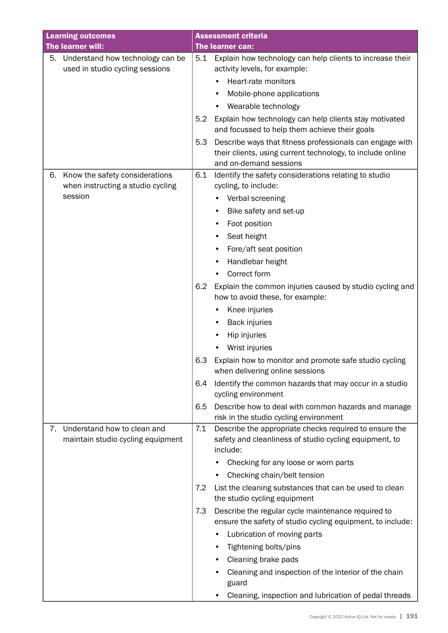| <b>Learning outcomes</b>               | <b>Assessment criteria</b>                                                                                                    |
|----------------------------------------|-------------------------------------------------------------------------------------------------------------------------------|
| The learner will:                      | The learner can:                                                                                                              |
| 5.<br>Understand how technology can be | Explain how technology can help clients to increase their<br>5.1                                                              |
| used in studio cycling sessions        | activity levels, for example:                                                                                                 |
|                                        | Heart-rate monitors                                                                                                           |
|                                        | Mobile-phone applications                                                                                                     |
|                                        | Wearable technology                                                                                                           |
|                                        | Explain how technology can help clients stay motivated<br>5.2<br>and focussed to help them achieve their goals                |
|                                        |                                                                                                                               |
|                                        | 5.3<br>Describe ways that fitness professionals can engage with<br>their clients, using current technology, to include online |
|                                        | and on-demand sessions                                                                                                        |
| Know the safety considerations<br>6.   | 6.1<br>Identify the safety considerations relating to studio                                                                  |
| when instructing a studio cycling      | cycling, to include:                                                                                                          |
| session                                | Verbal screening<br>٠                                                                                                         |
|                                        | Bike safety and set-up                                                                                                        |
|                                        | Foot position                                                                                                                 |
|                                        | Seat height                                                                                                                   |
|                                        | Fore/aft seat position<br>٠                                                                                                   |
|                                        | Handlebar height                                                                                                              |
|                                        | Correct form                                                                                                                  |
|                                        | 6.2<br>Explain the common injuries caused by studio cycling and                                                               |
|                                        | how to avoid these, for example:                                                                                              |
|                                        | Knee injuries                                                                                                                 |
|                                        | <b>Back injuries</b>                                                                                                          |
|                                        | Hip injuries                                                                                                                  |
|                                        | Wrist injuries                                                                                                                |
|                                        | 6.3<br>Explain how to monitor and promote safe studio cycling                                                                 |
|                                        | when delivering online sessions                                                                                               |
|                                        | Identify the common hazards that may occur in a studio<br>6.4<br>cycling environment                                          |
|                                        | Describe how to deal with common hazards and manage<br>6.5                                                                    |
|                                        | risk in the studio cycling environment                                                                                        |
| Understand how to clean and<br>7.      | Describe the appropriate checks required to ensure the<br>7.1                                                                 |
| maintain studio cycling equipment      | safety and cleanliness of studio cycling equipment, to<br>include:                                                            |
|                                        | Checking for any loose or worn parts                                                                                          |
|                                        | Checking chain/belt tension                                                                                                   |
|                                        | 7.2<br>List the cleaning substances that can be used to clean                                                                 |
|                                        | the studio cycling equipment                                                                                                  |
|                                        | Describe the regular cycle maintenance required to<br>7.3<br>ensure the safety of studio cycling equipment, to include:       |
|                                        | Lubrication of moving parts                                                                                                   |
|                                        | Tightening bolts/pins                                                                                                         |
|                                        | Cleaning brake pads<br>٠                                                                                                      |
|                                        | Cleaning and inspection of the interior of the chain<br>guard                                                                 |
|                                        | Cleaning, inspection and lubrication of pedal threads<br>٠                                                                    |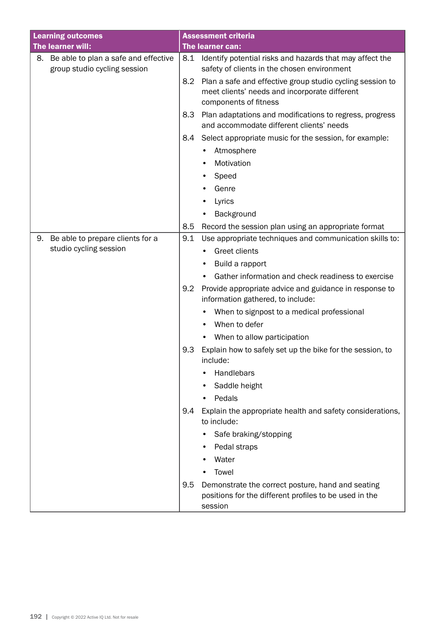| <b>Learning outcomes</b>                | <b>Assessment criteria</b>                                                                                                                 |
|-----------------------------------------|--------------------------------------------------------------------------------------------------------------------------------------------|
| The learner will:                       | The learner can:                                                                                                                           |
| 8. Be able to plan a safe and effective | Identify potential risks and hazards that may affect the<br>8.1                                                                            |
| group studio cycling session            | safety of clients in the chosen environment                                                                                                |
|                                         | Plan a safe and effective group studio cycling session to<br>8.2<br>meet clients' needs and incorporate different<br>components of fitness |
|                                         | 8.3<br>Plan adaptations and modifications to regress, progress<br>and accommodate different clients' needs                                 |
|                                         | 8.4<br>Select appropriate music for the session, for example:                                                                              |
|                                         | Atmosphere                                                                                                                                 |
|                                         | Motivation                                                                                                                                 |
|                                         | Speed                                                                                                                                      |
|                                         | Genre                                                                                                                                      |
|                                         | Lyrics                                                                                                                                     |
|                                         | Background                                                                                                                                 |
|                                         | 8.5<br>Record the session plan using an appropriate format                                                                                 |
| Be able to prepare clients for a<br>9.  | 9.1<br>Use appropriate techniques and communication skills to:                                                                             |
| studio cycling session                  | <b>Greet clients</b>                                                                                                                       |
|                                         | Build a rapport                                                                                                                            |
|                                         | Gather information and check readiness to exercise                                                                                         |
|                                         | 9.2<br>Provide appropriate advice and guidance in response to<br>information gathered, to include:                                         |
|                                         | When to signpost to a medical professional                                                                                                 |
|                                         | When to defer                                                                                                                              |
|                                         | When to allow participation                                                                                                                |
|                                         | 9.3<br>Explain how to safely set up the bike for the session, to<br>include:                                                               |
|                                         | Handlebars                                                                                                                                 |
|                                         | Saddle height                                                                                                                              |
|                                         | Pedals                                                                                                                                     |
|                                         | 9.4<br>Explain the appropriate health and safety considerations,<br>to include:                                                            |
|                                         | Safe braking/stopping                                                                                                                      |
|                                         | Pedal straps                                                                                                                               |
|                                         | Water                                                                                                                                      |
|                                         | Towel                                                                                                                                      |
|                                         | 9.5<br>Demonstrate the correct posture, hand and seating<br>positions for the different profiles to be used in the<br>session              |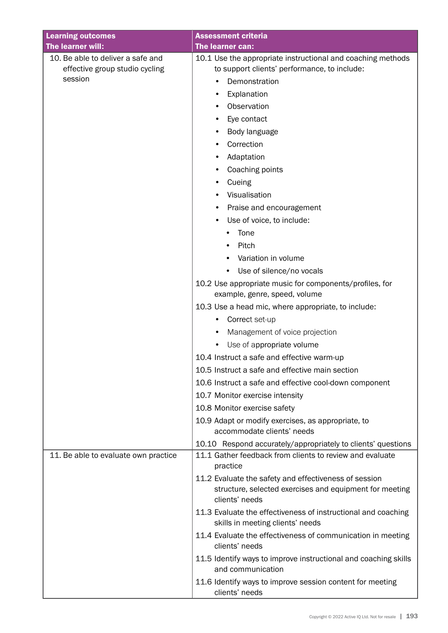| <b>Learning outcomes</b>                                                       | <b>Assessment criteria</b>                                                                                                                                                                                                                                                                                                                                                                                                                                                                                                                                              |
|--------------------------------------------------------------------------------|-------------------------------------------------------------------------------------------------------------------------------------------------------------------------------------------------------------------------------------------------------------------------------------------------------------------------------------------------------------------------------------------------------------------------------------------------------------------------------------------------------------------------------------------------------------------------|
| The learner will:                                                              | The learner can:                                                                                                                                                                                                                                                                                                                                                                                                                                                                                                                                                        |
| 10. Be able to deliver a safe and<br>effective group studio cycling<br>session | 10.1 Use the appropriate instructional and coaching methods<br>to support clients' performance, to include:<br>Demonstration<br>Explanation<br>٠<br>Observation                                                                                                                                                                                                                                                                                                                                                                                                         |
|                                                                                | Eye contact<br>Body language<br>٠<br>Correction<br>Adaptation<br>Coaching points<br>Cueing<br>Visualisation<br>٠<br>Praise and encouragement<br>Use of voice, to include:                                                                                                                                                                                                                                                                                                                                                                                               |
|                                                                                | Tone<br>Pitch<br>Variation in volume<br>Use of silence/no vocals<br>10.2 Use appropriate music for components/profiles, for<br>example, genre, speed, volume<br>10.3 Use a head mic, where appropriate, to include:                                                                                                                                                                                                                                                                                                                                                     |
|                                                                                | Correct set-up<br>Management of voice projection<br>Use of appropriate volume<br>10.4 Instruct a safe and effective warm-up<br>10.5 Instruct a safe and effective main section<br>10.6 Instruct a safe and effective cool-down component<br>10.7 Monitor exercise intensity<br>10.8 Monitor exercise safety<br>10.9 Adapt or modify exercises, as appropriate, to<br>accommodate clients' needs<br>10.10 Respond accurately/appropriately to clients' questions                                                                                                         |
| 11. Be able to evaluate own practice                                           | 11.1 Gather feedback from clients to review and evaluate<br>practice<br>11.2 Evaluate the safety and effectiveness of session<br>structure, selected exercises and equipment for meeting<br>clients' needs<br>11.3 Evaluate the effectiveness of instructional and coaching<br>skills in meeting clients' needs<br>11.4 Evaluate the effectiveness of communication in meeting<br>clients' needs<br>11.5 Identify ways to improve instructional and coaching skills<br>and communication<br>11.6 Identify ways to improve session content for meeting<br>clients' needs |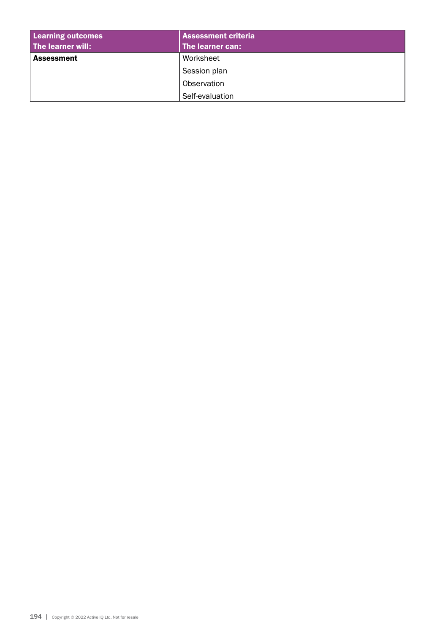| <b>Learning outcomes</b> | <b>Assessment criteria</b> |  |
|--------------------------|----------------------------|--|
| The learner will:        | The learner can:           |  |
| <b>Assessment</b>        | Worksheet                  |  |
|                          | Session plan               |  |
|                          | Observation                |  |
|                          | Self-evaluation            |  |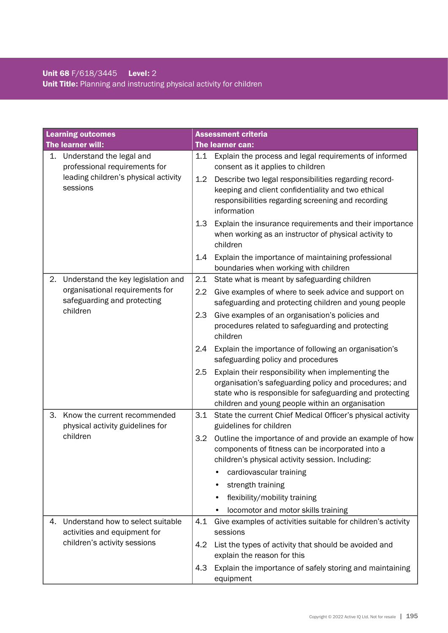# Unit 68 F/618/3445 Level: 2 Unit Title: Planning and instructing physical activity for children

|          | <b>Learning outcomes</b>                                          |                                                                                                                  | <b>Assessment criteria</b>                                                                                                                                                                                                   |
|----------|-------------------------------------------------------------------|------------------------------------------------------------------------------------------------------------------|------------------------------------------------------------------------------------------------------------------------------------------------------------------------------------------------------------------------------|
|          | The learner will:                                                 |                                                                                                                  | The learner can:                                                                                                                                                                                                             |
| 1.       | Understand the legal and<br>professional requirements for         | 1.1                                                                                                              | Explain the process and legal requirements of informed<br>consent as it applies to children                                                                                                                                  |
|          | leading children's physical activity<br>sessions                  | 1.2                                                                                                              | Describe two legal responsibilities regarding record-<br>keeping and client confidentiality and two ethical<br>responsibilities regarding screening and recording<br>information                                             |
|          |                                                                   | 1.3                                                                                                              | Explain the insurance requirements and their importance<br>when working as an instructor of physical activity to<br>children                                                                                                 |
|          |                                                                   | 1.4                                                                                                              | Explain the importance of maintaining professional<br>boundaries when working with children                                                                                                                                  |
| 2.       | Understand the key legislation and                                | 2.1                                                                                                              | State what is meant by safeguarding children                                                                                                                                                                                 |
|          | organisational requirements for<br>safeguarding and protecting    | 2.2                                                                                                              | Give examples of where to seek advice and support on<br>safeguarding and protecting children and young people                                                                                                                |
| children | 2.3                                                               | Give examples of an organisation's policies and<br>procedures related to safeguarding and protecting<br>children |                                                                                                                                                                                                                              |
|          |                                                                   | 2.4                                                                                                              | Explain the importance of following an organisation's<br>safeguarding policy and procedures                                                                                                                                  |
|          |                                                                   | 2.5                                                                                                              | Explain their responsibility when implementing the<br>organisation's safeguarding policy and procedures; and<br>state who is responsible for safeguarding and protecting<br>children and young people within an organisation |
| З.       | Know the current recommended<br>physical activity guidelines for  | 3.1                                                                                                              | State the current Chief Medical Officer's physical activity<br>guidelines for children                                                                                                                                       |
|          | children                                                          | 3.2                                                                                                              | Outline the importance of and provide an example of how<br>components of fitness can be incorporated into a<br>children's physical activity session. Including:                                                              |
|          |                                                                   |                                                                                                                  | cardiovascular training                                                                                                                                                                                                      |
|          |                                                                   |                                                                                                                  | strength training                                                                                                                                                                                                            |
|          |                                                                   |                                                                                                                  | flexibility/mobility training                                                                                                                                                                                                |
|          |                                                                   |                                                                                                                  | locomotor and motor skills training                                                                                                                                                                                          |
| 4.       | Understand how to select suitable<br>activities and equipment for | 4.1                                                                                                              | Give examples of activities suitable for children's activity<br>sessions                                                                                                                                                     |
|          | children's activity sessions                                      | 4.2                                                                                                              | List the types of activity that should be avoided and<br>explain the reason for this                                                                                                                                         |
|          |                                                                   | 4.3                                                                                                              | Explain the importance of safely storing and maintaining<br>equipment                                                                                                                                                        |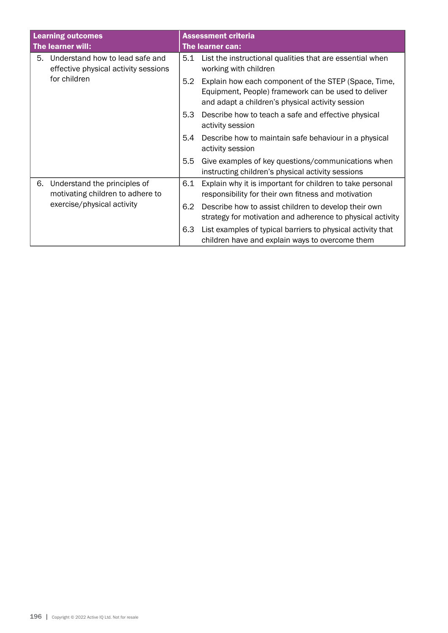|                                                                                                      | <b>Learning outcomes</b><br>The learner will:                           |                                                                                                                                                                 | <b>Assessment criteria</b><br>The learner can:                                                                 |
|------------------------------------------------------------------------------------------------------|-------------------------------------------------------------------------|-----------------------------------------------------------------------------------------------------------------------------------------------------------------|----------------------------------------------------------------------------------------------------------------|
| 5.                                                                                                   | Understand how to lead safe and<br>effective physical activity sessions | 5.1                                                                                                                                                             | List the instructional qualities that are essential when<br>working with children                              |
| for children                                                                                         | 5.2                                                                     | Explain how each component of the STEP (Space, Time,<br>Equipment, People) framework can be used to deliver<br>and adapt a children's physical activity session |                                                                                                                |
|                                                                                                      | 5.3                                                                     | Describe how to teach a safe and effective physical<br>activity session                                                                                         |                                                                                                                |
|                                                                                                      | 5.4                                                                     | Describe how to maintain safe behaviour in a physical<br>activity session                                                                                       |                                                                                                                |
|                                                                                                      | 5.5                                                                     | Give examples of key questions/communications when<br>instructing children's physical activity sessions                                                         |                                                                                                                |
| Understand the principles of<br>6.<br>motivating children to adhere to<br>exercise/physical activity | 6.1                                                                     | Explain why it is important for children to take personal<br>responsibility for their own fitness and motivation                                                |                                                                                                                |
|                                                                                                      | 6.2                                                                     | Describe how to assist children to develop their own<br>strategy for motivation and adherence to physical activity                                              |                                                                                                                |
|                                                                                                      |                                                                         | 6.3                                                                                                                                                             | List examples of typical barriers to physical activity that<br>children have and explain ways to overcome them |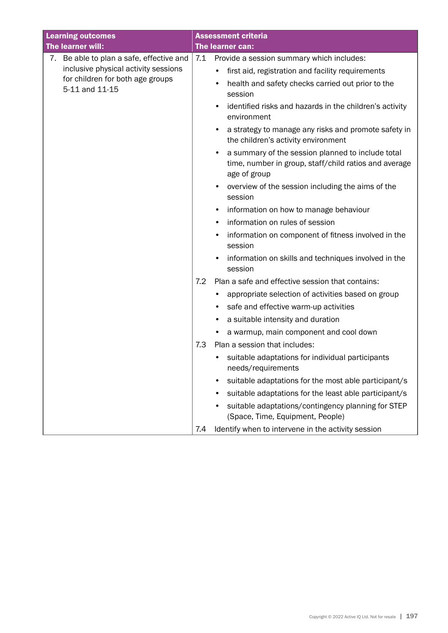| <b>Learning outcomes</b>                           |     | <b>Assessment criteria</b>                                                                                                 |
|----------------------------------------------------|-----|----------------------------------------------------------------------------------------------------------------------------|
| The learner will:                                  |     | <b>The learner can:</b>                                                                                                    |
| 7. Be able to plan a safe, effective and           | 7.1 | Provide a session summary which includes:                                                                                  |
| inclusive physical activity sessions               |     | first aid, registration and facility requirements                                                                          |
| for children for both age groups<br>5-11 and 11-15 |     | health and safety checks carried out prior to the<br>session                                                               |
|                                                    |     | identified risks and hazards in the children's activity<br>environment                                                     |
|                                                    |     | a strategy to manage any risks and promote safety in<br>the children's activity environment                                |
|                                                    |     | a summary of the session planned to include total<br>time, number in group, staff/child ratios and average<br>age of group |
|                                                    |     | overview of the session including the aims of the<br>$\bullet$<br>session                                                  |
|                                                    |     | information on how to manage behaviour<br>$\bullet$                                                                        |
|                                                    |     | information on rules of session                                                                                            |
|                                                    |     | information on component of fitness involved in the<br>session                                                             |
|                                                    |     | information on skills and techniques involved in the<br>session                                                            |
|                                                    | 7.2 | Plan a safe and effective session that contains:                                                                           |
|                                                    |     | appropriate selection of activities based on group                                                                         |
|                                                    |     | safe and effective warm-up activities                                                                                      |
|                                                    |     | a suitable intensity and duration                                                                                          |
|                                                    |     | a warmup, main component and cool down                                                                                     |
|                                                    | 7.3 | Plan a session that includes:                                                                                              |
|                                                    |     | suitable adaptations for individual participants<br>needs/requirements                                                     |
|                                                    |     | suitable adaptations for the most able participant/s<br>٠                                                                  |
|                                                    |     | suitable adaptations for the least able participant/s                                                                      |
|                                                    |     | suitable adaptations/contingency planning for STEP<br>٠<br>(Space, Time, Equipment, People)                                |
|                                                    | 7.4 | Identify when to intervene in the activity session                                                                         |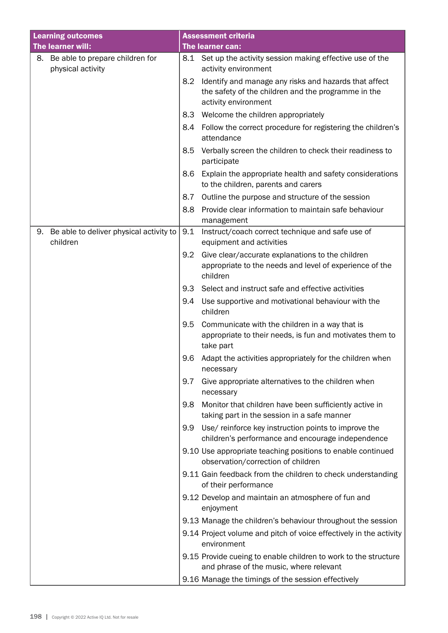| <b>Learning outcomes</b>                                   |     | <b>Assessment criteria</b>                                                                                                           |
|------------------------------------------------------------|-----|--------------------------------------------------------------------------------------------------------------------------------------|
| The learner will:                                          |     | The learner can:                                                                                                                     |
| Be able to prepare children for<br>8.<br>physical activity | 8.1 | Set up the activity session making effective use of the<br>activity environment                                                      |
|                                                            | 8.2 | Identify and manage any risks and hazards that affect<br>the safety of the children and the programme in the<br>activity environment |
|                                                            | 8.3 | Welcome the children appropriately                                                                                                   |
|                                                            | 8.4 | Follow the correct procedure for registering the children's<br>attendance                                                            |
|                                                            | 8.5 | Verbally screen the children to check their readiness to<br>participate                                                              |
|                                                            | 8.6 | Explain the appropriate health and safety considerations<br>to the children, parents and carers                                      |
|                                                            | 8.7 | Outline the purpose and structure of the session                                                                                     |
|                                                            | 8.8 | Provide clear information to maintain safe behaviour                                                                                 |
|                                                            |     | management                                                                                                                           |
| Be able to deliver physical activity to<br>9.<br>children  | 9.1 | Instruct/coach correct technique and safe use of<br>equipment and activities                                                         |
|                                                            | 9.2 | Give clear/accurate explanations to the children                                                                                     |
|                                                            |     | appropriate to the needs and level of experience of the<br>children                                                                  |
|                                                            | 9.3 | Select and instruct safe and effective activities                                                                                    |
|                                                            | 9.4 | Use supportive and motivational behaviour with the<br>children                                                                       |
|                                                            | 9.5 | Communicate with the children in a way that is<br>appropriate to their needs, is fun and motivates them to<br>take part              |
|                                                            | 9.6 | Adapt the activities appropriately for the children when<br>necessary                                                                |
|                                                            | 9.7 | Give appropriate alternatives to the children when<br>necessary                                                                      |
|                                                            | 9.8 | Monitor that children have been sufficiently active in<br>taking part in the session in a safe manner                                |
|                                                            | 9.9 | Use/ reinforce key instruction points to improve the<br>children's performance and encourage independence                            |
|                                                            |     | 9.10 Use appropriate teaching positions to enable continued<br>observation/correction of children                                    |
|                                                            |     | 9.11 Gain feedback from the children to check understanding<br>of their performance                                                  |
|                                                            |     | 9.12 Develop and maintain an atmosphere of fun and<br>enjoyment                                                                      |
|                                                            |     | 9.13 Manage the children's behaviour throughout the session                                                                          |
|                                                            |     | 9.14 Project volume and pitch of voice effectively in the activity<br>environment                                                    |
|                                                            |     | 9.15 Provide cueing to enable children to work to the structure<br>and phrase of the music, where relevant                           |
|                                                            |     | 9.16 Manage the timings of the session effectively                                                                                   |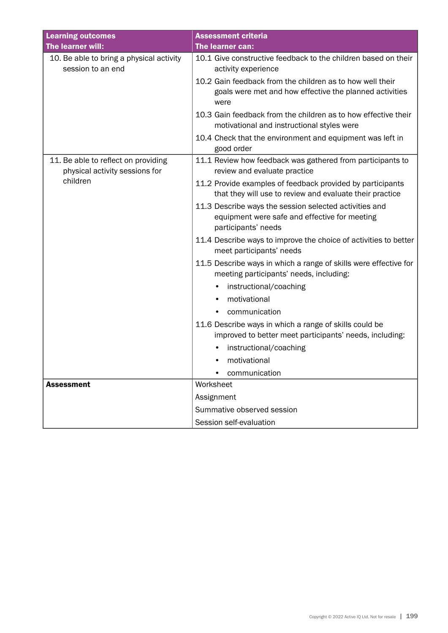| <b>Learning outcomes</b>                                              | <b>Assessment criteria</b>                                                                                                     |
|-----------------------------------------------------------------------|--------------------------------------------------------------------------------------------------------------------------------|
| The learner will:                                                     | The learner can:                                                                                                               |
| 10. Be able to bring a physical activity<br>session to an end         | 10.1 Give constructive feedback to the children based on their<br>activity experience                                          |
|                                                                       | 10.2 Gain feedback from the children as to how well their<br>goals were met and how effective the planned activities<br>were   |
|                                                                       | 10.3 Gain feedback from the children as to how effective their<br>motivational and instructional styles were                   |
|                                                                       | 10.4 Check that the environment and equipment was left in<br>good order                                                        |
| 11. Be able to reflect on providing<br>physical activity sessions for | 11.1 Review how feedback was gathered from participants to<br>review and evaluate practice                                     |
| children                                                              | 11.2 Provide examples of feedback provided by participants<br>that they will use to review and evaluate their practice         |
|                                                                       | 11.3 Describe ways the session selected activities and<br>equipment were safe and effective for meeting<br>participants' needs |
|                                                                       | 11.4 Describe ways to improve the choice of activities to better<br>meet participants' needs                                   |
|                                                                       | 11.5 Describe ways in which a range of skills were effective for<br>meeting participants' needs, including:                    |
|                                                                       | instructional/coaching                                                                                                         |
|                                                                       | motivational                                                                                                                   |
|                                                                       | communication                                                                                                                  |
|                                                                       | 11.6 Describe ways in which a range of skills could be<br>improved to better meet participants' needs, including:              |
|                                                                       | instructional/coaching                                                                                                         |
|                                                                       | motivational<br>$\bullet$                                                                                                      |
|                                                                       | communication<br>$\bullet$                                                                                                     |
| <b>Assessment</b>                                                     | Worksheet                                                                                                                      |
|                                                                       | Assignment                                                                                                                     |
|                                                                       | Summative observed session                                                                                                     |
|                                                                       | Session self-evaluation                                                                                                        |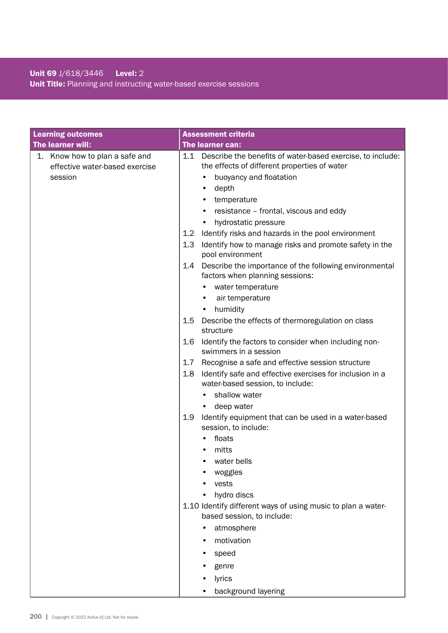# Unit 69 J/618/3446 Level: 2 Unit Title: Planning and instructing water-based exercise sessions

| <b>Learning outcomes</b>                                                    | <b>Assessment criteria</b>                                                                                                                                                                                                                                 |
|-----------------------------------------------------------------------------|------------------------------------------------------------------------------------------------------------------------------------------------------------------------------------------------------------------------------------------------------------|
| The learner will:                                                           | The learner can:                                                                                                                                                                                                                                           |
| 1. Know how to plan a safe and<br>effective water-based exercise<br>session | 1.1 Describe the benefits of water-based exercise, to include:<br>the effects of different properties of water<br>buoyancy and floatation<br>depth<br>٠<br>temperature<br>resistance - frontal, viscous and eddy<br>٠<br>hydrostatic pressure<br>$\bullet$ |
|                                                                             | 1.2<br>Identify risks and hazards in the pool environment                                                                                                                                                                                                  |
|                                                                             | 1.3<br>Identify how to manage risks and promote safety in the<br>pool environment                                                                                                                                                                          |
|                                                                             | Describe the importance of the following environmental<br>1.4<br>factors when planning sessions:<br>water temperature<br>air temperature                                                                                                                   |
|                                                                             | humidity<br>٠                                                                                                                                                                                                                                              |
|                                                                             | 1.5<br>Describe the effects of thermoregulation on class<br>structure                                                                                                                                                                                      |
|                                                                             | 1.6<br>Identify the factors to consider when including non-<br>swimmers in a session                                                                                                                                                                       |
|                                                                             | Recognise a safe and effective session structure<br>1.7                                                                                                                                                                                                    |
|                                                                             | Identify safe and effective exercises for inclusion in a<br>1.8<br>water-based session, to include:                                                                                                                                                        |
|                                                                             | shallow water                                                                                                                                                                                                                                              |
|                                                                             | deep water                                                                                                                                                                                                                                                 |
|                                                                             | 1.9<br>Identify equipment that can be used in a water-based<br>session, to include:                                                                                                                                                                        |
|                                                                             | floats                                                                                                                                                                                                                                                     |
|                                                                             | mitts                                                                                                                                                                                                                                                      |
|                                                                             | water bells                                                                                                                                                                                                                                                |
|                                                                             | woggles<br>vests                                                                                                                                                                                                                                           |
|                                                                             | hydro discs                                                                                                                                                                                                                                                |
|                                                                             | 1.10 Identify different ways of using music to plan a water-<br>based session, to include:                                                                                                                                                                 |
|                                                                             | atmosphere                                                                                                                                                                                                                                                 |
|                                                                             | motivation                                                                                                                                                                                                                                                 |
|                                                                             | speed                                                                                                                                                                                                                                                      |
|                                                                             | genre                                                                                                                                                                                                                                                      |
|                                                                             | lyrics                                                                                                                                                                                                                                                     |
|                                                                             | background layering                                                                                                                                                                                                                                        |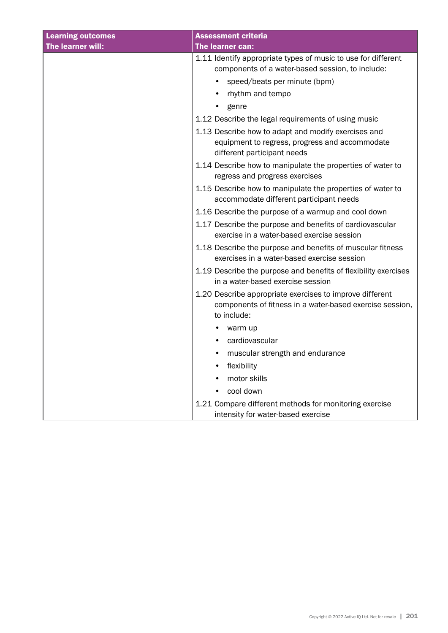| <b>Learning outcomes</b> | <b>Assessment criteria</b>                                                                                                                        |
|--------------------------|---------------------------------------------------------------------------------------------------------------------------------------------------|
| The learner will:        | The learner can:                                                                                                                                  |
|                          | 1.11 Identify appropriate types of music to use for different<br>components of a water-based session, to include:<br>speed/beats per minute (bpm) |
|                          | rhythm and tempo<br>$\bullet$                                                                                                                     |
|                          | genre                                                                                                                                             |
|                          | 1.12 Describe the legal requirements of using music                                                                                               |
|                          | 1.13 Describe how to adapt and modify exercises and<br>equipment to regress, progress and accommodate<br>different participant needs              |
|                          | 1.14 Describe how to manipulate the properties of water to<br>regress and progress exercises                                                      |
|                          | 1.15 Describe how to manipulate the properties of water to<br>accommodate different participant needs                                             |
|                          | 1.16 Describe the purpose of a warmup and cool down                                                                                               |
|                          | 1.17 Describe the purpose and benefits of cardiovascular<br>exercise in a water-based exercise session                                            |
|                          | 1.18 Describe the purpose and benefits of muscular fitness<br>exercises in a water-based exercise session                                         |
|                          | 1.19 Describe the purpose and benefits of flexibility exercises<br>in a water-based exercise session                                              |
|                          | 1.20 Describe appropriate exercises to improve different<br>components of fitness in a water-based exercise session,<br>to include:               |
|                          | warm up                                                                                                                                           |
|                          | cardiovascular<br>$\bullet$                                                                                                                       |
|                          | muscular strength and endurance                                                                                                                   |
|                          | flexibility<br>$\bullet$                                                                                                                          |
|                          | motor skills                                                                                                                                      |
|                          | cool down                                                                                                                                         |
|                          | 1.21 Compare different methods for monitoring exercise<br>intensity for water-based exercise                                                      |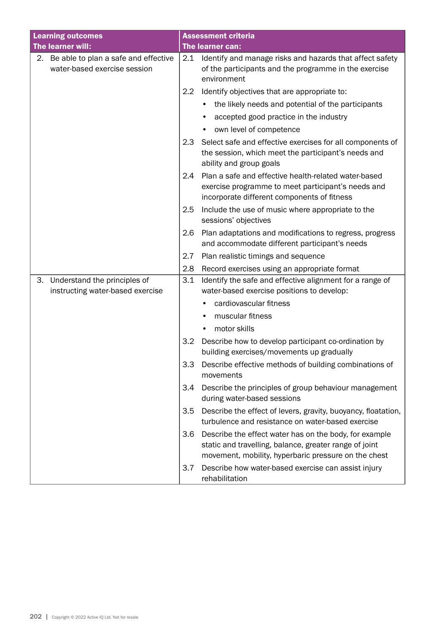| <b>Learning outcomes</b>                                                | <b>Assessment criteria</b>                                                                                                                                                      |
|-------------------------------------------------------------------------|---------------------------------------------------------------------------------------------------------------------------------------------------------------------------------|
| The learner will:                                                       | The learner can:                                                                                                                                                                |
| 2. Be able to plan a safe and effective<br>water-based exercise session | 2.1<br>Identify and manage risks and hazards that affect safety<br>of the participants and the programme in the exercise<br>environment                                         |
|                                                                         | Identify objectives that are appropriate to:<br>2.2                                                                                                                             |
|                                                                         | the likely needs and potential of the participants                                                                                                                              |
|                                                                         | accepted good practice in the industry                                                                                                                                          |
|                                                                         | own level of competence                                                                                                                                                         |
|                                                                         | Select safe and effective exercises for all components of<br>2.3<br>the session, which meet the participant's needs and<br>ability and group goals                              |
|                                                                         | Plan a safe and effective health-related water-based<br>2.4<br>exercise programme to meet participant's needs and<br>incorporate different components of fitness                |
|                                                                         | 2.5<br>Include the use of music where appropriate to the<br>sessions' objectives                                                                                                |
|                                                                         | 2.6<br>Plan adaptations and modifications to regress, progress<br>and accommodate different participant's needs                                                                 |
|                                                                         | 2.7<br>Plan realistic timings and sequence                                                                                                                                      |
|                                                                         | 2.8<br>Record exercises using an appropriate format                                                                                                                             |
| 3. Understand the principles of<br>instructing water-based exercise     | Identify the safe and effective alignment for a range of<br>3.1<br>water-based exercise positions to develop:                                                                   |
|                                                                         | cardiovascular fitness                                                                                                                                                          |
|                                                                         | muscular fitness                                                                                                                                                                |
|                                                                         | motor skills<br>$\bullet$                                                                                                                                                       |
|                                                                         | 3.2<br>Describe how to develop participant co-ordination by<br>building exercises/movements up gradually                                                                        |
|                                                                         | 3.3<br>Describe effective methods of building combinations of<br>movements                                                                                                      |
|                                                                         | 3.4<br>Describe the principles of group behaviour management<br>during water-based sessions                                                                                     |
|                                                                         | Describe the effect of levers, gravity, buoyancy, floatation,<br>3.5<br>turbulence and resistance on water-based exercise                                                       |
|                                                                         | 3.6<br>Describe the effect water has on the body, for example<br>static and travelling, balance, greater range of joint<br>movement, mobility, hyperbaric pressure on the chest |
|                                                                         | 3.7<br>Describe how water-based exercise can assist injury<br>rehabilitation                                                                                                    |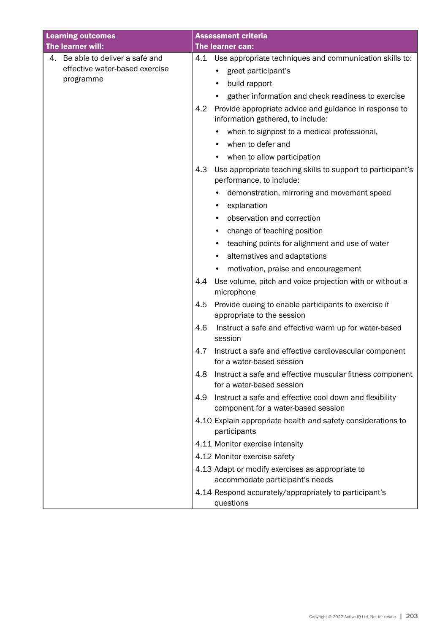| <b>Learning outcomes</b>         | <b>Assessment criteria</b>                                                                            |
|----------------------------------|-------------------------------------------------------------------------------------------------------|
| The learner will:                | The learner can:                                                                                      |
| 4. Be able to deliver a safe and | Use appropriate techniques and communication skills to:<br>4.1                                        |
| effective water-based exercise   | greet participant's                                                                                   |
| programme                        | build rapport                                                                                         |
|                                  | gather information and check readiness to exercise                                                    |
|                                  | 4.2<br>Provide appropriate advice and guidance in response to<br>information gathered, to include:    |
|                                  | when to signpost to a medical professional,                                                           |
|                                  | when to defer and                                                                                     |
|                                  | when to allow participation                                                                           |
|                                  | 4.3<br>Use appropriate teaching skills to support to participant's<br>performance, to include:        |
|                                  | demonstration, mirroring and movement speed<br>explanation                                            |
|                                  | observation and correction                                                                            |
|                                  | change of teaching position<br>٠                                                                      |
|                                  | teaching points for alignment and use of water                                                        |
|                                  | alternatives and adaptations                                                                          |
|                                  | motivation, praise and encouragement                                                                  |
|                                  | Use volume, pitch and voice projection with or without a<br>4.4<br>microphone                         |
|                                  | 4.5<br>Provide cueing to enable participants to exercise if<br>appropriate to the session             |
|                                  | 4.6<br>Instruct a safe and effective warm up for water-based<br>session                               |
|                                  | Instruct a safe and effective cardiovascular component<br>4.7<br>for a water-based session            |
|                                  | 4.8<br>Instruct a safe and effective muscular fitness component<br>for a water-based session          |
|                                  | Instruct a safe and effective cool down and flexibility<br>4.9<br>component for a water-based session |
|                                  | 4.10 Explain appropriate health and safety considerations to<br>participants                          |
|                                  | 4.11 Monitor exercise intensity                                                                       |
|                                  | 4.12 Monitor exercise safety                                                                          |
|                                  | 4.13 Adapt or modify exercises as appropriate to<br>accommodate participant's needs                   |
|                                  | 4.14 Respond accurately/appropriately to participant's<br>questions                                   |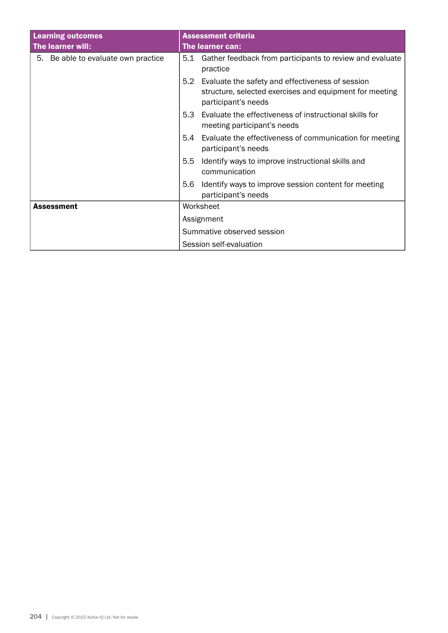| <b>Learning outcomes</b>            | <b>Assessment criteria</b>                                                                                                                |  |
|-------------------------------------|-------------------------------------------------------------------------------------------------------------------------------------------|--|
| The learner will:                   | The learner can:                                                                                                                          |  |
| 5. Be able to evaluate own practice | Gather feedback from participants to review and evaluate<br>5.1<br>practice                                                               |  |
|                                     | 5.2<br>Evaluate the safety and effectiveness of session<br>structure, selected exercises and equipment for meeting<br>participant's needs |  |
|                                     | Evaluate the effectiveness of instructional skills for<br>5.3<br>meeting participant's needs                                              |  |
|                                     | Evaluate the effectiveness of communication for meeting<br>5.4<br>participant's needs                                                     |  |
|                                     | 5.5<br>Identify ways to improve instructional skills and<br>communication                                                                 |  |
|                                     | Identify ways to improve session content for meeting<br>5.6<br>participant's needs                                                        |  |
| <b>Assessment</b>                   | Worksheet<br>Assignment<br>Summative observed session                                                                                     |  |
|                                     |                                                                                                                                           |  |
|                                     |                                                                                                                                           |  |
|                                     | Session self-evaluation                                                                                                                   |  |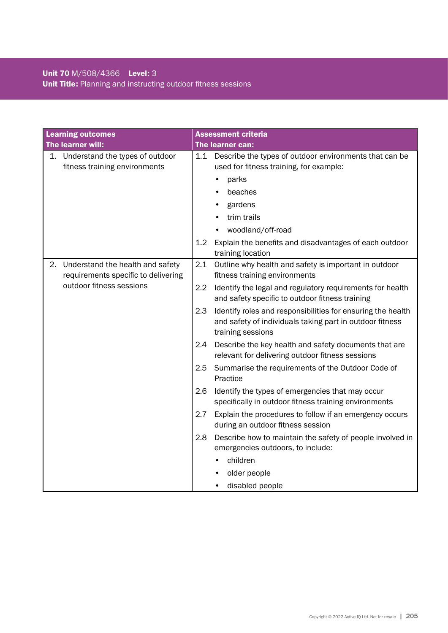# Unit 70 M/508/4366 Level: 3 Unit Title: Planning and instructing outdoor fitness sessions

| <b>Learning outcomes</b>                                                      | <b>Assessment criteria</b>                                                                                                                          |
|-------------------------------------------------------------------------------|-----------------------------------------------------------------------------------------------------------------------------------------------------|
| The learner will:                                                             | The learner can:                                                                                                                                    |
| 1. Understand the types of outdoor<br>fitness training environments           | 1.1 Describe the types of outdoor environments that can be<br>used for fitness training, for example:                                               |
|                                                                               | parks                                                                                                                                               |
|                                                                               | beaches                                                                                                                                             |
|                                                                               | gardens                                                                                                                                             |
|                                                                               | trim trails                                                                                                                                         |
|                                                                               | woodland/off-road                                                                                                                                   |
|                                                                               | 1.2<br>Explain the benefits and disadvantages of each outdoor<br>training location                                                                  |
| Understand the health and safety<br>2.<br>requirements specific to delivering | 2.1<br>Outline why health and safety is important in outdoor<br>fitness training environments                                                       |
| outdoor fitness sessions                                                      | 2.2<br>Identify the legal and regulatory requirements for health<br>and safety specific to outdoor fitness training                                 |
|                                                                               | 2.3<br>Identify roles and responsibilities for ensuring the health<br>and safety of individuals taking part in outdoor fitness<br>training sessions |
|                                                                               | 2.4<br>Describe the key health and safety documents that are<br>relevant for delivering outdoor fitness sessions                                    |
|                                                                               | 2.5<br>Summarise the requirements of the Outdoor Code of<br>Practice                                                                                |
|                                                                               | Identify the types of emergencies that may occur<br>2.6<br>specifically in outdoor fitness training environments                                    |
|                                                                               | Explain the procedures to follow if an emergency occurs<br>2.7<br>during an outdoor fitness session                                                 |
|                                                                               | 2.8<br>Describe how to maintain the safety of people involved in<br>emergencies outdoors, to include:                                               |
|                                                                               | children                                                                                                                                            |
|                                                                               | older people                                                                                                                                        |
|                                                                               | disabled people                                                                                                                                     |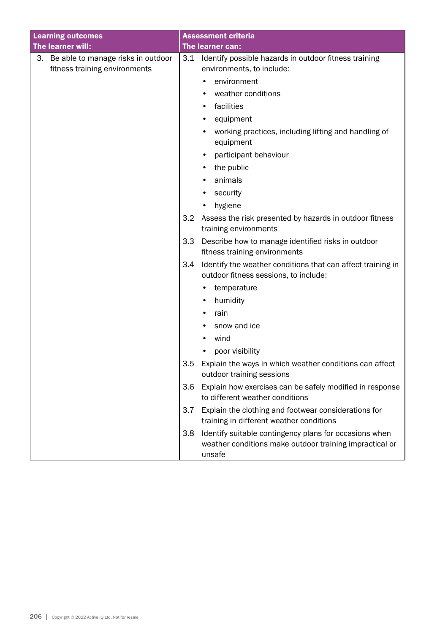| <b>Learning outcomes</b>                                               |     | <b>Assessment criteria</b>                                                                                                  |
|------------------------------------------------------------------------|-----|-----------------------------------------------------------------------------------------------------------------------------|
| The learner will:                                                      |     | The learner can:                                                                                                            |
| 3. Be able to manage risks in outdoor<br>fitness training environments | 3.1 | Identify possible hazards in outdoor fitness training<br>environments, to include:                                          |
|                                                                        |     | environment                                                                                                                 |
|                                                                        |     | weather conditions                                                                                                          |
|                                                                        |     | facilities                                                                                                                  |
|                                                                        |     | equipment                                                                                                                   |
|                                                                        |     | working practices, including lifting and handling of<br>equipment                                                           |
|                                                                        |     | participant behaviour                                                                                                       |
|                                                                        |     | the public                                                                                                                  |
|                                                                        |     | animals                                                                                                                     |
|                                                                        |     | security                                                                                                                    |
|                                                                        |     | hygiene                                                                                                                     |
|                                                                        | 3.2 | Assess the risk presented by hazards in outdoor fitness<br>training environments                                            |
|                                                                        | 3.3 | Describe how to manage identified risks in outdoor<br>fitness training environments                                         |
|                                                                        | 3.4 | Identify the weather conditions that can affect training in<br>outdoor fitness sessions, to include:                        |
|                                                                        |     | temperature                                                                                                                 |
|                                                                        |     | humidity                                                                                                                    |
|                                                                        |     | rain                                                                                                                        |
|                                                                        |     | snow and ice                                                                                                                |
|                                                                        |     | wind                                                                                                                        |
|                                                                        |     | poor visibility                                                                                                             |
|                                                                        | 3.5 | Explain the ways in which weather conditions can affect<br>outdoor training sessions                                        |
|                                                                        | 3.6 | Explain how exercises can be safely modified in response<br>to different weather conditions                                 |
|                                                                        | 3.7 | Explain the clothing and footwear considerations for<br>training in different weather conditions                            |
|                                                                        | 3.8 | Identify suitable contingency plans for occasions when<br>weather conditions make outdoor training impractical or<br>unsafe |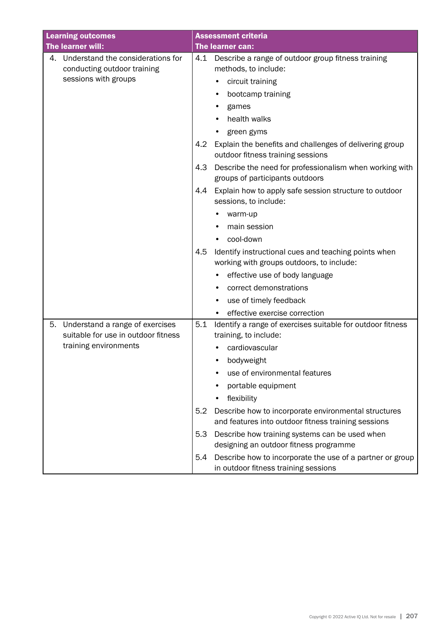| <b>Learning outcomes</b>                                                                       | <b>Assessment criteria</b>                                                                                                 |
|------------------------------------------------------------------------------------------------|----------------------------------------------------------------------------------------------------------------------------|
| The learner will:                                                                              | The learner can:                                                                                                           |
| Understand the considerations for<br>4.<br>conducting outdoor training<br>sessions with groups | Describe a range of outdoor group fitness training<br>4.1<br>methods, to include:<br>circuit training<br>bootcamp training |
|                                                                                                | games                                                                                                                      |
|                                                                                                | health walks                                                                                                               |
|                                                                                                | green gyms                                                                                                                 |
|                                                                                                | 4.2<br>Explain the benefits and challenges of delivering group<br>outdoor fitness training sessions                        |
|                                                                                                | 4.3<br>Describe the need for professionalism when working with<br>groups of participants outdoors                          |
|                                                                                                | Explain how to apply safe session structure to outdoor<br>4.4<br>sessions, to include:                                     |
|                                                                                                | warm-up                                                                                                                    |
|                                                                                                | main session                                                                                                               |
|                                                                                                | cool-down<br>٠                                                                                                             |
|                                                                                                | 4.5<br>Identify instructional cues and teaching points when<br>working with groups outdoors, to include:                   |
|                                                                                                | effective use of body language                                                                                             |
|                                                                                                | correct demonstrations                                                                                                     |
|                                                                                                | use of timely feedback<br>٠                                                                                                |
|                                                                                                | effective exercise correction                                                                                              |
| Understand a range of exercises<br>5.<br>suitable for use in outdoor fitness                   | 5.1<br>Identify a range of exercises suitable for outdoor fitness<br>training, to include:                                 |
| training environments                                                                          | cardiovascular                                                                                                             |
|                                                                                                | bodyweight                                                                                                                 |
|                                                                                                | use of environmental features                                                                                              |
|                                                                                                | portable equipment                                                                                                         |
|                                                                                                | flexibility                                                                                                                |
|                                                                                                | 5.2<br>Describe how to incorporate environmental structures<br>and features into outdoor fitness training sessions         |
|                                                                                                | 5.3<br>Describe how training systems can be used when<br>designing an outdoor fitness programme                            |
|                                                                                                | Describe how to incorporate the use of a partner or group<br>5.4<br>in outdoor fitness training sessions                   |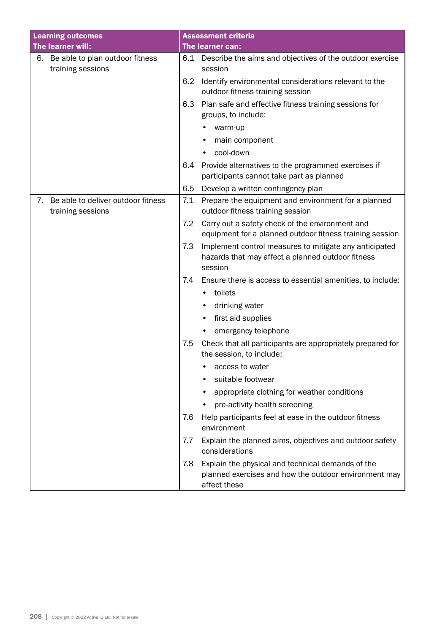| <b>Learning outcomes</b>                                      | <b>Assessment criteria</b>                                                                                                        |
|---------------------------------------------------------------|-----------------------------------------------------------------------------------------------------------------------------------|
| The learner will:                                             | The learner can:                                                                                                                  |
| Be able to plan outdoor fitness<br>6.<br>training sessions    | Describe the aims and objectives of the outdoor exercise<br>6.1<br>session                                                        |
|                                                               | Identify environmental considerations relevant to the<br>6.2<br>outdoor fitness training session                                  |
|                                                               | 6.3<br>Plan safe and effective fitness training sessions for<br>groups, to include:                                               |
|                                                               | warm-up                                                                                                                           |
|                                                               | main component                                                                                                                    |
|                                                               | cool-down                                                                                                                         |
|                                                               | Provide alternatives to the programmed exercises if<br>6.4<br>participants cannot take part as planned                            |
|                                                               | 6.5<br>Develop a written contingency plan                                                                                         |
| Be able to deliver outdoor fitness<br>7.<br>training sessions | 7.1<br>Prepare the equipment and environment for a planned<br>outdoor fitness training session                                    |
|                                                               | 7.2<br>Carry out a safety check of the environment and<br>equipment for a planned outdoor fitness training session                |
|                                                               | 7.3<br>Implement control measures to mitigate any anticipated<br>hazards that may affect a planned outdoor fitness<br>session     |
|                                                               | 7.4<br>Ensure there is access to essential amenities, to include:                                                                 |
|                                                               | toilets<br>$\bullet$                                                                                                              |
|                                                               | drinking water                                                                                                                    |
|                                                               | first aid supplies                                                                                                                |
|                                                               | emergency telephone                                                                                                               |
|                                                               | 7.5<br>Check that all participants are appropriately prepared for<br>the session, to include:                                     |
|                                                               | access to water                                                                                                                   |
|                                                               | suitable footwear                                                                                                                 |
|                                                               | appropriate clothing for weather conditions                                                                                       |
|                                                               | pre-activity health screening                                                                                                     |
|                                                               | 7.6<br>Help participants feel at ease in the outdoor fitness<br>environment                                                       |
|                                                               | 7.7<br>Explain the planned aims, objectives and outdoor safety<br>considerations                                                  |
|                                                               | Explain the physical and technical demands of the<br>7.8<br>planned exercises and how the outdoor environment may<br>affect these |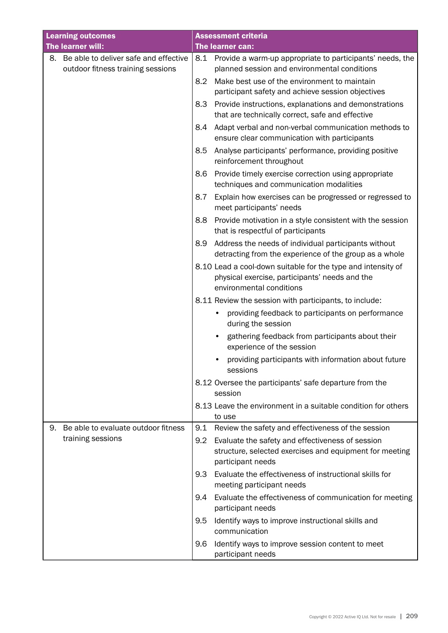| <b>Learning outcomes</b> |                                                                            | <b>Assessment criteria</b> |                                                                                                                                                                                                                    |  |
|--------------------------|----------------------------------------------------------------------------|----------------------------|--------------------------------------------------------------------------------------------------------------------------------------------------------------------------------------------------------------------|--|
|                          | The learner will:                                                          |                            | The learner can:                                                                                                                                                                                                   |  |
| 8.                       | Be able to deliver safe and effective<br>outdoor fitness training sessions | 8.2                        | 8.1 Provide a warm-up appropriate to participants' needs, the<br>planned session and environmental conditions<br>Make best use of the environment to maintain<br>participant safety and achieve session objectives |  |
|                          |                                                                            | 8.3                        | Provide instructions, explanations and demonstrations<br>that are technically correct, safe and effective                                                                                                          |  |
|                          |                                                                            | 8.4                        | Adapt verbal and non-verbal communication methods to<br>ensure clear communication with participants                                                                                                               |  |
|                          |                                                                            | 8.5                        | Analyse participants' performance, providing positive<br>reinforcement throughout                                                                                                                                  |  |
|                          |                                                                            | 8.6                        | Provide timely exercise correction using appropriate<br>techniques and communication modalities                                                                                                                    |  |
|                          |                                                                            | 8.7                        | Explain how exercises can be progressed or regressed to<br>meet participants' needs                                                                                                                                |  |
|                          |                                                                            | 8.8                        | Provide motivation in a style consistent with the session<br>that is respectful of participants                                                                                                                    |  |
|                          |                                                                            | 8.9                        | Address the needs of individual participants without<br>detracting from the experience of the group as a whole                                                                                                     |  |
|                          |                                                                            |                            | 8.10 Lead a cool-down suitable for the type and intensity of<br>physical exercise, participants' needs and the<br>environmental conditions                                                                         |  |
|                          |                                                                            |                            | 8.11 Review the session with participants, to include:                                                                                                                                                             |  |
|                          |                                                                            |                            | providing feedback to participants on performance<br>during the session                                                                                                                                            |  |
|                          |                                                                            |                            | gathering feedback from participants about their<br>experience of the session                                                                                                                                      |  |
|                          |                                                                            |                            | providing participants with information about future<br>sessions                                                                                                                                                   |  |
|                          |                                                                            |                            | 8.12 Oversee the participants' safe departure from the<br>session                                                                                                                                                  |  |
|                          |                                                                            |                            | 8.13 Leave the environment in a suitable condition for others<br>to use                                                                                                                                            |  |
| 9.                       | Be able to evaluate outdoor fitness                                        | 9.1                        | Review the safety and effectiveness of the session                                                                                                                                                                 |  |
|                          | training sessions                                                          | 9.2                        | Evaluate the safety and effectiveness of session<br>structure, selected exercises and equipment for meeting<br>participant needs                                                                                   |  |
|                          |                                                                            | 9.3                        | Evaluate the effectiveness of instructional skills for<br>meeting participant needs                                                                                                                                |  |
|                          |                                                                            | 9.4                        | Evaluate the effectiveness of communication for meeting<br>participant needs                                                                                                                                       |  |
|                          |                                                                            | 9.5                        | Identify ways to improve instructional skills and<br>communication                                                                                                                                                 |  |
|                          |                                                                            | 9.6                        | Identify ways to improve session content to meet<br>participant needs                                                                                                                                              |  |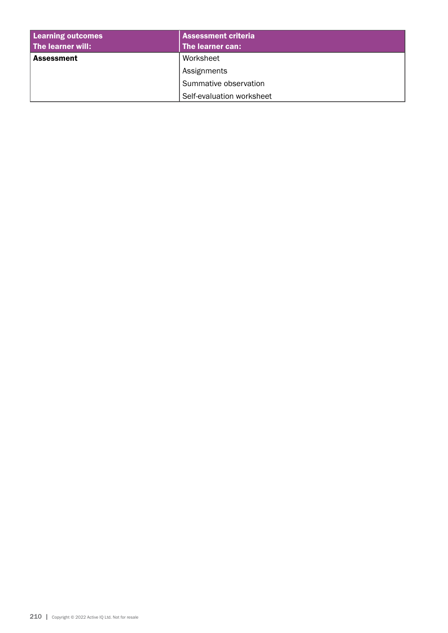| <b>Learning outcomes</b> | <b>Assessment criteria</b> |  |
|--------------------------|----------------------------|--|
| The learner will:        | The learner can:           |  |
| <b>Assessment</b>        | Worksheet                  |  |
|                          | Assignments                |  |
|                          | Summative observation      |  |
|                          | Self-evaluation worksheet  |  |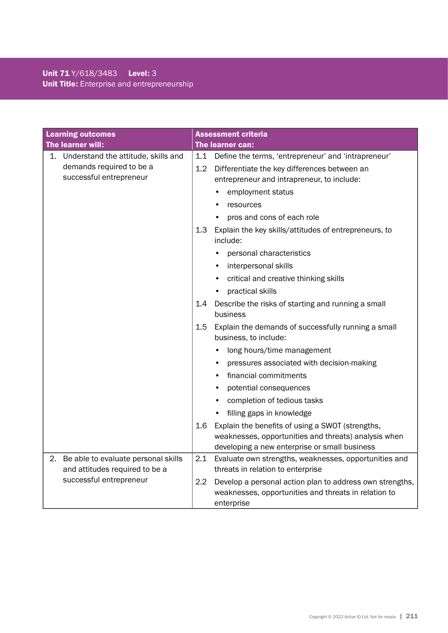# Unit 71 Y/618/3483 Level: 3 Unit Title: Enterprise and entrepreneurship

| <b>Learning outcomes</b>                                                                      | <b>Assessment criteria</b>                                                                                                                                   |
|-----------------------------------------------------------------------------------------------|--------------------------------------------------------------------------------------------------------------------------------------------------------------|
| The learner will:                                                                             | The learner can:                                                                                                                                             |
| 1. Understand the attitude, skills and<br>demands required to be a<br>successful entrepreneur | 1.1 Define the terms, 'entrepreneur' and 'intrapreneur'<br>Differentiate the key differences between an<br>1.2<br>entrepreneur and intrapreneur, to include: |
|                                                                                               | employment status                                                                                                                                            |
|                                                                                               | resources                                                                                                                                                    |
|                                                                                               | pros and cons of each role                                                                                                                                   |
|                                                                                               | 1.3<br>Explain the key skills/attitudes of entrepreneurs, to<br>include:                                                                                     |
|                                                                                               | personal characteristics                                                                                                                                     |
|                                                                                               | interpersonal skills                                                                                                                                         |
|                                                                                               | critical and creative thinking skills<br>٠                                                                                                                   |
|                                                                                               | practical skills                                                                                                                                             |
|                                                                                               | Describe the risks of starting and running a small<br>1.4<br>business                                                                                        |
|                                                                                               | 1.5<br>Explain the demands of successfully running a small<br>business, to include:                                                                          |
|                                                                                               | long hours/time management                                                                                                                                   |
|                                                                                               | pressures associated with decision-making                                                                                                                    |
|                                                                                               | financial commitments<br>٠                                                                                                                                   |
|                                                                                               | potential consequences                                                                                                                                       |
|                                                                                               | completion of tedious tasks                                                                                                                                  |
|                                                                                               | filling gaps in knowledge                                                                                                                                    |
|                                                                                               | Explain the benefits of using a SWOT (strengths,<br>1.6                                                                                                      |
|                                                                                               | weaknesses, opportunities and threats) analysis when                                                                                                         |
|                                                                                               | developing a new enterprise or small business                                                                                                                |
| 2.<br>Be able to evaluate personal skills                                                     | 2.1<br>Evaluate own strengths, weaknesses, opportunities and                                                                                                 |
| and attitudes required to be a                                                                | threats in relation to enterprise                                                                                                                            |
| successful entrepreneur                                                                       | 2.2<br>Develop a personal action plan to address own strengths,<br>weaknesses, opportunities and threats in relation to                                      |
|                                                                                               | enterprise                                                                                                                                                   |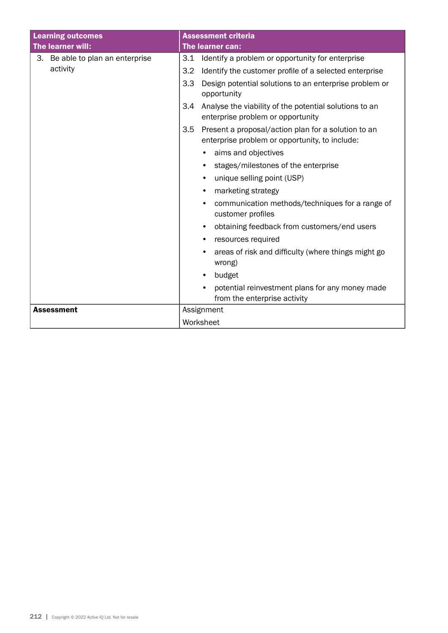| <b>Learning outcomes</b>         | <b>Assessment criteria</b>                                                                                   |  |
|----------------------------------|--------------------------------------------------------------------------------------------------------------|--|
| The learner will:                | The learner can:                                                                                             |  |
| 3. Be able to plan an enterprise | Identify a problem or opportunity for enterprise<br>3.1                                                      |  |
| activity                         | Identify the customer profile of a selected enterprise<br>3.2                                                |  |
|                                  | 3.3<br>Design potential solutions to an enterprise problem or<br>opportunity                                 |  |
|                                  | Analyse the viability of the potential solutions to an<br>3.4<br>enterprise problem or opportunity           |  |
|                                  | 3.5<br>Present a proposal/action plan for a solution to an<br>enterprise problem or opportunity, to include: |  |
|                                  | aims and objectives<br>٠                                                                                     |  |
|                                  | stages/milestones of the enterprise<br>$\bullet$                                                             |  |
|                                  | unique selling point (USP)<br>$\bullet$                                                                      |  |
|                                  | marketing strategy<br>٠                                                                                      |  |
|                                  | communication methods/techniques for a range of<br>$\bullet$<br>customer profiles                            |  |
|                                  | obtaining feedback from customers/end users<br>$\bullet$                                                     |  |
|                                  | resources required<br>٠                                                                                      |  |
|                                  | areas of risk and difficulty (where things might go<br>wrong)                                                |  |
|                                  | budget<br>$\bullet$                                                                                          |  |
|                                  | potential reinvestment plans for any money made<br>$\bullet$<br>from the enterprise activity                 |  |
| <b>Assessment</b>                | Assignment                                                                                                   |  |
|                                  | Worksheet                                                                                                    |  |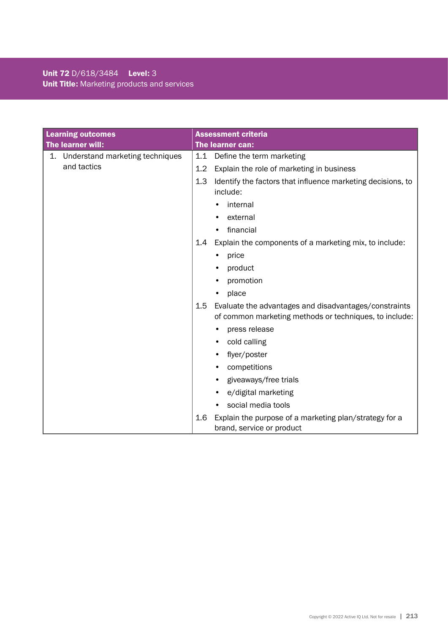# Unit 72 D/618/3484 Level: 3 Unit Title: Marketing products and services

| <b>Learning outcomes</b>              |                  | <b>Assessment criteria</b>                                                                                      |
|---------------------------------------|------------------|-----------------------------------------------------------------------------------------------------------------|
| The learner will:                     | The learner can: |                                                                                                                 |
| Understand marketing techniques<br>1. |                  | 1.1 Define the term marketing                                                                                   |
| and tactics                           | 1.2              | Explain the role of marketing in business                                                                       |
|                                       | 1.3              | Identify the factors that influence marketing decisions, to<br>include:                                         |
|                                       |                  | internal                                                                                                        |
|                                       |                  | external                                                                                                        |
|                                       |                  | financial                                                                                                       |
|                                       | 1.4              | Explain the components of a marketing mix, to include:                                                          |
|                                       |                  | price                                                                                                           |
|                                       |                  | product                                                                                                         |
|                                       |                  | promotion                                                                                                       |
|                                       |                  | place                                                                                                           |
|                                       | 1.5              | Evaluate the advantages and disadvantages/constraints<br>of common marketing methods or techniques, to include: |
|                                       |                  | press release                                                                                                   |
|                                       |                  | cold calling                                                                                                    |
|                                       |                  | flyer/poster                                                                                                    |
|                                       |                  | competitions                                                                                                    |
|                                       |                  | giveaways/free trials<br>$\bullet$                                                                              |
|                                       |                  | e/digital marketing                                                                                             |
|                                       |                  | social media tools                                                                                              |
|                                       | 1.6              | Explain the purpose of a marketing plan/strategy for a<br>brand, service or product                             |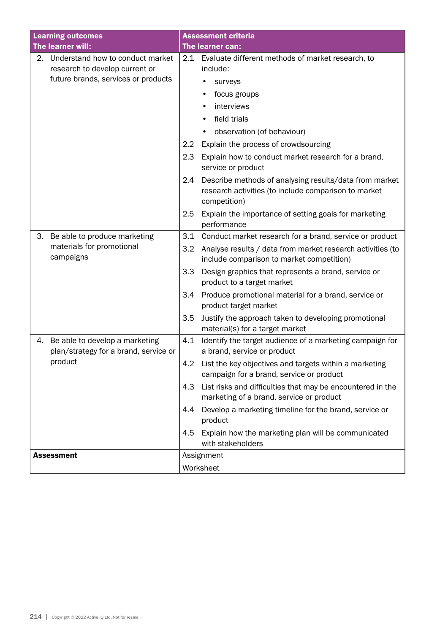| <b>Learning outcomes</b>                                                      |                  | <b>Assessment criteria</b>                                                                                                     |  |  |
|-------------------------------------------------------------------------------|------------------|--------------------------------------------------------------------------------------------------------------------------------|--|--|
| The learner will:                                                             |                  | The learner can:                                                                                                               |  |  |
| 2. Understand how to conduct market<br>research to develop current or         | $2.1\,$          | Evaluate different methods of market research, to<br>include:                                                                  |  |  |
| future brands, services or products                                           |                  | surveys<br>٠                                                                                                                   |  |  |
|                                                                               |                  | focus groups                                                                                                                   |  |  |
|                                                                               |                  | interviews                                                                                                                     |  |  |
|                                                                               |                  | field trials                                                                                                                   |  |  |
|                                                                               |                  | observation (of behaviour)                                                                                                     |  |  |
|                                                                               | $2.2\phantom{0}$ | Explain the process of crowdsourcing                                                                                           |  |  |
|                                                                               | 2.3              | Explain how to conduct market research for a brand,<br>service or product                                                      |  |  |
|                                                                               | 2.4              | Describe methods of analysing results/data from market<br>research activities (to include comparison to market<br>competition) |  |  |
|                                                                               | 2.5              | Explain the importance of setting goals for marketing<br>performance                                                           |  |  |
| Be able to produce marketing<br>3.                                            | 3.1              | Conduct market research for a brand, service or product                                                                        |  |  |
| materials for promotional<br>campaigns                                        | 3.2              | Analyse results / data from market research activities (to<br>include comparison to market competition)                        |  |  |
|                                                                               | 3.3              | Design graphics that represents a brand, service or<br>product to a target market                                              |  |  |
|                                                                               | 3.4              | Produce promotional material for a brand, service or<br>product target market                                                  |  |  |
|                                                                               | 3.5              | Justify the approach taken to developing promotional<br>material(s) for a target market                                        |  |  |
| Be able to develop a marketing<br>4.<br>plan/strategy for a brand, service or | 4.1              | Identify the target audience of a marketing campaign for<br>a brand, service or product                                        |  |  |
| product                                                                       | 4.2              | List the key objectives and targets within a marketing<br>campaign for a brand, service or product                             |  |  |
|                                                                               | 4.3              | List risks and difficulties that may be encountered in the<br>marketing of a brand, service or product                         |  |  |
|                                                                               | 4.4              | Develop a marketing timeline for the brand, service or<br>product                                                              |  |  |
|                                                                               | 4.5              | Explain how the marketing plan will be communicated<br>with stakeholders                                                       |  |  |
| <b>Assessment</b>                                                             |                  | Assignment                                                                                                                     |  |  |
|                                                                               |                  | Worksheet                                                                                                                      |  |  |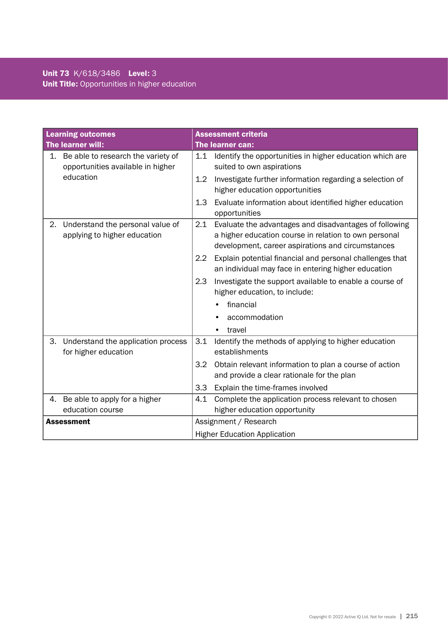# Unit 73 K/618/3486 Level: 3 Unit Title: Opportunities in higher education

| <b>Learning outcomes</b> |                                                                         | <b>Assessment criteria</b>          |                                                                                                                                                                      |  |  |
|--------------------------|-------------------------------------------------------------------------|-------------------------------------|----------------------------------------------------------------------------------------------------------------------------------------------------------------------|--|--|
|                          | The learner will:                                                       |                                     | The learner can:                                                                                                                                                     |  |  |
| 1.                       | Be able to research the variety of<br>opportunities available in higher | 1.1                                 | Identify the opportunities in higher education which are<br>suited to own aspirations                                                                                |  |  |
|                          | education                                                               | 1.2                                 | Investigate further information regarding a selection of<br>higher education opportunities                                                                           |  |  |
|                          |                                                                         | 1.3                                 | Evaluate information about identified higher education<br>opportunities                                                                                              |  |  |
| 2.                       | Understand the personal value of<br>applying to higher education        | 2.1                                 | Evaluate the advantages and disadvantages of following<br>a higher education course in relation to own personal<br>development, career aspirations and circumstances |  |  |
|                          |                                                                         | $2.2\phantom{0}$                    | Explain potential financial and personal challenges that<br>an individual may face in entering higher education                                                      |  |  |
|                          |                                                                         | 2.3                                 | Investigate the support available to enable a course of<br>higher education, to include:                                                                             |  |  |
|                          |                                                                         |                                     | financial                                                                                                                                                            |  |  |
|                          |                                                                         |                                     | accommodation                                                                                                                                                        |  |  |
|                          |                                                                         |                                     | travel<br>$\bullet$                                                                                                                                                  |  |  |
| 3.                       | Understand the application process<br>for higher education              | 3.1                                 | Identify the methods of applying to higher education<br>establishments                                                                                               |  |  |
|                          |                                                                         | 3.2                                 | Obtain relevant information to plan a course of action<br>and provide a clear rationale for the plan                                                                 |  |  |
|                          |                                                                         | 3.3                                 | Explain the time-frames involved                                                                                                                                     |  |  |
| 4.                       | Be able to apply for a higher                                           | 4.1                                 | Complete the application process relevant to chosen                                                                                                                  |  |  |
|                          | education course                                                        |                                     | higher education opportunity                                                                                                                                         |  |  |
| <b>Assessment</b>        |                                                                         |                                     | Assignment / Research                                                                                                                                                |  |  |
|                          |                                                                         | <b>Higher Education Application</b> |                                                                                                                                                                      |  |  |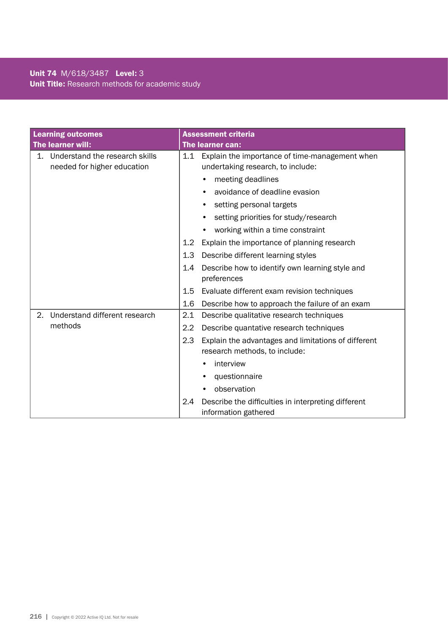# Unit 74 M/618/3487 Level: 3 Unit Title: Research methods for academic study

| <b>Learning outcomes</b> |                                                               | <b>Assessment criteria</b> |                                                                                      |  |
|--------------------------|---------------------------------------------------------------|----------------------------|--------------------------------------------------------------------------------------|--|
|                          | The learner will:                                             |                            | The learner can:                                                                     |  |
| 1.                       | Understand the research skills<br>needed for higher education | 1.1                        | Explain the importance of time-management when<br>undertaking research, to include:  |  |
|                          |                                                               |                            | meeting deadlines                                                                    |  |
|                          |                                                               |                            | avoidance of deadline evasion                                                        |  |
|                          |                                                               |                            | setting personal targets                                                             |  |
|                          |                                                               |                            | setting priorities for study/research                                                |  |
|                          |                                                               |                            | working within a time constraint<br>٠                                                |  |
|                          |                                                               | 1.2                        | Explain the importance of planning research                                          |  |
|                          |                                                               | 1.3                        | Describe different learning styles                                                   |  |
|                          |                                                               | 1.4                        | Describe how to identify own learning style and<br>preferences                       |  |
|                          |                                                               | $1.5\,$                    | Evaluate different exam revision techniques                                          |  |
|                          |                                                               | 1.6                        | Describe how to approach the failure of an exam                                      |  |
| 2.                       | Understand different research                                 | 2.1                        | Describe qualitative research techniques                                             |  |
|                          | methods                                                       | $2.2\phantom{0}$           | Describe quantative research techniques                                              |  |
|                          |                                                               | 2.3                        | Explain the advantages and limitations of different<br>research methods, to include: |  |
|                          |                                                               |                            | interview                                                                            |  |
|                          |                                                               |                            | questionnaire                                                                        |  |
|                          |                                                               |                            | observation                                                                          |  |
|                          |                                                               | 2.4                        | Describe the difficulties in interpreting different<br>information gathered          |  |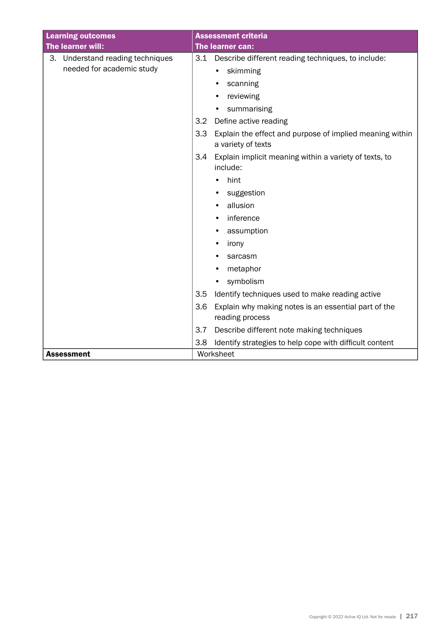| <b>Learning outcomes</b>            | <b>Assessment criteria</b>                                                            |  |
|-------------------------------------|---------------------------------------------------------------------------------------|--|
| The learner will:                   | The learner can:                                                                      |  |
| Understand reading techniques<br>З. | 3.1<br>Describe different reading techniques, to include:                             |  |
| needed for academic study           | skimming<br>$\bullet$                                                                 |  |
|                                     | scanning                                                                              |  |
|                                     | reviewing                                                                             |  |
|                                     | summarising                                                                           |  |
|                                     | Define active reading<br>3.2                                                          |  |
|                                     | Explain the effect and purpose of implied meaning within<br>3.3<br>a variety of texts |  |
|                                     | 3.4<br>Explain implicit meaning within a variety of texts, to<br>include:             |  |
|                                     | hint                                                                                  |  |
|                                     | suggestion                                                                            |  |
|                                     | allusion                                                                              |  |
|                                     | inference<br>٠                                                                        |  |
|                                     | assumption<br>٠                                                                       |  |
|                                     | irony                                                                                 |  |
|                                     | sarcasm                                                                               |  |
|                                     | metaphor                                                                              |  |
|                                     | symbolism                                                                             |  |
|                                     | 3.5<br>Identify techniques used to make reading active                                |  |
|                                     | 3.6<br>Explain why making notes is an essential part of the<br>reading process        |  |
|                                     | 3.7<br>Describe different note making techniques                                      |  |
|                                     | Identify strategies to help cope with difficult content<br>3.8                        |  |
| <b>Assessment</b>                   | Worksheet                                                                             |  |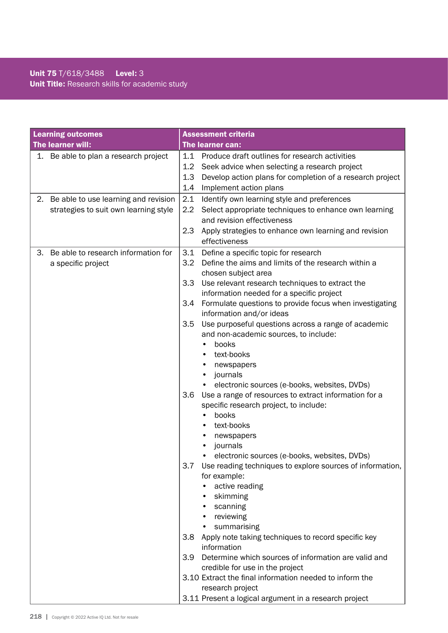## Unit 75 T/618/3488 Level: 3 Unit Title: Research skills for academic study

| <b>Learning outcomes</b> |                                       | <b>Assessment criteria</b> |                                                                                                       |  |  |
|--------------------------|---------------------------------------|----------------------------|-------------------------------------------------------------------------------------------------------|--|--|
|                          | The learner will:                     | The learner can:           |                                                                                                       |  |  |
|                          | 1. Be able to plan a research project | 1.1                        | Produce draft outlines for research activities                                                        |  |  |
|                          |                                       | 1.2                        | Seek advice when selecting a research project                                                         |  |  |
|                          |                                       | 1.3                        | Develop action plans for completion of a research project                                             |  |  |
|                          |                                       | 1.4                        | Implement action plans                                                                                |  |  |
| 2.                       | Be able to use learning and revision  | 2.1                        | Identify own learning style and preferences                                                           |  |  |
|                          | strategies to suit own learning style | $2.2\,$                    | Select appropriate techniques to enhance own learning                                                 |  |  |
|                          |                                       |                            | and revision effectiveness                                                                            |  |  |
|                          |                                       | 2.3                        | Apply strategies to enhance own learning and revision                                                 |  |  |
|                          |                                       |                            | effectiveness                                                                                         |  |  |
| 3.                       | Be able to research information for   | 3.1                        | Define a specific topic for research                                                                  |  |  |
|                          | a specific project                    | 3.2                        | Define the aims and limits of the research within a                                                   |  |  |
|                          |                                       |                            | chosen subject area                                                                                   |  |  |
|                          |                                       | 3.3                        | Use relevant research techniques to extract the                                                       |  |  |
|                          |                                       |                            | information needed for a specific project                                                             |  |  |
|                          |                                       | 3.4                        | Formulate questions to provide focus when investigating                                               |  |  |
|                          |                                       |                            | information and/or ideas                                                                              |  |  |
|                          |                                       | 3.5                        | Use purposeful questions across a range of academic                                                   |  |  |
|                          |                                       |                            | and non-academic sources, to include:                                                                 |  |  |
|                          |                                       |                            | books                                                                                                 |  |  |
|                          |                                       |                            | text-books                                                                                            |  |  |
|                          |                                       |                            | newspapers<br>٠                                                                                       |  |  |
|                          |                                       |                            | journals<br>٠                                                                                         |  |  |
|                          |                                       | 3.6                        | electronic sources (e-books, websites, DVDs)<br>Use a range of resources to extract information for a |  |  |
|                          |                                       |                            | specific research project, to include:                                                                |  |  |
|                          |                                       |                            | books                                                                                                 |  |  |
|                          |                                       |                            | text-books                                                                                            |  |  |
|                          |                                       |                            | newspapers                                                                                            |  |  |
|                          |                                       |                            | journals                                                                                              |  |  |
|                          |                                       |                            | electronic sources (e-books, websites, DVDs)                                                          |  |  |
|                          |                                       | 3.7                        | Use reading techniques to explore sources of information,                                             |  |  |
|                          |                                       |                            | for example:                                                                                          |  |  |
|                          |                                       |                            | active reading                                                                                        |  |  |
|                          |                                       |                            | skimming                                                                                              |  |  |
|                          |                                       |                            | scanning                                                                                              |  |  |
|                          |                                       |                            | reviewing                                                                                             |  |  |
|                          |                                       |                            | summarising                                                                                           |  |  |
|                          |                                       | 3.8                        | Apply note taking techniques to record specific key                                                   |  |  |
|                          |                                       |                            | information                                                                                           |  |  |
|                          |                                       | 3.9 <sup>°</sup>           | Determine which sources of information are valid and                                                  |  |  |
|                          |                                       |                            | credible for use in the project                                                                       |  |  |
|                          |                                       |                            | 3.10 Extract the final information needed to inform the                                               |  |  |
|                          |                                       |                            | research project                                                                                      |  |  |
|                          |                                       |                            | 3.11 Present a logical argument in a research project                                                 |  |  |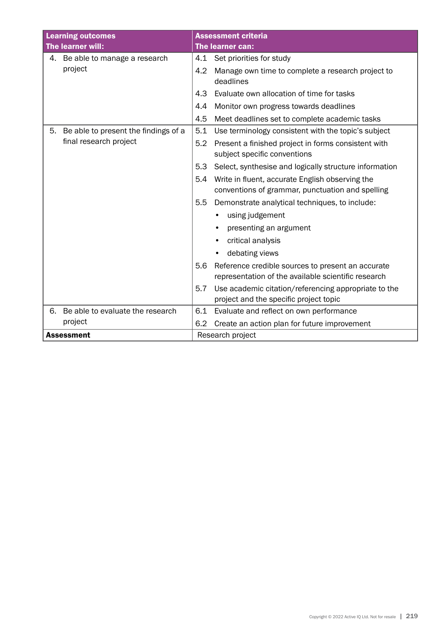| <b>Learning outcomes</b>                   | <b>Assessment criteria</b>                                                                                      |  |
|--------------------------------------------|-----------------------------------------------------------------------------------------------------------------|--|
| The learner will:                          | The learner can:                                                                                                |  |
| 4. Be able to manage a research            | 4.1 Set priorities for study                                                                                    |  |
| project                                    | 4.2<br>Manage own time to complete a research project to<br>deadlines                                           |  |
|                                            | 4.3<br>Evaluate own allocation of time for tasks                                                                |  |
|                                            | Monitor own progress towards deadlines<br>4.4                                                                   |  |
|                                            | 4.5<br>Meet deadlines set to complete academic tasks                                                            |  |
| Be able to present the findings of a<br>5. | 5.1<br>Use terminology consistent with the topic's subject                                                      |  |
| final research project                     | Present a finished project in forms consistent with<br>5.2<br>subject specific conventions                      |  |
|                                            | 5.3<br>Select, synthesise and logically structure information                                                   |  |
|                                            | Write in fluent, accurate English observing the<br>5.4<br>conventions of grammar, punctuation and spelling      |  |
|                                            | 5.5<br>Demonstrate analytical techniques, to include:                                                           |  |
|                                            | using judgement                                                                                                 |  |
|                                            | presenting an argument                                                                                          |  |
|                                            | critical analysis                                                                                               |  |
|                                            | debating views<br>$\bullet$                                                                                     |  |
|                                            | 5.6<br>Reference credible sources to present an accurate<br>representation of the available scientific research |  |
|                                            | Use academic citation/referencing appropriate to the<br>5.7<br>project and the specific project topic           |  |
| Be able to evaluate the research<br>6.     | 6.1<br>Evaluate and reflect on own performance                                                                  |  |
| project                                    | Create an action plan for future improvement<br>6.2                                                             |  |
| <b>Assessment</b>                          | Research project                                                                                                |  |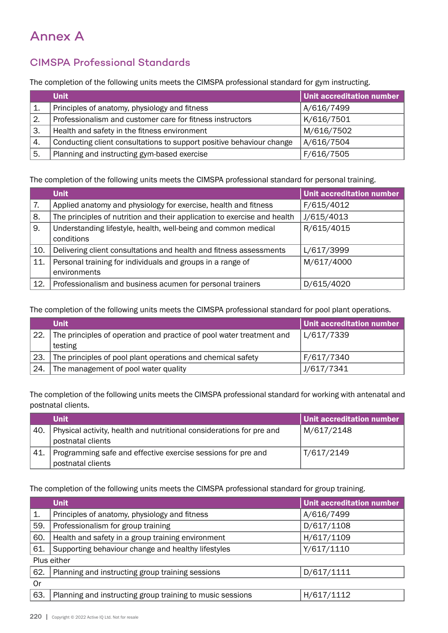## Annex A

## CIMSPA Professional Standards

The completion of the following units meets the CIMSPA professional standard for gym instructing.

|     | <b>Unit</b>                                                          | Unit accreditation number |
|-----|----------------------------------------------------------------------|---------------------------|
|     | Principles of anatomy, physiology and fitness                        | A/616/7499                |
| 2.  | Professionalism and customer care for fitness instructors            | K/616/7501                |
| 3.  | Health and safety in the fitness environment                         | M/616/7502                |
| `4. | Conducting client consultations to support positive behaviour change | A/616/7504                |
| 5.  | Planning and instructing gym-based exercise                          | F/616/7505                |

The completion of the following units meets the CIMSPA professional standard for personal training.

|     | <b>Unit</b>                                                              | <b>Unit accreditation number</b> |
|-----|--------------------------------------------------------------------------|----------------------------------|
| 7.  | Applied anatomy and physiology for exercise, health and fitness          | F/615/4012                       |
| 8.  | The principles of nutrition and their application to exercise and health | J/615/4013                       |
| 9.  | Understanding lifestyle, health, well-being and common medical           | R/615/4015                       |
|     | conditions                                                               |                                  |
| 10. | Delivering client consultations and health and fitness assessments       | L/617/3999                       |
| 11. | Personal training for individuals and groups in a range of               | M/617/4000                       |
|     | environments                                                             |                                  |
| 12. | Professionalism and business acumen for personal trainers                | D/615/4020                       |

The completion of the following units meets the CIMSPA professional standard for pool plant operations.

|     | <b>Unit</b>                                                          | Unit accreditation number |
|-----|----------------------------------------------------------------------|---------------------------|
| 22. | The principles of operation and practice of pool water treatment and | L/617/7339                |
|     | testing                                                              |                           |
| 23. | The principles of pool plant operations and chemical safety          | F/617/7340                |
| 24. | The management of pool water quality                                 | J/617/7341                |

The completion of the following units meets the CIMSPA professional standard for working with antenatal and postnatal clients.

|       | <b>Unit</b>                                                          | Unit accreditation number |
|-------|----------------------------------------------------------------------|---------------------------|
| 40.   | Physical activity, health and nutritional considerations for pre and | M/617/2148                |
|       | postnatal clients                                                    |                           |
| ' 41. | Programming safe and effective exercise sessions for pre and         | T/617/2149                |
|       | postnatal clients                                                    |                           |

The completion of the following units meets the CIMSPA professional standard for group training.

|             | <b>Unit</b>                                               | <b>Unit accreditation number</b> |  |
|-------------|-----------------------------------------------------------|----------------------------------|--|
| 1.          | Principles of anatomy, physiology and fitness             | A/616/7499                       |  |
| 59.         | Professionalism for group training                        | D/617/1108                       |  |
| 60.         | Health and safety in a group training environment         | H/617/1109                       |  |
| 61.         | Supporting behaviour change and healthy lifestyles        | Y/617/1110                       |  |
| Plus either |                                                           |                                  |  |
| 62.         | Planning and instructing group training sessions          | D/617/1111                       |  |
| 0r          |                                                           |                                  |  |
| 63.         | Planning and instructing group training to music sessions | H/617/1112                       |  |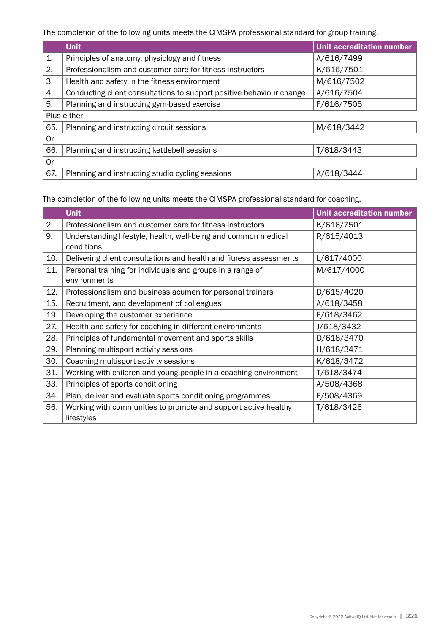The completion of the following units meets the CIMSPA professional standard for group training.

|             | <b>Unit</b>                                                          | <b>Unit accreditation number</b> |  |
|-------------|----------------------------------------------------------------------|----------------------------------|--|
| 1.          | Principles of anatomy, physiology and fitness                        | A/616/7499                       |  |
| 2.          | Professionalism and customer care for fitness instructors            | K/616/7501                       |  |
| 3.          | Health and safety in the fitness environment                         | M/616/7502                       |  |
| 4.          | Conducting client consultations to support positive behaviour change | A/616/7504                       |  |
| 5.          | Planning and instructing gym-based exercise                          | F/616/7505                       |  |
| Plus either |                                                                      |                                  |  |
| 65.         | Planning and instructing circuit sessions                            | M/618/3442                       |  |
| 0r          |                                                                      |                                  |  |
| 66.         | Planning and instructing kettlebell sessions                         | T/618/3443                       |  |
| 0r          |                                                                      |                                  |  |
| 67.         | Planning and instructing studio cycling sessions                     | A/618/3444                       |  |

The completion of the following units meets the CIMSPA professional standard for coaching.

|     | <b>Unit</b>                                                                  | <b>Unit accreditation number</b> |
|-----|------------------------------------------------------------------------------|----------------------------------|
| 2.  | Professionalism and customer care for fitness instructors                    | K/616/7501                       |
| 9.  | Understanding lifestyle, health, well-being and common medical               | R/615/4013                       |
|     | conditions                                                                   |                                  |
| 10. | Delivering client consultations and health and fitness assessments           | L/617/4000                       |
| 11. | Personal training for individuals and groups in a range of                   | M/617/4000                       |
|     | environments                                                                 |                                  |
| 12. | Professionalism and business acumen for personal trainers                    | D/615/4020                       |
| 15. | Recruitment, and development of colleagues                                   | A/618/3458                       |
| 19. | Developing the customer experience                                           | F/618/3462                       |
| 27. | Health and safety for coaching in different environments                     | J/618/3432                       |
| 28. | Principles of fundamental movement and sports skills                         | D/618/3470                       |
| 29. | Planning multisport activity sessions                                        | H/618/3471                       |
| 30. | Coaching multisport activity sessions                                        | K/618/3472                       |
| 31. | Working with children and young people in a coaching environment             | T/618/3474                       |
| 33. | Principles of sports conditioning                                            | A/508/4368                       |
| 34. | Plan, deliver and evaluate sports conditioning programmes                    | F/508/4369                       |
| 56. | Working with communities to promote and support active healthy<br>lifestyles | T/618/3426                       |